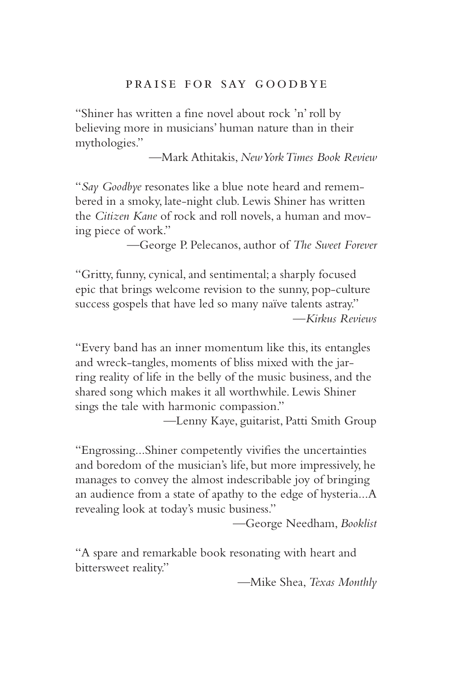#### praise for say goodbye

"Shiner has written a fine novel about rock 'n' roll by believing more in musicians' human nature than in their mythologies."

—Mark Athitakis, *New York Times Book Review*

"*Say Goodbye* resonates like a blue note heard and remembered in a smoky, late-night club. Lewis Shiner has written the *Citizen Kane* of rock and roll novels, a human and moving piece of work."

—George P. Pelecanos, author of *The Sweet Forever*

"Gritty, funny, cynical, and sentimental; a sharply focused epic that brings welcome revision to the sunny, pop-culture success gospels that have led so many naïve talents astray." —*Kirkus Reviews*

"Every band has an inner momentum like this, its entangles and wreck-tangles, moments of bliss mixed with the jarring reality of life in the belly of the music business, and the shared song which makes it all worthwhile. Lewis Shiner sings the tale with harmonic compassion."

—Lenny Kaye, guitarist, Patti Smith Group

"Engrossing...Shiner competently vivifies the uncertainties and boredom of the musician's life, but more impressively, he manages to convey the almost indescribable joy of bringing an audience from a state of apathy to the edge of hysteria...A revealing look at today's music business."

—George Needham, *Booklist*

"A spare and remarkable book resonating with heart and bittersweet reality."

—Mike Shea, *Texas Monthly*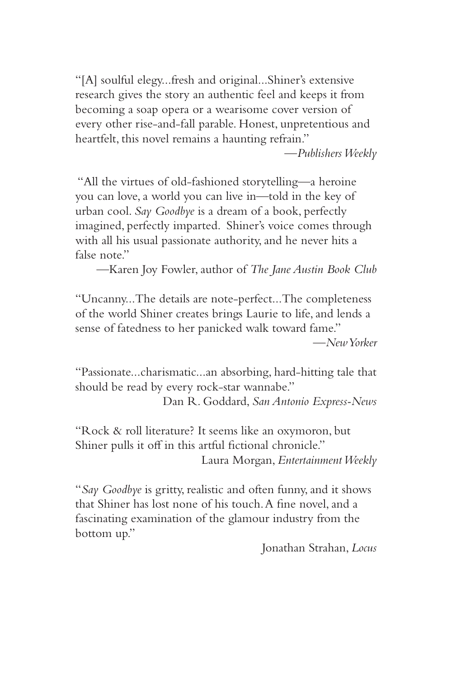"[A] soulful elegy...fresh and original...Shiner's extensive research gives the story an authentic feel and keeps it from becoming a soap opera or a wearisome cover version of every other rise-and-fall parable. Honest, unpretentious and heartfelt, this novel remains a haunting refrain."

—*Publishers Weekly*

 "All the virtues of old-fashioned storytelling—a heroine you can love, a world you can live in—told in the key of urban cool. *Say Goodbye* is a dream of a book, perfectly imagined, perfectly imparted. Shiner's voice comes through with all his usual passionate authority, and he never hits a false note."

—Karen Joy Fowler, author of *The Jane Austin Book Club*

"Uncanny...The details are note-perfect...The completeness of the world Shiner creates brings Laurie to life, and lends a sense of fatedness to her panicked walk toward fame."

—*New Yorker*

"Passionate...charismatic...an absorbing, hard-hitting tale that should be read by every rock-star wannabe."

Dan R. Goddard, *San Antonio Express-News*

"Rock & roll literature? It seems like an oxymoron, but Shiner pulls it off in this artful fictional chronicle." Laura Morgan, *Entertainment Weekly*

"*Say Goodbye* is gritty, realistic and often funny, and it shows that Shiner has lost none of his touch. A fine novel, and a fascinating examination of the glamour industry from the bottom up."

Jonathan Strahan, *Locus*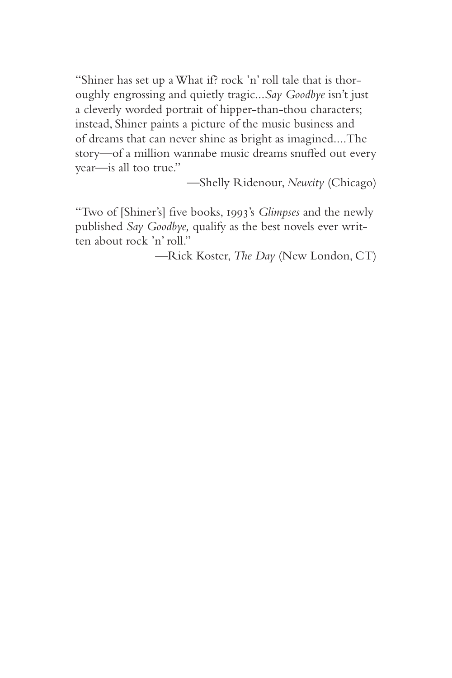"Shiner has set up a What if? rock 'n' roll tale that is thoroughly engrossing and quietly tragic...*Say Goodbye* isn't just a cleverly worded portrait of hipper-than-thou characters; instead, Shiner paints a picture of the music business and of dreams that can never shine as bright as imagined....The story—of a million wannabe music dreams snuffed out every year—is all too true."

—Shelly Ridenour, *Newcity* (Chicago)

"Two of [Shiner's] five books, 1993's *Glimpses* and the newly published *Say Goodbye,* qualify as the best novels ever written about rock 'n' roll."

—Rick Koster, *The Day* (New London, CT)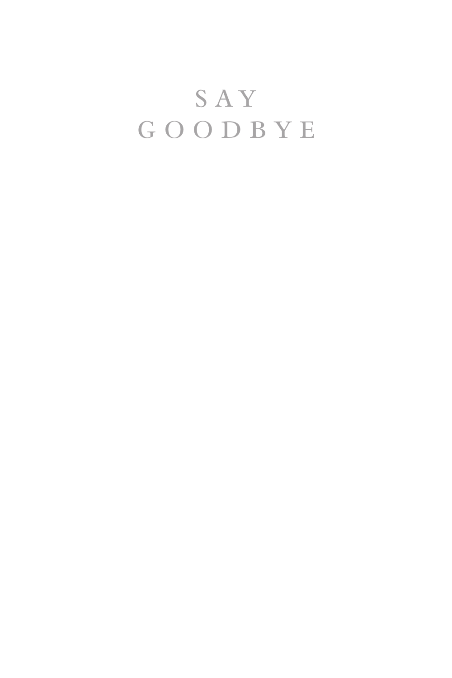## **SAY** goodbye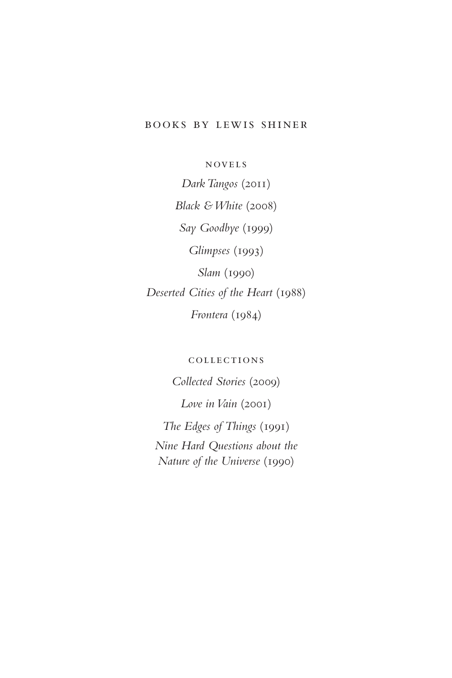#### books by lewis shiner

novels

*Dark Tangos* (2011) *Black & White* (2008) *Say Goodbye* (1999) *Glimpses* (1993) *Slam* (1990) *Deserted Cities of the Heart* (1988) *Frontera* (1984)

collections

*Collected Stories* (2009) *Love in Vain* (2001) *The Edges of Things* (1991) *Nine Hard Questions about the*

*Nature of the Universe* (1990)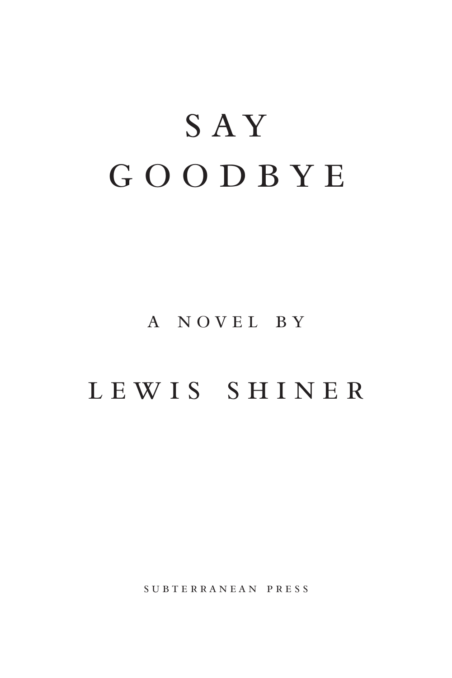# **SAY** GOODBYE

### a novel by

### lewis shiner

subterranean press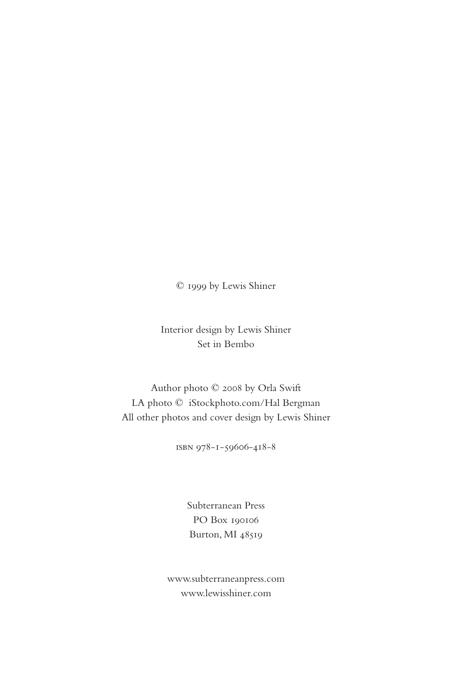© 1999 by Lewis Shiner

Interior design by Lewis Shiner Set in Bembo

Author photo © 2008 by Orla Swift LA photo © iStockphoto.com/Hal Bergman All other photos and cover design by Lewis Shiner

isbn 978-1-59606-418-8

Subterranean Press PO Box 190106 Burton, MI 48519

www.subterraneanpress.com www.lewisshiner.com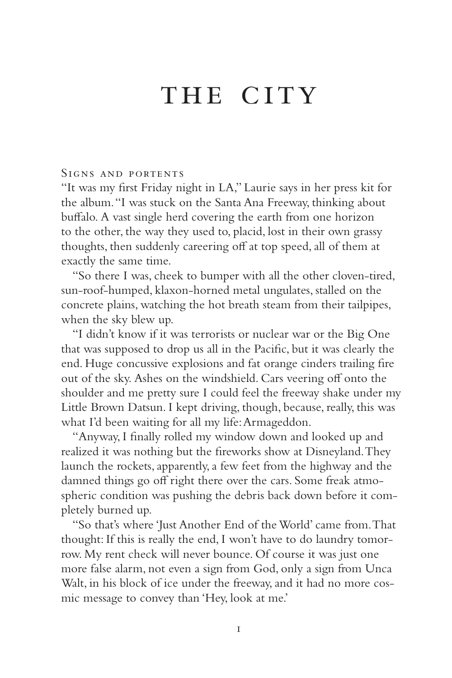### THE CITY

#### Signs and portents

"It was my first Friday night in LA," Laurie says in her press kit for the album. "I was stuck on the Santa Ana Freeway, thinking about buffalo. A vast single herd covering the earth from one horizon to the other, the way they used to, placid, lost in their own grassy thoughts, then suddenly careering off at top speed, all of them at exactly the same time.

"So there I was, cheek to bumper with all the other cloven-tired, sun-roof-humped, klaxon-horned metal ungulates, stalled on the concrete plains, watching the hot breath steam from their tailpipes, when the sky blew up.

"I didn't know if it was terrorists or nuclear war or the Big One that was supposed to drop us all in the Pacific, but it was clearly the end. Huge concussive explosions and fat orange cinders trailing fire out of the sky. Ashes on the windshield. Cars veering off onto the shoulder and me pretty sure I could feel the freeway shake under my Little Brown Datsun. I kept driving, though, because, really, this was what I'd been waiting for all my life: Armageddon.

"Anyway, I finally rolled my window down and looked up and realized it was nothing but the fireworks show at Disneyland. They launch the rockets, apparently, a few feet from the highway and the damned things go off right there over the cars. Some freak atmospheric condition was pushing the debris back down before it completely burned up.

"So that's where 'Just Another End of the World' came from. That thought: If this is really the end, I won't have to do laundry tomorrow. My rent check will never bounce. Of course it was just one more false alarm, not even a sign from God, only a sign from Unca Walt, in his block of ice under the freeway, and it had no more cosmic message to convey than 'Hey, look at me.'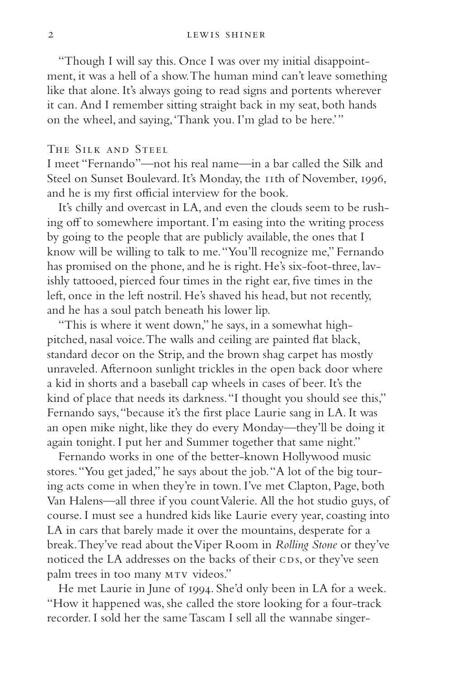"Though I will say this. Once I was over my initial disappointment, it was a hell of a show. The human mind can't leave something like that alone. It's always going to read signs and portents wherever it can. And I remember sitting straight back in my seat, both hands on the wheel, and saying, 'Thank you. I'm glad to be here.'"

#### The Silk and Steel

I meet "Fernando"—not his real name—in a bar called the Silk and Steel on Sunset Boulevard. It's Monday, the 11th of November, 1996, and he is my first official interview for the book.

It's chilly and overcast in LA, and even the clouds seem to be rushing off to somewhere important. I'm easing into the writing process by going to the people that are publicly available, the ones that I know will be willing to talk to me. "You'll recognize me," Fernando has promised on the phone, and he is right. He's six-foot-three, lavishly tattooed, pierced four times in the right ear, five times in the left, once in the left nostril. He's shaved his head, but not recently, and he has a soul patch beneath his lower lip.

"This is where it went down," he says, in a somewhat highpitched, nasal voice. The walls and ceiling are painted flat black, standard decor on the Strip, and the brown shag carpet has mostly unraveled. Afternoon sunlight trickles in the open back door where a kid in shorts and a baseball cap wheels in cases of beer. It's the kind of place that needs its darkness. "I thought you should see this," Fernando says, "because it's the first place Laurie sang in LA. It was an open mike night, like they do every Monday—they'll be doing it again tonight. I put her and Summer together that same night."

Fernando works in one of the better-known Hollywood music stores. "You get jaded," he says about the job. "A lot of the big touring acts come in when they're in town. I've met Clapton, Page, both Van Halens—all three if you count Valerie. All the hot studio guys, of course. I must see a hundred kids like Laurie every year, coasting into LA in cars that barely made it over the mountains, desperate for a break. They've read about the Viper Room in *Rolling Stone* or they've noticed the LA addresses on the backs of their CDs, or they've seen palm trees in too many MTV videos."

He met Laurie in June of 1994. She'd only been in LA for a week. "How it happened was, she called the store looking for a four-track recorder. I sold her the same Tascam I sell all the wannabe singer-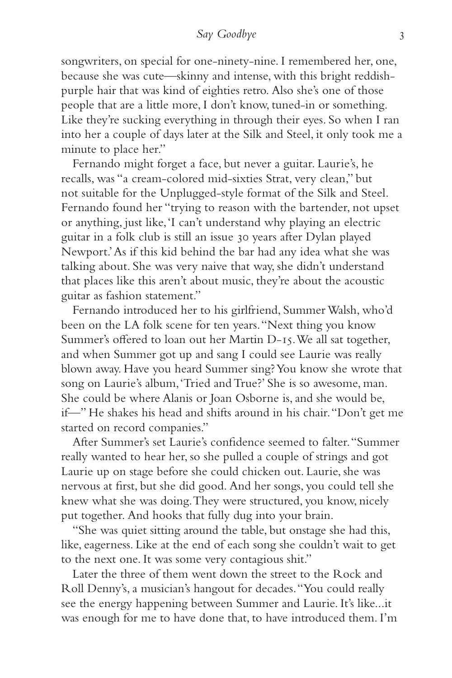#### *Say Goodbye* 3

songwriters, on special for one-ninety-nine. I remembered her, one, because she was cute—skinny and intense, with this bright reddishpurple hair that was kind of eighties retro. Also she's one of those people that are a little more, I don't know, tuned-in or something. Like they're sucking everything in through their eyes. So when I ran into her a couple of days later at the Silk and Steel, it only took me a minute to place her."

Fernando might forget a face, but never a guitar. Laurie's, he recalls, was "a cream-colored mid-sixties Strat, very clean," but not suitable for the Unplugged-style format of the Silk and Steel. Fernando found her "trying to reason with the bartender, not upset or anything, just like, 'I can't understand why playing an electric guitar in a folk club is still an issue 30 years after Dylan played Newport.' As if this kid behind the bar had any idea what she was talking about. She was very naive that way, she didn't understand that places like this aren't about music, they're about the acoustic guitar as fashion statement."

Fernando introduced her to his girlfriend, Summer Walsh, who'd been on the LA folk scene for ten years. "Next thing you know Summer's offered to loan out her Martin D-15. We all sat together, and when Summer got up and sang I could see Laurie was really blown away. Have you heard Summer sing? You know she wrote that song on Laurie's album, 'Tried and True?' She is so awesome, man. She could be where Alanis or Joan Osborne is, and she would be, if—" He shakes his head and shifts around in his chair. "Don't get me started on record companies."

After Summer's set Laurie's confidence seemed to falter. "Summer really wanted to hear her, so she pulled a couple of strings and got Laurie up on stage before she could chicken out. Laurie, she was nervous at first, but she did good. And her songs, you could tell she knew what she was doing. They were structured, you know, nicely put together. And hooks that fully dug into your brain.

"She was quiet sitting around the table, but onstage she had this, like, eagerness. Like at the end of each song she couldn't wait to get to the next one. It was some very contagious shit."

Later the three of them went down the street to the Rock and Roll Denny's, a musician's hangout for decades. "You could really see the energy happening between Summer and Laurie. It's like...it was enough for me to have done that, to have introduced them. I'm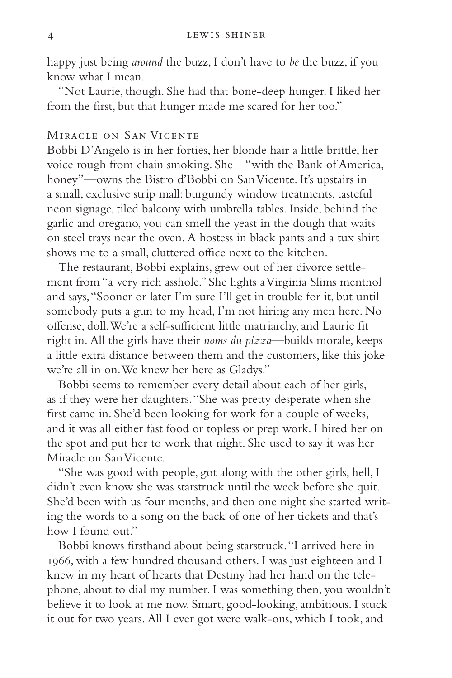happy just being *around* the buzz, I don't have to *be* the buzz, if you know what I mean.

"Not Laurie, though. She had that bone-deep hunger. I liked her from the first, but that hunger made me scared for her too."

#### Miracle on San Vicente

Bobbi D'Angelo is in her forties, her blonde hair a little brittle, her voice rough from chain smoking. She—"with the Bank of America, honey"—owns the Bistro d'Bobbi on San Vicente. It's upstairs in a small, exclusive strip mall: burgundy window treatments, tasteful neon signage, tiled balcony with umbrella tables. Inside, behind the garlic and oregano, you can smell the yeast in the dough that waits on steel trays near the oven. A hostess in black pants and a tux shirt shows me to a small, cluttered office next to the kitchen.

The restaurant, Bobbi explains, grew out of her divorce settlement from "a very rich asshole." She lights a Virginia Slims menthol and says, "Sooner or later I'm sure I'll get in trouble for it, but until somebody puts a gun to my head, I'm not hiring any men here. No offense, doll. We're a self-sufficient little matriarchy, and Laurie fit right in. All the girls have their *noms du pizza*—builds morale, keeps a little extra distance between them and the customers, like this joke we're all in on. We knew her here as Gladys."

Bobbi seems to remember every detail about each of her girls, as if they were her daughters. "She was pretty desperate when she first came in. She'd been looking for work for a couple of weeks, and it was all either fast food or topless or prep work. I hired her on the spot and put her to work that night. She used to say it was her Miracle on San Vicente.

"She was good with people, got along with the other girls, hell, I didn't even know she was starstruck until the week before she quit. She'd been with us four months, and then one night she started writing the words to a song on the back of one of her tickets and that's how I found out."

Bobbi knows firsthand about being starstruck. "I arrived here in 1966, with a few hundred thousand others. I was just eighteen and I knew in my heart of hearts that Destiny had her hand on the telephone, about to dial my number. I was something then, you wouldn't believe it to look at me now. Smart, good-looking, ambitious. I stuck it out for two years. All I ever got were walk-ons, which I took, and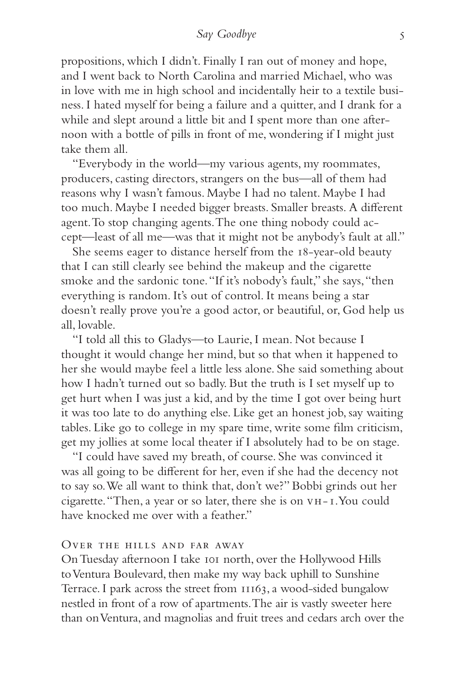propositions, which I didn't. Finally I ran out of money and hope, and I went back to North Carolina and married Michael, who was in love with me in high school and incidentally heir to a textile business. I hated myself for being a failure and a quitter, and I drank for a while and slept around a little bit and I spent more than one afternoon with a bottle of pills in front of me, wondering if I might just take them all.

"Everybody in the world—my various agents, my roommates, producers, casting directors, strangers on the bus—all of them had reasons why I wasn't famous. Maybe I had no talent. Maybe I had too much. Maybe I needed bigger breasts. Smaller breasts. A different agent. To stop changing agents. The one thing nobody could accept—least of all me—was that it might not be anybody's fault at all."

She seems eager to distance herself from the 18-year-old beauty that I can still clearly see behind the makeup and the cigarette smoke and the sardonic tone. "If it's nobody's fault," she says, "then everything is random. It's out of control. It means being a star doesn't really prove you're a good actor, or beautiful, or, God help us all, lovable.

"I told all this to Gladys—to Laurie, I mean. Not because I thought it would change her mind, but so that when it happened to her she would maybe feel a little less alone. She said something about how I hadn't turned out so badly. But the truth is I set myself up to get hurt when I was just a kid, and by the time I got over being hurt it was too late to do anything else. Like get an honest job, say waiting tables. Like go to college in my spare time, write some film criticism, get my jollies at some local theater if I absolutely had to be on stage.

"I could have saved my breath, of course. She was convinced it was all going to be different for her, even if she had the decency not to say so. We all want to think that, don't we?" Bobbi grinds out her cigarette. "Then, a year or so later, there she is on vh-1. You could have knocked me over with a feather."

#### Over the hills and far away

On Tuesday afternoon I take 101 north, over the Hollywood Hills to Ventura Boulevard, then make my way back uphill to Sunshine Terrace. I park across the street from 11163, a wood-sided bungalow nestled in front of a row of apartments. The air is vastly sweeter here than on Ventura, and magnolias and fruit trees and cedars arch over the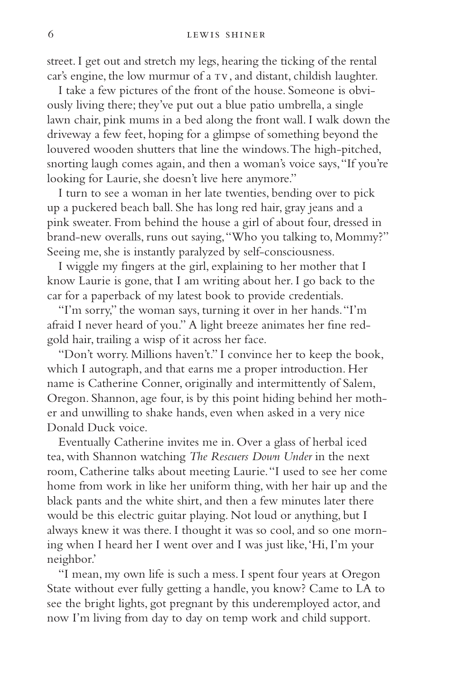street. I get out and stretch my legs, hearing the ticking of the rental car's engine, the low murmur of a tv, and distant, childish laughter.

I take a few pictures of the front of the house. Someone is obviously living there; they've put out a blue patio umbrella, a single lawn chair, pink mums in a bed along the front wall. I walk down the driveway a few feet, hoping for a glimpse of something beyond the louvered wooden shutters that line the windows. The high-pitched, snorting laugh comes again, and then a woman's voice says, "If you're looking for Laurie, she doesn't live here anymore."

I turn to see a woman in her late twenties, bending over to pick up a puckered beach ball. She has long red hair, gray jeans and a pink sweater. From behind the house a girl of about four, dressed in brand-new overalls, runs out saying, "Who you talking to, Mommy?" Seeing me, she is instantly paralyzed by self-consciousness.

I wiggle my fingers at the girl, explaining to her mother that I know Laurie is gone, that I am writing about her. I go back to the car for a paperback of my latest book to provide credentials.

"I'm sorry," the woman says, turning it over in her hands. "I'm afraid I never heard of you." A light breeze animates her fine redgold hair, trailing a wisp of it across her face.

"Don't worry. Millions haven't." I convince her to keep the book, which I autograph, and that earns me a proper introduction. Her name is Catherine Conner, originally and intermittently of Salem, Oregon. Shannon, age four, is by this point hiding behind her mother and unwilling to shake hands, even when asked in a very nice Donald Duck voice.

Eventually Catherine invites me in. Over a glass of herbal iced tea, with Shannon watching *The Rescuers Down Under* in the next room, Catherine talks about meeting Laurie. "I used to see her come home from work in like her uniform thing, with her hair up and the black pants and the white shirt, and then a few minutes later there would be this electric guitar playing. Not loud or anything, but I always knew it was there. I thought it was so cool, and so one morning when I heard her I went over and I was just like, 'Hi, I'm your neighbor.'

"I mean, my own life is such a mess. I spent four years at Oregon State without ever fully getting a handle, you know? Came to LA to see the bright lights, got pregnant by this underemployed actor, and now I'm living from day to day on temp work and child support.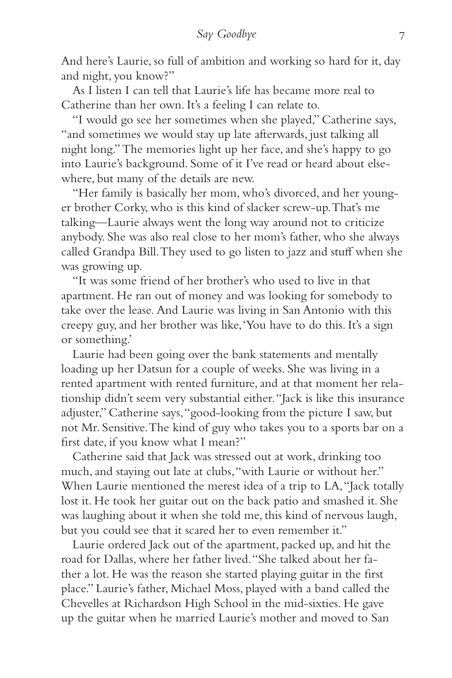And here's Laurie, so full of ambition and working so hard for it, day and night, you know?"

As I listen I can tell that Laurie's life has became more real to Catherine than her own. It's a feeling I can relate to.

"I would go see her sometimes when she played," Catherine says, "and sometimes we would stay up late afterwards, just talking all night long." The memories light up her face, and she's happy to go into Laurie's background. Some of it I've read or heard about elsewhere, but many of the details are new.

"Her family is basically her mom, who's divorced, and her younger brother Corky, who is this kind of slacker screw-up. That's me talking—Laurie always went the long way around not to criticize anybody. She was also real close to her mom's father, who she always called Grandpa Bill. They used to go listen to jazz and stuff when she was growing up.

"It was some friend of her brother's who used to live in that apartment. He ran out of money and was looking for somebody to take over the lease. And Laurie was living in San Antonio with this creepy guy, and her brother was like, 'You have to do this. It's a sign or something.'

Laurie had been going over the bank statements and mentally loading up her Datsun for a couple of weeks. She was living in a rented apartment with rented furniture, and at that moment her relationship didn't seem very substantial either. "Jack is like this insurance adjuster," Catherine says, "good-looking from the picture I saw, but not Mr. Sensitive. The kind of guy who takes you to a sports bar on a first date, if you know what I mean?"

Catherine said that Jack was stressed out at work, drinking too much, and staying out late at clubs, "with Laurie or without her." When Laurie mentioned the merest idea of a trip to LA, "Jack totally lost it. He took her guitar out on the back patio and smashed it. She was laughing about it when she told me, this kind of nervous laugh, but you could see that it scared her to even remember it."

Laurie ordered Jack out of the apartment, packed up, and hit the road for Dallas, where her father lived. "She talked about her father a lot. He was the reason she started playing guitar in the first place." Laurie's father, Michael Moss, played with a band called the Chevelles at Richardson High School in the mid-sixties. He gave up the guitar when he married Laurie's mother and moved to San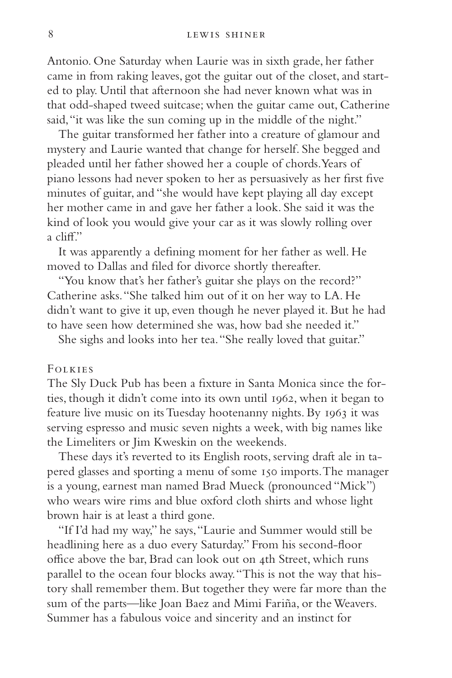Antonio. One Saturday when Laurie was in sixth grade, her father came in from raking leaves, got the guitar out of the closet, and started to play. Until that afternoon she had never known what was in that odd-shaped tweed suitcase; when the guitar came out, Catherine said, "it was like the sun coming up in the middle of the night."

The guitar transformed her father into a creature of glamour and mystery and Laurie wanted that change for herself. She begged and pleaded until her father showed her a couple of chords. Years of piano lessons had never spoken to her as persuasively as her first five minutes of guitar, and "she would have kept playing all day except her mother came in and gave her father a look. She said it was the kind of look you would give your car as it was slowly rolling over a cliff."

It was apparently a defining moment for her father as well. He moved to Dallas and filed for divorce shortly thereafter.

"You know that's her father's guitar she plays on the record?" Catherine asks. "She talked him out of it on her way to LA. He didn't want to give it up, even though he never played it. But he had to have seen how determined she was, how bad she needed it."

She sighs and looks into her tea. "She really loved that guitar."

#### Folkies

The Sly Duck Pub has been a fixture in Santa Monica since the forties, though it didn't come into its own until 1962, when it began to feature live music on its Tuesday hootenanny nights. By 1963 it was serving espresso and music seven nights a week, with big names like the Limeliters or Jim Kweskin on the weekends.

These days it's reverted to its English roots, serving draft ale in tapered glasses and sporting a menu of some 150 imports. The manager is a young, earnest man named Brad Mueck (pronounced "Mick") who wears wire rims and blue oxford cloth shirts and whose light brown hair is at least a third gone.

"If I'd had my way," he says, "Laurie and Summer would still be headlining here as a duo every Saturday." From his second-floor office above the bar, Brad can look out on 4th Street, which runs parallel to the ocean four blocks away. "This is not the way that history shall remember them. But together they were far more than the sum of the parts—like Joan Baez and Mimi Fariña, or the Weavers. Summer has a fabulous voice and sincerity and an instinct for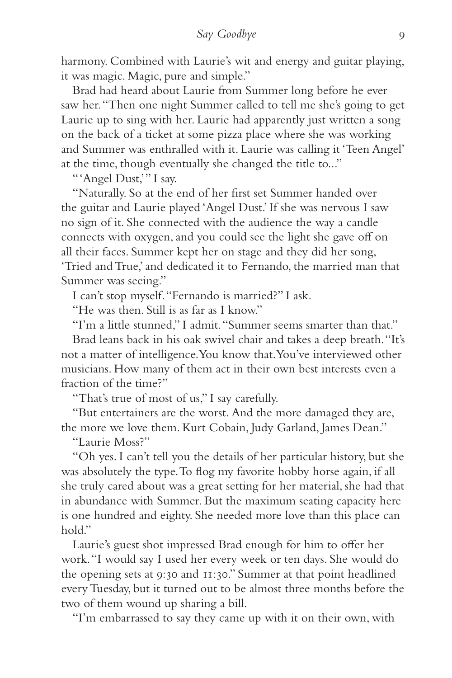harmony. Combined with Laurie's wit and energy and guitar playing, it was magic. Magic, pure and simple."

Brad had heard about Laurie from Summer long before he ever saw her. "Then one night Summer called to tell me she's going to get Laurie up to sing with her. Laurie had apparently just written a song on the back of a ticket at some pizza place where she was working and Summer was enthralled with it. Laurie was calling it 'Teen Angel' at the time, though eventually she changed the title to..."

"'Angel Dust," I say.

"Naturally. So at the end of her first set Summer handed over the guitar and Laurie played 'Angel Dust.' If she was nervous I saw no sign of it. She connected with the audience the way a candle connects with oxygen, and you could see the light she gave off on all their faces. Summer kept her on stage and they did her song, 'Tried and True,' and dedicated it to Fernando, the married man that Summer was seeing."

I can't stop myself. "Fernando is married?" I ask.

"He was then. Still is as far as I know."

"I'm a little stunned," I admit. "Summer seems smarter than that."

Brad leans back in his oak swivel chair and takes a deep breath. "It's not a matter of intelligence. You know that. You've interviewed other musicians. How many of them act in their own best interests even a fraction of the time?"

"That's true of most of us," I say carefully.

"But entertainers are the worst. And the more damaged they are, the more we love them. Kurt Cobain, Judy Garland, James Dean."

"Laurie Moss?"

"Oh yes. I can't tell you the details of her particular history, but she was absolutely the type. To flog my favorite hobby horse again, if all she truly cared about was a great setting for her material, she had that in abundance with Summer. But the maximum seating capacity here is one hundred and eighty. She needed more love than this place can hold."

Laurie's guest shot impressed Brad enough for him to offer her work. "I would say I used her every week or ten days. She would do the opening sets at 9:30 and 11:30." Summer at that point headlined every Tuesday, but it turned out to be almost three months before the two of them wound up sharing a bill.

"I'm embarrassed to say they came up with it on their own, with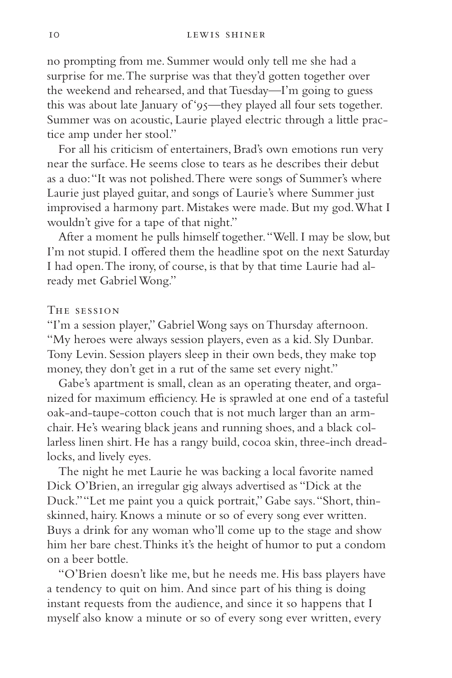no prompting from me. Summer would only tell me she had a surprise for me. The surprise was that they'd gotten together over the weekend and rehearsed, and that Tuesday—I'm going to guess this was about late January of '95—they played all four sets together. Summer was on acoustic, Laurie played electric through a little practice amp under her stool."

For all his criticism of entertainers, Brad's own emotions run very near the surface. He seems close to tears as he describes their debut as a duo: "It was not polished. There were songs of Summer's where Laurie just played guitar, and songs of Laurie's where Summer just improvised a harmony part. Mistakes were made. But my god. What I wouldn't give for a tape of that night."

After a moment he pulls himself together. "Well. I may be slow, but I'm not stupid. I offered them the headline spot on the next Saturday I had open. The irony, of course, is that by that time Laurie had already met Gabriel Wong."

#### The session

"I'm a session player," Gabriel Wong says on Thursday afternoon. "My heroes were always session players, even as a kid. Sly Dunbar. Tony Levin. Session players sleep in their own beds, they make top money, they don't get in a rut of the same set every night."

Gabe's apartment is small, clean as an operating theater, and organized for maximum efficiency. He is sprawled at one end of a tasteful oak-and-taupe-cotton couch that is not much larger than an armchair. He's wearing black jeans and running shoes, and a black collarless linen shirt. He has a rangy build, cocoa skin, three-inch dreadlocks, and lively eyes.

The night he met Laurie he was backing a local favorite named Dick O'Brien, an irregular gig always advertised as "Dick at the Duck." "Let me paint you a quick portrait," Gabe says. "Short, thinskinned, hairy. Knows a minute or so of every song ever written. Buys a drink for any woman who'll come up to the stage and show him her bare chest. Thinks it's the height of humor to put a condom on a beer bottle.

"O'Brien doesn't like me, but he needs me. His bass players have a tendency to quit on him. And since part of his thing is doing instant requests from the audience, and since it so happens that I myself also know a minute or so of every song ever written, every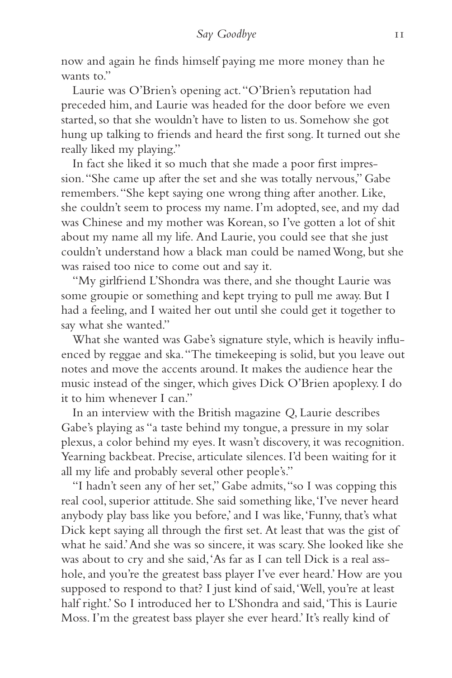now and again he finds himself paying me more money than he wants to"

Laurie was O'Brien's opening act. "O'Brien's reputation had preceded him, and Laurie was headed for the door before we even started, so that she wouldn't have to listen to us. Somehow she got hung up talking to friends and heard the first song. It turned out she really liked my playing."

In fact she liked it so much that she made a poor first impression. "She came up after the set and she was totally nervous," Gabe remembers. "She kept saying one wrong thing after another. Like, she couldn't seem to process my name. I'm adopted, see, and my dad was Chinese and my mother was Korean, so I've gotten a lot of shit about my name all my life. And Laurie, you could see that she just couldn't understand how a black man could be named Wong, but she was raised too nice to come out and say it.

"My girlfriend L'Shondra was there, and she thought Laurie was some groupie or something and kept trying to pull me away. But I had a feeling, and I waited her out until she could get it together to say what she wanted."

What she wanted was Gabe's signature style, which is heavily influenced by reggae and ska. "The timekeeping is solid, but you leave out notes and move the accents around. It makes the audience hear the music instead of the singer, which gives Dick O'Brien apoplexy. I do it to him whenever I can."

In an interview with the British magazine *Q*, Laurie describes Gabe's playing as "a taste behind my tongue, a pressure in my solar plexus, a color behind my eyes. It wasn't discovery, it was recognition. Yearning backbeat. Precise, articulate silences. I'd been waiting for it all my life and probably several other people's."

"I hadn't seen any of her set," Gabe admits, "so I was copping this real cool, superior attitude. She said something like, 'I've never heard anybody play bass like you before,' and I was like, 'Funny, that's what Dick kept saying all through the first set. At least that was the gist of what he said.' And she was so sincere, it was scary. She looked like she was about to cry and she said, 'As far as I can tell Dick is a real asshole, and you're the greatest bass player I've ever heard.' How are you supposed to respond to that? I just kind of said, 'Well, you're at least half right.' So I introduced her to L'Shondra and said, 'This is Laurie Moss. I'm the greatest bass player she ever heard.' It's really kind of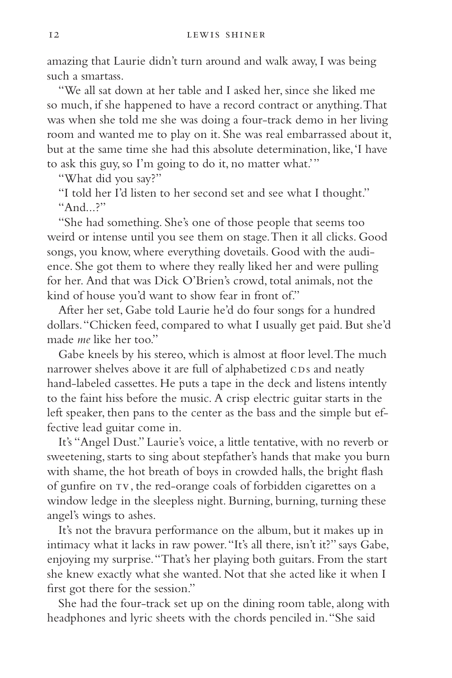amazing that Laurie didn't turn around and walk away, I was being such a smartass.

"We all sat down at her table and I asked her, since she liked me so much, if she happened to have a record contract or anything. That was when she told me she was doing a four-track demo in her living room and wanted me to play on it. She was real embarrassed about it, but at the same time she had this absolute determination, like, 'I have to ask this guy, so I'm going to do it, no matter what.'"

"What did you say?"

"I told her I'd listen to her second set and see what I thought." "And $\cdot$ "

"She had something. She's one of those people that seems too weird or intense until you see them on stage. Then it all clicks. Good songs, you know, where everything dovetails. Good with the audience. She got them to where they really liked her and were pulling for her. And that was Dick O'Brien's crowd, total animals, not the kind of house you'd want to show fear in front of."

After her set, Gabe told Laurie he'd do four songs for a hundred dollars. "Chicken feed, compared to what I usually get paid. But she'd made *me* like her too."

Gabe kneels by his stereo, which is almost at floor level. The much narrower shelves above it are full of alphabetized CDs and neatly hand-labeled cassettes. He puts a tape in the deck and listens intently to the faint hiss before the music. A crisp electric guitar starts in the left speaker, then pans to the center as the bass and the simple but effective lead guitar come in.

It's "Angel Dust." Laurie's voice, a little tentative, with no reverb or sweetening, starts to sing about stepfather's hands that make you burn with shame, the hot breath of boys in crowded halls, the bright flash of gunfire on tv, the red-orange coals of forbidden cigarettes on a window ledge in the sleepless night. Burning, burning, turning these angel's wings to ashes.

It's not the bravura performance on the album, but it makes up in intimacy what it lacks in raw power. "It's all there, isn't it?" says Gabe, enjoying my surprise. "That's her playing both guitars. From the start she knew exactly what she wanted. Not that she acted like it when I first got there for the session."

She had the four-track set up on the dining room table, along with headphones and lyric sheets with the chords penciled in. "She said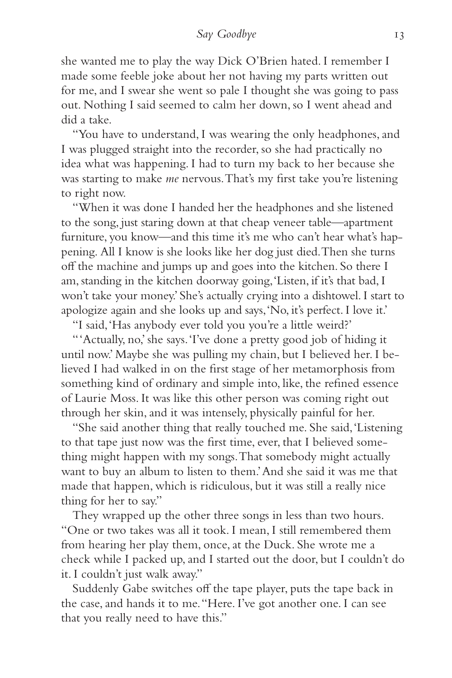she wanted me to play the way Dick O'Brien hated. I remember I made some feeble joke about her not having my parts written out for me, and I swear she went so pale I thought she was going to pass out. Nothing I said seemed to calm her down, so I went ahead and did a take.

"You have to understand, I was wearing the only headphones, and I was plugged straight into the recorder, so she had practically no idea what was happening. I had to turn my back to her because she was starting to make *me* nervous. That's my first take you're listening to right now.

"When it was done I handed her the headphones and she listened to the song, just staring down at that cheap veneer table—apartment furniture, you know—and this time it's me who can't hear what's happening. All I know is she looks like her dog just died. Then she turns off the machine and jumps up and goes into the kitchen. So there I am, standing in the kitchen doorway going, 'Listen, if it's that bad, I won't take your money.' She's actually crying into a dishtowel. I start to apologize again and she looks up and says, 'No, it's perfect. I love it.'

"I said, 'Has anybody ever told you you're a little weird?'

" 'Actually, no,' she says. 'I've done a pretty good job of hiding it until now.' Maybe she was pulling my chain, but I believed her. I believed I had walked in on the first stage of her metamorphosis from something kind of ordinary and simple into, like, the refined essence of Laurie Moss. It was like this other person was coming right out through her skin, and it was intensely, physically painful for her.

"She said another thing that really touched me. She said, 'Listening to that tape just now was the first time, ever, that I believed something might happen with my songs. That somebody might actually want to buy an album to listen to them.' And she said it was me that made that happen, which is ridiculous, but it was still a really nice thing for her to say."

They wrapped up the other three songs in less than two hours. "One or two takes was all it took. I mean, I still remembered them from hearing her play them, once, at the Duck. She wrote me a check while I packed up, and I started out the door, but I couldn't do it. I couldn't just walk away."

Suddenly Gabe switches off the tape player, puts the tape back in the case, and hands it to me. "Here. I've got another one. I can see that you really need to have this."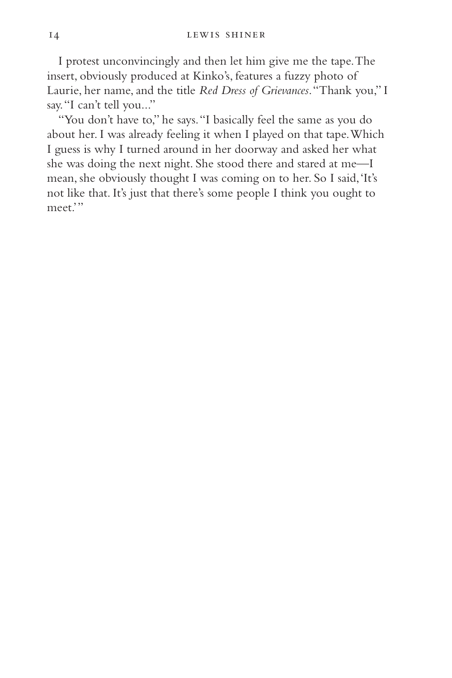I protest unconvincingly and then let him give me the tape. The insert, obviously produced at Kinko's, features a fuzzy photo of Laurie, her name, and the title *Red Dress of Grievances*. "Thank you," I say. "I can't tell you..."

"You don't have to," he says. "I basically feel the same as you do about her. I was already feeling it when I played on that tape. Which I guess is why I turned around in her doorway and asked her what she was doing the next night. She stood there and stared at me—I mean, she obviously thought I was coming on to her. So I said, 'It's not like that. It's just that there's some people I think you ought to meet."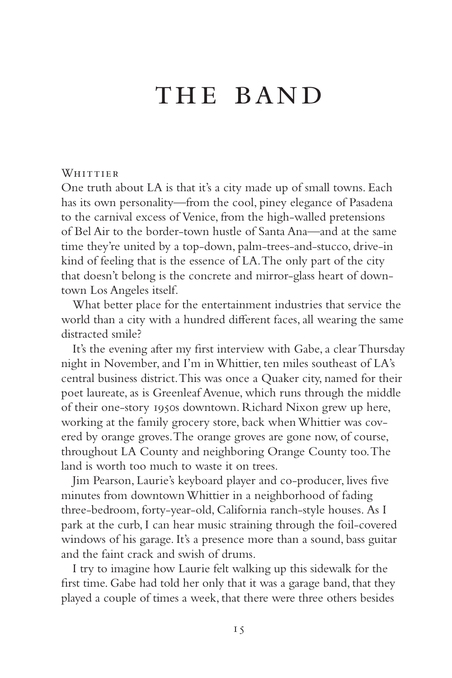### THE BAND

#### WHITTIER

One truth about LA is that it's a city made up of small towns. Each has its own personality—from the cool, piney elegance of Pasadena to the carnival excess of Venice, from the high-walled pretensions of Bel Air to the border-town hustle of Santa Ana—and at the same time they're united by a top-down, palm-trees-and-stucco, drive-in kind of feeling that is the essence of LA. The only part of the city that doesn't belong is the concrete and mirror-glass heart of downtown Los Angeles itself.

What better place for the entertainment industries that service the world than a city with a hundred different faces, all wearing the same distracted smile?

It's the evening after my first interview with Gabe, a clear Thursday night in November, and I'm in Whittier, ten miles southeast of LA's central business district. This was once a Quaker city, named for their poet laureate, as is Greenleaf Avenue, which runs through the middle of their one-story 1950s downtown. Richard Nixon grew up here, working at the family grocery store, back when Whittier was covered by orange groves. The orange groves are gone now, of course, throughout LA County and neighboring Orange County too. The land is worth too much to waste it on trees.

Jim Pearson, Laurie's keyboard player and co-producer, lives five minutes from downtown Whittier in a neighborhood of fading three-bedroom, forty-year-old, California ranch-style houses. As I park at the curb, I can hear music straining through the foil-covered windows of his garage. It's a presence more than a sound, bass guitar and the faint crack and swish of drums.

I try to imagine how Laurie felt walking up this sidewalk for the first time. Gabe had told her only that it was a garage band, that they played a couple of times a week, that there were three others besides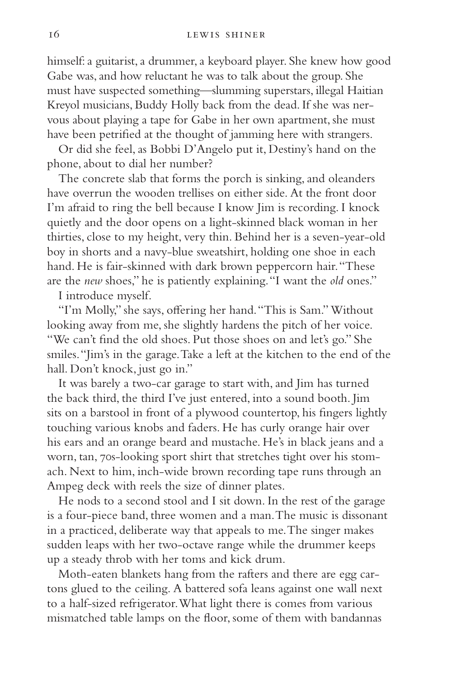himself: a guitarist, a drummer, a keyboard player. She knew how good Gabe was, and how reluctant he was to talk about the group. She must have suspected something—slumming superstars, illegal Haitian Kreyol musicians, Buddy Holly back from the dead. If she was nervous about playing a tape for Gabe in her own apartment, she must have been petrified at the thought of jamming here with strangers.

Or did she feel, as Bobbi D'Angelo put it, Destiny's hand on the phone, about to dial her number?

The concrete slab that forms the porch is sinking, and oleanders have overrun the wooden trellises on either side. At the front door I'm afraid to ring the bell because I know Jim is recording. I knock quietly and the door opens on a light-skinned black woman in her thirties, close to my height, very thin. Behind her is a seven-year-old boy in shorts and a navy-blue sweatshirt, holding one shoe in each hand. He is fair-skinned with dark brown peppercorn hair. "These are the *new* shoes," he is patiently explaining. "I want the *old* ones."

I introduce myself.

"I'm Molly," she says, offering her hand. "This is Sam." Without looking away from me, she slightly hardens the pitch of her voice. "We can't find the old shoes. Put those shoes on and let's go." She smiles. "Jim's in the garage. Take a left at the kitchen to the end of the hall. Don't knock, just go in."

It was barely a two-car garage to start with, and Jim has turned the back third, the third I've just entered, into a sound booth. Jim sits on a barstool in front of a plywood countertop, his fingers lightly touching various knobs and faders. He has curly orange hair over his ears and an orange beard and mustache. He's in black jeans and a worn, tan, 70s-looking sport shirt that stretches tight over his stomach. Next to him, inch-wide brown recording tape runs through an Ampeg deck with reels the size of dinner plates.

He nods to a second stool and I sit down. In the rest of the garage is a four-piece band, three women and a man. The music is dissonant in a practiced, deliberate way that appeals to me. The singer makes sudden leaps with her two-octave range while the drummer keeps up a steady throb with her toms and kick drum.

Moth-eaten blankets hang from the rafters and there are egg cartons glued to the ceiling. A battered sofa leans against one wall next to a half-sized refrigerator. What light there is comes from various mismatched table lamps on the floor, some of them with bandannas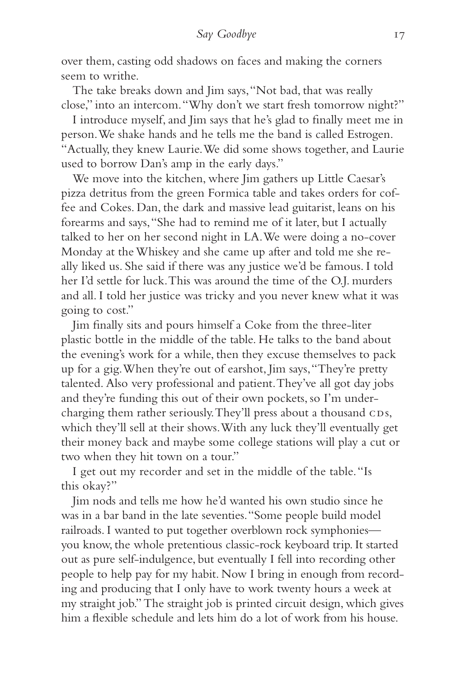over them, casting odd shadows on faces and making the corners seem to writhe.

The take breaks down and Jim says, "Not bad, that was really close," into an intercom. "Why don't we start fresh tomorrow night?"

I introduce myself, and Jim says that he's glad to finally meet me in person. We shake hands and he tells me the band is called Estrogen. "Actually, they knew Laurie. We did some shows together, and Laurie used to borrow Dan's amp in the early days."

We move into the kitchen, where Jim gathers up Little Caesar's pizza detritus from the green Formica table and takes orders for coffee and Cokes. Dan, the dark and massive lead guitarist, leans on his forearms and says, "She had to remind me of it later, but I actually talked to her on her second night in LA. We were doing a no-cover Monday at the Whiskey and she came up after and told me she really liked us. She said if there was any justice we'd be famous. I told her I'd settle for luck. This was around the time of the O.J. murders and all. I told her justice was tricky and you never knew what it was going to cost."

Jim finally sits and pours himself a Coke from the three-liter plastic bottle in the middle of the table. He talks to the band about the evening's work for a while, then they excuse themselves to pack up for a gig. When they're out of earshot, Jim says, "They're pretty talented. Also very professional and patient. They've all got day jobs and they're funding this out of their own pockets, so I'm undercharging them rather seriously. They'll press about a thousand CDs, which they'll sell at their shows. With any luck they'll eventually get their money back and maybe some college stations will play a cut or two when they hit town on a tour."

I get out my recorder and set in the middle of the table. "Is this okay?"

Jim nods and tells me how he'd wanted his own studio since he was in a bar band in the late seventies. "Some people build model railroads. I wanted to put together overblown rock symphonies you know, the whole pretentious classic-rock keyboard trip. It started out as pure self-indulgence, but eventually I fell into recording other people to help pay for my habit. Now I bring in enough from recording and producing that I only have to work twenty hours a week at my straight job." The straight job is printed circuit design, which gives him a flexible schedule and lets him do a lot of work from his house.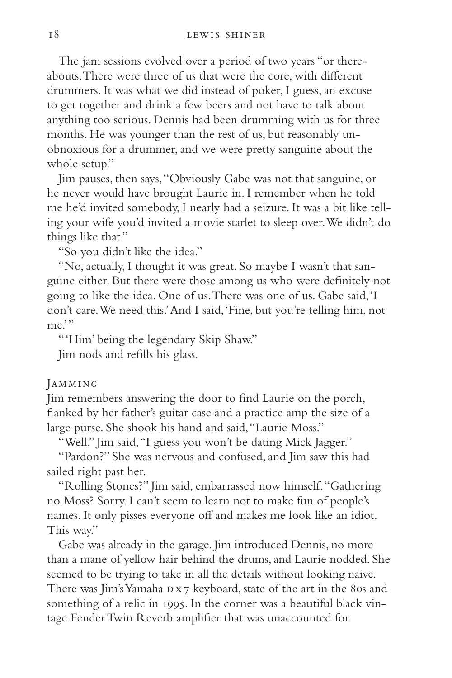The jam sessions evolved over a period of two years "or thereabouts. There were three of us that were the core, with different drummers. It was what we did instead of poker, I guess, an excuse to get together and drink a few beers and not have to talk about anything too serious. Dennis had been drumming with us for three months. He was younger than the rest of us, but reasonably unobnoxious for a drummer, and we were pretty sanguine about the whole setup."

Jim pauses, then says, "Obviously Gabe was not that sanguine, or he never would have brought Laurie in. I remember when he told me he'd invited somebody, I nearly had a seizure. It was a bit like telling your wife you'd invited a movie starlet to sleep over. We didn't do things like that."

"So you didn't like the idea."

"No, actually, I thought it was great. So maybe I wasn't that sanguine either. But there were those among us who were definitely not going to like the idea. One of us. There was one of us. Gabe said, 'I don't care. We need this.' And I said, 'Fine, but you're telling him, not me.'"

" 'Him' being the legendary Skip Shaw."

Jim nods and refills his glass.

#### JAMMING

Jim remembers answering the door to find Laurie on the porch, flanked by her father's guitar case and a practice amp the size of a large purse. She shook his hand and said, "Laurie Moss."

"Well," Jim said, "I guess you won't be dating Mick Jagger."

"Pardon?" She was nervous and confused, and Jim saw this had sailed right past her.

"Rolling Stones?" Jim said, embarrassed now himself. "Gathering no Moss? Sorry. I can't seem to learn not to make fun of people's names. It only pisses everyone off and makes me look like an idiot. This way."

Gabe was already in the garage. Jim introduced Dennis, no more than a mane of yellow hair behind the drums, and Laurie nodded. She seemed to be trying to take in all the details without looking naive. There was Jim's Yamaha DX7 keyboard, state of the art in the 80s and something of a relic in 1995. In the corner was a beautiful black vintage Fender Twin Reverb amplifier that was unaccounted for.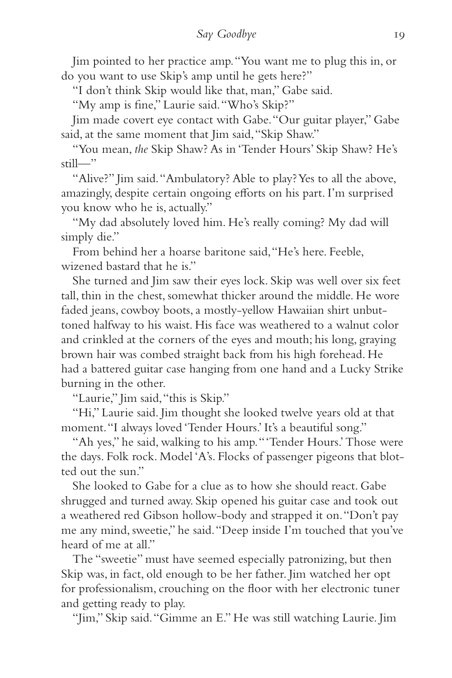Jim pointed to her practice amp. "You want me to plug this in, or do you want to use Skip's amp until he gets here?"

"I don't think Skip would like that, man," Gabe said.

"My amp is fine," Laurie said. "Who's Skip?"

Jim made covert eye contact with Gabe. "Our guitar player," Gabe said, at the same moment that Jim said, "Skip Shaw."

"You mean, *the* Skip Shaw? As in 'Tender Hours' Skip Shaw? He's still—"

"Alive?" Jim said. "Ambulatory? Able to play? Yes to all the above, amazingly, despite certain ongoing efforts on his part. I'm surprised you know who he is, actually."

"My dad absolutely loved him. He's really coming? My dad will simply die."

From behind her a hoarse baritone said, "He's here. Feeble, wizened bastard that he is."

She turned and Jim saw their eyes lock. Skip was well over six feet tall, thin in the chest, somewhat thicker around the middle. He wore faded jeans, cowboy boots, a mostly-yellow Hawaiian shirt unbuttoned halfway to his waist. His face was weathered to a walnut color and crinkled at the corners of the eyes and mouth; his long, graying brown hair was combed straight back from his high forehead. He had a battered guitar case hanging from one hand and a Lucky Strike burning in the other.

"Laurie," Jim said, "this is Skip."

"Hi," Laurie said. Jim thought she looked twelve years old at that moment. "I always loved 'Tender Hours.' It's a beautiful song."

"Ah yes," he said, walking to his amp. ""Tender Hours.' Those were the days. Folk rock. Model 'A's. Flocks of passenger pigeons that blotted out the sun."

She looked to Gabe for a clue as to how she should react. Gabe shrugged and turned away. Skip opened his guitar case and took out a weathered red Gibson hollow-body and strapped it on. "Don't pay me any mind, sweetie," he said. "Deep inside I'm touched that you've heard of me at all."

The "sweetie" must have seemed especially patronizing, but then Skip was, in fact, old enough to be her father. Jim watched her opt for professionalism, crouching on the floor with her electronic tuner and getting ready to play.

"Jim," Skip said. "Gimme an E." He was still watching Laurie. Jim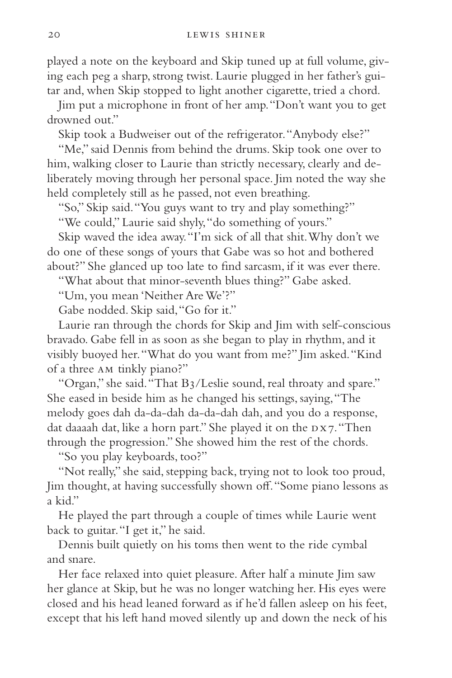played a note on the keyboard and Skip tuned up at full volume, giving each peg a sharp, strong twist. Laurie plugged in her father's guitar and, when Skip stopped to light another cigarette, tried a chord.

Jim put a microphone in front of her amp. "Don't want you to get drowned out."

Skip took a Budweiser out of the refrigerator. "Anybody else?"

"Me," said Dennis from behind the drums. Skip took one over to him, walking closer to Laurie than strictly necessary, clearly and deliberately moving through her personal space. Jim noted the way she held completely still as he passed, not even breathing.

"So," Skip said. "You guys want to try and play something?"

"We could," Laurie said shyly, "do something of yours."

Skip waved the idea away. "I'm sick of all that shit. Why don't we do one of these songs of yours that Gabe was so hot and bothered about?" She glanced up too late to find sarcasm, if it was ever there.

"What about that minor-seventh blues thing?" Gabe asked.

"Um, you mean 'Neither Are We'?"

Gabe nodded. Skip said, "Go for it."

Laurie ran through the chords for Skip and Jim with self-conscious bravado. Gabe fell in as soon as she began to play in rhythm, and it visibly buoyed her. "What do you want from me?" Jim asked. "Kind of a three am tinkly piano?"

"Organ," she said. "That B3/Leslie sound, real throaty and spare." She eased in beside him as he changed his settings, saying, "The melody goes dah da-da-dah da-da-dah dah, and you do a response, dat daaaah dat, like a horn part." She played it on the  $\alpha$   $\gamma$ . "Then through the progression." She showed him the rest of the chords.

"So you play keyboards, too?"

"Not really," she said, stepping back, trying not to look too proud, Jim thought, at having successfully shown off. "Some piano lessons as a kid."

He played the part through a couple of times while Laurie went back to guitar. "I get it," he said.

Dennis built quietly on his toms then went to the ride cymbal and snare.

Her face relaxed into quiet pleasure. After half a minute Jim saw her glance at Skip, but he was no longer watching her. His eyes were closed and his head leaned forward as if he'd fallen asleep on his feet, except that his left hand moved silently up and down the neck of his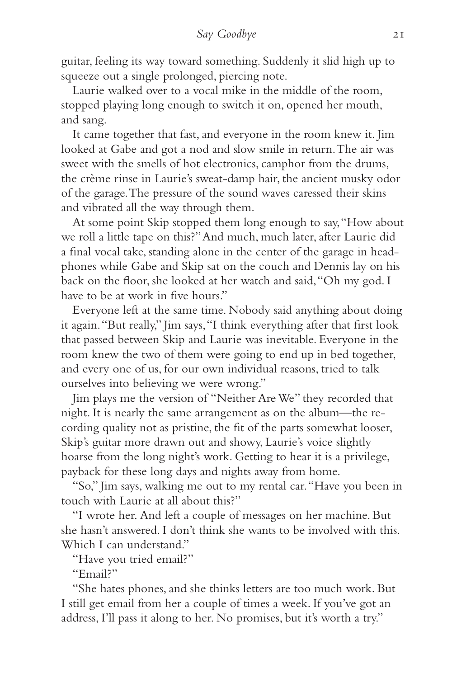guitar, feeling its way toward something. Suddenly it slid high up to squeeze out a single prolonged, piercing note.

Laurie walked over to a vocal mike in the middle of the room, stopped playing long enough to switch it on, opened her mouth, and sang.

It came together that fast, and everyone in the room knew it. Jim looked at Gabe and got a nod and slow smile in return. The air was sweet with the smells of hot electronics, camphor from the drums, the crème rinse in Laurie's sweat-damp hair, the ancient musky odor of the garage. The pressure of the sound waves caressed their skins and vibrated all the way through them.

At some point Skip stopped them long enough to say, "How about we roll a little tape on this?" And much, much later, after Laurie did a final vocal take, standing alone in the center of the garage in headphones while Gabe and Skip sat on the couch and Dennis lay on his back on the floor, she looked at her watch and said, "Oh my god. I have to be at work in five hours."

Everyone left at the same time. Nobody said anything about doing it again. "But really," Jim says, "I think everything after that first look that passed between Skip and Laurie was inevitable. Everyone in the room knew the two of them were going to end up in bed together, and every one of us, for our own individual reasons, tried to talk ourselves into believing we were wrong."

Jim plays me the version of "Neither Are We" they recorded that night. It is nearly the same arrangement as on the album—the recording quality not as pristine, the fit of the parts somewhat looser, Skip's guitar more drawn out and showy, Laurie's voice slightly hoarse from the long night's work. Getting to hear it is a privilege, payback for these long days and nights away from home.

"So," Jim says, walking me out to my rental car. "Have you been in touch with Laurie at all about this?"

"I wrote her. And left a couple of messages on her machine. But she hasn't answered. I don't think she wants to be involved with this. Which I can understand."

"Have you tried email?"

"Email?"

"She hates phones, and she thinks letters are too much work. But I still get email from her a couple of times a week. If you've got an address, I'll pass it along to her. No promises, but it's worth a try."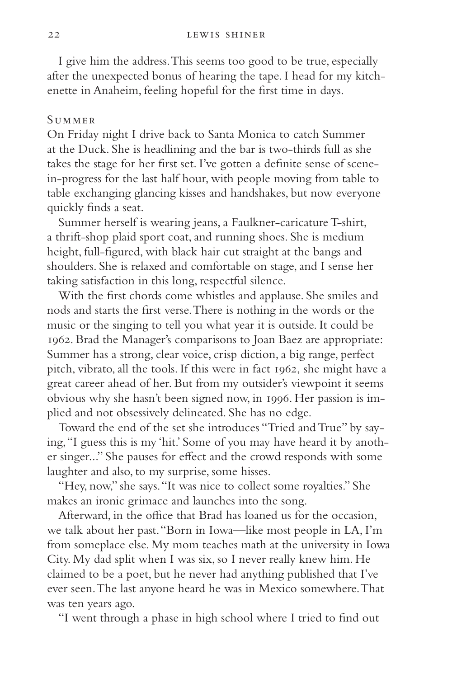I give him the address. This seems too good to be true, especially after the unexpected bonus of hearing the tape. I head for my kitchenette in Anaheim, feeling hopeful for the first time in days.

#### **SUMMER**

On Friday night I drive back to Santa Monica to catch Summer at the Duck. She is headlining and the bar is two-thirds full as she takes the stage for her first set. I've gotten a definite sense of scenein-progress for the last half hour, with people moving from table to table exchanging glancing kisses and handshakes, but now everyone quickly finds a seat.

Summer herself is wearing jeans, a Faulkner-caricature T-shirt, a thrift-shop plaid sport coat, and running shoes. She is medium height, full-figured, with black hair cut straight at the bangs and shoulders. She is relaxed and comfortable on stage, and I sense her taking satisfaction in this long, respectful silence.

With the first chords come whistles and applause. She smiles and nods and starts the first verse. There is nothing in the words or the music or the singing to tell you what year it is outside. It could be 1962. Brad the Manager's comparisons to Joan Baez are appropriate: Summer has a strong, clear voice, crisp diction, a big range, perfect pitch, vibrato, all the tools. If this were in fact 1962, she might have a great career ahead of her. But from my outsider's viewpoint it seems obvious why she hasn't been signed now, in 1996. Her passion is implied and not obsessively delineated. She has no edge.

Toward the end of the set she introduces "Tried and True" by saying, "I guess this is my 'hit.' Some of you may have heard it by another singer..." She pauses for effect and the crowd responds with some laughter and also, to my surprise, some hisses.

"Hey, now," she says. "It was nice to collect some royalties." She makes an ironic grimace and launches into the song.

Afterward, in the office that Brad has loaned us for the occasion, we talk about her past. "Born in Iowa—like most people in LA, I'm from someplace else. My mom teaches math at the university in Iowa City. My dad split when I was six, so I never really knew him. He claimed to be a poet, but he never had anything published that I've ever seen. The last anyone heard he was in Mexico somewhere. That was ten years ago.

"I went through a phase in high school where I tried to find out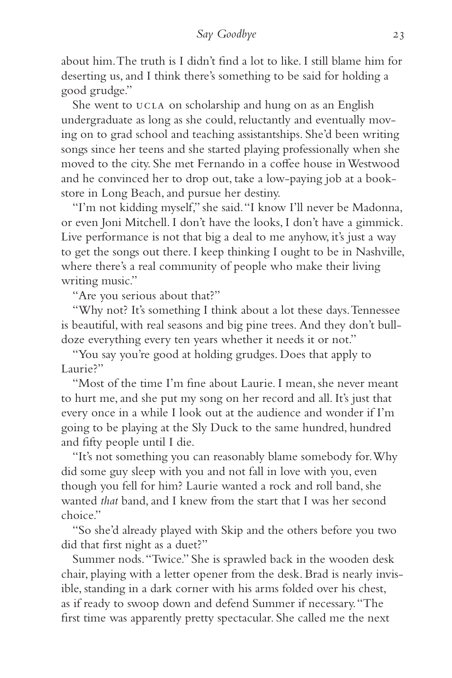about him. The truth is I didn't find a lot to like. I still blame him for deserting us, and I think there's something to be said for holding a good grudge."

She went to UCLA on scholarship and hung on as an English undergraduate as long as she could, reluctantly and eventually moving on to grad school and teaching assistantships. She'd been writing songs since her teens and she started playing professionally when she moved to the city. She met Fernando in a coffee house in Westwood and he convinced her to drop out, take a low-paying job at a bookstore in Long Beach, and pursue her destiny.

"I'm not kidding myself," she said. "I know I'll never be Madonna, or even Joni Mitchell. I don't have the looks, I don't have a gimmick. Live performance is not that big a deal to me anyhow, it's just a way to get the songs out there. I keep thinking I ought to be in Nashville, where there's a real community of people who make their living writing music."

"Are you serious about that?"

"Why not? It's something I think about a lot these days. Tennessee is beautiful, with real seasons and big pine trees. And they don't bulldoze everything every ten years whether it needs it or not."

"You say you're good at holding grudges. Does that apply to Laurie?"

"Most of the time I'm fine about Laurie. I mean, she never meant to hurt me, and she put my song on her record and all. It's just that every once in a while I look out at the audience and wonder if I'm going to be playing at the Sly Duck to the same hundred, hundred and fifty people until I die.

"It's not something you can reasonably blame somebody for. Why did some guy sleep with you and not fall in love with you, even though you fell for him? Laurie wanted a rock and roll band, she wanted *that* band, and I knew from the start that I was her second choice."

"So she'd already played with Skip and the others before you two did that first night as a duet?"

Summer nods. "Twice." She is sprawled back in the wooden desk chair, playing with a letter opener from the desk. Brad is nearly invisible, standing in a dark corner with his arms folded over his chest, as if ready to swoop down and defend Summer if necessary. "The first time was apparently pretty spectacular. She called me the next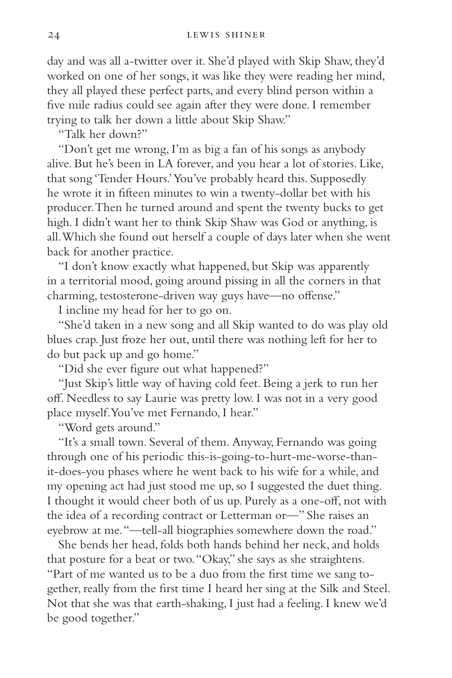day and was all a-twitter over it. She'd played with Skip Shaw, they'd worked on one of her songs, it was like they were reading her mind, they all played these perfect parts, and every blind person within a five mile radius could see again after they were done. I remember trying to talk her down a little about Skip Shaw."

"Talk her down?"

"Don't get me wrong, I'm as big a fan of his songs as anybody alive. But he's been in LA forever, and you hear a lot of stories. Like, that song 'Tender Hours.' You've probably heard this. Supposedly he wrote it in fifteen minutes to win a twenty-dollar bet with his producer. Then he turned around and spent the twenty bucks to get high. I didn't want her to think Skip Shaw was God or anything, is all. Which she found out herself a couple of days later when she went back for another practice.

"I don't know exactly what happened, but Skip was apparently in a territorial mood, going around pissing in all the corners in that charming, testosterone-driven way guys have—no offense."

I incline my head for her to go on.

"She'd taken in a new song and all Skip wanted to do was play old blues crap. Just froze her out, until there was nothing left for her to do but pack up and go home."

"Did she ever figure out what happened?"

"Just Skip's little way of having cold feet. Being a jerk to run her off. Needless to say Laurie was pretty low. I was not in a very good place myself. You've met Fernando, I hear."

"Word gets around."

"It's a small town. Several of them. Anyway, Fernando was going through one of his periodic this-is-going-to-hurt-me-worse-thanit-does-you phases where he went back to his wife for a while, and my opening act had just stood me up, so I suggested the duet thing. I thought it would cheer both of us up. Purely as a one-off, not with the idea of a recording contract or Letterman or—" She raises an eyebrow at me. "—tell-all biographies somewhere down the road."

She bends her head, folds both hands behind her neck, and holds that posture for a beat or two. "Okay," she says as she straightens. "Part of me wanted us to be a duo from the first time we sang together, really from the first time I heard her sing at the Silk and Steel. Not that she was that earth-shaking, I just had a feeling. I knew we'd be good together."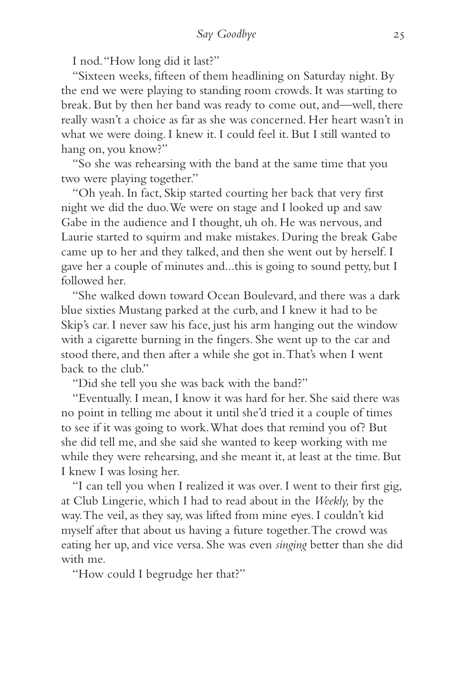I nod. "How long did it last?"

"Sixteen weeks, fifteen of them headlining on Saturday night. By the end we were playing to standing room crowds. It was starting to break. But by then her band was ready to come out, and—well, there really wasn't a choice as far as she was concerned. Her heart wasn't in what we were doing. I knew it. I could feel it. But I still wanted to hang on, you know?"

"So she was rehearsing with the band at the same time that you two were playing together."

"Oh yeah. In fact, Skip started courting her back that very first night we did the duo. We were on stage and I looked up and saw Gabe in the audience and I thought, uh oh. He was nervous, and Laurie started to squirm and make mistakes. During the break Gabe came up to her and they talked, and then she went out by herself. I gave her a couple of minutes and...this is going to sound petty, but I followed her.

"She walked down toward Ocean Boulevard, and there was a dark blue sixties Mustang parked at the curb, and I knew it had to be Skip's car. I never saw his face, just his arm hanging out the window with a cigarette burning in the fingers. She went up to the car and stood there, and then after a while she got in. That's when I went back to the club."

"Did she tell you she was back with the band?"

"Eventually. I mean, I know it was hard for her. She said there was no point in telling me about it until she'd tried it a couple of times to see if it was going to work. What does that remind you of? But she did tell me, and she said she wanted to keep working with me while they were rehearsing, and she meant it, at least at the time. But I knew I was losing her.

"I can tell you when I realized it was over. I went to their first gig, at Club Lingerie, which I had to read about in the *Weekly,* by the way. The veil, as they say, was lifted from mine eyes. I couldn't kid myself after that about us having a future together. The crowd was eating her up, and vice versa. She was even *singing* better than she did with me.

"How could I begrudge her that?"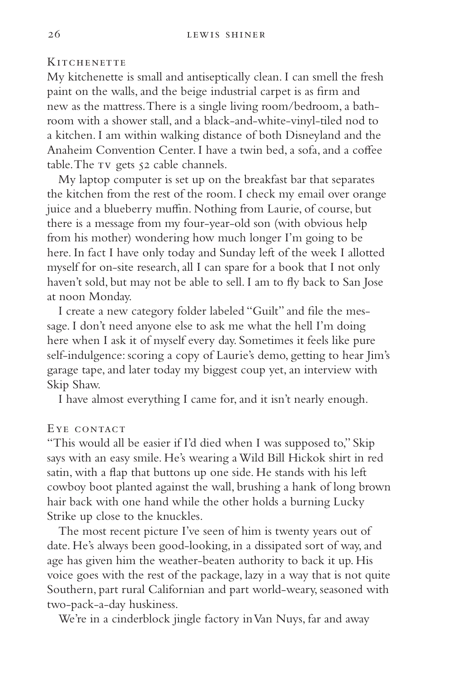#### **KITCHENETTE**

My kitchenette is small and antiseptically clean. I can smell the fresh paint on the walls, and the beige industrial carpet is as firm and new as the mattress. There is a single living room/bedroom, a bathroom with a shower stall, and a black-and-white-vinyl-tiled nod to a kitchen. I am within walking distance of both Disneyland and the Anaheim Convention Center. I have a twin bed, a sofa, and a coffee table. The tv gets 52 cable channels.

My laptop computer is set up on the breakfast bar that separates the kitchen from the rest of the room. I check my email over orange juice and a blueberry muffin. Nothing from Laurie, of course, but there is a message from my four-year-old son (with obvious help from his mother) wondering how much longer I'm going to be here. In fact I have only today and Sunday left of the week I allotted myself for on-site research, all I can spare for a book that I not only haven't sold, but may not be able to sell. I am to fly back to San Jose at noon Monday.

I create a new category folder labeled "Guilt" and file the message. I don't need anyone else to ask me what the hell I'm doing here when I ask it of myself every day. Sometimes it feels like pure self-indulgence: scoring a copy of Laurie's demo, getting to hear Jim's garage tape, and later today my biggest coup yet, an interview with Skip Shaw.

I have almost everything I came for, and it isn't nearly enough.

#### EYE CONTACT

"This would all be easier if I'd died when I was supposed to," Skip says with an easy smile. He's wearing a Wild Bill Hickok shirt in red satin, with a flap that buttons up one side. He stands with his left cowboy boot planted against the wall, brushing a hank of long brown hair back with one hand while the other holds a burning Lucky Strike up close to the knuckles.

The most recent picture I've seen of him is twenty years out of date. He's always been good-looking, in a dissipated sort of way, and age has given him the weather-beaten authority to back it up. His voice goes with the rest of the package, lazy in a way that is not quite Southern, part rural Californian and part world-weary, seasoned with two-pack-a-day huskiness.

We're in a cinderblock jingle factory in Van Nuys, far and away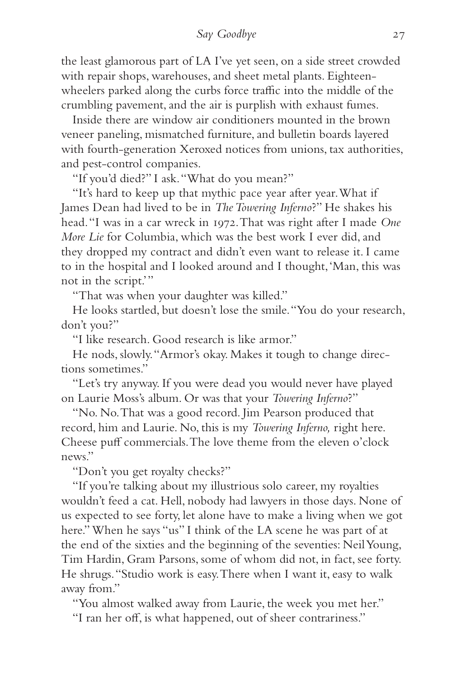the least glamorous part of LA I've yet seen, on a side street crowded with repair shops, warehouses, and sheet metal plants. Eighteenwheelers parked along the curbs force traffic into the middle of the crumbling pavement, and the air is purplish with exhaust fumes.

Inside there are window air conditioners mounted in the brown veneer paneling, mismatched furniture, and bulletin boards layered with fourth-generation Xeroxed notices from unions, tax authorities, and pest-control companies.

"If you'd died?" I ask. "What do you mean?"

"It's hard to keep up that mythic pace year after year. What if James Dean had lived to be in *The Towering Inferno*?" He shakes his head. "I was in a car wreck in 1972. That was right after I made *One More Lie* for Columbia, which was the best work I ever did, and they dropped my contract and didn't even want to release it. I came to in the hospital and I looked around and I thought, 'Man, this was not in the script.'"

"That was when your daughter was killed."

He looks startled, but doesn't lose the smile. "You do your research, don't you?"

"I like research. Good research is like armor."

He nods, slowly. "Armor's okay. Makes it tough to change directions sometimes."

"Let's try anyway. If you were dead you would never have played on Laurie Moss's album. Or was that your *Towering Inferno*?"

"No. No. That was a good record. Jim Pearson produced that record, him and Laurie. No, this is my *Towering Inferno,* right here. Cheese puff commercials. The love theme from the eleven o'clock news."

"Don't you get royalty checks?"

"If you're talking about my illustrious solo career, my royalties wouldn't feed a cat. Hell, nobody had lawyers in those days. None of us expected to see forty, let alone have to make a living when we got here." When he says "us" I think of the LA scene he was part of at the end of the sixties and the beginning of the seventies: Neil Young, Tim Hardin, Gram Parsons, some of whom did not, in fact, see forty. He shrugs. "Studio work is easy. There when I want it, easy to walk away from."

"You almost walked away from Laurie, the week you met her." "I ran her off, is what happened, out of sheer contrariness."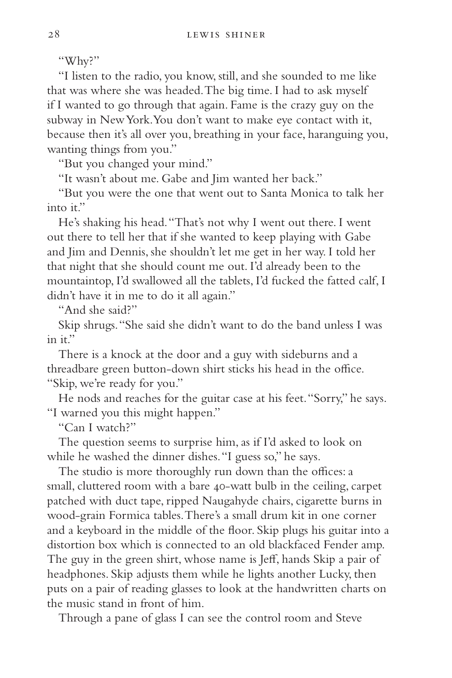"Why?"

"I listen to the radio, you know, still, and she sounded to me like that was where she was headed. The big time. I had to ask myself if I wanted to go through that again. Fame is the crazy guy on the subway in New York. You don't want to make eye contact with it, because then it's all over you, breathing in your face, haranguing you, wanting things from you."

"But you changed your mind."

"It wasn't about me. Gabe and Jim wanted her back."

"But you were the one that went out to Santa Monica to talk her into it"

He's shaking his head. "That's not why I went out there. I went out there to tell her that if she wanted to keep playing with Gabe and Jim and Dennis, she shouldn't let me get in her way. I told her that night that she should count me out. I'd already been to the mountaintop, I'd swallowed all the tablets, I'd fucked the fatted calf, I didn't have it in me to do it all again."

"And she said?"

Skip shrugs. "She said she didn't want to do the band unless I was in it."

There is a knock at the door and a guy with sideburns and a threadbare green button-down shirt sticks his head in the office. "Skip, we're ready for you."

He nods and reaches for the guitar case at his feet. "Sorry," he says. "I warned you this might happen."

"Can I watch?"

The question seems to surprise him, as if I'd asked to look on while he washed the dinner dishes. "I guess so," he says.

The studio is more thoroughly run down than the offices: a small, cluttered room with a bare 40-watt bulb in the ceiling, carpet patched with duct tape, ripped Naugahyde chairs, cigarette burns in wood-grain Formica tables. There's a small drum kit in one corner and a keyboard in the middle of the floor. Skip plugs his guitar into a distortion box which is connected to an old blackfaced Fender amp. The guy in the green shirt, whose name is Jeff, hands Skip a pair of headphones. Skip adjusts them while he lights another Lucky, then puts on a pair of reading glasses to look at the handwritten charts on the music stand in front of him.

Through a pane of glass I can see the control room and Steve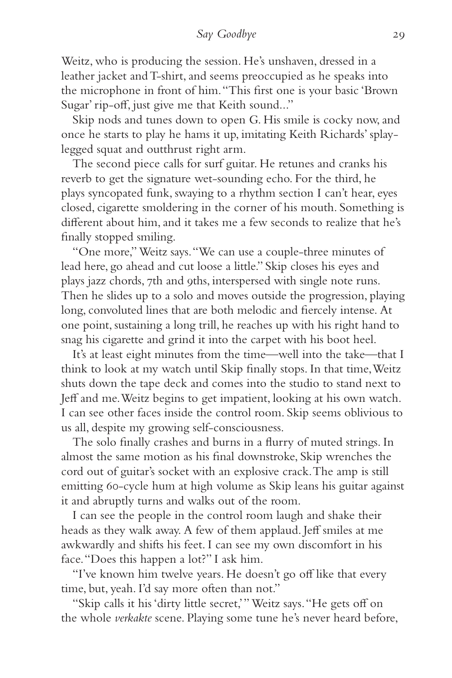### *Say Goodbye* 29

Weitz, who is producing the session. He's unshaven, dressed in a leather jacket and T-shirt, and seems preoccupied as he speaks into the microphone in front of him. "This first one is your basic 'Brown Sugar' rip-off, just give me that Keith sound..."

Skip nods and tunes down to open G. His smile is cocky now, and once he starts to play he hams it up, imitating Keith Richards' splaylegged squat and outthrust right arm.

The second piece calls for surf guitar. He retunes and cranks his reverb to get the signature wet-sounding echo. For the third, he plays syncopated funk, swaying to a rhythm section I can't hear, eyes closed, cigarette smoldering in the corner of his mouth. Something is different about him, and it takes me a few seconds to realize that he's finally stopped smiling.

"One more," Weitz says. "We can use a couple-three minutes of lead here, go ahead and cut loose a little." Skip closes his eyes and plays jazz chords, 7th and 9ths, interspersed with single note runs. Then he slides up to a solo and moves outside the progression, playing long, convoluted lines that are both melodic and fiercely intense. At one point, sustaining a long trill, he reaches up with his right hand to snag his cigarette and grind it into the carpet with his boot heel.

It's at least eight minutes from the time—well into the take—that I think to look at my watch until Skip finally stops. In that time, Weitz shuts down the tape deck and comes into the studio to stand next to Jeff and me. Weitz begins to get impatient, looking at his own watch. I can see other faces inside the control room. Skip seems oblivious to us all, despite my growing self-consciousness.

The solo finally crashes and burns in a flurry of muted strings. In almost the same motion as his final downstroke, Skip wrenches the cord out of guitar's socket with an explosive crack. The amp is still emitting 60-cycle hum at high volume as Skip leans his guitar against it and abruptly turns and walks out of the room.

I can see the people in the control room laugh and shake their heads as they walk away. A few of them applaud. Jeff smiles at me awkwardly and shifts his feet. I can see my own discomfort in his face. "Does this happen a lot?" I ask him.

"I've known him twelve years. He doesn't go off like that every time, but, yeah. I'd say more often than not."

"Skip calls it his 'dirty little secret,'" Weitz says. "He gets off on the whole *verkakte* scene. Playing some tune he's never heard before,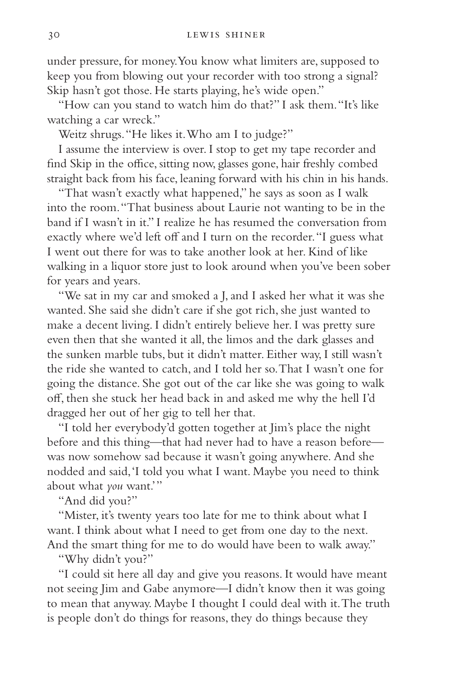under pressure, for money. You know what limiters are, supposed to keep you from blowing out your recorder with too strong a signal? Skip hasn't got those. He starts playing, he's wide open."

"How can you stand to watch him do that?" I ask them. "It's like watching a car wreck."

Weitz shrugs. "He likes it. Who am I to judge?"

I assume the interview is over. I stop to get my tape recorder and find Skip in the office, sitting now, glasses gone, hair freshly combed straight back from his face, leaning forward with his chin in his hands.

"That wasn't exactly what happened," he says as soon as I walk into the room. "That business about Laurie not wanting to be in the band if I wasn't in it." I realize he has resumed the conversation from exactly where we'd left off and I turn on the recorder. "I guess what I went out there for was to take another look at her. Kind of like walking in a liquor store just to look around when you've been sober for years and years.

"We sat in my car and smoked a J, and I asked her what it was she wanted. She said she didn't care if she got rich, she just wanted to make a decent living. I didn't entirely believe her. I was pretty sure even then that she wanted it all, the limos and the dark glasses and the sunken marble tubs, but it didn't matter. Either way, I still wasn't the ride she wanted to catch, and I told her so. That I wasn't one for going the distance. She got out of the car like she was going to walk off, then she stuck her head back in and asked me why the hell I'd dragged her out of her gig to tell her that.

"I told her everybody'd gotten together at Jim's place the night before and this thing—that had never had to have a reason before was now somehow sad because it wasn't going anywhere. And she nodded and said, 'I told you what I want. Maybe you need to think about what *you* want.'"

"And did you?"

"Mister, it's twenty years too late for me to think about what I want. I think about what I need to get from one day to the next. And the smart thing for me to do would have been to walk away."

"Why didn't you?"

"I could sit here all day and give you reasons. It would have meant not seeing Jim and Gabe anymore—I didn't know then it was going to mean that anyway. Maybe I thought I could deal with it. The truth is people don't do things for reasons, they do things because they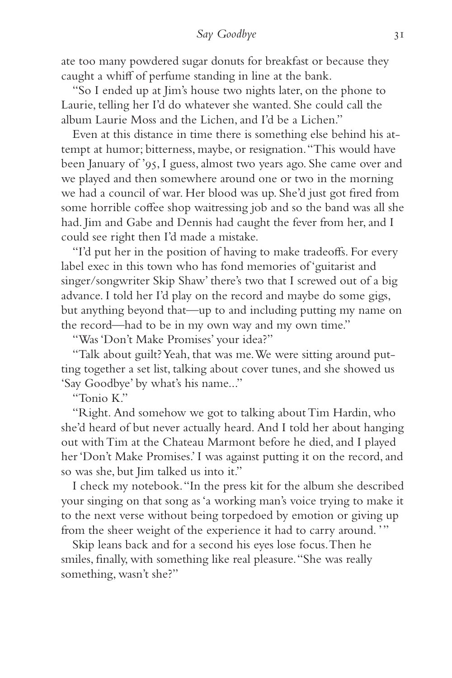#### *Say Goodbye* 31

ate too many powdered sugar donuts for breakfast or because they caught a whiff of perfume standing in line at the bank.

"So I ended up at Jim's house two nights later, on the phone to Laurie, telling her I'd do whatever she wanted. She could call the album Laurie Moss and the Lichen, and I'd be a Lichen."

Even at this distance in time there is something else behind his attempt at humor; bitterness, maybe, or resignation. "This would have been January of '95, I guess, almost two years ago. She came over and we played and then somewhere around one or two in the morning we had a council of war. Her blood was up. She'd just got fired from some horrible coffee shop waitressing job and so the band was all she had. Jim and Gabe and Dennis had caught the fever from her, and I could see right then I'd made a mistake.

"I'd put her in the position of having to make tradeoffs. For every label exec in this town who has fond memories of 'guitarist and singer/songwriter Skip Shaw' there's two that I screwed out of a big advance. I told her I'd play on the record and maybe do some gigs, but anything beyond that—up to and including putting my name on the record—had to be in my own way and my own time."

"Was 'Don't Make Promises' your idea?"

"Talk about guilt? Yeah, that was me. We were sitting around putting together a set list, talking about cover tunes, and she showed us 'Say Goodbye' by what's his name..."

"Tonio K."

"Right. And somehow we got to talking about Tim Hardin, who she'd heard of but never actually heard. And I told her about hanging out with Tim at the Chateau Marmont before he died, and I played her 'Don't Make Promises.' I was against putting it on the record, and so was she, but Jim talked us into it."

I check my notebook. "In the press kit for the album she described your singing on that song as 'a working man's voice trying to make it to the next verse without being torpedoed by emotion or giving up from the sheer weight of the experience it had to carry around. '"

Skip leans back and for a second his eyes lose focus. Then he smiles, finally, with something like real pleasure. "She was really something, wasn't she?"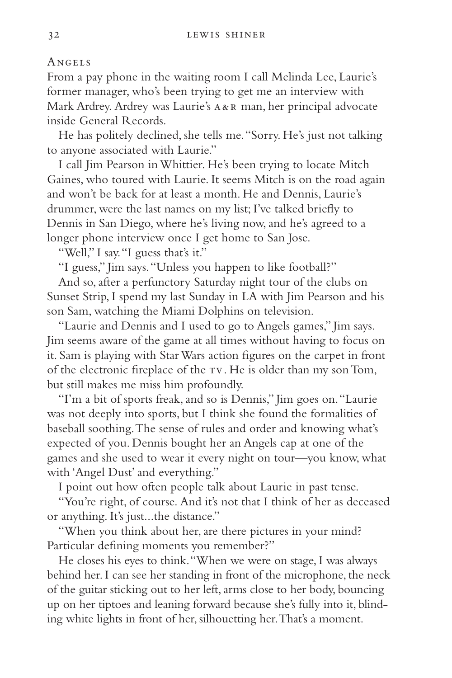## Angels

From a pay phone in the waiting room I call Melinda Lee, Laurie's former manager, who's been trying to get me an interview with Mark Ardrey. Ardrey was Laurie's a&r man, her principal advocate inside General Records.

He has politely declined, she tells me. "Sorry. He's just not talking to anyone associated with Laurie."

I call Jim Pearson in Whittier. He's been trying to locate Mitch Gaines, who toured with Laurie. It seems Mitch is on the road again and won't be back for at least a month. He and Dennis, Laurie's drummer, were the last names on my list; I've talked briefly to Dennis in San Diego, where he's living now, and he's agreed to a longer phone interview once I get home to San Jose.

"Well," I say. "I guess that's it."

"I guess," Jim says. "Unless you happen to like football?"

And so, after a perfunctory Saturday night tour of the clubs on Sunset Strip, I spend my last Sunday in LA with Jim Pearson and his son Sam, watching the Miami Dolphins on television.

"Laurie and Dennis and I used to go to Angels games," Jim says. Jim seems aware of the game at all times without having to focus on it. Sam is playing with Star Wars action figures on the carpet in front of the electronic fireplace of the TV. He is older than my son Tom, but still makes me miss him profoundly.

"I'm a bit of sports freak, and so is Dennis," Jim goes on. "Laurie was not deeply into sports, but I think she found the formalities of baseball soothing. The sense of rules and order and knowing what's expected of you. Dennis bought her an Angels cap at one of the games and she used to wear it every night on tour—you know, what with 'Angel Dust' and everything."

I point out how often people talk about Laurie in past tense.

"You're right, of course. And it's not that I think of her as deceased or anything. It's just...the distance."

"When you think about her, are there pictures in your mind? Particular defining moments you remember?"

He closes his eyes to think. "When we were on stage, I was always behind her. I can see her standing in front of the microphone, the neck of the guitar sticking out to her left, arms close to her body, bouncing up on her tiptoes and leaning forward because she's fully into it, blinding white lights in front of her, silhouetting her. That's a moment.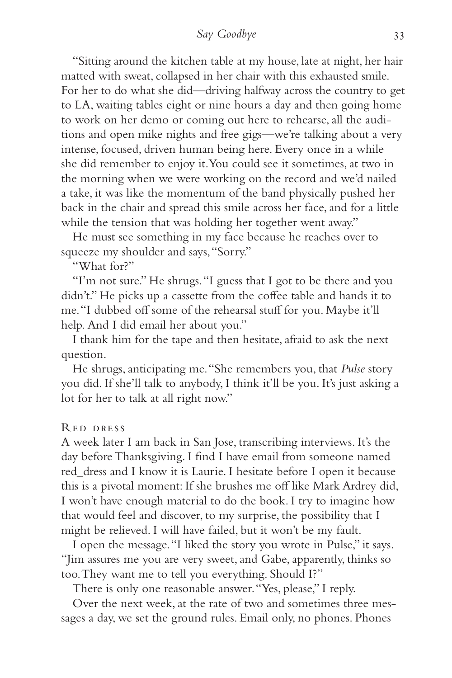"Sitting around the kitchen table at my house, late at night, her hair matted with sweat, collapsed in her chair with this exhausted smile. For her to do what she did—driving halfway across the country to get to LA, waiting tables eight or nine hours a day and then going home to work on her demo or coming out here to rehearse, all the auditions and open mike nights and free gigs—we're talking about a very intense, focused, driven human being here. Every once in a while she did remember to enjoy it. You could see it sometimes, at two in the morning when we were working on the record and we'd nailed a take, it was like the momentum of the band physically pushed her back in the chair and spread this smile across her face, and for a little while the tension that was holding her together went away."

He must see something in my face because he reaches over to squeeze my shoulder and says, "Sorry."

"What for?"

"I'm not sure." He shrugs. "I guess that I got to be there and you didn't." He picks up a cassette from the coffee table and hands it to me. "I dubbed off some of the rehearsal stuff for you. Maybe it'll help. And I did email her about you."

I thank him for the tape and then hesitate, afraid to ask the next question.

He shrugs, anticipating me. "She remembers you, that *Pulse* story you did. If she'll talk to anybody, I think it'll be you. It's just asking a lot for her to talk at all right now."

## Red dress

A week later I am back in San Jose, transcribing interviews. It's the day before Thanksgiving. I find I have email from someone named red\_dress and I know it is Laurie. I hesitate before I open it because this is a pivotal moment: If she brushes me off like Mark Ardrey did, I won't have enough material to do the book. I try to imagine how that would feel and discover, to my surprise, the possibility that I might be relieved. I will have failed, but it won't be my fault.

I open the message. "I liked the story you wrote in Pulse," it says. "Jim assures me you are very sweet, and Gabe, apparently, thinks so too. They want me to tell you everything. Should I?"

There is only one reasonable answer. "Yes, please," I reply.

Over the next week, at the rate of two and sometimes three messages a day, we set the ground rules. Email only, no phones. Phones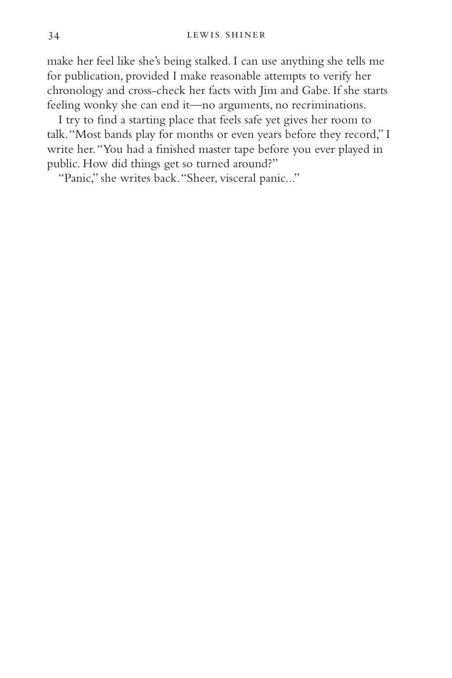make her feel like she's being stalked. I can use anything she tells me for publication, provided I make reasonable attempts to verify her chronology and cross-check her facts with Jim and Gabe. If she starts feeling wonky she can end it—no arguments, no recriminations.

I try to find a starting place that feels safe yet gives her room to talk. "Most bands play for months or even years before they record," I write her. "You had a finished master tape before you ever played in public. How did things get so turned around?"

"Panic," she writes back. "Sheer, visceral panic..."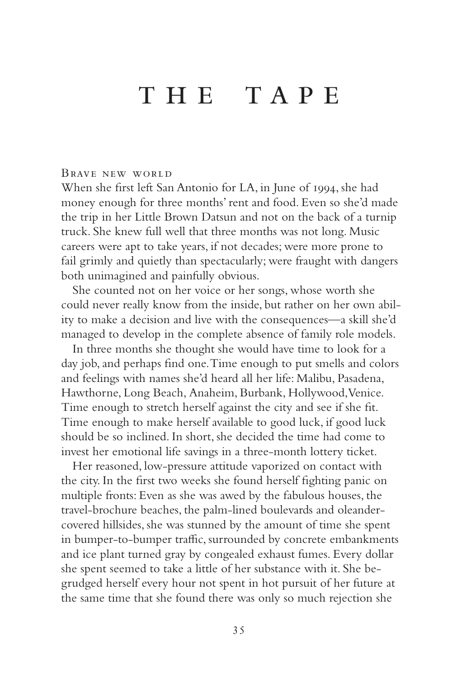# THE TAPE

#### Brave new world

When she first left San Antonio for LA, in June of 1994, she had money enough for three months' rent and food. Even so she'd made the trip in her Little Brown Datsun and not on the back of a turnip truck. She knew full well that three months was not long. Music careers were apt to take years, if not decades; were more prone to fail grimly and quietly than spectacularly; were fraught with dangers both unimagined and painfully obvious.

She counted not on her voice or her songs, whose worth she could never really know from the inside, but rather on her own ability to make a decision and live with the consequences—a skill she'd managed to develop in the complete absence of family role models.

In three months she thought she would have time to look for a day job, and perhaps find one. Time enough to put smells and colors and feelings with names she'd heard all her life: Malibu, Pasadena, Hawthorne, Long Beach, Anaheim, Burbank, Hollywood, Venice. Time enough to stretch herself against the city and see if she fit. Time enough to make herself available to good luck, if good luck should be so inclined. In short, she decided the time had come to invest her emotional life savings in a three-month lottery ticket.

Her reasoned, low-pressure attitude vaporized on contact with the city. In the first two weeks she found herself fighting panic on multiple fronts: Even as she was awed by the fabulous houses, the travel-brochure beaches, the palm-lined boulevards and oleandercovered hillsides, she was stunned by the amount of time she spent in bumper-to-bumper traffic, surrounded by concrete embankments and ice plant turned gray by congealed exhaust fumes. Every dollar she spent seemed to take a little of her substance with it. She begrudged herself every hour not spent in hot pursuit of her future at the same time that she found there was only so much rejection she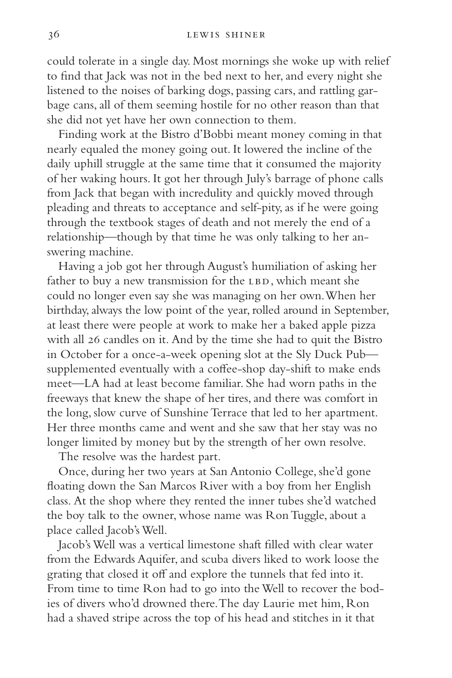could tolerate in a single day. Most mornings she woke up with relief to find that Jack was not in the bed next to her, and every night she listened to the noises of barking dogs, passing cars, and rattling garbage cans, all of them seeming hostile for no other reason than that she did not yet have her own connection to them.

Finding work at the Bistro d'Bobbi meant money coming in that nearly equaled the money going out. It lowered the incline of the daily uphill struggle at the same time that it consumed the majority of her waking hours. It got her through July's barrage of phone calls from Jack that began with incredulity and quickly moved through pleading and threats to acceptance and self-pity, as if he were going through the textbook stages of death and not merely the end of a relationship—though by that time he was only talking to her answering machine.

Having a job got her through August's humiliation of asking her father to buy a new transmission for the LBD, which meant she could no longer even say she was managing on her own. When her birthday, always the low point of the year, rolled around in September, at least there were people at work to make her a baked apple pizza with all 26 candles on it. And by the time she had to quit the Bistro in October for a once-a-week opening slot at the Sly Duck Pub supplemented eventually with a coffee-shop day-shift to make ends meet—LA had at least become familiar. She had worn paths in the freeways that knew the shape of her tires, and there was comfort in the long, slow curve of Sunshine Terrace that led to her apartment. Her three months came and went and she saw that her stay was no longer limited by money but by the strength of her own resolve.

The resolve was the hardest part.

Once, during her two years at San Antonio College, she'd gone floating down the San Marcos River with a boy from her English class. At the shop where they rented the inner tubes she'd watched the boy talk to the owner, whose name was Ron Tuggle, about a place called Jacob's Well.

Jacob's Well was a vertical limestone shaft filled with clear water from the Edwards Aquifer, and scuba divers liked to work loose the grating that closed it off and explore the tunnels that fed into it. From time to time Ron had to go into the Well to recover the bodies of divers who'd drowned there. The day Laurie met him, Ron had a shaved stripe across the top of his head and stitches in it that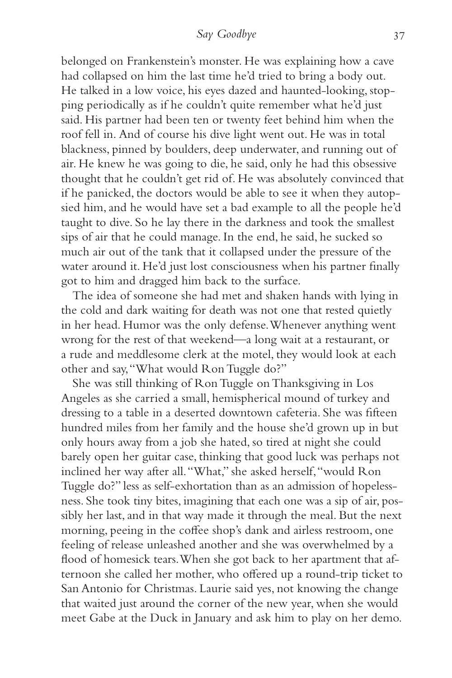belonged on Frankenstein's monster. He was explaining how a cave had collapsed on him the last time he'd tried to bring a body out. He talked in a low voice, his eyes dazed and haunted-looking, stopping periodically as if he couldn't quite remember what he'd just said. His partner had been ten or twenty feet behind him when the roof fell in. And of course his dive light went out. He was in total blackness, pinned by boulders, deep underwater, and running out of air. He knew he was going to die, he said, only he had this obsessive thought that he couldn't get rid of. He was absolutely convinced that if he panicked, the doctors would be able to see it when they autopsied him, and he would have set a bad example to all the people he'd taught to dive. So he lay there in the darkness and took the smallest sips of air that he could manage. In the end, he said, he sucked so much air out of the tank that it collapsed under the pressure of the water around it. He'd just lost consciousness when his partner finally got to him and dragged him back to the surface.

The idea of someone she had met and shaken hands with lying in the cold and dark waiting for death was not one that rested quietly in her head. Humor was the only defense. Whenever anything went wrong for the rest of that weekend—a long wait at a restaurant, or a rude and meddlesome clerk at the motel, they would look at each other and say, "What would Ron Tuggle do?"

She was still thinking of Ron Tuggle on Thanksgiving in Los Angeles as she carried a small, hemispherical mound of turkey and dressing to a table in a deserted downtown cafeteria. She was fifteen hundred miles from her family and the house she'd grown up in but only hours away from a job she hated, so tired at night she could barely open her guitar case, thinking that good luck was perhaps not inclined her way after all. "What," she asked herself, "would Ron Tuggle do?" less as self-exhortation than as an admission of hopelessness. She took tiny bites, imagining that each one was a sip of air, possibly her last, and in that way made it through the meal. But the next morning, peeing in the coffee shop's dank and airless restroom, one feeling of release unleashed another and she was overwhelmed by a flood of homesick tears. When she got back to her apartment that afternoon she called her mother, who offered up a round-trip ticket to San Antonio for Christmas. Laurie said yes, not knowing the change that waited just around the corner of the new year, when she would meet Gabe at the Duck in January and ask him to play on her demo.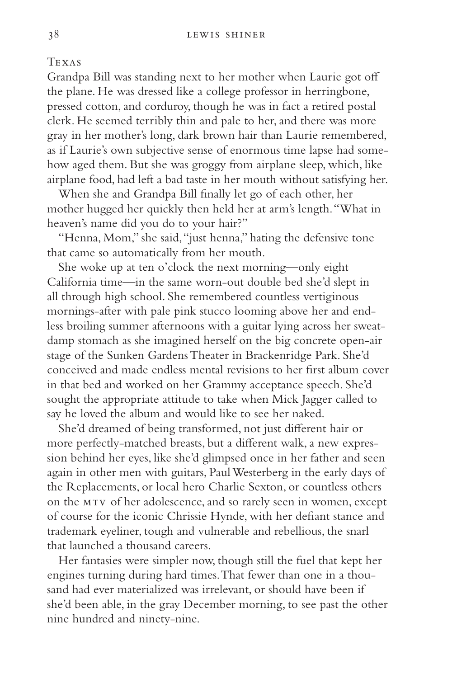## Texas

Grandpa Bill was standing next to her mother when Laurie got off the plane. He was dressed like a college professor in herringbone, pressed cotton, and corduroy, though he was in fact a retired postal clerk. He seemed terribly thin and pale to her, and there was more gray in her mother's long, dark brown hair than Laurie remembered, as if Laurie's own subjective sense of enormous time lapse had somehow aged them. But she was groggy from airplane sleep, which, like airplane food, had left a bad taste in her mouth without satisfying her.

When she and Grandpa Bill finally let go of each other, her mother hugged her quickly then held her at arm's length. "What in heaven's name did you do to your hair?"

"Henna, Mom," she said, "just henna," hating the defensive tone that came so automatically from her mouth.

She woke up at ten o'clock the next morning—only eight California time—in the same worn-out double bed she'd slept in all through high school. She remembered countless vertiginous mornings-after with pale pink stucco looming above her and endless broiling summer afternoons with a guitar lying across her sweatdamp stomach as she imagined herself on the big concrete open-air stage of the Sunken Gardens Theater in Brackenridge Park. She'd conceived and made endless mental revisions to her first album cover in that bed and worked on her Grammy acceptance speech. She'd sought the appropriate attitude to take when Mick Jagger called to say he loved the album and would like to see her naked.

She'd dreamed of being transformed, not just different hair or more perfectly-matched breasts, but a different walk, a new expression behind her eyes, like she'd glimpsed once in her father and seen again in other men with guitars, Paul Westerberg in the early days of the Replacements, or local hero Charlie Sexton, or countless others on the mtv of her adolescence, and so rarely seen in women, except of course for the iconic Chrissie Hynde, with her defiant stance and trademark eyeliner, tough and vulnerable and rebellious, the snarl that launched a thousand careers.

Her fantasies were simpler now, though still the fuel that kept her engines turning during hard times. That fewer than one in a thousand had ever materialized was irrelevant, or should have been if she'd been able, in the gray December morning, to see past the other nine hundred and ninety-nine.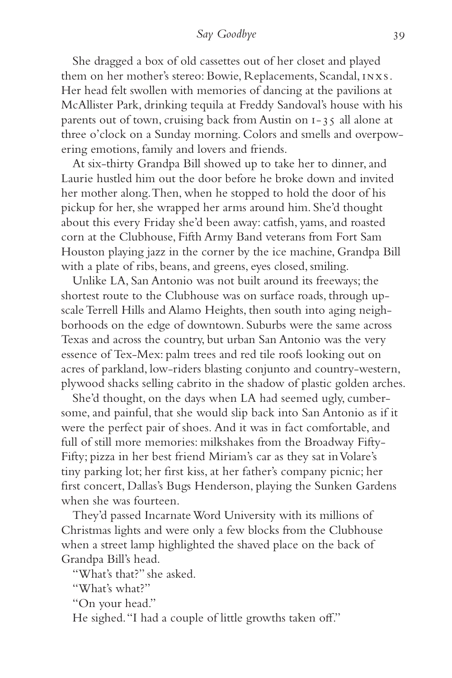## *Say Goodbye* 39

She dragged a box of old cassettes out of her closet and played them on her mother's stereo: Bowie, Replacements, Scandal, inxs. Her head felt swollen with memories of dancing at the pavilions at McAllister Park, drinking tequila at Freddy Sandoval's house with his parents out of town, cruising back from Austin on i-35 all alone at three o'clock on a Sunday morning. Colors and smells and overpowering emotions, family and lovers and friends.

At six-thirty Grandpa Bill showed up to take her to dinner, and Laurie hustled him out the door before he broke down and invited her mother along. Then, when he stopped to hold the door of his pickup for her, she wrapped her arms around him. She'd thought about this every Friday she'd been away: catfish, yams, and roasted corn at the Clubhouse, Fifth Army Band veterans from Fort Sam Houston playing jazz in the corner by the ice machine, Grandpa Bill with a plate of ribs, beans, and greens, eyes closed, smiling.

Unlike LA, San Antonio was not built around its freeways; the shortest route to the Clubhouse was on surface roads, through upscale Terrell Hills and Alamo Heights, then south into aging neighborhoods on the edge of downtown. Suburbs were the same across Texas and across the country, but urban San Antonio was the very essence of Tex-Mex: palm trees and red tile roofs looking out on acres of parkland, low-riders blasting conjunto and country-western, plywood shacks selling cabrito in the shadow of plastic golden arches.

She'd thought, on the days when LA had seemed ugly, cumbersome, and painful, that she would slip back into San Antonio as if it were the perfect pair of shoes. And it was in fact comfortable, and full of still more memories: milkshakes from the Broadway Fifty-Fifty; pizza in her best friend Miriam's car as they sat in Volare's tiny parking lot; her first kiss, at her father's company picnic; her first concert, Dallas's Bugs Henderson, playing the Sunken Gardens when she was fourteen.

They'd passed Incarnate Word University with its millions of Christmas lights and were only a few blocks from the Clubhouse when a street lamp highlighted the shaved place on the back of Grandpa Bill's head.

"What's that?" she asked.

"What's what?"

"On your head."

He sighed. "I had a couple of little growths taken off."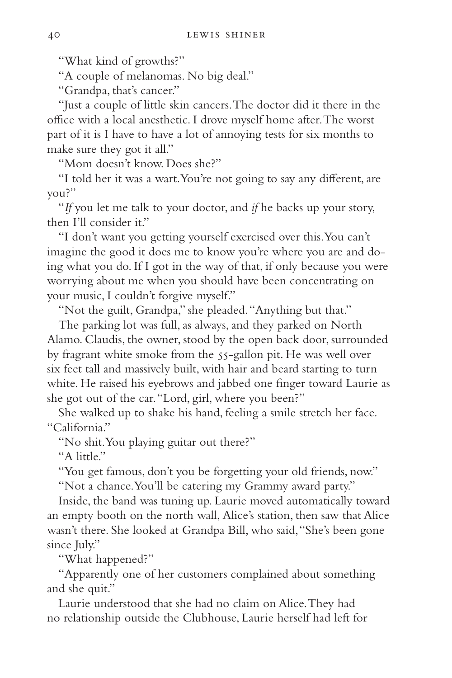"What kind of growths?"

"A couple of melanomas. No big deal."

"Grandpa, that's cancer."

"Just a couple of little skin cancers. The doctor did it there in the office with a local anesthetic. I drove myself home after. The worst part of it is I have to have a lot of annoying tests for six months to make sure they got it all."

"Mom doesn't know. Does she?"

"I told her it was a wart. You're not going to say any different, are you?"

"*If* you let me talk to your doctor, and *if* he backs up your story, then I'll consider it."

"I don't want you getting yourself exercised over this. You can't imagine the good it does me to know you're where you are and doing what you do. If I got in the way of that, if only because you were worrying about me when you should have been concentrating on your music, I couldn't forgive myself."

"Not the guilt, Grandpa," she pleaded. "Anything but that."

The parking lot was full, as always, and they parked on North Alamo. Claudis, the owner, stood by the open back door, surrounded by fragrant white smoke from the 55-gallon pit. He was well over six feet tall and massively built, with hair and beard starting to turn white. He raised his eyebrows and jabbed one finger toward Laurie as she got out of the car. "Lord, girl, where you been?"

She walked up to shake his hand, feeling a smile stretch her face. "California."

"No shit. You playing guitar out there?"

"A little."

"You get famous, don't you be forgetting your old friends, now."

"Not a chance. You'll be catering my Grammy award party."

Inside, the band was tuning up. Laurie moved automatically toward an empty booth on the north wall, Alice's station, then saw that Alice wasn't there. She looked at Grandpa Bill, who said, "She's been gone since July."

"What happened?"

"Apparently one of her customers complained about something and she quit."

Laurie understood that she had no claim on Alice. They had no relationship outside the Clubhouse, Laurie herself had left for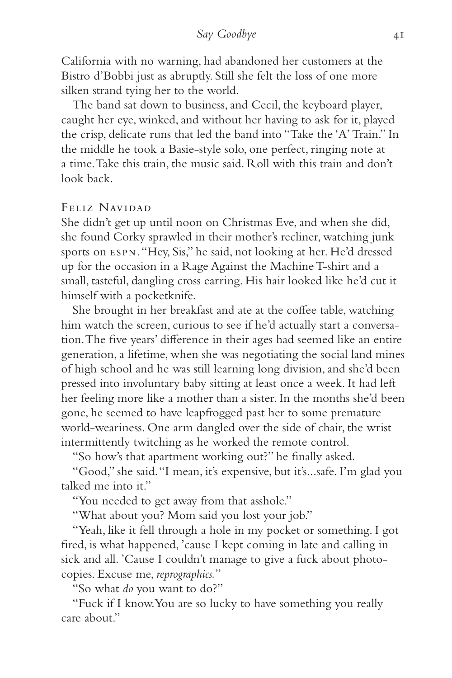California with no warning, had abandoned her customers at the Bistro d'Bobbi just as abruptly. Still she felt the loss of one more silken strand tying her to the world.

The band sat down to business, and Cecil, the keyboard player, caught her eye, winked, and without her having to ask for it, played the crisp, delicate runs that led the band into "Take the 'A' Train." In the middle he took a Basie-style solo, one perfect, ringing note at a time. Take this train, the music said. Roll with this train and don't look back.

# Feliz Navidad

She didn't get up until noon on Christmas Eve, and when she did, she found Corky sprawled in their mother's recliner, watching junk sports on espn. "Hey, Sis," he said, not looking at her. He'd dressed up for the occasion in a Rage Against the Machine T-shirt and a small, tasteful, dangling cross earring. His hair looked like he'd cut it himself with a pocketknife.

She brought in her breakfast and ate at the coffee table, watching him watch the screen, curious to see if he'd actually start a conversation. The five years' difference in their ages had seemed like an entire generation, a lifetime, when she was negotiating the social land mines of high school and he was still learning long division, and she'd been pressed into involuntary baby sitting at least once a week. It had left her feeling more like a mother than a sister. In the months she'd been gone, he seemed to have leapfrogged past her to some premature world-weariness. One arm dangled over the side of chair, the wrist intermittently twitching as he worked the remote control.

"So how's that apartment working out?" he finally asked.

"Good," she said. "I mean, it's expensive, but it's...safe. I'm glad you talked me into it."

"You needed to get away from that asshole."

"What about you? Mom said you lost your job."

"Yeah, like it fell through a hole in my pocket or something. I got fired, is what happened, 'cause I kept coming in late and calling in sick and all. 'Cause I couldn't manage to give a fuck about photocopies. Excuse me, *reprographics.*"

"So what *do* you want to do?"

"Fuck if I know. You are so lucky to have something you really care about."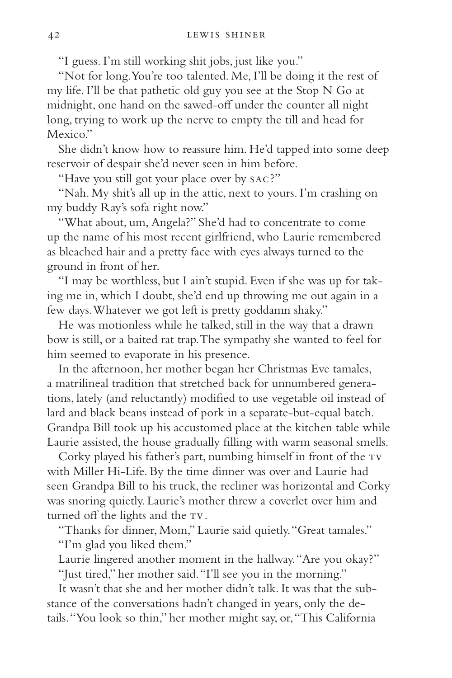"I guess. I'm still working shit jobs, just like you."

"Not for long. You're too talented. Me, I'll be doing it the rest of my life. I'll be that pathetic old guy you see at the Stop N Go at midnight, one hand on the sawed-off under the counter all night long, trying to work up the nerve to empty the till and head for Mexico."

She didn't know how to reassure him. He'd tapped into some deep reservoir of despair she'd never seen in him before.

"Have you still got your place over by sac?"

"Nah. My shit's all up in the attic, next to yours. I'm crashing on my buddy Ray's sofa right now."

"What about, um, Angela?" She'd had to concentrate to come up the name of his most recent girlfriend, who Laurie remembered as bleached hair and a pretty face with eyes always turned to the ground in front of her.

"I may be worthless, but I ain't stupid. Even if she was up for taking me in, which I doubt, she'd end up throwing me out again in a few days. Whatever we got left is pretty goddamn shaky."

He was motionless while he talked, still in the way that a drawn bow is still, or a baited rat trap. The sympathy she wanted to feel for him seemed to evaporate in his presence.

In the afternoon, her mother began her Christmas Eve tamales, a matrilineal tradition that stretched back for unnumbered generations, lately (and reluctantly) modified to use vegetable oil instead of lard and black beans instead of pork in a separate-but-equal batch. Grandpa Bill took up his accustomed place at the kitchen table while Laurie assisted, the house gradually filling with warm seasonal smells.

Corky played his father's part, numbing himself in front of the TV with Miller Hi-Life. By the time dinner was over and Laurie had seen Grandpa Bill to his truck, the recliner was horizontal and Corky was snoring quietly. Laurie's mother threw a coverlet over him and turned off the lights and the TV.

"Thanks for dinner, Mom," Laurie said quietly. "Great tamales." "I'm glad you liked them."

Laurie lingered another moment in the hallway. "Are you okay?" "Just tired," her mother said. "I'll see you in the morning."

It wasn't that she and her mother didn't talk. It was that the substance of the conversations hadn't changed in years, only the details. "You look so thin," her mother might say, or, "This California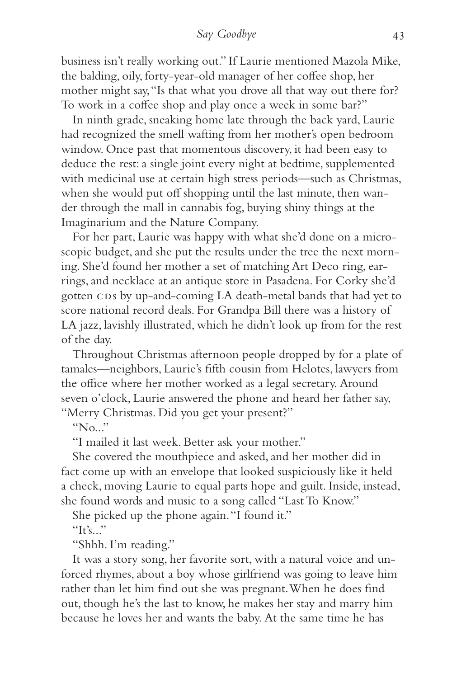business isn't really working out." If Laurie mentioned Mazola Mike, the balding, oily, forty-year-old manager of her coffee shop, her mother might say, "Is that what you drove all that way out there for? To work in a coffee shop and play once a week in some bar?"

In ninth grade, sneaking home late through the back yard, Laurie had recognized the smell wafting from her mother's open bedroom window. Once past that momentous discovery, it had been easy to deduce the rest: a single joint every night at bedtime, supplemented with medicinal use at certain high stress periods—such as Christmas, when she would put off shopping until the last minute, then wander through the mall in cannabis fog, buying shiny things at the Imaginarium and the Nature Company.

For her part, Laurie was happy with what she'd done on a microscopic budget, and she put the results under the tree the next morning. She'd found her mother a set of matching Art Deco ring, earrings, and necklace at an antique store in Pasadena. For Corky she'd gotten CDs by up-and-coming LA death-metal bands that had yet to score national record deals. For Grandpa Bill there was a history of LA jazz, lavishly illustrated, which he didn't look up from for the rest of the day.

Throughout Christmas afternoon people dropped by for a plate of tamales—neighbors, Laurie's fifth cousin from Helotes, lawyers from the office where her mother worked as a legal secretary. Around seven o'clock, Laurie answered the phone and heard her father say, "Merry Christmas. Did you get your present?"

"No..."

"I mailed it last week. Better ask your mother."

She covered the mouthpiece and asked, and her mother did in fact come up with an envelope that looked suspiciously like it held a check, moving Laurie to equal parts hope and guilt. Inside, instead, she found words and music to a song called "Last To Know."

She picked up the phone again. "I found it."

" $[t]$ "

"Shhh. I'm reading."

It was a story song, her favorite sort, with a natural voice and unforced rhymes, about a boy whose girlfriend was going to leave him rather than let him find out she was pregnant. When he does find out, though he's the last to know, he makes her stay and marry him because he loves her and wants the baby. At the same time he has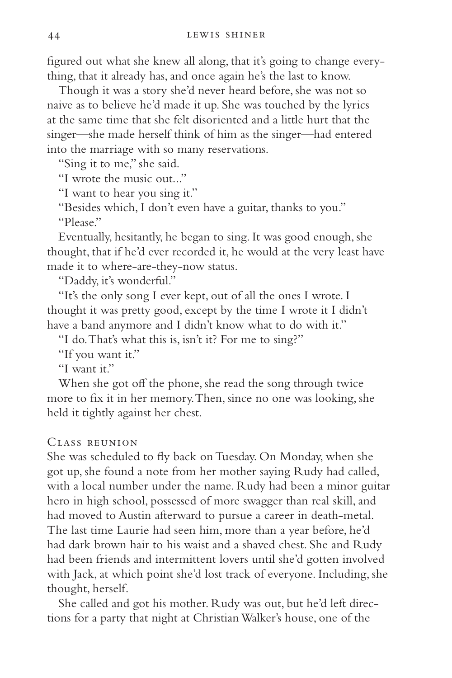figured out what she knew all along, that it's going to change everything, that it already has, and once again he's the last to know.

Though it was a story she'd never heard before, she was not so naive as to believe he'd made it up. She was touched by the lyrics at the same time that she felt disoriented and a little hurt that the singer—she made herself think of him as the singer—had entered into the marriage with so many reservations.

"Sing it to me," she said.

"I wrote the music out..."

"I want to hear you sing it."

"Besides which, I don't even have a guitar, thanks to you." "Please."

Eventually, hesitantly, he began to sing. It was good enough, she thought, that if he'd ever recorded it, he would at the very least have made it to where-are-they-now status.

"Daddy, it's wonderful."

"It's the only song I ever kept, out of all the ones I wrote. I thought it was pretty good, except by the time I wrote it I didn't have a band anymore and I didn't know what to do with it."

"I do. That's what this is, isn't it? For me to sing?"

"If you want it."

"I want it."

When she got off the phone, she read the song through twice more to fix it in her memory. Then, since no one was looking, she held it tightly against her chest.

# Class reunion

She was scheduled to fly back on Tuesday. On Monday, when she got up, she found a note from her mother saying Rudy had called, with a local number under the name. Rudy had been a minor guitar hero in high school, possessed of more swagger than real skill, and had moved to Austin afterward to pursue a career in death-metal. The last time Laurie had seen him, more than a year before, he'd had dark brown hair to his waist and a shaved chest. She and Rudy had been friends and intermittent lovers until she'd gotten involved with Jack, at which point she'd lost track of everyone. Including, she thought, herself.

She called and got his mother. Rudy was out, but he'd left directions for a party that night at Christian Walker's house, one of the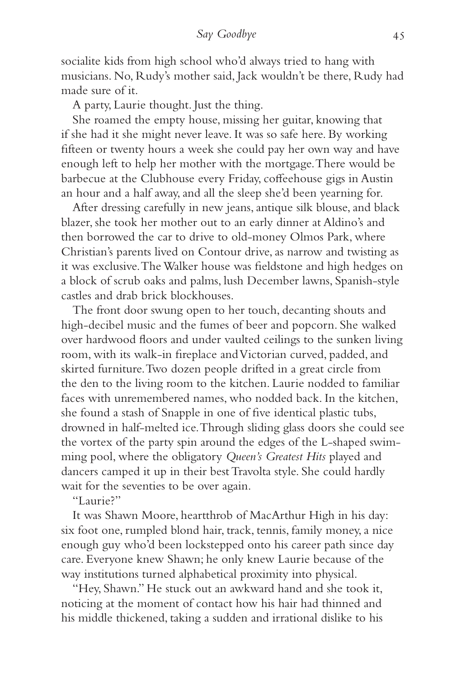socialite kids from high school who'd always tried to hang with musicians. No, Rudy's mother said, Jack wouldn't be there, Rudy had made sure of it.

A party, Laurie thought. Just the thing.

She roamed the empty house, missing her guitar, knowing that if she had it she might never leave. It was so safe here. By working fifteen or twenty hours a week she could pay her own way and have enough left to help her mother with the mortgage. There would be barbecue at the Clubhouse every Friday, coffeehouse gigs in Austin an hour and a half away, and all the sleep she'd been yearning for.

After dressing carefully in new jeans, antique silk blouse, and black blazer, she took her mother out to an early dinner at Aldino's and then borrowed the car to drive to old-money Olmos Park, where Christian's parents lived on Contour drive, as narrow and twisting as it was exclusive. The Walker house was fieldstone and high hedges on a block of scrub oaks and palms, lush December lawns, Spanish-style castles and drab brick blockhouses.

The front door swung open to her touch, decanting shouts and high-decibel music and the fumes of beer and popcorn. She walked over hardwood floors and under vaulted ceilings to the sunken living room, with its walk-in fireplace and Victorian curved, padded, and skirted furniture. Two dozen people drifted in a great circle from the den to the living room to the kitchen. Laurie nodded to familiar faces with unremembered names, who nodded back. In the kitchen, she found a stash of Snapple in one of five identical plastic tubs, drowned in half-melted ice. Through sliding glass doors she could see the vortex of the party spin around the edges of the L-shaped swimming pool, where the obligatory *Queen's Greatest Hits* played and dancers camped it up in their best Travolta style. She could hardly wait for the seventies to be over again.

"Laurie?"

It was Shawn Moore, heartthrob of MacArthur High in his day: six foot one, rumpled blond hair, track, tennis, family money, a nice enough guy who'd been lockstepped onto his career path since day care. Everyone knew Shawn; he only knew Laurie because of the way institutions turned alphabetical proximity into physical.

"Hey, Shawn." He stuck out an awkward hand and she took it, noticing at the moment of contact how his hair had thinned and his middle thickened, taking a sudden and irrational dislike to his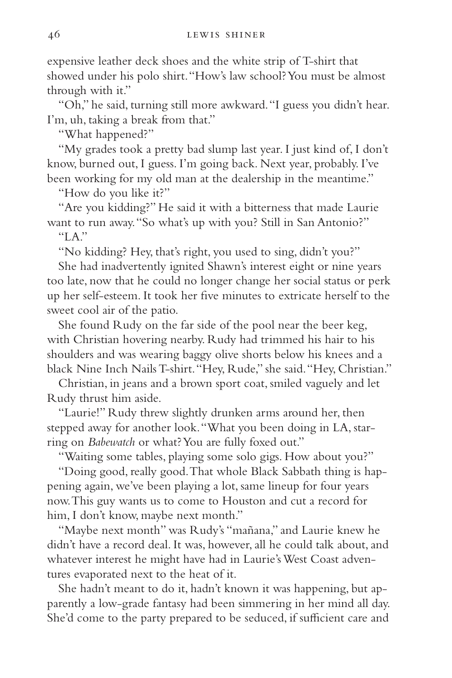expensive leather deck shoes and the white strip of T-shirt that showed under his polo shirt. "How's law school? You must be almost through with it."

"Oh," he said, turning still more awkward. "I guess you didn't hear. I'm, uh, taking a break from that."

"What happened?"

"My grades took a pretty bad slump last year. I just kind of, I don't know, burned out, I guess. I'm going back. Next year, probably. I've been working for my old man at the dealership in the meantime."

"How do you like it?"

"Are you kidding?" He said it with a bitterness that made Laurie want to run away. "So what's up with you? Still in San Antonio?"  $"LA."$ 

"No kidding? Hey, that's right, you used to sing, didn't you?"

She had inadvertently ignited Shawn's interest eight or nine years too late, now that he could no longer change her social status or perk up her self-esteem. It took her five minutes to extricate herself to the sweet cool air of the patio.

She found Rudy on the far side of the pool near the beer keg, with Christian hovering nearby. Rudy had trimmed his hair to his shoulders and was wearing baggy olive shorts below his knees and a black Nine Inch Nails T-shirt. "Hey, Rude," she said. "Hey, Christian."

Christian, in jeans and a brown sport coat, smiled vaguely and let Rudy thrust him aside.

"Laurie!" Rudy threw slightly drunken arms around her, then stepped away for another look. "What you been doing in LA, starring on *Babewatch* or what? You are fully foxed out."

"Waiting some tables, playing some solo gigs. How about you?"

"Doing good, really good. That whole Black Sabbath thing is happening again, we've been playing a lot, same lineup for four years now. This guy wants us to come to Houston and cut a record for him, I don't know, maybe next month."

"Maybe next month" was Rudy's "mañana," and Laurie knew he didn't have a record deal. It was, however, all he could talk about, and whatever interest he might have had in Laurie's West Coast adventures evaporated next to the heat of it.

She hadn't meant to do it, hadn't known it was happening, but apparently a low-grade fantasy had been simmering in her mind all day. She'd come to the party prepared to be seduced, if sufficient care and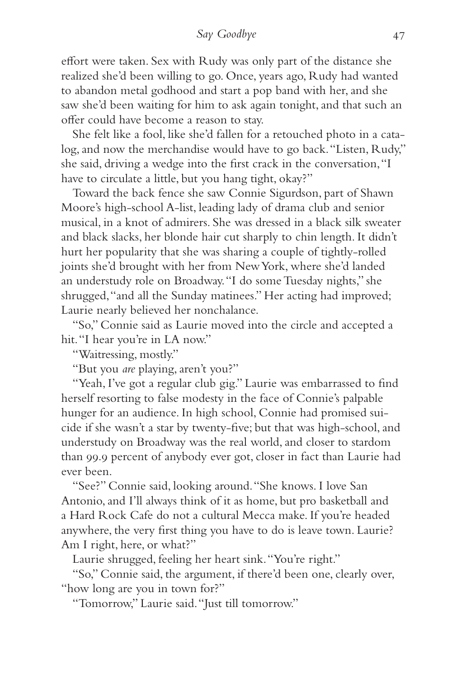effort were taken. Sex with Rudy was only part of the distance she realized she'd been willing to go. Once, years ago, Rudy had wanted to abandon metal godhood and start a pop band with her, and she saw she'd been waiting for him to ask again tonight, and that such an offer could have become a reason to stay.

She felt like a fool, like she'd fallen for a retouched photo in a catalog, and now the merchandise would have to go back. "Listen, Rudy," she said, driving a wedge into the first crack in the conversation, "I have to circulate a little, but you hang tight, okay?"

Toward the back fence she saw Connie Sigurdson, part of Shawn Moore's high-school A-list, leading lady of drama club and senior musical, in a knot of admirers. She was dressed in a black silk sweater and black slacks, her blonde hair cut sharply to chin length. It didn't hurt her popularity that she was sharing a couple of tightly-rolled joints she'd brought with her from New York, where she'd landed an understudy role on Broadway. "I do some Tuesday nights," she shrugged, "and all the Sunday matinees." Her acting had improved; Laurie nearly believed her nonchalance.

"So," Connie said as Laurie moved into the circle and accepted a hit. "I hear you're in LA now."

"Waitressing, mostly."

"But you *are* playing, aren't you?"

"Yeah, I've got a regular club gig." Laurie was embarrassed to find herself resorting to false modesty in the face of Connie's palpable hunger for an audience. In high school, Connie had promised suicide if she wasn't a star by twenty-five; but that was high-school, and understudy on Broadway was the real world, and closer to stardom than 99.9 percent of anybody ever got, closer in fact than Laurie had ever been.

"See?" Connie said, looking around. "She knows. I love San Antonio, and I'll always think of it as home, but pro basketball and a Hard Rock Cafe do not a cultural Mecca make. If you're headed anywhere, the very first thing you have to do is leave town. Laurie? Am I right, here, or what?"

Laurie shrugged, feeling her heart sink. "You're right."

"So," Connie said, the argument, if there'd been one, clearly over, "how long are you in town for?"

"Tomorrow," Laurie said. "Just till tomorrow."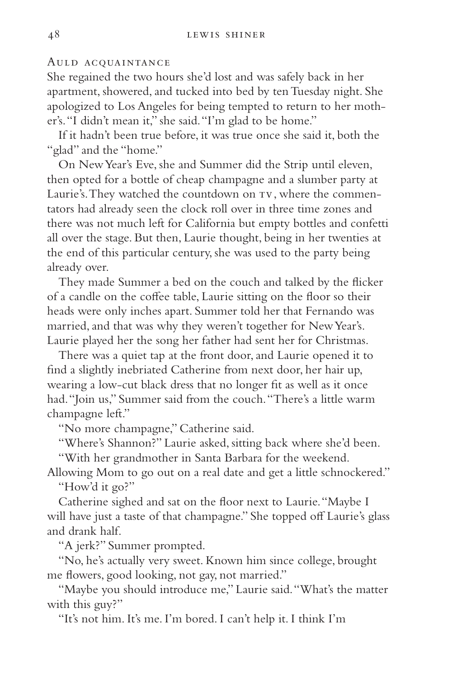## Auld acquaintance

She regained the two hours she'd lost and was safely back in her apartment, showered, and tucked into bed by ten Tuesday night. She apologized to Los Angeles for being tempted to return to her mother's. "I didn't mean it," she said. "I'm glad to be home."

If it hadn't been true before, it was true once she said it, both the "glad" and the "home."

On New Year's Eve, she and Summer did the Strip until eleven, then opted for a bottle of cheap champagne and a slumber party at Laurie's. They watched the countdown on TV, where the commentators had already seen the clock roll over in three time zones and there was not much left for California but empty bottles and confetti all over the stage. But then, Laurie thought, being in her twenties at the end of this particular century, she was used to the party being already over.

They made Summer a bed on the couch and talked by the flicker of a candle on the coffee table, Laurie sitting on the floor so their heads were only inches apart. Summer told her that Fernando was married, and that was why they weren't together for New Year's. Laurie played her the song her father had sent her for Christmas.

There was a quiet tap at the front door, and Laurie opened it to find a slightly inebriated Catherine from next door, her hair up, wearing a low-cut black dress that no longer fit as well as it once had. "Join us," Summer said from the couch. "There's a little warm champagne left."

"No more champagne," Catherine said.

"Where's Shannon?" Laurie asked, sitting back where she'd been.

"With her grandmother in Santa Barbara for the weekend.

Allowing Mom to go out on a real date and get a little schnockered." "How'd it go?"

Catherine sighed and sat on the floor next to Laurie. "Maybe I will have just a taste of that champagne." She topped off Laurie's glass and drank half.

"A jerk?" Summer prompted.

"No, he's actually very sweet. Known him since college, brought me flowers, good looking, not gay, not married."

"Maybe you should introduce me," Laurie said. "What's the matter with this guy?"

"It's not him. It's me. I'm bored. I can't help it. I think I'm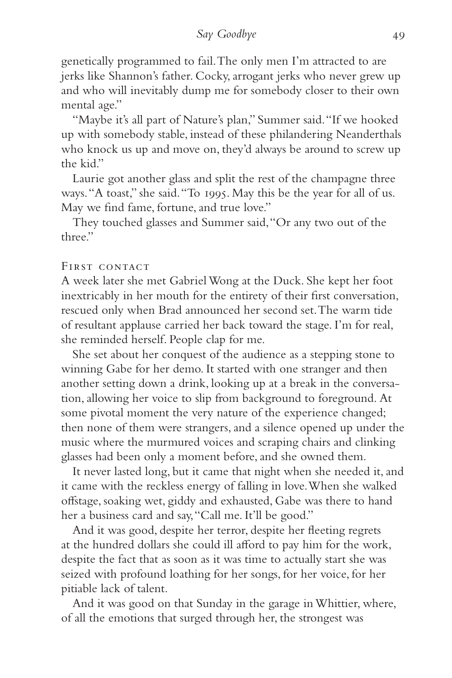genetically programmed to fail. The only men I'm attracted to are jerks like Shannon's father. Cocky, arrogant jerks who never grew up and who will inevitably dump me for somebody closer to their own mental age."

"Maybe it's all part of Nature's plan," Summer said. "If we hooked up with somebody stable, instead of these philandering Neanderthals who knock us up and move on, they'd always be around to screw up the kid"

Laurie got another glass and split the rest of the champagne three ways. "A toast," she said. "To 1995. May this be the year for all of us. May we find fame, fortune, and true love."

They touched glasses and Summer said, "Or any two out of the three."

# FIRST CONTACT

A week later she met Gabriel Wong at the Duck. She kept her foot inextricably in her mouth for the entirety of their first conversation, rescued only when Brad announced her second set. The warm tide of resultant applause carried her back toward the stage. I'm for real, she reminded herself. People clap for me.

She set about her conquest of the audience as a stepping stone to winning Gabe for her demo. It started with one stranger and then another setting down a drink, looking up at a break in the conversation, allowing her voice to slip from background to foreground. At some pivotal moment the very nature of the experience changed; then none of them were strangers, and a silence opened up under the music where the murmured voices and scraping chairs and clinking glasses had been only a moment before, and she owned them.

It never lasted long, but it came that night when she needed it, and it came with the reckless energy of falling in love. When she walked offstage, soaking wet, giddy and exhausted, Gabe was there to hand her a business card and say, "Call me. It'll be good."

And it was good, despite her terror, despite her fleeting regrets at the hundred dollars she could ill afford to pay him for the work, despite the fact that as soon as it was time to actually start she was seized with profound loathing for her songs, for her voice, for her pitiable lack of talent.

And it was good on that Sunday in the garage in Whittier, where, of all the emotions that surged through her, the strongest was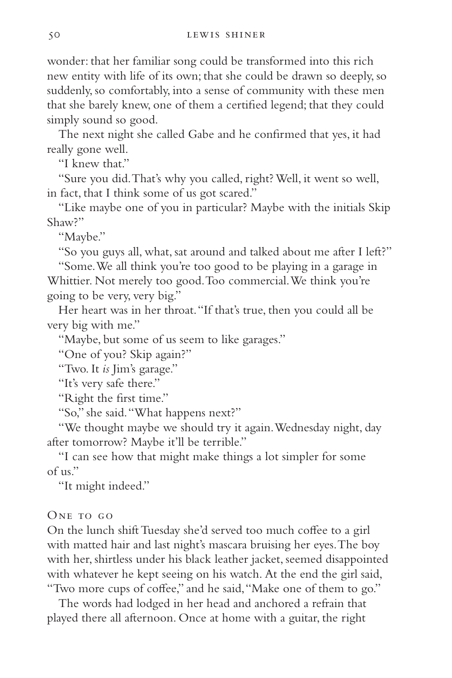wonder: that her familiar song could be transformed into this rich new entity with life of its own; that she could be drawn so deeply, so suddenly, so comfortably, into a sense of community with these men that she barely knew, one of them a certified legend; that they could simply sound so good.

The next night she called Gabe and he confirmed that yes, it had really gone well.

"I knew that"

"Sure you did. That's why you called, right? Well, it went so well, in fact, that I think some of us got scared."

"Like maybe one of you in particular? Maybe with the initials Skip Shaw?"

"Maybe."

"So you guys all, what, sat around and talked about me after I left?"

"Some. We all think you're too good to be playing in a garage in Whittier. Not merely too good. Too commercial. We think you're going to be very, very big."

Her heart was in her throat. "If that's true, then you could all be very big with me."

"Maybe, but some of us seem to like garages."

"One of you? Skip again?"

"Two. It *is* Jim's garage."

"It's very safe there."

"Right the first time."

"So," she said. "What happens next?"

"We thought maybe we should try it again. Wednesday night, day after tomorrow? Maybe it'll be terrible."

"I can see how that might make things a lot simpler for some of us."

"It might indeed."

## ONE TO GO

On the lunch shift Tuesday she'd served too much coffee to a girl with matted hair and last night's mascara bruising her eyes. The boy with her, shirtless under his black leather jacket, seemed disappointed with whatever he kept seeing on his watch. At the end the girl said, "Two more cups of coffee," and he said, "Make one of them to go."

The words had lodged in her head and anchored a refrain that played there all afternoon. Once at home with a guitar, the right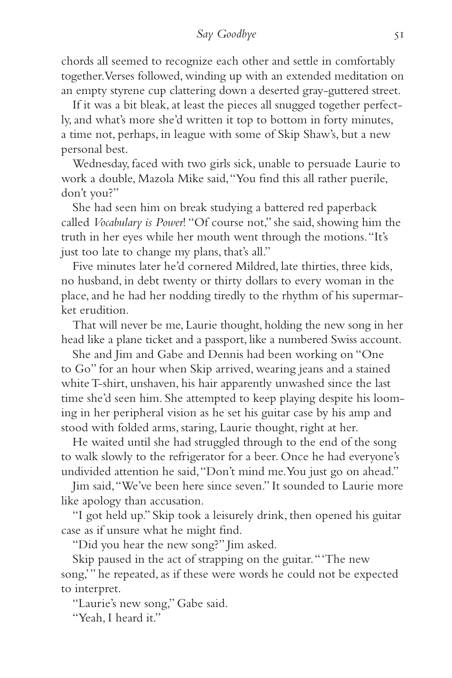chords all seemed to recognize each other and settle in comfortably together. Verses followed, winding up with an extended meditation on an empty styrene cup clattering down a deserted gray-guttered street.

If it was a bit bleak, at least the pieces all snugged together perfectly, and what's more she'd written it top to bottom in forty minutes, a time not, perhaps, in league with some of Skip Shaw's, but a new personal best.

Wednesday, faced with two girls sick, unable to persuade Laurie to work a double, Mazola Mike said, "You find this all rather puerile, don't you?"

She had seen him on break studying a battered red paperback called *Vocabulary is Power*! "Of course not," she said, showing him the truth in her eyes while her mouth went through the motions. "It's just too late to change my plans, that's all."

Five minutes later he'd cornered Mildred, late thirties, three kids, no husband, in debt twenty or thirty dollars to every woman in the place, and he had her nodding tiredly to the rhythm of his supermarket erudition.

That will never be me, Laurie thought, holding the new song in her head like a plane ticket and a passport, like a numbered Swiss account.

She and Jim and Gabe and Dennis had been working on "One to Go" for an hour when Skip arrived, wearing jeans and a stained white T-shirt, unshaven, his hair apparently unwashed since the last time she'd seen him. She attempted to keep playing despite his looming in her peripheral vision as he set his guitar case by his amp and stood with folded arms, staring, Laurie thought, right at her.

He waited until she had struggled through to the end of the song to walk slowly to the refrigerator for a beer. Once he had everyone's undivided attention he said, "Don't mind me. You just go on ahead."

Jim said, "We've been here since seven." It sounded to Laurie more like apology than accusation.

"I got held up." Skip took a leisurely drink, then opened his guitar case as if unsure what he might find.

"Did you hear the new song?" Jim asked.

Skip paused in the act of strapping on the guitar. " 'The new song,'" he repeated, as if these were words he could not be expected to interpret.

"Laurie's new song," Gabe said.

"Yeah, I heard it."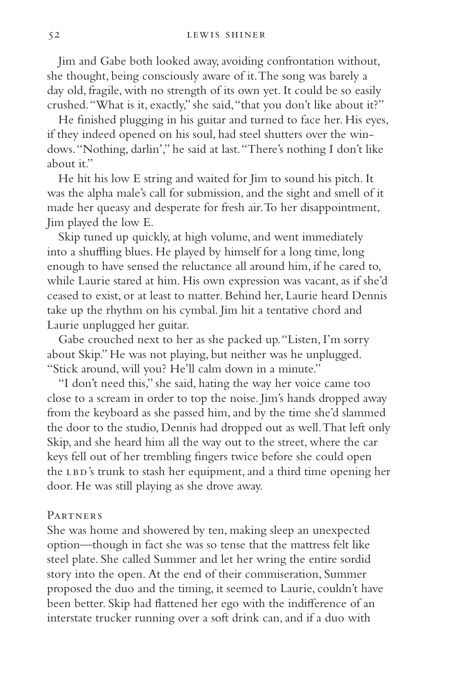Jim and Gabe both looked away, avoiding confrontation without, she thought, being consciously aware of it. The song was barely a day old, fragile, with no strength of its own yet. It could be so easily crushed. "What is it, exactly," she said, "that you don't like about it?"

He finished plugging in his guitar and turned to face her. His eyes, if they indeed opened on his soul, had steel shutters over the windows. "Nothing, darlin'," he said at last. "There's nothing I don't like about it."

He hit his low E string and waited for Jim to sound his pitch. It was the alpha male's call for submission, and the sight and smell of it made her queasy and desperate for fresh air. To her disappointment, Jim played the low E.

Skip tuned up quickly, at high volume, and went immediately into a shuffling blues. He played by himself for a long time, long enough to have sensed the reluctance all around him, if he cared to, while Laurie stared at him. His own expression was vacant, as if she'd ceased to exist, or at least to matter. Behind her, Laurie heard Dennis take up the rhythm on his cymbal. Jim hit a tentative chord and Laurie unplugged her guitar.

Gabe crouched next to her as she packed up. "Listen, I'm sorry about Skip." He was not playing, but neither was he unplugged. "Stick around, will you? He'll calm down in a minute."

"I don't need this," she said, hating the way her voice came too close to a scream in order to top the noise. Jim's hands dropped away from the keyboard as she passed him, and by the time she'd slammed the door to the studio, Dennis had dropped out as well. That left only Skip, and she heard him all the way out to the street, where the car keys fell out of her trembling fingers twice before she could open the LBD's trunk to stash her equipment, and a third time opening her door. He was still playing as she drove away.

#### **PARTNERS**

She was home and showered by ten, making sleep an unexpected option—though in fact she was so tense that the mattress felt like steel plate. She called Summer and let her wring the entire sordid story into the open. At the end of their commiseration, Summer proposed the duo and the timing, it seemed to Laurie, couldn't have been better. Skip had flattened her ego with the indifference of an interstate trucker running over a soft drink can, and if a duo with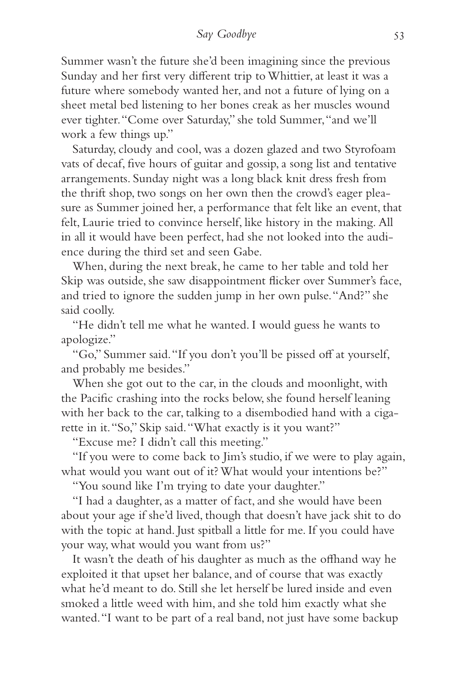## *Say Goodbye* 53

Summer wasn't the future she'd been imagining since the previous Sunday and her first very different trip to Whittier, at least it was a future where somebody wanted her, and not a future of lying on a sheet metal bed listening to her bones creak as her muscles wound ever tighter. "Come over Saturday," she told Summer, "and we'll work a few things up."

Saturday, cloudy and cool, was a dozen glazed and two Styrofoam vats of decaf, five hours of guitar and gossip, a song list and tentative arrangements. Sunday night was a long black knit dress fresh from the thrift shop, two songs on her own then the crowd's eager pleasure as Summer joined her, a performance that felt like an event, that felt, Laurie tried to convince herself, like history in the making. All in all it would have been perfect, had she not looked into the audience during the third set and seen Gabe.

When, during the next break, he came to her table and told her Skip was outside, she saw disappointment flicker over Summer's face, and tried to ignore the sudden jump in her own pulse. "And?" she said coolly.

"He didn't tell me what he wanted. I would guess he wants to apologize."

"Go," Summer said. "If you don't you'll be pissed off at yourself, and probably me besides."

When she got out to the car, in the clouds and moonlight, with the Pacific crashing into the rocks below, she found herself leaning with her back to the car, talking to a disembodied hand with a cigarette in it. "So," Skip said. "What exactly is it you want?"

"Excuse me? I didn't call this meeting."

"If you were to come back to Jim's studio, if we were to play again, what would you want out of it? What would your intentions be?"

"You sound like I'm trying to date your daughter."

"I had a daughter, as a matter of fact, and she would have been about your age if she'd lived, though that doesn't have jack shit to do with the topic at hand. Just spitball a little for me. If you could have your way, what would you want from us?"

It wasn't the death of his daughter as much as the offhand way he exploited it that upset her balance, and of course that was exactly what he'd meant to do. Still she let herself be lured inside and even smoked a little weed with him, and she told him exactly what she wanted. "I want to be part of a real band, not just have some backup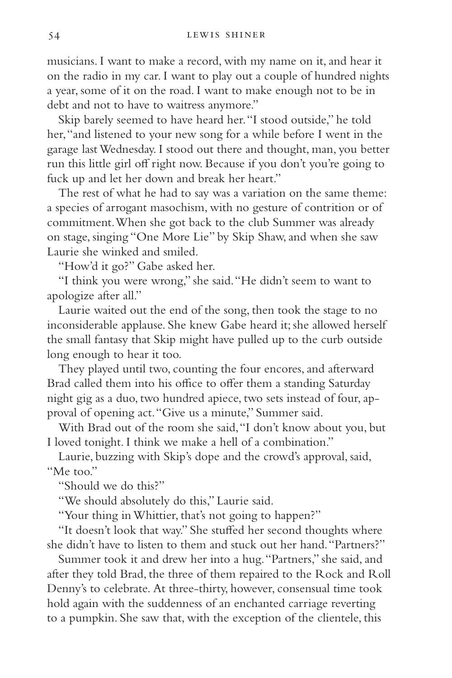musicians. I want to make a record, with my name on it, and hear it on the radio in my car. I want to play out a couple of hundred nights a year, some of it on the road. I want to make enough not to be in debt and not to have to waitress anymore."

Skip barely seemed to have heard her. "I stood outside," he told her, "and listened to your new song for a while before I went in the garage last Wednesday. I stood out there and thought, man, you better run this little girl off right now. Because if you don't you're going to fuck up and let her down and break her heart."

The rest of what he had to say was a variation on the same theme: a species of arrogant masochism, with no gesture of contrition or of commitment. When she got back to the club Summer was already on stage, singing "One More Lie" by Skip Shaw, and when she saw Laurie she winked and smiled.

"How'd it go?" Gabe asked her.

"I think you were wrong," she said. "He didn't seem to want to apologize after all."

Laurie waited out the end of the song, then took the stage to no inconsiderable applause. She knew Gabe heard it; she allowed herself the small fantasy that Skip might have pulled up to the curb outside long enough to hear it too.

They played until two, counting the four encores, and afterward Brad called them into his office to offer them a standing Saturday night gig as a duo, two hundred apiece, two sets instead of four, approval of opening act. "Give us a minute," Summer said.

With Brad out of the room she said, "I don't know about you, but I loved tonight. I think we make a hell of a combination."

Laurie, buzzing with Skip's dope and the crowd's approval, said, "Me too."

"Should we do this?"

"We should absolutely do this," Laurie said.

"Your thing in Whittier, that's not going to happen?"

"It doesn't look that way." She stuffed her second thoughts where she didn't have to listen to them and stuck out her hand. "Partners?"

Summer took it and drew her into a hug. "Partners," she said, and after they told Brad, the three of them repaired to the Rock and Roll Denny's to celebrate. At three-thirty, however, consensual time took hold again with the suddenness of an enchanted carriage reverting to a pumpkin. She saw that, with the exception of the clientele, this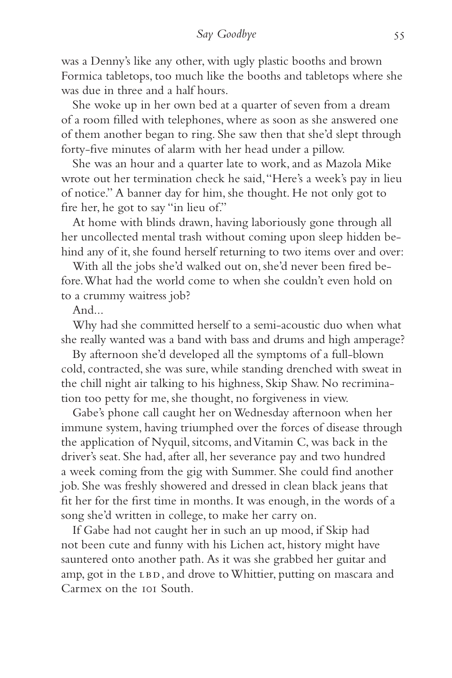was a Denny's like any other, with ugly plastic booths and brown Formica tabletops, too much like the booths and tabletops where she was due in three and a half hours.

She woke up in her own bed at a quarter of seven from a dream of a room filled with telephones, where as soon as she answered one of them another began to ring. She saw then that she'd slept through forty-five minutes of alarm with her head under a pillow.

She was an hour and a quarter late to work, and as Mazola Mike wrote out her termination check he said, "Here's a week's pay in lieu of notice." A banner day for him, she thought. He not only got to fire her, he got to say "in lieu of."

At home with blinds drawn, having laboriously gone through all her uncollected mental trash without coming upon sleep hidden behind any of it, she found herself returning to two items over and over:

With all the jobs she'd walked out on, she'd never been fired before. What had the world come to when she couldn't even hold on to a crummy waitress job?

And...

Why had she committed herself to a semi-acoustic duo when what she really wanted was a band with bass and drums and high amperage?

By afternoon she'd developed all the symptoms of a full-blown cold, contracted, she was sure, while standing drenched with sweat in the chill night air talking to his highness, Skip Shaw. No recrimination too petty for me, she thought, no forgiveness in view.

Gabe's phone call caught her on Wednesday afternoon when her immune system, having triumphed over the forces of disease through the application of Nyquil, sitcoms, and Vitamin C, was back in the driver's seat. She had, after all, her severance pay and two hundred a week coming from the gig with Summer. She could find another job. She was freshly showered and dressed in clean black jeans that fit her for the first time in months. It was enough, in the words of a song she'd written in college, to make her carry on.

If Gabe had not caught her in such an up mood, if Skip had not been cute and funny with his Lichen act, history might have sauntered onto another path. As it was she grabbed her guitar and amp, got in the LBD, and drove to Whittier, putting on mascara and Carmex on the 101 South.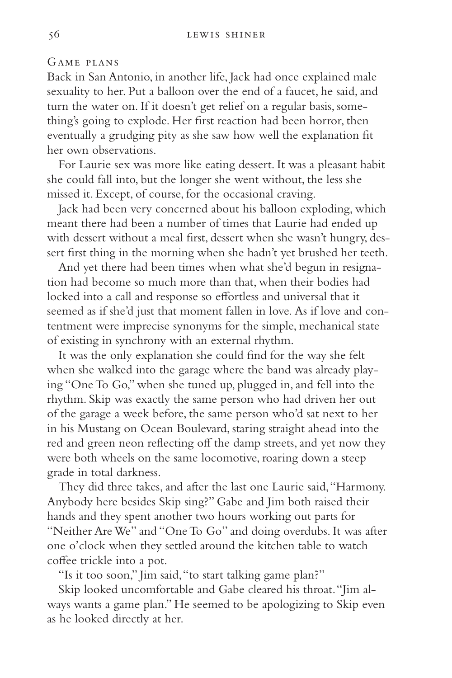## Game plans

Back in San Antonio, in another life, Jack had once explained male sexuality to her. Put a balloon over the end of a faucet, he said, and turn the water on. If it doesn't get relief on a regular basis, something's going to explode. Her first reaction had been horror, then eventually a grudging pity as she saw how well the explanation fit her own observations.

For Laurie sex was more like eating dessert. It was a pleasant habit she could fall into, but the longer she went without, the less she missed it. Except, of course, for the occasional craving.

Jack had been very concerned about his balloon exploding, which meant there had been a number of times that Laurie had ended up with dessert without a meal first, dessert when she wasn't hungry, dessert first thing in the morning when she hadn't yet brushed her teeth.

And yet there had been times when what she'd begun in resignation had become so much more than that, when their bodies had locked into a call and response so effortless and universal that it seemed as if she'd just that moment fallen in love. As if love and contentment were imprecise synonyms for the simple, mechanical state of existing in synchrony with an external rhythm.

It was the only explanation she could find for the way she felt when she walked into the garage where the band was already playing "One To Go," when she tuned up, plugged in, and fell into the rhythm. Skip was exactly the same person who had driven her out of the garage a week before, the same person who'd sat next to her in his Mustang on Ocean Boulevard, staring straight ahead into the red and green neon reflecting off the damp streets, and yet now they were both wheels on the same locomotive, roaring down a steep grade in total darkness.

They did three takes, and after the last one Laurie said, "Harmony. Anybody here besides Skip sing?" Gabe and Jim both raised their hands and they spent another two hours working out parts for "Neither Are We" and "One To Go" and doing overdubs. It was after one o'clock when they settled around the kitchen table to watch coffee trickle into a pot.

"Is it too soon," Jim said, "to start talking game plan?"

Skip looked uncomfortable and Gabe cleared his throat. "Jim always wants a game plan." He seemed to be apologizing to Skip even as he looked directly at her.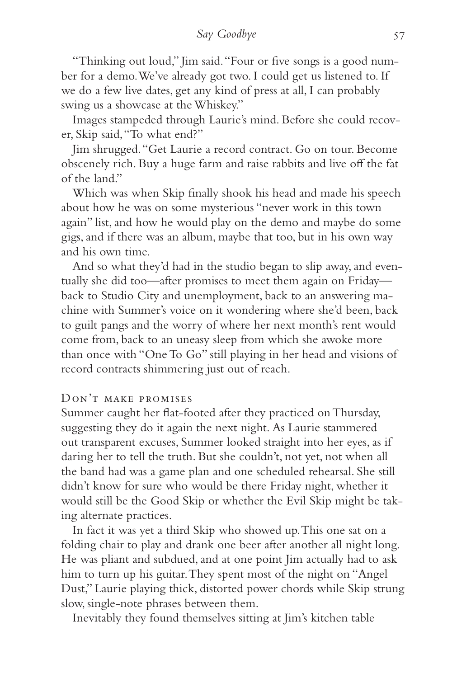"Thinking out loud," Jim said. "Four or five songs is a good number for a demo. We've already got two. I could get us listened to. If we do a few live dates, get any kind of press at all, I can probably swing us a showcase at the Whiskey."

Images stampeded through Laurie's mind. Before she could recover, Skip said, "To what end?"

Jim shrugged. "Get Laurie a record contract. Go on tour. Become obscenely rich. Buy a huge farm and raise rabbits and live off the fat of the land."

Which was when Skip finally shook his head and made his speech about how he was on some mysterious "never work in this town again" list, and how he would play on the demo and maybe do some gigs, and if there was an album, maybe that too, but in his own way and his own time.

And so what they'd had in the studio began to slip away, and eventually she did too—after promises to meet them again on Friday back to Studio City and unemployment, back to an answering machine with Summer's voice on it wondering where she'd been, back to guilt pangs and the worry of where her next month's rent would come from, back to an uneasy sleep from which she awoke more than once with "One To Go" still playing in her head and visions of record contracts shimmering just out of reach.

# Don't make promises

Summer caught her flat-footed after they practiced on Thursday, suggesting they do it again the next night. As Laurie stammered out transparent excuses, Summer looked straight into her eyes, as if daring her to tell the truth. But she couldn't, not yet, not when all the band had was a game plan and one scheduled rehearsal. She still didn't know for sure who would be there Friday night, whether it would still be the Good Skip or whether the Evil Skip might be taking alternate practices.

In fact it was yet a third Skip who showed up. This one sat on a folding chair to play and drank one beer after another all night long. He was pliant and subdued, and at one point Jim actually had to ask him to turn up his guitar. They spent most of the night on "Angel Dust," Laurie playing thick, distorted power chords while Skip strung slow, single-note phrases between them.

Inevitably they found themselves sitting at Jim's kitchen table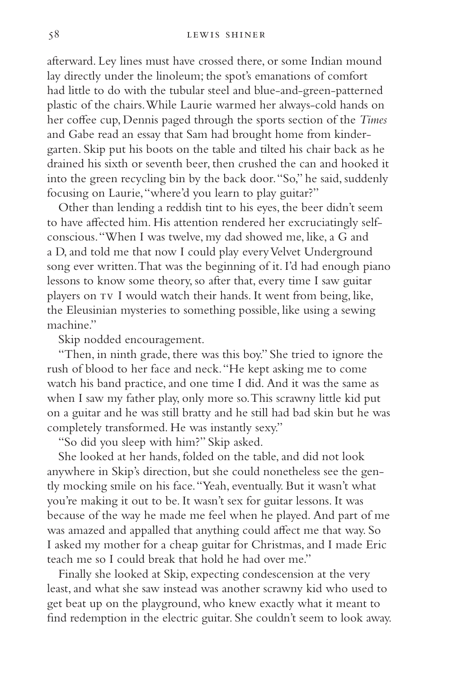afterward. Ley lines must have crossed there, or some Indian mound lay directly under the linoleum; the spot's emanations of comfort had little to do with the tubular steel and blue-and-green-patterned plastic of the chairs. While Laurie warmed her always-cold hands on her coffee cup, Dennis paged through the sports section of the *Times* and Gabe read an essay that Sam had brought home from kindergarten. Skip put his boots on the table and tilted his chair back as he drained his sixth or seventh beer, then crushed the can and hooked it into the green recycling bin by the back door. "So," he said, suddenly focusing on Laurie, "where'd you learn to play guitar?"

Other than lending a reddish tint to his eyes, the beer didn't seem to have affected him. His attention rendered her excruciatingly selfconscious. "When I was twelve, my dad showed me, like, a G and a D, and told me that now I could play every Velvet Underground song ever written. That was the beginning of it. I'd had enough piano lessons to know some theory, so after that, every time I saw guitar players on tv I would watch their hands. It went from being, like, the Eleusinian mysteries to something possible, like using a sewing machine."

Skip nodded encouragement.

"Then, in ninth grade, there was this boy." She tried to ignore the rush of blood to her face and neck. "He kept asking me to come watch his band practice, and one time I did. And it was the same as when I saw my father play, only more so. This scrawny little kid put on a guitar and he was still bratty and he still had bad skin but he was completely transformed. He was instantly sexy."

"So did you sleep with him?" Skip asked.

She looked at her hands, folded on the table, and did not look anywhere in Skip's direction, but she could nonetheless see the gently mocking smile on his face. "Yeah, eventually. But it wasn't what you're making it out to be. It wasn't sex for guitar lessons. It was because of the way he made me feel when he played. And part of me was amazed and appalled that anything could affect me that way. So I asked my mother for a cheap guitar for Christmas, and I made Eric teach me so I could break that hold he had over me."

Finally she looked at Skip, expecting condescension at the very least, and what she saw instead was another scrawny kid who used to get beat up on the playground, who knew exactly what it meant to find redemption in the electric guitar. She couldn't seem to look away.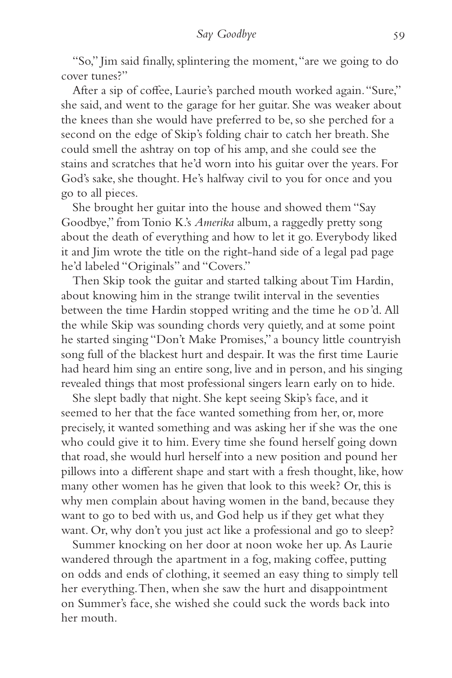"So," Jim said finally, splintering the moment, "are we going to do cover tunes?"

After a sip of coffee, Laurie's parched mouth worked again. "Sure," she said, and went to the garage for her guitar. She was weaker about the knees than she would have preferred to be, so she perched for a second on the edge of Skip's folding chair to catch her breath. She could smell the ashtray on top of his amp, and she could see the stains and scratches that he'd worn into his guitar over the years. For God's sake, she thought. He's halfway civil to you for once and you go to all pieces.

She brought her guitar into the house and showed them "Say Goodbye," from Tonio K.'s *Amerika* album, a raggedly pretty song about the death of everything and how to let it go. Everybody liked it and Jim wrote the title on the right-hand side of a legal pad page he'd labeled "Originals" and "Covers."

Then Skip took the guitar and started talking about Tim Hardin, about knowing him in the strange twilit interval in the seventies between the time Hardin stopped writing and the time he OD'd. All the while Skip was sounding chords very quietly, and at some point he started singing "Don't Make Promises," a bouncy little countryish song full of the blackest hurt and despair. It was the first time Laurie had heard him sing an entire song, live and in person, and his singing revealed things that most professional singers learn early on to hide.

She slept badly that night. She kept seeing Skip's face, and it seemed to her that the face wanted something from her, or, more precisely, it wanted something and was asking her if she was the one who could give it to him. Every time she found herself going down that road, she would hurl herself into a new position and pound her pillows into a different shape and start with a fresh thought, like, how many other women has he given that look to this week? Or, this is why men complain about having women in the band, because they want to go to bed with us, and God help us if they get what they want. Or, why don't you just act like a professional and go to sleep?

Summer knocking on her door at noon woke her up. As Laurie wandered through the apartment in a fog, making coffee, putting on odds and ends of clothing, it seemed an easy thing to simply tell her everything. Then, when she saw the hurt and disappointment on Summer's face, she wished she could suck the words back into her mouth.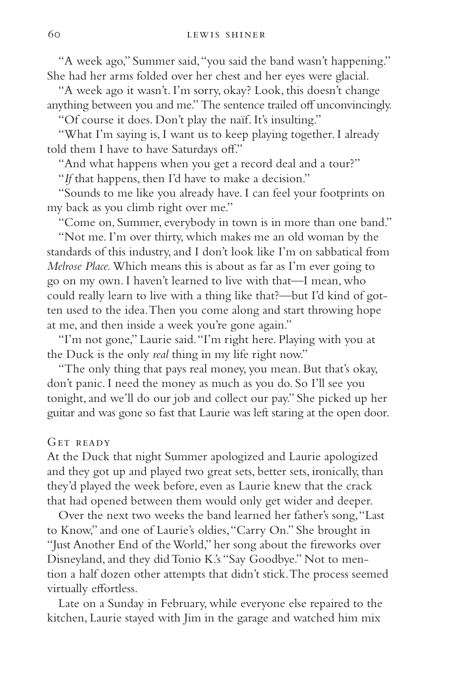"A week ago," Summer said, "you said the band wasn't happening." She had her arms folded over her chest and her eyes were glacial.

"A week ago it wasn't. I'm sorry, okay? Look, this doesn't change anything between you and me." The sentence trailed off unconvincingly.

"Of course it does. Don't play the naïf. It's insulting."

"What I'm saying is, I want us to keep playing together. I already told them I have to have Saturdays off."

"And what happens when you get a record deal and a tour?"

"*If* that happens, then I'd have to make a decision."

"Sounds to me like you already have. I can feel your footprints on my back as you climb right over me."

"Come on, Summer, everybody in town is in more than one band." "Not me. I'm over thirty, which makes me an old woman by the standards of this industry, and I don't look like I'm on sabbatical from *Melrose Place.* Which means this is about as far as I'm ever going to go on my own. I haven't learned to live with that—I mean, who could really learn to live with a thing like that?—but I'd kind of gotten used to the idea. Then you come along and start throwing hope at me, and then inside a week you're gone again."

"I'm not gone," Laurie said. "I'm right here. Playing with you at the Duck is the only *real* thing in my life right now."

"The only thing that pays real money, you mean. But that's okay, don't panic. I need the money as much as you do. So I'll see you tonight, and we'll do our job and collect our pay." She picked up her guitar and was gone so fast that Laurie was left staring at the open door.

## GET READY

At the Duck that night Summer apologized and Laurie apologized and they got up and played two great sets, better sets, ironically, than they'd played the week before, even as Laurie knew that the crack that had opened between them would only get wider and deeper.

Over the next two weeks the band learned her father's song, "Last to Know," and one of Laurie's oldies, "Carry On." She brought in "Just Another End of the World," her song about the fireworks over Disneyland, and they did Tonio K.'s "Say Goodbye." Not to mention a half dozen other attempts that didn't stick. The process seemed virtually effortless.

Late on a Sunday in February, while everyone else repaired to the kitchen, Laurie stayed with Jim in the garage and watched him mix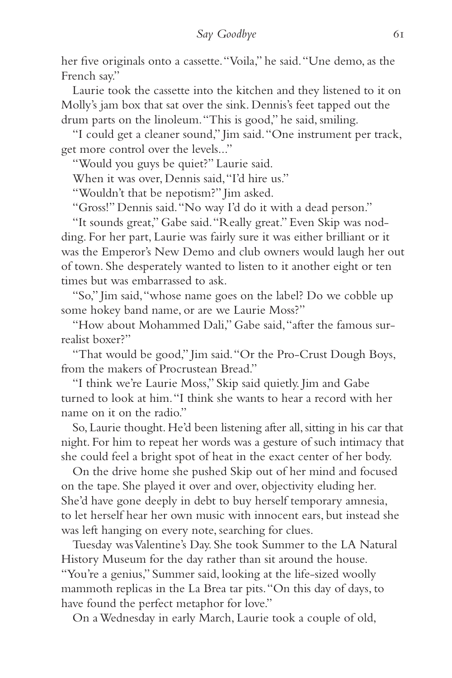her five originals onto a cassette. "Voila," he said. "Une demo, as the French say."

Laurie took the cassette into the kitchen and they listened to it on Molly's jam box that sat over the sink. Dennis's feet tapped out the drum parts on the linoleum. "This is good," he said, smiling.

"I could get a cleaner sound," Jim said. "One instrument per track, get more control over the levels..."

"Would you guys be quiet?" Laurie said.

When it was over, Dennis said, "I'd hire us."

"Wouldn't that be nepotism?" Jim asked.

"Gross!" Dennis said. "No way I'd do it with a dead person."

"It sounds great," Gabe said. "Really great." Even Skip was nodding. For her part, Laurie was fairly sure it was either brilliant or it was the Emperor's New Demo and club owners would laugh her out of town. She desperately wanted to listen to it another eight or ten times but was embarrassed to ask.

"So," Jim said, "whose name goes on the label? Do we cobble up some hokey band name, or are we Laurie Moss?"

"How about Mohammed Dali," Gabe said, "after the famous surrealist boxer?"

"That would be good," Jim said. "Or the Pro-Crust Dough Boys, from the makers of Procrustean Bread."

"I think we're Laurie Moss," Skip said quietly. Jim and Gabe turned to look at him. "I think she wants to hear a record with her name on it on the radio."

So, Laurie thought. He'd been listening after all, sitting in his car that night. For him to repeat her words was a gesture of such intimacy that she could feel a bright spot of heat in the exact center of her body.

On the drive home she pushed Skip out of her mind and focused on the tape. She played it over and over, objectivity eluding her. She'd have gone deeply in debt to buy herself temporary amnesia, to let herself hear her own music with innocent ears, but instead she was left hanging on every note, searching for clues.

Tuesday was Valentine's Day. She took Summer to the LA Natural History Museum for the day rather than sit around the house. "You're a genius," Summer said, looking at the life-sized woolly mammoth replicas in the La Brea tar pits. "On this day of days, to have found the perfect metaphor for love."

On a Wednesday in early March, Laurie took a couple of old,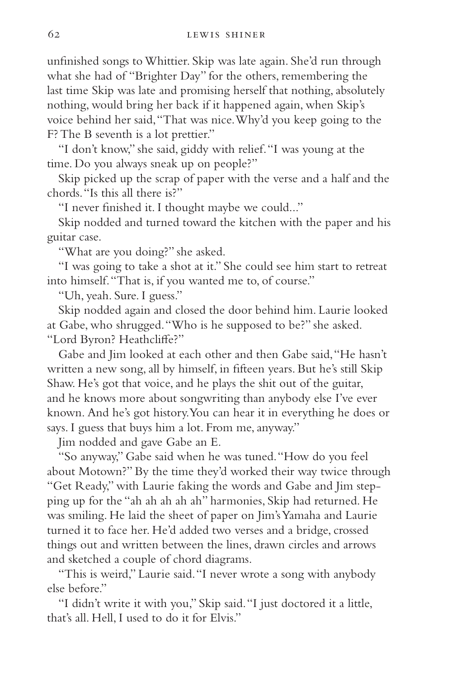unfinished songs to Whittier. Skip was late again. She'd run through what she had of "Brighter Day" for the others, remembering the last time Skip was late and promising herself that nothing, absolutely nothing, would bring her back if it happened again, when Skip's voice behind her said, "That was nice. Why'd you keep going to the F? The B seventh is a lot prettier."

"I don't know," she said, giddy with relief. "I was young at the time. Do you always sneak up on people?"

Skip picked up the scrap of paper with the verse and a half and the chords. "Is this all there is?"

"I never finished it. I thought maybe we could..."

Skip nodded and turned toward the kitchen with the paper and his guitar case.

"What are you doing?" she asked.

"I was going to take a shot at it." She could see him start to retreat into himself. "That is, if you wanted me to, of course."

"Uh, yeah. Sure. I guess."

Skip nodded again and closed the door behind him. Laurie looked at Gabe, who shrugged. "Who is he supposed to be?" she asked. "Lord Byron? Heathcliffe?"

Gabe and Jim looked at each other and then Gabe said, "He hasn't written a new song, all by himself, in fifteen years. But he's still Skip Shaw. He's got that voice, and he plays the shit out of the guitar, and he knows more about songwriting than anybody else I've ever known. And he's got history. You can hear it in everything he does or says. I guess that buys him a lot. From me, anyway."

Jim nodded and gave Gabe an E.

"So anyway," Gabe said when he was tuned. "How do you feel about Motown?" By the time they'd worked their way twice through "Get Ready," with Laurie faking the words and Gabe and Jim stepping up for the "ah ah ah ah ah" harmonies, Skip had returned. He was smiling. He laid the sheet of paper on Jim's Yamaha and Laurie turned it to face her. He'd added two verses and a bridge, crossed things out and written between the lines, drawn circles and arrows and sketched a couple of chord diagrams.

"This is weird," Laurie said. "I never wrote a song with anybody else before."

"I didn't write it with you," Skip said. "I just doctored it a little, that's all. Hell, I used to do it for Elvis."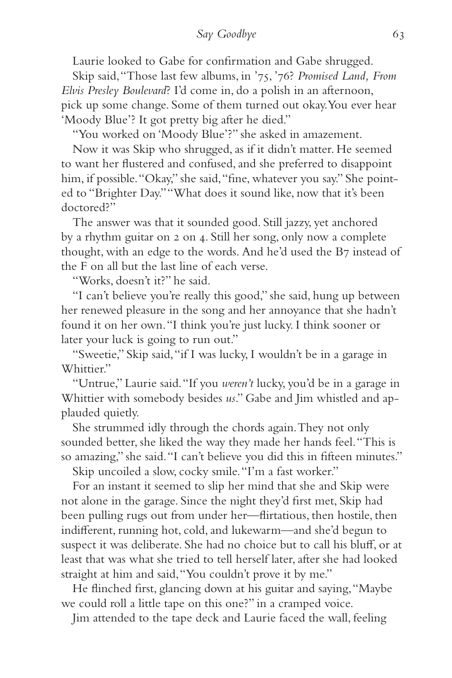Laurie looked to Gabe for confirmation and Gabe shrugged.

Skip said, "Those last few albums, in '75, '76? *Promised Land, From Elvis Presley Boulevard*? I'd come in, do a polish in an afternoon, pick up some change. Some of them turned out okay. You ever hear 'Moody Blue'? It got pretty big after he died."

"You worked on 'Moody Blue'?" she asked in amazement.

Now it was Skip who shrugged, as if it didn't matter. He seemed to want her flustered and confused, and she preferred to disappoint him, if possible. "Okay," she said, "fine, whatever you say." She pointed to "Brighter Day." "What does it sound like, now that it's been doctored?"

The answer was that it sounded good. Still jazzy, yet anchored by a rhythm guitar on 2 on 4. Still her song, only now a complete thought, with an edge to the words. And he'd used the B7 instead of the F on all but the last line of each verse.

"Works, doesn't it?" he said.

"I can't believe you're really this good," she said, hung up between her renewed pleasure in the song and her annoyance that she hadn't found it on her own. "I think you're just lucky. I think sooner or later your luck is going to run out."

"Sweetie," Skip said, "if I was lucky, I wouldn't be in a garage in Whittier."

"Untrue," Laurie said. "If you *weren't* lucky, you'd be in a garage in Whittier with somebody besides *us*." Gabe and Jim whistled and applauded quietly.

She strummed idly through the chords again. They not only sounded better, she liked the way they made her hands feel. "This is so amazing," she said. "I can't believe you did this in fifteen minutes."

Skip uncoiled a slow, cocky smile. "I'm a fast worker."

For an instant it seemed to slip her mind that she and Skip were not alone in the garage. Since the night they'd first met, Skip had been pulling rugs out from under her—flirtatious, then hostile, then indifferent, running hot, cold, and lukewarm—and she'd begun to suspect it was deliberate. She had no choice but to call his bluff, or at least that was what she tried to tell herself later, after she had looked straight at him and said, "You couldn't prove it by me."

He flinched first, glancing down at his guitar and saying, "Maybe we could roll a little tape on this one?" in a cramped voice.

Jim attended to the tape deck and Laurie faced the wall, feeling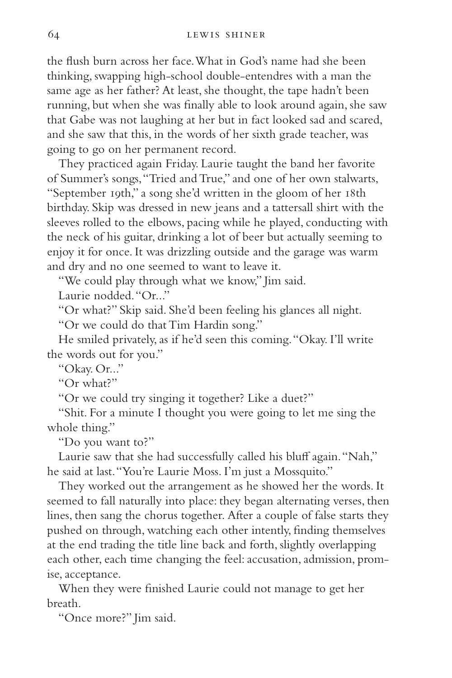the flush burn across her face. What in God's name had she been thinking, swapping high-school double-entendres with a man the same age as her father? At least, she thought, the tape hadn't been running, but when she was finally able to look around again, she saw that Gabe was not laughing at her but in fact looked sad and scared, and she saw that this, in the words of her sixth grade teacher, was going to go on her permanent record.

They practiced again Friday. Laurie taught the band her favorite of Summer's songs, "Tried and True," and one of her own stalwarts, "September 19th," a song she'd written in the gloom of her 18th birthday. Skip was dressed in new jeans and a tattersall shirt with the sleeves rolled to the elbows, pacing while he played, conducting with the neck of his guitar, drinking a lot of beer but actually seeming to enjoy it for once. It was drizzling outside and the garage was warm and dry and no one seemed to want to leave it.

"We could play through what we know," Jim said.

Laurie nodded. "Or..."

"Or what?" Skip said. She'd been feeling his glances all night.

"Or we could do that Tim Hardin song."

He smiled privately, as if he'd seen this coming. "Okay. I'll write the words out for you."

"Okay. Or..."

"Or what?"

"Or we could try singing it together? Like a duet?"

"Shit. For a minute I thought you were going to let me sing the whole thing."

"Do you want to?"

Laurie saw that she had successfully called his bluff again. "Nah," he said at last. "You're Laurie Moss. I'm just a Mossquito."

They worked out the arrangement as he showed her the words. It seemed to fall naturally into place: they began alternating verses, then lines, then sang the chorus together. After a couple of false starts they pushed on through, watching each other intently, finding themselves at the end trading the title line back and forth, slightly overlapping each other, each time changing the feel: accusation, admission, promise, acceptance.

When they were finished Laurie could not manage to get her breath.

"Once more?" Jim said.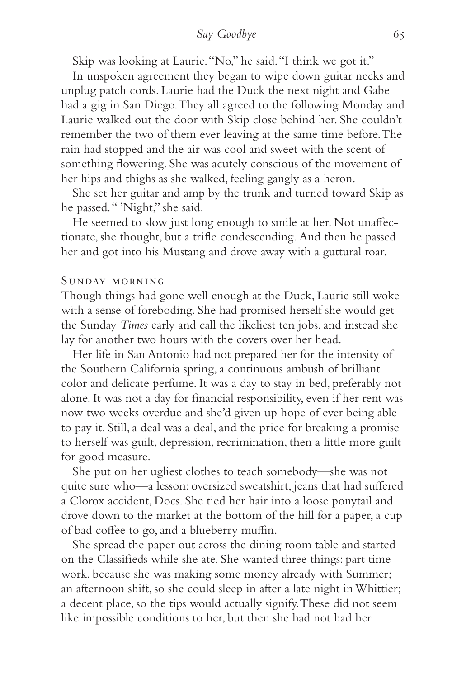Skip was looking at Laurie. "No," he said. "I think we got it."

In unspoken agreement they began to wipe down guitar necks and unplug patch cords. Laurie had the Duck the next night and Gabe had a gig in San Diego. They all agreed to the following Monday and Laurie walked out the door with Skip close behind her. She couldn't remember the two of them ever leaving at the same time before. The rain had stopped and the air was cool and sweet with the scent of something flowering. She was acutely conscious of the movement of her hips and thighs as she walked, feeling gangly as a heron.

She set her guitar and amp by the trunk and turned toward Skip as he passed. " 'Night," she said.

He seemed to slow just long enough to smile at her. Not unaffectionate, she thought, but a trifle condescending. And then he passed her and got into his Mustang and drove away with a guttural roar.

#### Sunday morning

Though things had gone well enough at the Duck, Laurie still woke with a sense of foreboding. She had promised herself she would get the Sunday *Times* early and call the likeliest ten jobs, and instead she lay for another two hours with the covers over her head.

Her life in San Antonio had not prepared her for the intensity of the Southern California spring, a continuous ambush of brilliant color and delicate perfume. It was a day to stay in bed, preferably not alone. It was not a day for financial responsibility, even if her rent was now two weeks overdue and she'd given up hope of ever being able to pay it. Still, a deal was a deal, and the price for breaking a promise to herself was guilt, depression, recrimination, then a little more guilt for good measure.

She put on her ugliest clothes to teach somebody—she was not quite sure who—a lesson: oversized sweatshirt, jeans that had suffered a Clorox accident, Docs. She tied her hair into a loose ponytail and drove down to the market at the bottom of the hill for a paper, a cup of bad coffee to go, and a blueberry muffin.

She spread the paper out across the dining room table and started on the Classifieds while she ate. She wanted three things: part time work, because she was making some money already with Summer; an afternoon shift, so she could sleep in after a late night in Whittier; a decent place, so the tips would actually signify. These did not seem like impossible conditions to her, but then she had not had her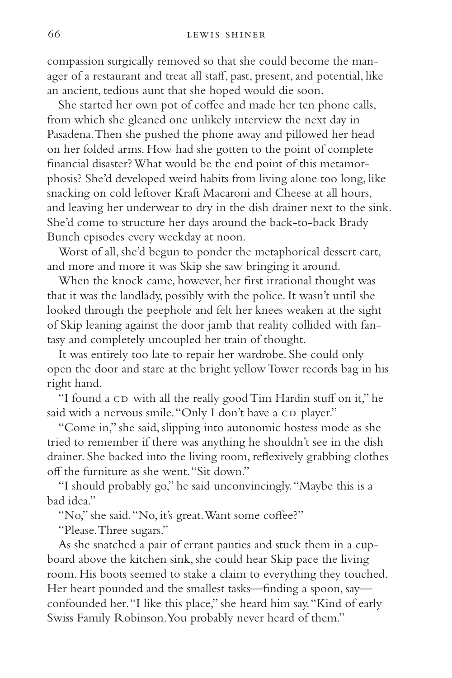compassion surgically removed so that she could become the manager of a restaurant and treat all staff, past, present, and potential, like an ancient, tedious aunt that she hoped would die soon.

She started her own pot of coffee and made her ten phone calls, from which she gleaned one unlikely interview the next day in Pasadena. Then she pushed the phone away and pillowed her head on her folded arms. How had she gotten to the point of complete financial disaster? What would be the end point of this metamorphosis? She'd developed weird habits from living alone too long, like snacking on cold leftover Kraft Macaroni and Cheese at all hours, and leaving her underwear to dry in the dish drainer next to the sink. She'd come to structure her days around the back-to-back Brady Bunch episodes every weekday at noon.

Worst of all, she'd begun to ponder the metaphorical dessert cart, and more and more it was Skip she saw bringing it around.

When the knock came, however, her first irrational thought was that it was the landlady, possibly with the police. It wasn't until she looked through the peephole and felt her knees weaken at the sight of Skip leaning against the door jamb that reality collided with fantasy and completely uncoupled her train of thought.

It was entirely too late to repair her wardrobe. She could only open the door and stare at the bright yellow Tower records bag in his right hand.

"I found a CD with all the really good Tim Hardin stuff on it," he said with a nervous smile. "Only I don't have a CD player."

"Come in," she said, slipping into autonomic hostess mode as she tried to remember if there was anything he shouldn't see in the dish drainer. She backed into the living room, reflexively grabbing clothes off the furniture as she went. "Sit down."

"I should probably go," he said unconvincingly. "Maybe this is a bad idea."

"No," she said. "No, it's great. Want some coffee?"

"Please. Three sugars."

As she snatched a pair of errant panties and stuck them in a cupboard above the kitchen sink, she could hear Skip pace the living room. His boots seemed to stake a claim to everything they touched. Her heart pounded and the smallest tasks—finding a spoon, say confounded her. "I like this place," she heard him say. "Kind of early Swiss Family Robinson. You probably never heard of them."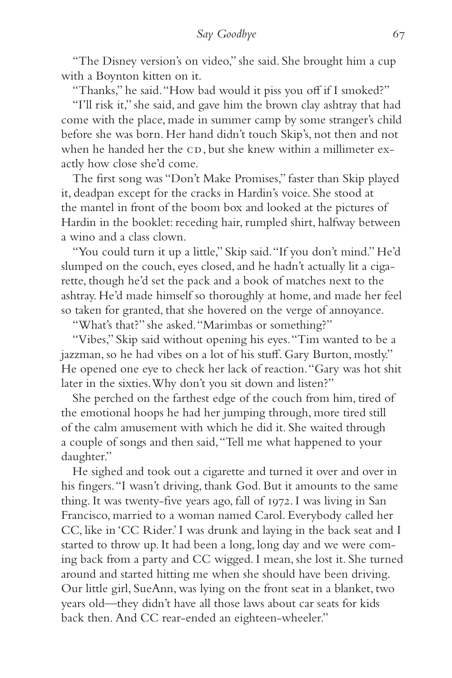"The Disney version's on video," she said. She brought him a cup with a Boynton kitten on it.

"Thanks," he said. "How bad would it piss you off if I smoked?"

"I'll risk it," she said, and gave him the brown clay ashtray that had come with the place, made in summer camp by some stranger's child before she was born. Her hand didn't touch Skip's, not then and not when he handed her the  $CD$ , but she knew within a millimeter exactly how close she'd come.

The first song was "Don't Make Promises," faster than Skip played it, deadpan except for the cracks in Hardin's voice. She stood at the mantel in front of the boom box and looked at the pictures of Hardin in the booklet: receding hair, rumpled shirt, halfway between a wino and a class clown.

"You could turn it up a little," Skip said. "If you don't mind." He'd slumped on the couch, eyes closed, and he hadn't actually lit a cigarette, though he'd set the pack and a book of matches next to the ashtray. He'd made himself so thoroughly at home, and made her feel so taken for granted, that she hovered on the verge of annoyance.

"What's that?" she asked. "Marimbas or something?"

"Vibes," Skip said without opening his eyes. "Tim wanted to be a jazzman, so he had vibes on a lot of his stuff. Gary Burton, mostly." He opened one eye to check her lack of reaction. "Gary was hot shit later in the sixties. Why don't you sit down and listen?"

She perched on the farthest edge of the couch from him, tired of the emotional hoops he had her jumping through, more tired still of the calm amusement with which he did it. She waited through a couple of songs and then said, "Tell me what happened to your daughter."

He sighed and took out a cigarette and turned it over and over in his fingers. "I wasn't driving, thank God. But it amounts to the same thing. It was twenty-five years ago, fall of 1972. I was living in San Francisco, married to a woman named Carol. Everybody called her CC, like in 'CC Rider.' I was drunk and laying in the back seat and I started to throw up. It had been a long, long day and we were coming back from a party and CC wigged. I mean, she lost it. She turned around and started hitting me when she should have been driving. Our little girl, SueAnn, was lying on the front seat in a blanket, two years old—they didn't have all those laws about car seats for kids back then. And CC rear-ended an eighteen-wheeler."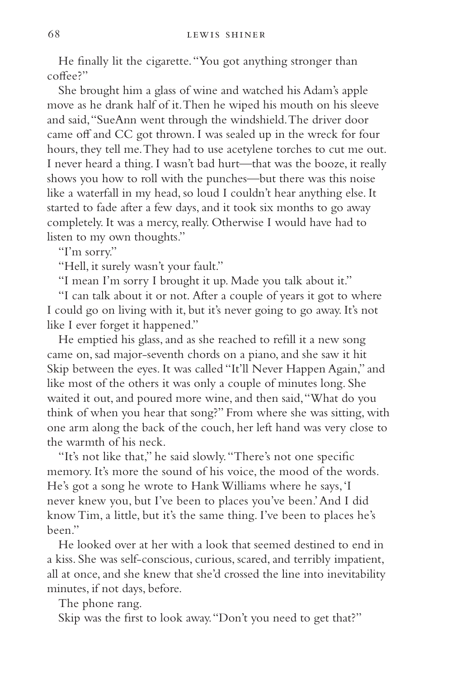He finally lit the cigarette. "You got anything stronger than coffee?"

She brought him a glass of wine and watched his Adam's apple move as he drank half of it. Then he wiped his mouth on his sleeve and said, "SueAnn went through the windshield. The driver door came off and CC got thrown. I was sealed up in the wreck for four hours, they tell me. They had to use acetylene torches to cut me out. I never heard a thing. I wasn't bad hurt—that was the booze, it really shows you how to roll with the punches—but there was this noise like a waterfall in my head, so loud I couldn't hear anything else. It started to fade after a few days, and it took six months to go away completely. It was a mercy, really. Otherwise I would have had to listen to my own thoughts."

"I'm sorry."

"Hell, it surely wasn't your fault."

"I mean I'm sorry I brought it up. Made you talk about it."

"I can talk about it or not. After a couple of years it got to where I could go on living with it, but it's never going to go away. It's not like I ever forget it happened."

He emptied his glass, and as she reached to refill it a new song came on, sad major-seventh chords on a piano, and she saw it hit Skip between the eyes. It was called "It'll Never Happen Again," and like most of the others it was only a couple of minutes long. She waited it out, and poured more wine, and then said, "What do you think of when you hear that song?" From where she was sitting, with one arm along the back of the couch, her left hand was very close to the warmth of his neck.

"It's not like that," he said slowly. "There's not one specific memory. It's more the sound of his voice, the mood of the words. He's got a song he wrote to Hank Williams where he says, 'I never knew you, but I've been to places you've been.' And I did know Tim, a little, but it's the same thing. I've been to places he's been"

He looked over at her with a look that seemed destined to end in a kiss. She was self-conscious, curious, scared, and terribly impatient, all at once, and she knew that she'd crossed the line into inevitability minutes, if not days, before.

The phone rang.

Skip was the first to look away. "Don't you need to get that?"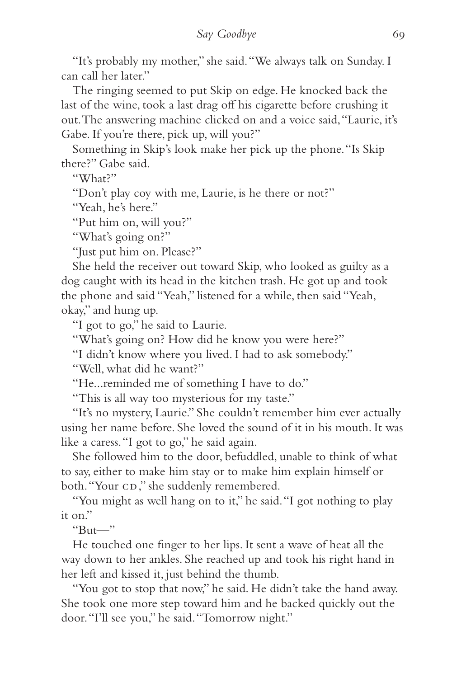"It's probably my mother," she said. "We always talk on Sunday. I can call her later."

The ringing seemed to put Skip on edge. He knocked back the last of the wine, took a last drag off his cigarette before crushing it out. The answering machine clicked on and a voice said, "Laurie, it's Gabe. If you're there, pick up, will you?"

Something in Skip's look make her pick up the phone. "Is Skip there?" Gabe said.

"What?"

"Don't play coy with me, Laurie, is he there or not?"

"Yeah, he's here."

"Put him on, will you?"

"What's going on?"

"Just put him on. Please?"

She held the receiver out toward Skip, who looked as guilty as a dog caught with its head in the kitchen trash. He got up and took the phone and said "Yeah," listened for a while, then said "Yeah, okay," and hung up.

"I got to go," he said to Laurie.

"What's going on? How did he know you were here?"

"I didn't know where you lived. I had to ask somebody."

"Well, what did he want?"

"He...reminded me of something I have to do."

"This is all way too mysterious for my taste."

"It's no mystery, Laurie." She couldn't remember him ever actually using her name before. She loved the sound of it in his mouth. It was like a caress. "I got to go," he said again.

She followed him to the door, befuddled, unable to think of what to say, either to make him stay or to make him explain himself or both. "Your CD," she suddenly remembered.

"You might as well hang on to it," he said. "I got nothing to play it on."

 $"But$ .

He touched one finger to her lips. It sent a wave of heat all the way down to her ankles. She reached up and took his right hand in her left and kissed it, just behind the thumb.

"You got to stop that now," he said. He didn't take the hand away. She took one more step toward him and he backed quickly out the door. "I'll see you," he said. "Tomorrow night."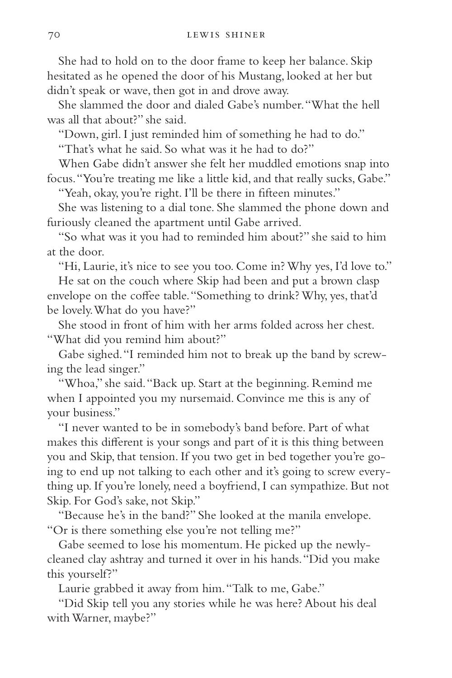She had to hold on to the door frame to keep her balance. Skip hesitated as he opened the door of his Mustang, looked at her but didn't speak or wave, then got in and drove away.

She slammed the door and dialed Gabe's number. "What the hell was all that about?" she said.

"Down, girl. I just reminded him of something he had to do."

"That's what he said. So what was it he had to do?"

When Gabe didn't answer she felt her muddled emotions snap into focus. "You're treating me like a little kid, and that really sucks, Gabe."

"Yeah, okay, you're right. I'll be there in fifteen minutes."

She was listening to a dial tone. She slammed the phone down and furiously cleaned the apartment until Gabe arrived.

"So what was it you had to reminded him about?" she said to him at the door.

"Hi, Laurie, it's nice to see you too. Come in? Why yes, I'd love to."

He sat on the couch where Skip had been and put a brown clasp envelope on the coffee table. "Something to drink? Why, yes, that'd be lovely. What do you have?"

She stood in front of him with her arms folded across her chest. "What did you remind him about?"

Gabe sighed. "I reminded him not to break up the band by screwing the lead singer."

"Whoa," she said. "Back up. Start at the beginning. Remind me when I appointed you my nursemaid. Convince me this is any of your business."

"I never wanted to be in somebody's band before. Part of what makes this different is your songs and part of it is this thing between you and Skip, that tension. If you two get in bed together you're going to end up not talking to each other and it's going to screw everything up. If you're lonely, need a boyfriend, I can sympathize. But not Skip. For God's sake, not Skip."

"Because he's in the band?" She looked at the manila envelope. "Or is there something else you're not telling me?"

Gabe seemed to lose his momentum. He picked up the newlycleaned clay ashtray and turned it over in his hands. "Did you make this yourself?"

Laurie grabbed it away from him. "Talk to me, Gabe."

"Did Skip tell you any stories while he was here? About his deal with Warner, maybe?"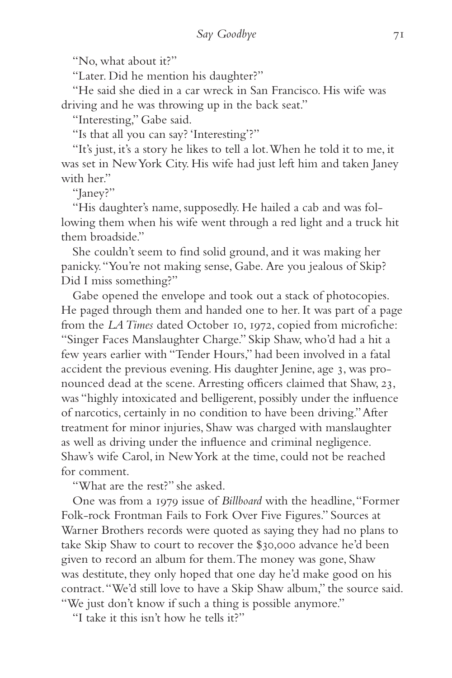"No, what about it?"

"Later. Did he mention his daughter?"

"He said she died in a car wreck in San Francisco. His wife was driving and he was throwing up in the back seat."

"Interesting," Gabe said.

"Is that all you can say? 'Interesting'?"

"It's just, it's a story he likes to tell a lot. When he told it to me, it was set in New York City. His wife had just left him and taken Janey with her."

"Janey?"

"His daughter's name, supposedly. He hailed a cab and was following them when his wife went through a red light and a truck hit them broadside."

She couldn't seem to find solid ground, and it was making her panicky. "You're not making sense, Gabe. Are you jealous of Skip? Did I miss something?"

Gabe opened the envelope and took out a stack of photocopies. He paged through them and handed one to her. It was part of a page from the *LA Times* dated October 10, 1972, copied from microfiche: "Singer Faces Manslaughter Charge." Skip Shaw, who'd had a hit a few years earlier with "Tender Hours," had been involved in a fatal accident the previous evening. His daughter Jenine, age 3, was pronounced dead at the scene. Arresting officers claimed that Shaw, 23, was "highly intoxicated and belligerent, possibly under the influence of narcotics, certainly in no condition to have been driving." After treatment for minor injuries, Shaw was charged with manslaughter as well as driving under the influence and criminal negligence. Shaw's wife Carol, in New York at the time, could not be reached for comment.

"What are the rest?" she asked.

One was from a 1979 issue of *Billboard* with the headline, "Former Folk-rock Frontman Fails to Fork Over Five Figures." Sources at Warner Brothers records were quoted as saying they had no plans to take Skip Shaw to court to recover the \$30,000 advance he'd been given to record an album for them. The money was gone, Shaw was destitute, they only hoped that one day he'd make good on his contract. "We'd still love to have a Skip Shaw album," the source said. "We just don't know if such a thing is possible anymore."

"I take it this isn't how he tells it?"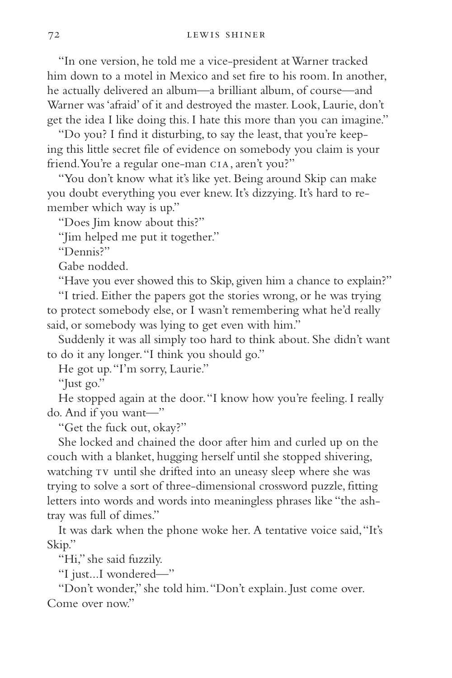"In one version, he told me a vice-president at Warner tracked him down to a motel in Mexico and set fire to his room. In another, he actually delivered an album—a brilliant album, of course—and Warner was 'afraid' of it and destroyed the master. Look, Laurie, don't get the idea I like doing this. I hate this more than you can imagine."

"Do you? I find it disturbing, to say the least, that you're keeping this little secret file of evidence on somebody you claim is your friend. You're a regular one-man CIA, aren't you?"

"You don't know what it's like yet. Being around Skip can make you doubt everything you ever knew. It's dizzying. It's hard to remember which way is up."

"Does Jim know about this?"

"Jim helped me put it together."

"Dennis?"

Gabe nodded.

"Have you ever showed this to Skip, given him a chance to explain?"

"I tried. Either the papers got the stories wrong, or he was trying to protect somebody else, or I wasn't remembering what he'd really said, or somebody was lying to get even with him."

Suddenly it was all simply too hard to think about. She didn't want to do it any longer. "I think you should go."

He got up. "I'm sorry, Laurie."

"Just go."

He stopped again at the door. "I know how you're feeling. I really do. And if you want—"

"Get the fuck out, okay?"

She locked and chained the door after him and curled up on the couch with a blanket, hugging herself until she stopped shivering, watching TV until she drifted into an uneasy sleep where she was trying to solve a sort of three-dimensional crossword puzzle, fitting letters into words and words into meaningless phrases like "the ashtray was full of dimes."

It was dark when the phone woke her. A tentative voice said, "It's Skip."

"Hi," she said fuzzily.

"I just...I wondered—"

"Don't wonder," she told him. "Don't explain. Just come over. Come over now."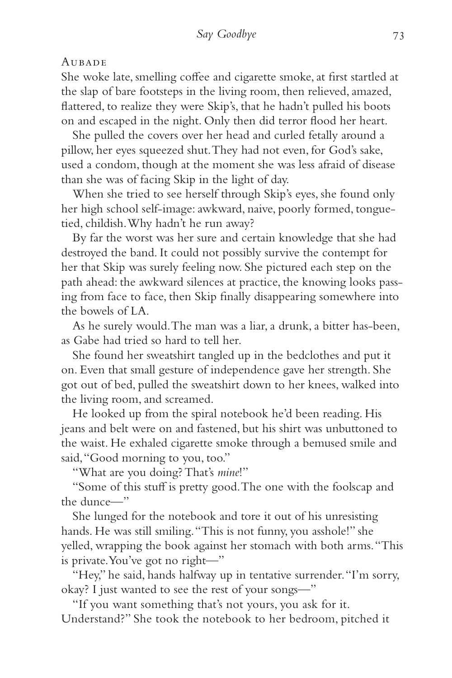AUBADE

She woke late, smelling coffee and cigarette smoke, at first startled at the slap of bare footsteps in the living room, then relieved, amazed, flattered, to realize they were Skip's, that he hadn't pulled his boots on and escaped in the night. Only then did terror flood her heart.

She pulled the covers over her head and curled fetally around a pillow, her eyes squeezed shut. They had not even, for God's sake, used a condom, though at the moment she was less afraid of disease than she was of facing Skip in the light of day.

When she tried to see herself through Skip's eyes, she found only her high school self-image: awkward, naive, poorly formed, tonguetied, childish. Why hadn't he run away?

By far the worst was her sure and certain knowledge that she had destroyed the band. It could not possibly survive the contempt for her that Skip was surely feeling now. She pictured each step on the path ahead: the awkward silences at practice, the knowing looks passing from face to face, then Skip finally disappearing somewhere into the bowels of LA.

As he surely would. The man was a liar, a drunk, a bitter has-been, as Gabe had tried so hard to tell her.

She found her sweatshirt tangled up in the bedclothes and put it on. Even that small gesture of independence gave her strength. She got out of bed, pulled the sweatshirt down to her knees, walked into the living room, and screamed.

He looked up from the spiral notebook he'd been reading. His jeans and belt were on and fastened, but his shirt was unbuttoned to the waist. He exhaled cigarette smoke through a bemused smile and said, "Good morning to you, too."

"What are you doing? That's *mine*!"

"Some of this stuff is pretty good. The one with the foolscap and the dunce—"

She lunged for the notebook and tore it out of his unresisting hands. He was still smiling. "This is not funny, you asshole!" she yelled, wrapping the book against her stomach with both arms. "This is private. You've got no right—"

"Hey," he said, hands halfway up in tentative surrender. "I'm sorry, okay? I just wanted to see the rest of your songs—"

"If you want something that's not yours, you ask for it. Understand?" She took the notebook to her bedroom, pitched it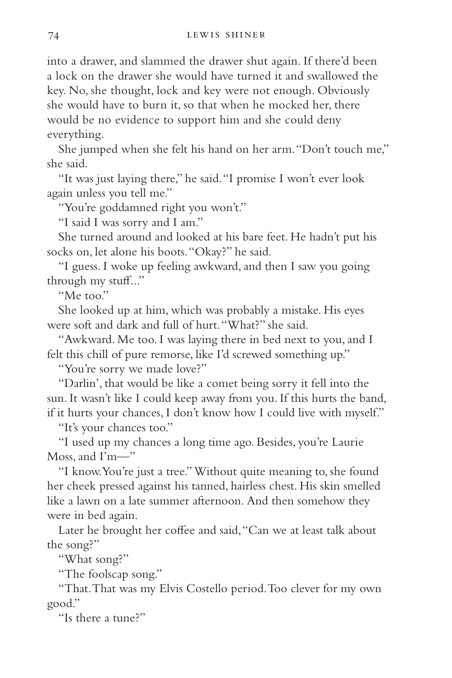into a drawer, and slammed the drawer shut again. If there'd been a lock on the drawer she would have turned it and swallowed the key. No, she thought, lock and key were not enough. Obviously she would have to burn it, so that when he mocked her, there would be no evidence to support him and she could deny everything.

She jumped when she felt his hand on her arm. "Don't touch me," she said.

"It was just laying there," he said. "I promise I won't ever look again unless you tell me."

"You're goddamned right you won't."

"I said I was sorry and I am."

She turned around and looked at his bare feet. He hadn't put his socks on, let alone his boots. "Okay?" he said.

"I guess. I woke up feeling awkward, and then I saw you going through my stuff..."

"Me too."

She looked up at him, which was probably a mistake. His eyes were soft and dark and full of hurt. "What?" she said.

"Awkward. Me too. I was laying there in bed next to you, and I felt this chill of pure remorse, like I'd screwed something up."

"You're sorry we made love?"

"Darlin', that would be like a comet being sorry it fell into the sun. It wasn't like I could keep away from you. If this hurts the band, if it hurts your chances, I don't know how I could live with myself."

"It's your chances too."

"I used up my chances a long time ago. Besides, you're Laurie Moss, and I'm—"

"I know. You're just a tree." Without quite meaning to, she found her cheek pressed against his tanned, hairless chest. His skin smelled like a lawn on a late summer afternoon. And then somehow they were in bed again.

Later he brought her coffee and said, "Can we at least talk about the song?"

"What song?"

"The foolscap song."

"That. That was my Elvis Costello period. Too clever for my own good."

"Is there a tune?"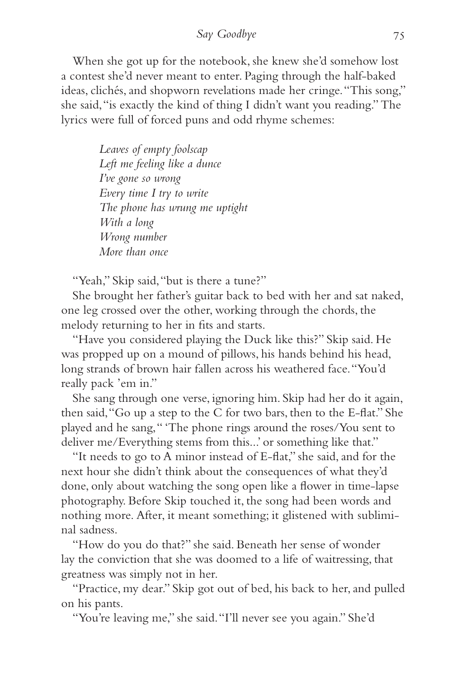#### *Say Goodbye* 75

When she got up for the notebook, she knew she'd somehow lost a contest she'd never meant to enter. Paging through the half-baked ideas, clichés, and shopworn revelations made her cringe. "This song," she said, "is exactly the kind of thing I didn't want you reading." The lyrics were full of forced puns and odd rhyme schemes:

> *Leaves of empty foolscap Left me feeling like a dunce I've gone so wrong Every time I try to write The phone has wrung me uptight With a long Wrong number More than once*

"Yeah," Skip said, "but is there a tune?"

She brought her father's guitar back to bed with her and sat naked, one leg crossed over the other, working through the chords, the melody returning to her in fits and starts.

"Have you considered playing the Duck like this?" Skip said. He was propped up on a mound of pillows, his hands behind his head, long strands of brown hair fallen across his weathered face. "You'd really pack 'em in."

She sang through one verse, ignoring him. Skip had her do it again, then said, "Go up a step to the C for two bars, then to the E-flat." She played and he sang, " 'The phone rings around the roses/You sent to deliver me/Everything stems from this...' or something like that."

"It needs to go to A minor instead of E-flat," she said, and for the next hour she didn't think about the consequences of what they'd done, only about watching the song open like a flower in time-lapse photography. Before Skip touched it, the song had been words and nothing more. After, it meant something; it glistened with subliminal sadness.

"How do you do that?" she said. Beneath her sense of wonder lay the conviction that she was doomed to a life of waitressing, that greatness was simply not in her.

"Practice, my dear." Skip got out of bed, his back to her, and pulled on his pants.

"You're leaving me," she said. "I'll never see you again." She'd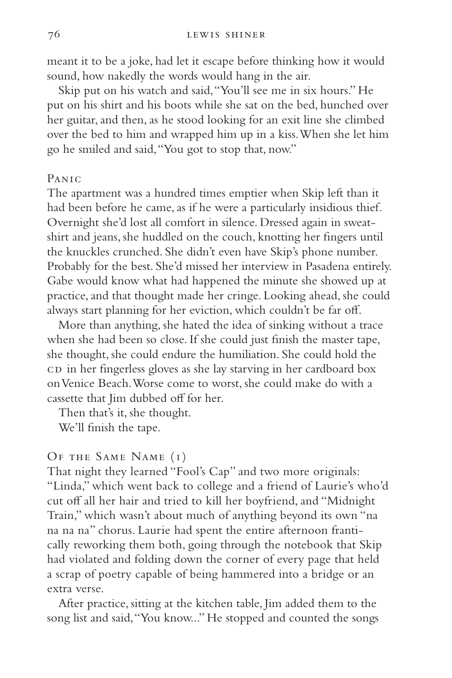meant it to be a joke, had let it escape before thinking how it would sound, how nakedly the words would hang in the air.

Skip put on his watch and said, "You'll see me in six hours." He put on his shirt and his boots while she sat on the bed, hunched over her guitar, and then, as he stood looking for an exit line she climbed over the bed to him and wrapped him up in a kiss. When she let him go he smiled and said, "You got to stop that, now."

## Panic

The apartment was a hundred times emptier when Skip left than it had been before he came, as if he were a particularly insidious thief. Overnight she'd lost all comfort in silence. Dressed again in sweatshirt and jeans, she huddled on the couch, knotting her fingers until the knuckles crunched. She didn't even have Skip's phone number. Probably for the best. She'd missed her interview in Pasadena entirely. Gabe would know what had happened the minute she showed up at practice, and that thought made her cringe. Looking ahead, she could always start planning for her eviction, which couldn't be far off.

More than anything, she hated the idea of sinking without a trace when she had been so close. If she could just finish the master tape, she thought, she could endure the humiliation. She could hold the CD in her fingerless gloves as she lay starving in her cardboard box on Venice Beach. Worse come to worst, she could make do with a cassette that Jim dubbed off for her.

Then that's it, she thought.

We'll finish the tape.

## Of the Same Name (1)

That night they learned "Fool's Cap" and two more originals: "Linda," which went back to college and a friend of Laurie's who'd cut off all her hair and tried to kill her boyfriend, and "Midnight Train," which wasn't about much of anything beyond its own "na na na na" chorus. Laurie had spent the entire afternoon frantically reworking them both, going through the notebook that Skip had violated and folding down the corner of every page that held a scrap of poetry capable of being hammered into a bridge or an extra verse.

After practice, sitting at the kitchen table, Jim added them to the song list and said, "You know..." He stopped and counted the songs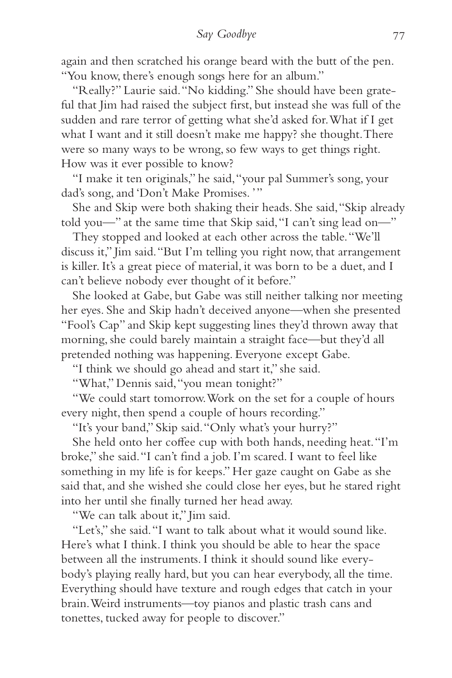again and then scratched his orange beard with the butt of the pen. "You know, there's enough songs here for an album."

"Really?" Laurie said. "No kidding." She should have been grateful that Jim had raised the subject first, but instead she was full of the sudden and rare terror of getting what she'd asked for. What if I get what I want and it still doesn't make me happy? she thought. There were so many ways to be wrong, so few ways to get things right. How was it ever possible to know?

"I make it ten originals," he said, "your pal Summer's song, your dad's song, and 'Don't Make Promises. '"

She and Skip were both shaking their heads. She said, "Skip already told you—" at the same time that Skip said, "I can't sing lead on—"

They stopped and looked at each other across the table. "We'll discuss it," Jim said. "But I'm telling you right now, that arrangement is killer. It's a great piece of material, it was born to be a duet, and I can't believe nobody ever thought of it before."

She looked at Gabe, but Gabe was still neither talking nor meeting her eyes. She and Skip hadn't deceived anyone—when she presented "Fool's Cap" and Skip kept suggesting lines they'd thrown away that morning, she could barely maintain a straight face—but they'd all pretended nothing was happening. Everyone except Gabe.

"I think we should go ahead and start it," she said.

"What," Dennis said, "you mean tonight?"

"We could start tomorrow. Work on the set for a couple of hours every night, then spend a couple of hours recording."

"It's your band," Skip said. "Only what's your hurry?"

She held onto her coffee cup with both hands, needing heat. "I'm broke," she said. "I can't find a job. I'm scared. I want to feel like something in my life is for keeps." Her gaze caught on Gabe as she said that, and she wished she could close her eyes, but he stared right into her until she finally turned her head away.

"We can talk about it," Jim said.

"Let's," she said. "I want to talk about what it would sound like. Here's what I think. I think you should be able to hear the space between all the instruments. I think it should sound like everybody's playing really hard, but you can hear everybody, all the time. Everything should have texture and rough edges that catch in your brain. Weird instruments—toy pianos and plastic trash cans and tonettes, tucked away for people to discover."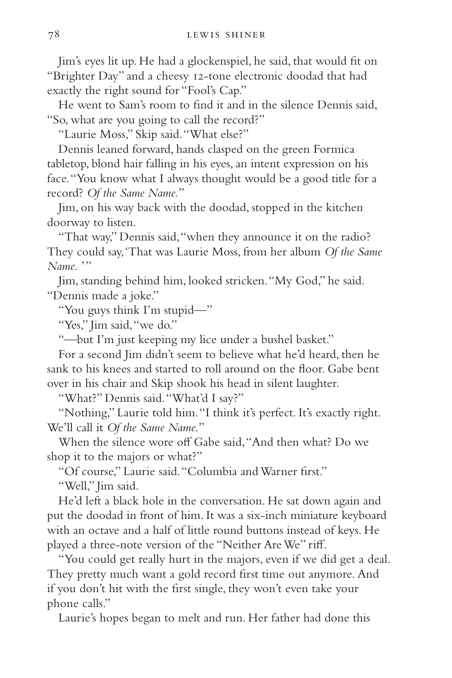Jim's eyes lit up. He had a glockenspiel, he said, that would fit on "Brighter Day" and a cheesy 12-tone electronic doodad that had exactly the right sound for "Fool's Cap."

He went to Sam's room to find it and in the silence Dennis said, "So, what are you going to call the record?"

"Laurie Moss," Skip said. "What else?"

Dennis leaned forward, hands clasped on the green Formica tabletop, blond hair falling in his eyes, an intent expression on his face. "You know what I always thought would be a good title for a record? *Of the Same Name.*"

Jim, on his way back with the doodad, stopped in the kitchen doorway to listen.

"That way," Dennis said, "when they announce it on the radio? They could say, 'That was Laurie Moss, from her album *Of the Same Name.* "

Jim, standing behind him, looked stricken. "My God," he said. "Dennis made a joke."

"You guys think I'm stupid—"

"Yes," Jim said, "we do."

"—but I'm just keeping my lice under a bushel basket."

For a second Jim didn't seem to believe what he'd heard, then he sank to his knees and started to roll around on the floor. Gabe bent over in his chair and Skip shook his head in silent laughter.

"What?" Dennis said. "What'd I say?"

"Nothing," Laurie told him. "I think it's perfect. It's exactly right. We'll call it *Of the Same Name.*"

When the silence wore off Gabe said, "And then what? Do we shop it to the majors or what?"

"Of course," Laurie said. "Columbia and Warner first." "Well," Jim said.

He'd left a black hole in the conversation. He sat down again and put the doodad in front of him. It was a six-inch miniature keyboard with an octave and a half of little round buttons instead of keys. He played a three-note version of the "Neither Are We" riff.

"You could get really hurt in the majors, even if we did get a deal. They pretty much want a gold record first time out anymore. And if you don't hit with the first single, they won't even take your phone calls."

Laurie's hopes began to melt and run. Her father had done this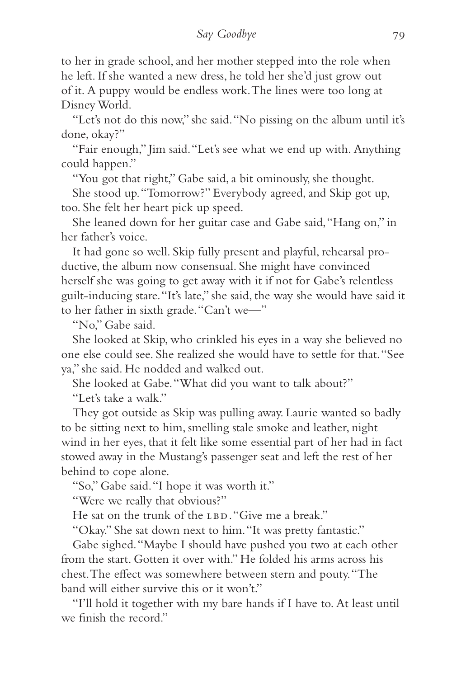to her in grade school, and her mother stepped into the role when he left. If she wanted a new dress, he told her she'd just grow out of it. A puppy would be endless work. The lines were too long at Disney World.

"Let's not do this now," she said. "No pissing on the album until it's done, okay?"

"Fair enough," Jim said. "Let's see what we end up with. Anything could happen."

"You got that right," Gabe said, a bit ominously, she thought.

She stood up. "Tomorrow?" Everybody agreed, and Skip got up, too. She felt her heart pick up speed.

She leaned down for her guitar case and Gabe said, "Hang on," in her father's voice.

It had gone so well. Skip fully present and playful, rehearsal productive, the album now consensual. She might have convinced herself she was going to get away with it if not for Gabe's relentless guilt-inducing stare. "It's late," she said, the way she would have said it to her father in sixth grade. "Can't we—"

"No," Gabe said.

She looked at Skip, who crinkled his eyes in a way she believed no one else could see. She realized she would have to settle for that. "See ya," she said. He nodded and walked out.

She looked at Gabe. "What did you want to talk about?" "Let's take a walk."

They got outside as Skip was pulling away. Laurie wanted so badly to be sitting next to him, smelling stale smoke and leather, night wind in her eyes, that it felt like some essential part of her had in fact stowed away in the Mustang's passenger seat and left the rest of her behind to cope alone.

"So," Gabe said. "I hope it was worth it."

"Were we really that obvious?"

He sat on the trunk of the LBD. "Give me a break."

"Okay." She sat down next to him. "It was pretty fantastic."

Gabe sighed. "Maybe I should have pushed you two at each other from the start. Gotten it over with." He folded his arms across his chest. The effect was somewhere between stern and pouty. "The band will either survive this or it won't."

"I'll hold it together with my bare hands if I have to. At least until we finish the record."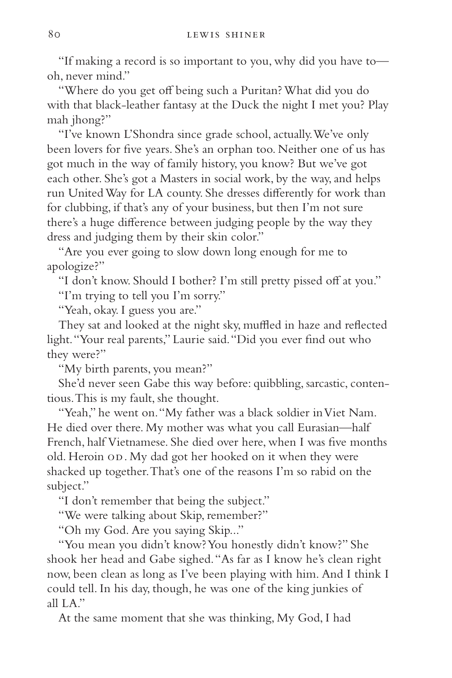"If making a record is so important to you, why did you have to oh, never mind."

"Where do you get off being such a Puritan? What did you do with that black-leather fantasy at the Duck the night I met you? Play mah jhong?"

"I've known L'Shondra since grade school, actually. We've only been lovers for five years. She's an orphan too. Neither one of us has got much in the way of family history, you know? But we've got each other. She's got a Masters in social work, by the way, and helps run United Way for LA county. She dresses differently for work than for clubbing, if that's any of your business, but then I'm not sure there's a huge difference between judging people by the way they dress and judging them by their skin color."

"Are you ever going to slow down long enough for me to apologize?"

"I don't know. Should I bother? I'm still pretty pissed off at you."

"I'm trying to tell you I'm sorry."

"Yeah, okay. I guess you are."

They sat and looked at the night sky, muffled in haze and reflected light. "Your real parents," Laurie said. "Did you ever find out who they were?"

"My birth parents, you mean?"

She'd never seen Gabe this way before: quibbling, sarcastic, contentious. This is my fault, she thought.

"Yeah," he went on. "My father was a black soldier in Viet Nam. He died over there. My mother was what you call Eurasian—half French, half Vietnamese. She died over here, when I was five months old. Heroin OD. My dad got her hooked on it when they were shacked up together. That's one of the reasons I'm so rabid on the subject."

"I don't remember that being the subject."

"We were talking about Skip, remember?"

"Oh my God. Are you saying Skip..."

"You mean you didn't know? You honestly didn't know?" She shook her head and Gabe sighed. "As far as I know he's clean right now, been clean as long as I've been playing with him. And I think I could tell. In his day, though, he was one of the king junkies of all LA."

At the same moment that she was thinking, My God, I had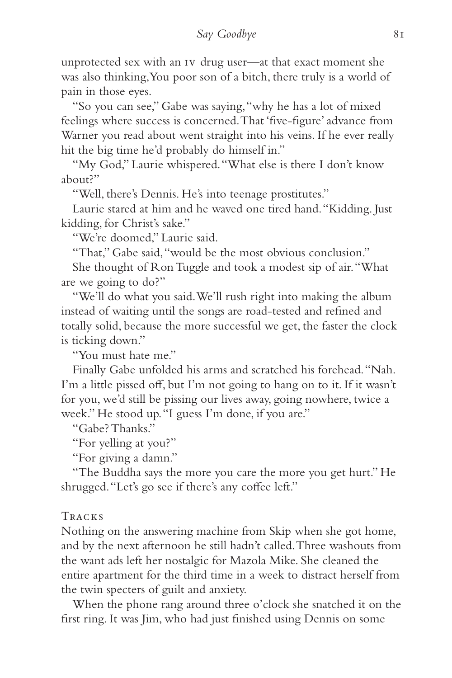unprotected sex with an iv drug user—at that exact moment she was also thinking, You poor son of a bitch, there truly is a world of pain in those eyes.

"So you can see," Gabe was saying, "why he has a lot of mixed feelings where success is concerned. That 'five-figure' advance from Warner you read about went straight into his veins. If he ever really hit the big time he'd probably do himself in."

"My God," Laurie whispered. "What else is there I don't know about?"

"Well, there's Dennis. He's into teenage prostitutes."

Laurie stared at him and he waved one tired hand. "Kidding. Just kidding, for Christ's sake."

"We're doomed," Laurie said.

"That," Gabe said, "would be the most obvious conclusion."

She thought of Ron Tuggle and took a modest sip of air. "What are we going to do?"

"We'll do what you said. We'll rush right into making the album instead of waiting until the songs are road-tested and refined and totally solid, because the more successful we get, the faster the clock is ticking down."

"You must hate me."

Finally Gabe unfolded his arms and scratched his forehead. "Nah. I'm a little pissed off, but I'm not going to hang on to it. If it wasn't for you, we'd still be pissing our lives away, going nowhere, twice a week." He stood up. "I guess I'm done, if you are."

"Gabe? Thanks."

"For yelling at you?"

"For giving a damn."

"The Buddha says the more you care the more you get hurt." He shrugged. "Let's go see if there's any coffee left."

# TRACKS

Nothing on the answering machine from Skip when she got home, and by the next afternoon he still hadn't called. Three washouts from the want ads left her nostalgic for Mazola Mike. She cleaned the entire apartment for the third time in a week to distract herself from the twin specters of guilt and anxiety.

When the phone rang around three o'clock she snatched it on the first ring. It was Jim, who had just finished using Dennis on some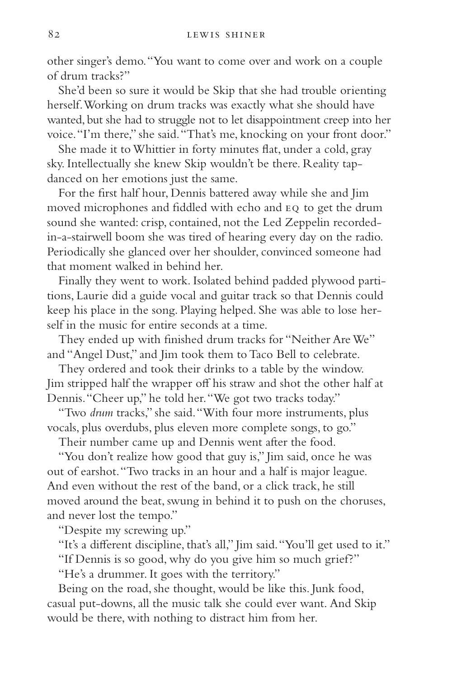other singer's demo. "You want to come over and work on a couple of drum tracks?"

She'd been so sure it would be Skip that she had trouble orienting herself. Working on drum tracks was exactly what she should have wanted, but she had to struggle not to let disappointment creep into her voice. "I'm there," she said. "That's me, knocking on your front door."

She made it to Whittier in forty minutes flat, under a cold, gray sky. Intellectually she knew Skip wouldn't be there. Reality tapdanced on her emotions just the same.

For the first half hour, Dennis battered away while she and Jim moved microphones and fiddled with echo and eq to get the drum sound she wanted: crisp, contained, not the Led Zeppelin recordedin-a-stairwell boom she was tired of hearing every day on the radio. Periodically she glanced over her shoulder, convinced someone had that moment walked in behind her.

Finally they went to work. Isolated behind padded plywood partitions, Laurie did a guide vocal and guitar track so that Dennis could keep his place in the song. Playing helped. She was able to lose herself in the music for entire seconds at a time.

They ended up with finished drum tracks for "Neither Are We" and "Angel Dust," and Jim took them to Taco Bell to celebrate.

They ordered and took their drinks to a table by the window. Jim stripped half the wrapper off his straw and shot the other half at Dennis. "Cheer up," he told her. "We got two tracks today."

"Two *drum* tracks," she said. "With four more instruments, plus vocals, plus overdubs, plus eleven more complete songs, to go."

Their number came up and Dennis went after the food.

"You don't realize how good that guy is," Jim said, once he was out of earshot. "Two tracks in an hour and a half is major league. And even without the rest of the band, or a click track, he still moved around the beat, swung in behind it to push on the choruses, and never lost the tempo."

"Despite my screwing up."

"It's a different discipline, that's all," Jim said. "You'll get used to it."

"If Dennis is so good, why do you give him so much grief?" "He's a drummer. It goes with the territory."

Being on the road, she thought, would be like this. Junk food, casual put-downs, all the music talk she could ever want. And Skip would be there, with nothing to distract him from her.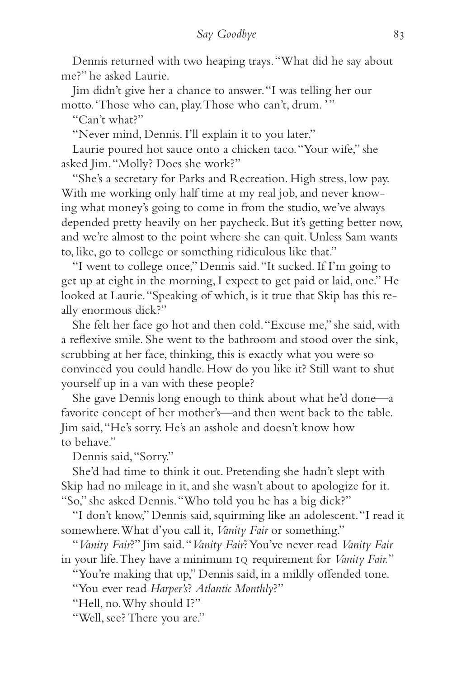Dennis returned with two heaping trays. "What did he say about me?" he asked Laurie.

Jim didn't give her a chance to answer. "I was telling her our motto. 'Those who can, play. Those who can't, drum. '"

"Can't what?"

"Never mind, Dennis. I'll explain it to you later."

Laurie poured hot sauce onto a chicken taco. "Your wife," she asked Jim. "Molly? Does she work?"

"She's a secretary for Parks and Recreation. High stress, low pay. With me working only half time at my real job, and never knowing what money's going to come in from the studio, we've always depended pretty heavily on her paycheck. But it's getting better now, and we're almost to the point where she can quit. Unless Sam wants to, like, go to college or something ridiculous like that."

"I went to college once," Dennis said. "It sucked. If I'm going to get up at eight in the morning, I expect to get paid or laid, one." He looked at Laurie. "Speaking of which, is it true that Skip has this really enormous dick?"

She felt her face go hot and then cold. "Excuse me," she said, with a reflexive smile. She went to the bathroom and stood over the sink, scrubbing at her face, thinking, this is exactly what you were so convinced you could handle. How do you like it? Still want to shut yourself up in a van with these people?

She gave Dennis long enough to think about what he'd done—a favorite concept of her mother's—and then went back to the table. Jim said, "He's sorry. He's an asshole and doesn't know how to behave."

Dennis said, "Sorry."

She'd had time to think it out. Pretending she hadn't slept with Skip had no mileage in it, and she wasn't about to apologize for it. "So," she asked Dennis. "Who told you he has a big dick?"

"I don't know," Dennis said, squirming like an adolescent. "I read it somewhere. What d'you call it, *Vanity Fair* or something."

"*Vanity Fair*?" Jim said. "*Vanity Fair*? You've never read *Vanity Fair* in your life. They have a minimum iq requirement for *Vanity Fair.*"

"You're making that up," Dennis said, in a mildly offended tone.

"You ever read *Harper's*? *Atlantic Monthly*?"

"Hell, no. Why should I?"

"Well, see? There you are."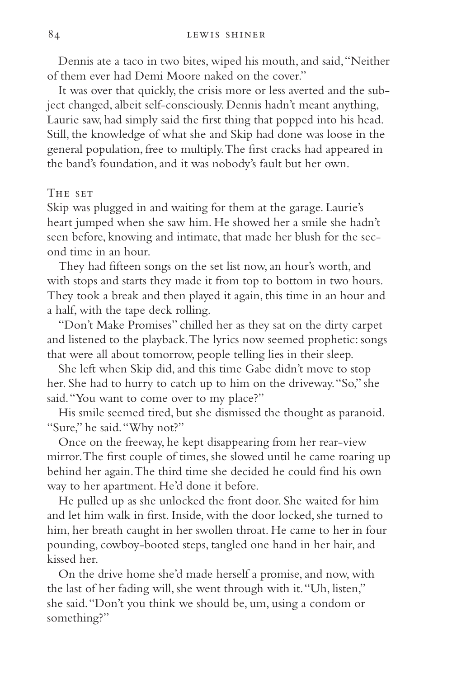Dennis ate a taco in two bites, wiped his mouth, and said, "Neither of them ever had Demi Moore naked on the cover."

It was over that quickly, the crisis more or less averted and the subject changed, albeit self-consciously. Dennis hadn't meant anything, Laurie saw, had simply said the first thing that popped into his head. Still, the knowledge of what she and Skip had done was loose in the general population, free to multiply. The first cracks had appeared in the band's foundation, and it was nobody's fault but her own.

## The set

Skip was plugged in and waiting for them at the garage. Laurie's heart jumped when she saw him. He showed her a smile she hadn't seen before, knowing and intimate, that made her blush for the second time in an hour.

They had fifteen songs on the set list now, an hour's worth, and with stops and starts they made it from top to bottom in two hours. They took a break and then played it again, this time in an hour and a half, with the tape deck rolling.

"Don't Make Promises" chilled her as they sat on the dirty carpet and listened to the playback. The lyrics now seemed prophetic: songs that were all about tomorrow, people telling lies in their sleep.

She left when Skip did, and this time Gabe didn't move to stop her. She had to hurry to catch up to him on the driveway. "So," she said. "You want to come over to my place?"

His smile seemed tired, but she dismissed the thought as paranoid. "Sure," he said. "Why not?"

Once on the freeway, he kept disappearing from her rear-view mirror. The first couple of times, she slowed until he came roaring up behind her again. The third time she decided he could find his own way to her apartment. He'd done it before.

He pulled up as she unlocked the front door. She waited for him and let him walk in first. Inside, with the door locked, she turned to him, her breath caught in her swollen throat. He came to her in four pounding, cowboy-booted steps, tangled one hand in her hair, and kissed her.

On the drive home she'd made herself a promise, and now, with the last of her fading will, she went through with it. "Uh, listen," she said. "Don't you think we should be, um, using a condom or something?"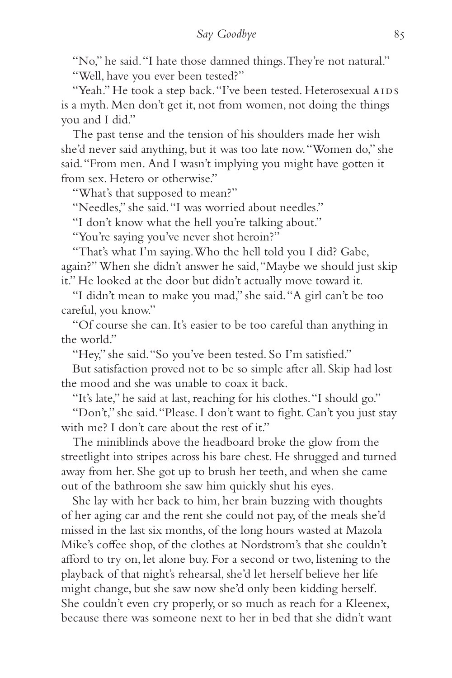"No," he said. "I hate those damned things. They're not natural."

"Well, have you ever been tested?"

"Yeah." He took a step back. "I've been tested. Heterosexual AIDS is a myth. Men don't get it, not from women, not doing the things you and I did."

The past tense and the tension of his shoulders made her wish she'd never said anything, but it was too late now. "Women do," she said. "From men. And I wasn't implying you might have gotten it from sex. Hetero or otherwise."

"What's that supposed to mean?"

"Needles," she said. "I was worried about needles."

"I don't know what the hell you're talking about."

"You're saying you've never shot heroin?"

"That's what I'm saying. Who the hell told you I did? Gabe, again?" When she didn't answer he said, "Maybe we should just skip it." He looked at the door but didn't actually move toward it.

"I didn't mean to make you mad," she said. "A girl can't be too careful, you know."

"Of course she can. It's easier to be too careful than anything in the world."

"Hey," she said. "So you've been tested. So I'm satisfied."

But satisfaction proved not to be so simple after all. Skip had lost the mood and she was unable to coax it back.

"It's late," he said at last, reaching for his clothes. "I should go."

"Don't," she said. "Please. I don't want to fight. Can't you just stay with me? I don't care about the rest of it."

The miniblinds above the headboard broke the glow from the streetlight into stripes across his bare chest. He shrugged and turned away from her. She got up to brush her teeth, and when she came out of the bathroom she saw him quickly shut his eyes.

She lay with her back to him, her brain buzzing with thoughts of her aging car and the rent she could not pay, of the meals she'd missed in the last six months, of the long hours wasted at Mazola Mike's coffee shop, of the clothes at Nordstrom's that she couldn't afford to try on, let alone buy. For a second or two, listening to the playback of that night's rehearsal, she'd let herself believe her life might change, but she saw now she'd only been kidding herself. She couldn't even cry properly, or so much as reach for a Kleenex, because there was someone next to her in bed that she didn't want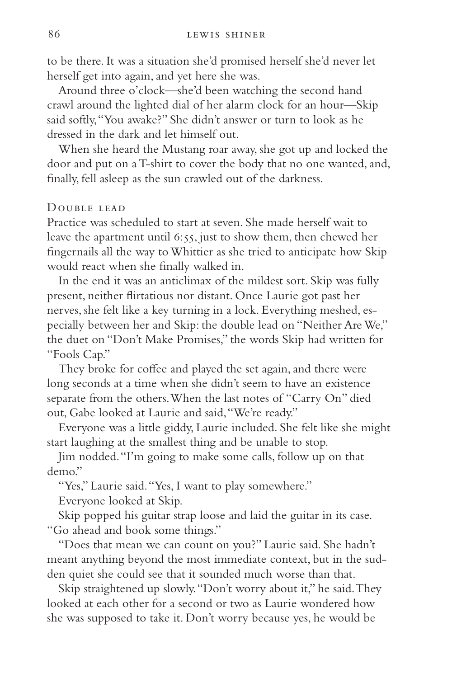to be there. It was a situation she'd promised herself she'd never let herself get into again, and yet here she was.

Around three o'clock—she'd been watching the second hand crawl around the lighted dial of her alarm clock for an hour—Skip said softly, "You awake?" She didn't answer or turn to look as he dressed in the dark and let himself out.

When she heard the Mustang roar away, she got up and locked the door and put on a T-shirt to cover the body that no one wanted, and, finally, fell asleep as the sun crawled out of the darkness.

Double lead

Practice was scheduled to start at seven. She made herself wait to leave the apartment until 6:55, just to show them, then chewed her fingernails all the way to Whittier as she tried to anticipate how Skip would react when she finally walked in.

In the end it was an anticlimax of the mildest sort. Skip was fully present, neither flirtatious nor distant. Once Laurie got past her nerves, she felt like a key turning in a lock. Everything meshed, especially between her and Skip: the double lead on "Neither Are We," the duet on "Don't Make Promises," the words Skip had written for "Fools Cap."

They broke for coffee and played the set again, and there were long seconds at a time when she didn't seem to have an existence separate from the others. When the last notes of "Carry On" died out, Gabe looked at Laurie and said, "We're ready."

Everyone was a little giddy, Laurie included. She felt like she might start laughing at the smallest thing and be unable to stop.

Jim nodded. "I'm going to make some calls, follow up on that demo."

"Yes," Laurie said. "Yes, I want to play somewhere."

Everyone looked at Skip.

Skip popped his guitar strap loose and laid the guitar in its case. "Go ahead and book some things."

"Does that mean we can count on you?" Laurie said. She hadn't meant anything beyond the most immediate context, but in the sudden quiet she could see that it sounded much worse than that.

Skip straightened up slowly. "Don't worry about it," he said. They looked at each other for a second or two as Laurie wondered how she was supposed to take it. Don't worry because yes, he would be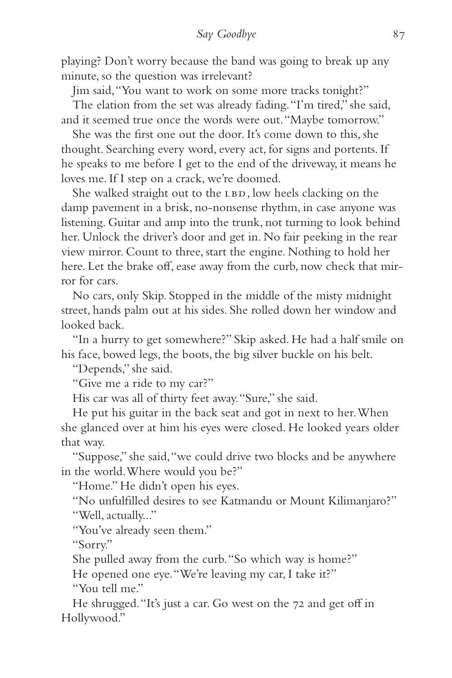playing? Don't worry because the band was going to break up any minute, so the question was irrelevant?

Jim said, "You want to work on some more tracks tonight?"

The elation from the set was already fading. "I'm tired," she said, and it seemed true once the words were out. "Maybe tomorrow."

She was the first one out the door. It's come down to this, she thought. Searching every word, every act, for signs and portents. If he speaks to me before I get to the end of the driveway, it means he loves me. If I step on a crack, we're doomed.

She walked straight out to the LBD, low heels clacking on the damp pavement in a brisk, no-nonsense rhythm, in case anyone was listening. Guitar and amp into the trunk, not turning to look behind her. Unlock the driver's door and get in. No fair peeking in the rear view mirror. Count to three, start the engine. Nothing to hold her here. Let the brake off, ease away from the curb, now check that mirror for cars.

No cars, only Skip. Stopped in the middle of the misty midnight street, hands palm out at his sides. She rolled down her window and looked back.

"In a hurry to get somewhere?" Skip asked. He had a half smile on his face, bowed legs, the boots, the big silver buckle on his belt.

"Depends," she said.

"Give me a ride to my car?"

His car was all of thirty feet away. "Sure," she said.

He put his guitar in the back seat and got in next to her. When she glanced over at him his eyes were closed. He looked years older that way.

"Suppose," she said, "we could drive two blocks and be anywhere in the world. Where would you be?"

"Home." He didn't open his eyes.

"No unfulfilled desires to see Katmandu or Mount Kilimanjaro?" "Well, actually..."

"You've already seen them."

"Sorry."

She pulled away from the curb. "So which way is home?"

He opened one eye. "We're leaving my car, I take it?"

"You tell me."

He shrugged. "It's just a car. Go west on the 72 and get off in Hollywood."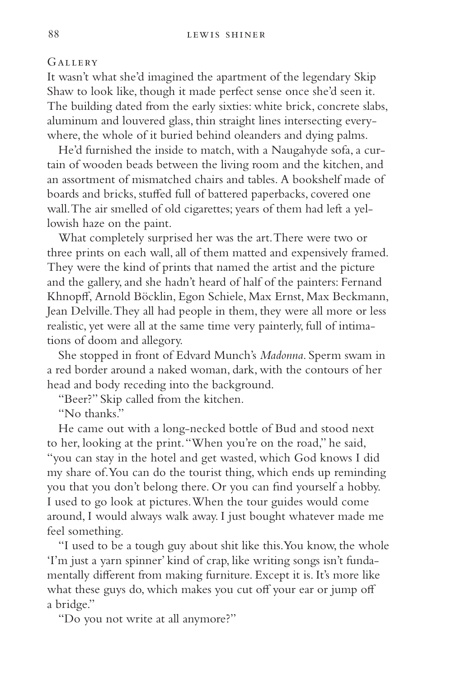#### Gallery

It wasn't what she'd imagined the apartment of the legendary Skip Shaw to look like, though it made perfect sense once she'd seen it. The building dated from the early sixties: white brick, concrete slabs, aluminum and louvered glass, thin straight lines intersecting everywhere, the whole of it buried behind oleanders and dying palms.

He'd furnished the inside to match, with a Naugahyde sofa, a curtain of wooden beads between the living room and the kitchen, and an assortment of mismatched chairs and tables. A bookshelf made of boards and bricks, stuffed full of battered paperbacks, covered one wall. The air smelled of old cigarettes; years of them had left a yellowish haze on the paint.

What completely surprised her was the art. There were two or three prints on each wall, all of them matted and expensively framed. They were the kind of prints that named the artist and the picture and the gallery, and she hadn't heard of half of the painters: Fernand Khnopff, Arnold Böcklin, Egon Schiele, Max Ernst, Max Beckmann, Jean Delville. They all had people in them, they were all more or less realistic, yet were all at the same time very painterly, full of intimations of doom and allegory.

She stopped in front of Edvard Munch's *Madonna*. Sperm swam in a red border around a naked woman, dark, with the contours of her head and body receding into the background.

"Beer?" Skip called from the kitchen.

"No thanks."

He came out with a long-necked bottle of Bud and stood next to her, looking at the print. "When you're on the road," he said, "you can stay in the hotel and get wasted, which God knows I did my share of. You can do the tourist thing, which ends up reminding you that you don't belong there. Or you can find yourself a hobby. I used to go look at pictures. When the tour guides would come around, I would always walk away. I just bought whatever made me feel something.

"I used to be a tough guy about shit like this. You know, the whole 'I'm just a yarn spinner' kind of crap, like writing songs isn't fundamentally different from making furniture. Except it is. It's more like what these guys do, which makes you cut off your ear or jump off a bridge."

"Do you not write at all anymore?"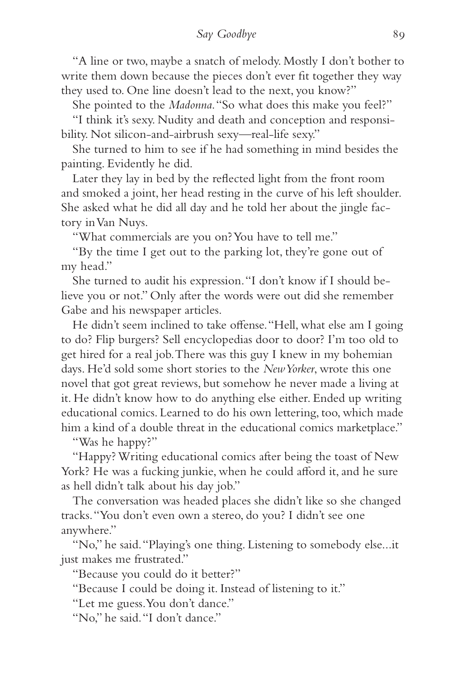"A line or two, maybe a snatch of melody. Mostly I don't bother to write them down because the pieces don't ever fit together they way they used to. One line doesn't lead to the next, you know?"

She pointed to the *Madonna*. "So what does this make you feel?"

"I think it's sexy. Nudity and death and conception and responsibility. Not silicon-and-airbrush sexy—real-life sexy."

She turned to him to see if he had something in mind besides the painting. Evidently he did.

Later they lay in bed by the reflected light from the front room and smoked a joint, her head resting in the curve of his left shoulder. She asked what he did all day and he told her about the jingle factory in Van Nuys.

"What commercials are you on? You have to tell me."

"By the time I get out to the parking lot, they're gone out of my head."

She turned to audit his expression. "I don't know if I should believe you or not." Only after the words were out did she remember Gabe and his newspaper articles.

He didn't seem inclined to take offense. "Hell, what else am I going to do? Flip burgers? Sell encyclopedias door to door? I'm too old to get hired for a real job. There was this guy I knew in my bohemian days. He'd sold some short stories to the *New Yorker*, wrote this one novel that got great reviews, but somehow he never made a living at it. He didn't know how to do anything else either. Ended up writing educational comics. Learned to do his own lettering, too, which made him a kind of a double threat in the educational comics marketplace."

"Was he happy?"

"Happy? Writing educational comics after being the toast of New York? He was a fucking junkie, when he could afford it, and he sure as hell didn't talk about his day job."

The conversation was headed places she didn't like so she changed tracks. "You don't even own a stereo, do you? I didn't see one anywhere."

"No," he said. "Playing's one thing. Listening to somebody else...it just makes me frustrated."

"Because you could do it better?"

"Because I could be doing it. Instead of listening to it."

"Let me guess. You don't dance."

"No," he said. "I don't dance."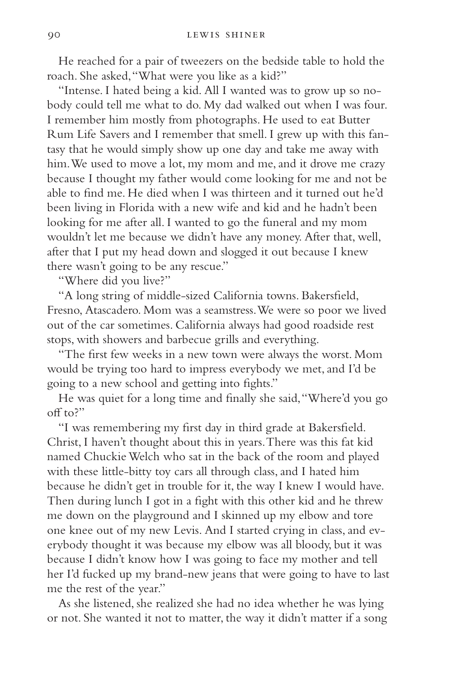He reached for a pair of tweezers on the bedside table to hold the roach. She asked, "What were you like as a kid?"

"Intense. I hated being a kid. All I wanted was to grow up so nobody could tell me what to do. My dad walked out when I was four. I remember him mostly from photographs. He used to eat Butter Rum Life Savers and I remember that smell. I grew up with this fantasy that he would simply show up one day and take me away with him. We used to move a lot, my mom and me, and it drove me crazy because I thought my father would come looking for me and not be able to find me. He died when I was thirteen and it turned out he'd been living in Florida with a new wife and kid and he hadn't been looking for me after all. I wanted to go the funeral and my mom wouldn't let me because we didn't have any money. After that, well, after that I put my head down and slogged it out because I knew there wasn't going to be any rescue."

"Where did you live?"

"A long string of middle-sized California towns. Bakersfield, Fresno, Atascadero. Mom was a seamstress. We were so poor we lived out of the car sometimes. California always had good roadside rest stops, with showers and barbecue grills and everything.

"The first few weeks in a new town were always the worst. Mom would be trying too hard to impress everybody we met, and I'd be going to a new school and getting into fights."

He was quiet for a long time and finally she said, "Where'd you go off to?"

"I was remembering my first day in third grade at Bakersfield. Christ, I haven't thought about this in years. There was this fat kid named Chuckie Welch who sat in the back of the room and played with these little-bitty toy cars all through class, and I hated him because he didn't get in trouble for it, the way I knew I would have. Then during lunch I got in a fight with this other kid and he threw me down on the playground and I skinned up my elbow and tore one knee out of my new Levis. And I started crying in class, and everybody thought it was because my elbow was all bloody, but it was because I didn't know how I was going to face my mother and tell her I'd fucked up my brand-new jeans that were going to have to last me the rest of the year."

As she listened, she realized she had no idea whether he was lying or not. She wanted it not to matter, the way it didn't matter if a song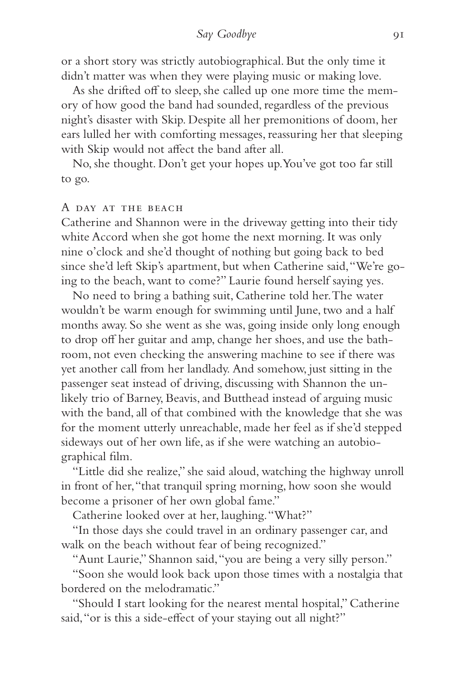#### *Say Goodbye* 91

or a short story was strictly autobiographical. But the only time it didn't matter was when they were playing music or making love.

As she drifted off to sleep, she called up one more time the memory of how good the band had sounded, regardless of the previous night's disaster with Skip. Despite all her premonitions of doom, her ears lulled her with comforting messages, reassuring her that sleeping with Skip would not affect the band after all.

No, she thought. Don't get your hopes up. You've got too far still to go.

## A day at the beach

Catherine and Shannon were in the driveway getting into their tidy white Accord when she got home the next morning. It was only nine o'clock and she'd thought of nothing but going back to bed since she'd left Skip's apartment, but when Catherine said, "We're going to the beach, want to come?" Laurie found herself saying yes.

No need to bring a bathing suit, Catherine told her. The water wouldn't be warm enough for swimming until June, two and a half months away. So she went as she was, going inside only long enough to drop off her guitar and amp, change her shoes, and use the bathroom, not even checking the answering machine to see if there was yet another call from her landlady. And somehow, just sitting in the passenger seat instead of driving, discussing with Shannon the unlikely trio of Barney, Beavis, and Butthead instead of arguing music with the band, all of that combined with the knowledge that she was for the moment utterly unreachable, made her feel as if she'd stepped sideways out of her own life, as if she were watching an autobiographical film.

"Little did she realize," she said aloud, watching the highway unroll in front of her, "that tranquil spring morning, how soon she would become a prisoner of her own global fame."

Catherine looked over at her, laughing. "What?"

"In those days she could travel in an ordinary passenger car, and walk on the beach without fear of being recognized."

"Aunt Laurie," Shannon said, "you are being a very silly person."

"Soon she would look back upon those times with a nostalgia that bordered on the melodramatic."

"Should I start looking for the nearest mental hospital," Catherine said, "or is this a side-effect of your staying out all night?"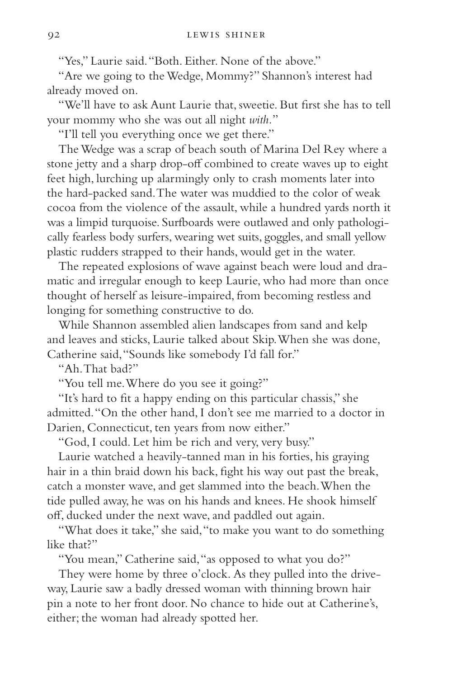"Yes," Laurie said. "Both. Either. None of the above."

"Are we going to the Wedge, Mommy?" Shannon's interest had already moved on.

"We'll have to ask Aunt Laurie that, sweetie. But first she has to tell your mommy who she was out all night *with.*"

"I'll tell you everything once we get there."

The Wedge was a scrap of beach south of Marina Del Rey where a stone jetty and a sharp drop-off combined to create waves up to eight feet high, lurching up alarmingly only to crash moments later into the hard-packed sand. The water was muddied to the color of weak cocoa from the violence of the assault, while a hundred yards north it was a limpid turquoise. Surfboards were outlawed and only pathologically fearless body surfers, wearing wet suits, goggles, and small yellow plastic rudders strapped to their hands, would get in the water.

The repeated explosions of wave against beach were loud and dramatic and irregular enough to keep Laurie, who had more than once thought of herself as leisure-impaired, from becoming restless and longing for something constructive to do.

While Shannon assembled alien landscapes from sand and kelp and leaves and sticks, Laurie talked about Skip. When she was done, Catherine said, "Sounds like somebody I'd fall for."

"Ah. That bad?"

"You tell me. Where do you see it going?"

"It's hard to fit a happy ending on this particular chassis," she admitted. "On the other hand, I don't see me married to a doctor in Darien, Connecticut, ten years from now either."

"God, I could. Let him be rich and very, very busy."

Laurie watched a heavily-tanned man in his forties, his graying hair in a thin braid down his back, fight his way out past the break, catch a monster wave, and get slammed into the beach. When the tide pulled away, he was on his hands and knees. He shook himself off, ducked under the next wave, and paddled out again.

"What does it take," she said, "to make you want to do something like that?"

"You mean," Catherine said, "as opposed to what you do?"

They were home by three o'clock. As they pulled into the driveway, Laurie saw a badly dressed woman with thinning brown hair pin a note to her front door. No chance to hide out at Catherine's, either; the woman had already spotted her.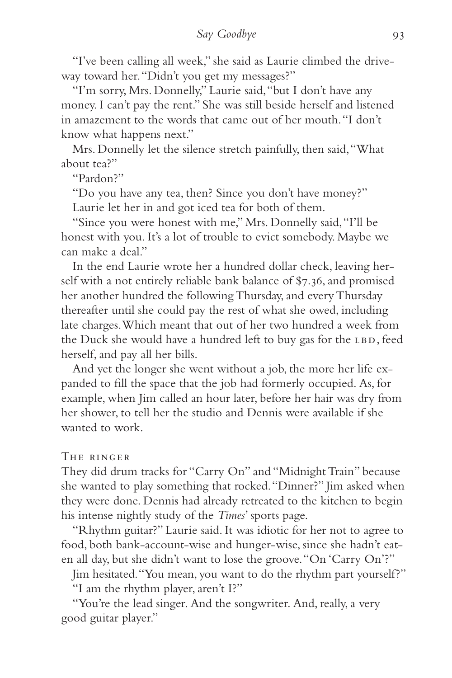"I've been calling all week," she said as Laurie climbed the driveway toward her. "Didn't you get my messages?"

"I'm sorry, Mrs. Donnelly," Laurie said, "but I don't have any money. I can't pay the rent." She was still beside herself and listened in amazement to the words that came out of her mouth. "I don't know what happens next."

Mrs. Donnelly let the silence stretch painfully, then said, "What about tea?"

"Pardon?"

"Do you have any tea, then? Since you don't have money?"

Laurie let her in and got iced tea for both of them.

"Since you were honest with me," Mrs. Donnelly said, "I'll be honest with you. It's a lot of trouble to evict somebody. Maybe we can make a deal."

In the end Laurie wrote her a hundred dollar check, leaving herself with a not entirely reliable bank balance of \$7.36, and promised her another hundred the following Thursday, and every Thursday thereafter until she could pay the rest of what she owed, including late charges. Which meant that out of her two hundred a week from the Duck she would have a hundred left to buy gas for the  $LBD$ , feed herself, and pay all her bills.

And yet the longer she went without a job, the more her life expanded to fill the space that the job had formerly occupied. As, for example, when Jim called an hour later, before her hair was dry from her shower, to tell her the studio and Dennis were available if she wanted to work.

## The ringer

They did drum tracks for "Carry On" and "Midnight Train" because she wanted to play something that rocked. "Dinner?" Jim asked when they were done. Dennis had already retreated to the kitchen to begin his intense nightly study of the *Times*' sports page.

"Rhythm guitar?" Laurie said. It was idiotic for her not to agree to food, both bank-account-wise and hunger-wise, since she hadn't eaten all day, but she didn't want to lose the groove. "On 'Carry On'?"

Jim hesitated. "You mean, you want to do the rhythm part yourself?"

"I am the rhythm player, aren't I?"

"You're the lead singer. And the songwriter. And, really, a very good guitar player."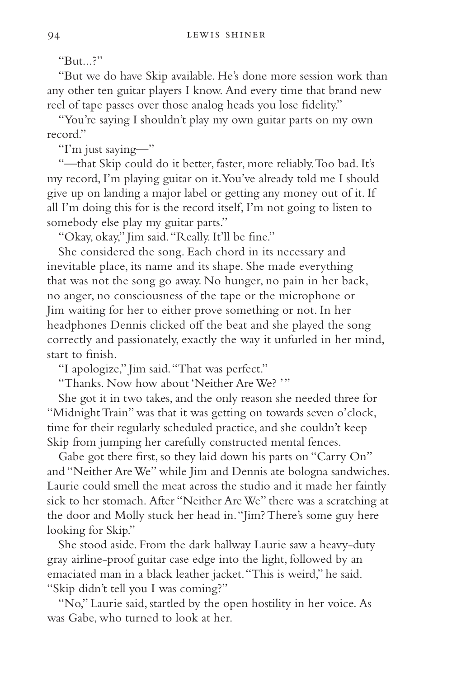"But...?"

"But we do have Skip available. He's done more session work than any other ten guitar players I know. And every time that brand new reel of tape passes over those analog heads you lose fidelity."

"You're saying I shouldn't play my own guitar parts on my own record."

"I'm just saying—"

"—that Skip could do it better, faster, more reliably. Too bad. It's my record, I'm playing guitar on it. You've already told me I should give up on landing a major label or getting any money out of it. If all I'm doing this for is the record itself, I'm not going to listen to somebody else play my guitar parts."

"Okay, okay," Jim said. "Really. It'll be fine."

She considered the song. Each chord in its necessary and inevitable place, its name and its shape. She made everything that was not the song go away. No hunger, no pain in her back, no anger, no consciousness of the tape or the microphone or Jim waiting for her to either prove something or not. In her headphones Dennis clicked off the beat and she played the song correctly and passionately, exactly the way it unfurled in her mind, start to finish.

"I apologize," Jim said. "That was perfect."

"Thanks. Now how about 'Neither Are We? '"

She got it in two takes, and the only reason she needed three for "Midnight Train" was that it was getting on towards seven o'clock, time for their regularly scheduled practice, and she couldn't keep Skip from jumping her carefully constructed mental fences.

Gabe got there first, so they laid down his parts on "Carry On" and "Neither Are We" while Jim and Dennis ate bologna sandwiches. Laurie could smell the meat across the studio and it made her faintly sick to her stomach. After "Neither Are We" there was a scratching at the door and Molly stuck her head in. "Jim? There's some guy here looking for Skip."

She stood aside. From the dark hallway Laurie saw a heavy-duty gray airline-proof guitar case edge into the light, followed by an emaciated man in a black leather jacket. "This is weird," he said. "Skip didn't tell you I was coming?"

"No," Laurie said, startled by the open hostility in her voice. As was Gabe, who turned to look at her.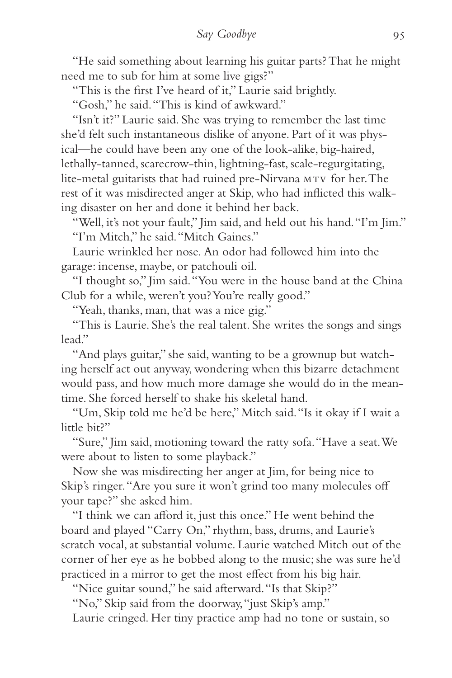"He said something about learning his guitar parts? That he might need me to sub for him at some live gigs?"

"This is the first I've heard of it," Laurie said brightly.

"Gosh," he said. "This is kind of awkward."

"Isn't it?" Laurie said. She was trying to remember the last time she'd felt such instantaneous dislike of anyone. Part of it was physical—he could have been any one of the look-alike, big-haired, lethally-tanned, scarecrow-thin, lightning-fast, scale-regurgitating, lite-metal guitarists that had ruined pre-Nirvana  $MTV$  for her. The rest of it was misdirected anger at Skip, who had inflicted this walking disaster on her and done it behind her back.

"Well, it's not your fault," Jim said, and held out his hand. "I'm Jim." "I'm Mitch," he said. "Mitch Gaines."

Laurie wrinkled her nose. An odor had followed him into the garage: incense, maybe, or patchouli oil.

"I thought so," Jim said. "You were in the house band at the China Club for a while, weren't you? You're really good."

"Yeah, thanks, man, that was a nice gig."

"This is Laurie. She's the real talent. She writes the songs and sings lead."

"And plays guitar," she said, wanting to be a grownup but watching herself act out anyway, wondering when this bizarre detachment would pass, and how much more damage she would do in the meantime. She forced herself to shake his skeletal hand.

"Um, Skip told me he'd be here," Mitch said. "Is it okay if I wait a little bit?"

"Sure," Jim said, motioning toward the ratty sofa. "Have a seat. We were about to listen to some playback."

Now she was misdirecting her anger at Jim, for being nice to Skip's ringer. "Are you sure it won't grind too many molecules off your tape?" she asked him.

"I think we can afford it, just this once." He went behind the board and played "Carry On," rhythm, bass, drums, and Laurie's scratch vocal, at substantial volume. Laurie watched Mitch out of the corner of her eye as he bobbed along to the music; she was sure he'd practiced in a mirror to get the most effect from his big hair.

"Nice guitar sound," he said afterward. "Is that Skip?"

"No," Skip said from the doorway, "just Skip's amp."

Laurie cringed. Her tiny practice amp had no tone or sustain, so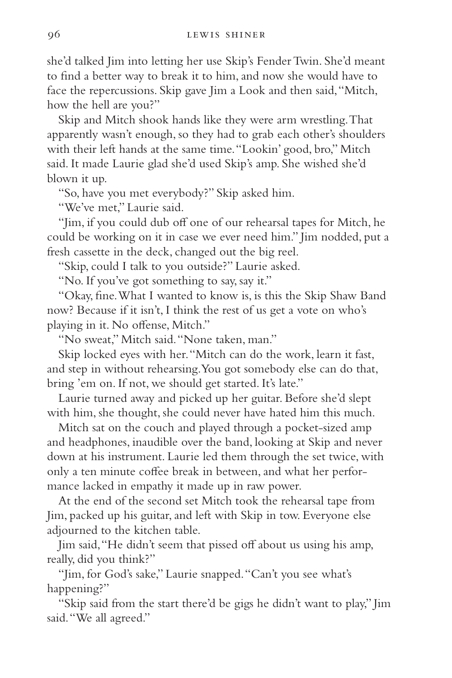she'd talked Jim into letting her use Skip's Fender Twin. She'd meant to find a better way to break it to him, and now she would have to face the repercussions. Skip gave Jim a Look and then said, "Mitch, how the hell are you?"

Skip and Mitch shook hands like they were arm wrestling. That apparently wasn't enough, so they had to grab each other's shoulders with their left hands at the same time. "Lookin' good, bro," Mitch said. It made Laurie glad she'd used Skip's amp. She wished she'd blown it up.

"So, have you met everybody?" Skip asked him.

"We've met," Laurie said.

"Jim, if you could dub off one of our rehearsal tapes for Mitch, he could be working on it in case we ever need him." Jim nodded, put a fresh cassette in the deck, changed out the big reel.

"Skip, could I talk to you outside?" Laurie asked.

"No. If you've got something to say, say it."

"Okay, fine. What I wanted to know is, is this the Skip Shaw Band now? Because if it isn't, I think the rest of us get a vote on who's playing in it. No offense, Mitch."

"No sweat," Mitch said. "None taken, man."

Skip locked eyes with her. "Mitch can do the work, learn it fast, and step in without rehearsing. You got somebody else can do that, bring 'em on. If not, we should get started. It's late."

Laurie turned away and picked up her guitar. Before she'd slept with him, she thought, she could never have hated him this much.

Mitch sat on the couch and played through a pocket-sized amp and headphones, inaudible over the band, looking at Skip and never down at his instrument. Laurie led them through the set twice, with only a ten minute coffee break in between, and what her performance lacked in empathy it made up in raw power.

At the end of the second set Mitch took the rehearsal tape from Jim, packed up his guitar, and left with Skip in tow. Everyone else adjourned to the kitchen table.

Jim said, "He didn't seem that pissed off about us using his amp, really, did you think?"

"Jim, for God's sake," Laurie snapped. "Can't you see what's happening?"

"Skip said from the start there'd be gigs he didn't want to play," Jim said. "We all agreed."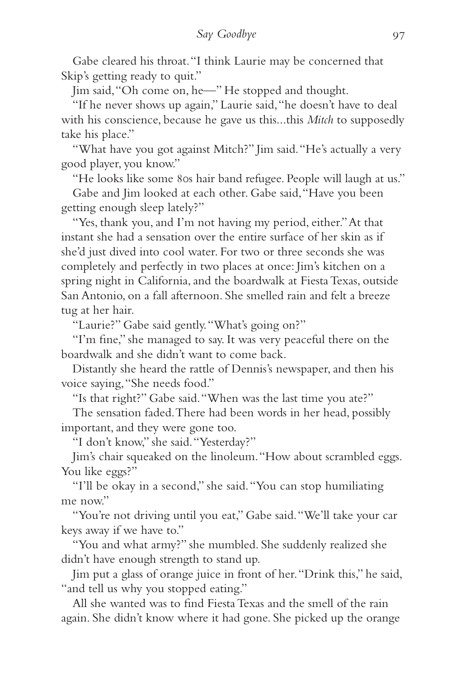Gabe cleared his throat. "I think Laurie may be concerned that Skip's getting ready to quit."

Jim said, "Oh come on, he—" He stopped and thought.

"If he never shows up again," Laurie said, "he doesn't have to deal with his conscience, because he gave us this...this *Mitch* to supposedly take his place."

"What have you got against Mitch?" Jim said. "He's actually a very good player, you know."

"He looks like some 80s hair band refugee. People will laugh at us." Gabe and Jim looked at each other. Gabe said, "Have you been getting enough sleep lately?"

"Yes, thank you, and I'm not having my period, either." At that instant she had a sensation over the entire surface of her skin as if she'd just dived into cool water. For two or three seconds she was completely and perfectly in two places at once: Jim's kitchen on a spring night in California, and the boardwalk at Fiesta Texas, outside San Antonio, on a fall afternoon. She smelled rain and felt a breeze tug at her hair.

"Laurie?" Gabe said gently. "What's going on?"

"I'm fine," she managed to say. It was very peaceful there on the boardwalk and she didn't want to come back.

Distantly she heard the rattle of Dennis's newspaper, and then his voice saying, "She needs food."

"Is that right?" Gabe said. "When was the last time you ate?"

The sensation faded. There had been words in her head, possibly important, and they were gone too.

"I don't know," she said. "Yesterday?"

Jim's chair squeaked on the linoleum. "How about scrambled eggs. You like eggs?"

"I'll be okay in a second," she said. "You can stop humiliating me now."

"You're not driving until you eat," Gabe said. "We'll take your car keys away if we have to."

"You and what army?" she mumbled. She suddenly realized she didn't have enough strength to stand up.

Jim put a glass of orange juice in front of her. "Drink this," he said, "and tell us why you stopped eating."

All she wanted was to find Fiesta Texas and the smell of the rain again. She didn't know where it had gone. She picked up the orange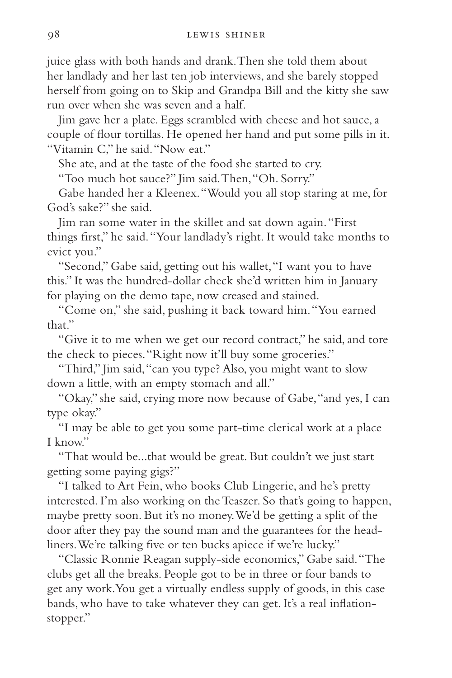juice glass with both hands and drank. Then she told them about her landlady and her last ten job interviews, and she barely stopped herself from going on to Skip and Grandpa Bill and the kitty she saw run over when she was seven and a half.

Jim gave her a plate. Eggs scrambled with cheese and hot sauce, a couple of flour tortillas. He opened her hand and put some pills in it. "Vitamin C," he said. "Now eat."

She ate, and at the taste of the food she started to cry.

"Too much hot sauce?" Jim said. Then, "Oh. Sorry."

Gabe handed her a Kleenex. "Would you all stop staring at me, for God's sake?" she said.

Jim ran some water in the skillet and sat down again. "First things first," he said. "Your landlady's right. It would take months to evict you."

"Second," Gabe said, getting out his wallet, "I want you to have this." It was the hundred-dollar check she'd written him in January for playing on the demo tape, now creased and stained.

"Come on," she said, pushing it back toward him. "You earned that."

"Give it to me when we get our record contract," he said, and tore the check to pieces. "Right now it'll buy some groceries."

"Third," Jim said, "can you type? Also, you might want to slow down a little, with an empty stomach and all."

"Okay," she said, crying more now because of Gabe, "and yes, I can type okay."

"I may be able to get you some part-time clerical work at a place I know."

"That would be...that would be great. But couldn't we just start getting some paying gigs?"

"I talked to Art Fein, who books Club Lingerie, and he's pretty interested. I'm also working on the Teaszer. So that's going to happen, maybe pretty soon. But it's no money. We'd be getting a split of the door after they pay the sound man and the guarantees for the headliners. We're talking five or ten bucks apiece if we're lucky."

"Classic Ronnie Reagan supply-side economics," Gabe said. "The clubs get all the breaks. People got to be in three or four bands to get any work. You get a virtually endless supply of goods, in this case bands, who have to take whatever they can get. It's a real inflationstopper."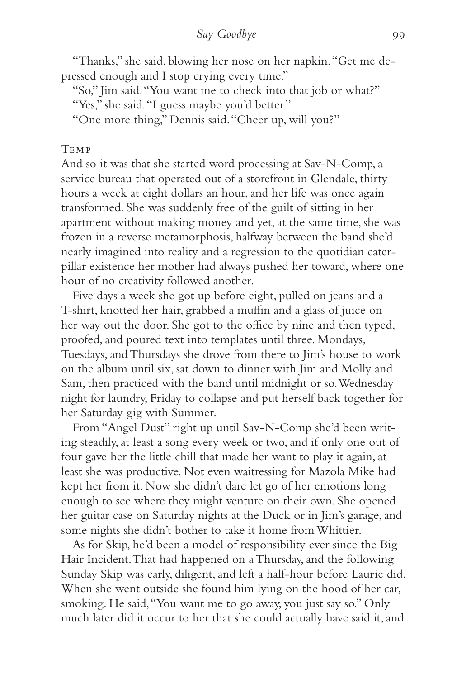"Thanks," she said, blowing her nose on her napkin. "Get me depressed enough and I stop crying every time."

"So," Jim said. "You want me to check into that job or what?"

"Yes," she said. "I guess maybe you'd better."

"One more thing," Dennis said. "Cheer up, will you?"

## **TEMP**

And so it was that she started word processing at Sav-N-Comp, a service bureau that operated out of a storefront in Glendale, thirty hours a week at eight dollars an hour, and her life was once again transformed. She was suddenly free of the guilt of sitting in her apartment without making money and yet, at the same time, she was frozen in a reverse metamorphosis, halfway between the band she'd nearly imagined into reality and a regression to the quotidian caterpillar existence her mother had always pushed her toward, where one hour of no creativity followed another.

Five days a week she got up before eight, pulled on jeans and a T-shirt, knotted her hair, grabbed a muffin and a glass of juice on her way out the door. She got to the office by nine and then typed, proofed, and poured text into templates until three. Mondays, Tuesdays, and Thursdays she drove from there to Jim's house to work on the album until six, sat down to dinner with Jim and Molly and Sam, then practiced with the band until midnight or so. Wednesday night for laundry, Friday to collapse and put herself back together for her Saturday gig with Summer.

From "Angel Dust" right up until Sav-N-Comp she'd been writing steadily, at least a song every week or two, and if only one out of four gave her the little chill that made her want to play it again, at least she was productive. Not even waitressing for Mazola Mike had kept her from it. Now she didn't dare let go of her emotions long enough to see where they might venture on their own. She opened her guitar case on Saturday nights at the Duck or in Jim's garage, and some nights she didn't bother to take it home from Whittier.

As for Skip, he'd been a model of responsibility ever since the Big Hair Incident. That had happened on a Thursday, and the following Sunday Skip was early, diligent, and left a half-hour before Laurie did. When she went outside she found him lying on the hood of her car, smoking. He said, "You want me to go away, you just say so." Only much later did it occur to her that she could actually have said it, and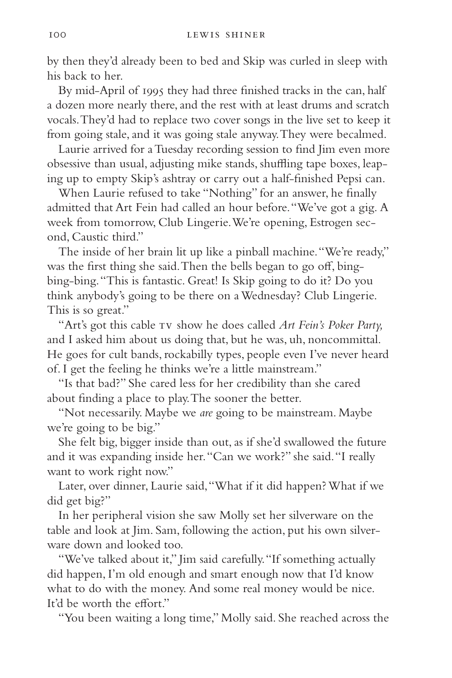by then they'd already been to bed and Skip was curled in sleep with his back to her.

By mid-April of 1995 they had three finished tracks in the can, half a dozen more nearly there, and the rest with at least drums and scratch vocals. They'd had to replace two cover songs in the live set to keep it from going stale, and it was going stale anyway. They were becalmed.

Laurie arrived for a Tuesday recording session to find Jim even more obsessive than usual, adjusting mike stands, shuffling tape boxes, leaping up to empty Skip's ashtray or carry out a half-finished Pepsi can.

When Laurie refused to take "Nothing" for an answer, he finally admitted that Art Fein had called an hour before. "We've got a gig. A week from tomorrow, Club Lingerie. We're opening, Estrogen second, Caustic third."

The inside of her brain lit up like a pinball machine. "We're ready," was the first thing she said. Then the bells began to go off, bingbing-bing. "This is fantastic. Great! Is Skip going to do it? Do you think anybody's going to be there on a Wednesday? Club Lingerie. This is so great."

"Art's got this cable tv show he does called *Art Fein's Poker Party,* and I asked him about us doing that, but he was, uh, noncommittal. He goes for cult bands, rockabilly types, people even I've never heard of. I get the feeling he thinks we're a little mainstream."

"Is that bad?" She cared less for her credibility than she cared about finding a place to play. The sooner the better.

"Not necessarily. Maybe we *are* going to be mainstream. Maybe we're going to be big."

She felt big, bigger inside than out, as if she'd swallowed the future and it was expanding inside her. "Can we work?" she said. "I really want to work right now."

Later, over dinner, Laurie said, "What if it did happen? What if we did get big?"

In her peripheral vision she saw Molly set her silverware on the table and look at Jim. Sam, following the action, put his own silverware down and looked too.

"We've talked about it," Jim said carefully. "If something actually did happen, I'm old enough and smart enough now that I'd know what to do with the money. And some real money would be nice. It'd be worth the effort."

"You been waiting a long time," Molly said. She reached across the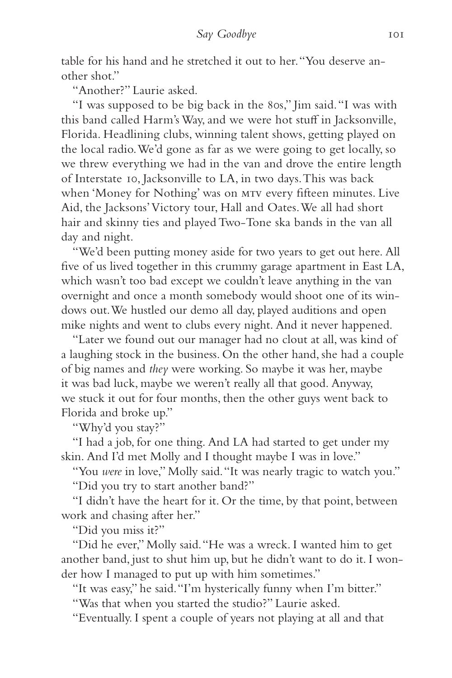table for his hand and he stretched it out to her. "You deserve another shot."

"Another?" Laurie asked.

"I was supposed to be big back in the 80s," Jim said. "I was with this band called Harm's Way, and we were hot stuff in Jacksonville, Florida. Headlining clubs, winning talent shows, getting played on the local radio. We'd gone as far as we were going to get locally, so we threw everything we had in the van and drove the entire length of Interstate 10, Jacksonville to LA, in two days. This was back when 'Money for Nothing' was on MTV every fifteen minutes. Live Aid, the Jacksons' Victory tour, Hall and Oates. We all had short hair and skinny ties and played Two-Tone ska bands in the van all day and night.

"We'd been putting money aside for two years to get out here. All five of us lived together in this crummy garage apartment in East LA, which wasn't too bad except we couldn't leave anything in the van overnight and once a month somebody would shoot one of its windows out. We hustled our demo all day, played auditions and open mike nights and went to clubs every night. And it never happened.

"Later we found out our manager had no clout at all, was kind of a laughing stock in the business. On the other hand, she had a couple of big names and *they* were working. So maybe it was her, maybe it was bad luck, maybe we weren't really all that good. Anyway, we stuck it out for four months, then the other guys went back to Florida and broke up."

"Why'd you stay?"

"I had a job, for one thing. And LA had started to get under my skin. And I'd met Molly and I thought maybe I was in love."

"You *were* in love," Molly said. "It was nearly tragic to watch you." "Did you try to start another band?"

"I didn't have the heart for it. Or the time, by that point, between work and chasing after her."

"Did you miss it?"

"Did he ever," Molly said. "He was a wreck. I wanted him to get another band, just to shut him up, but he didn't want to do it. I wonder how I managed to put up with him sometimes."

"It was easy," he said. "I'm hysterically funny when I'm bitter."

"Was that when you started the studio?" Laurie asked.

"Eventually. I spent a couple of years not playing at all and that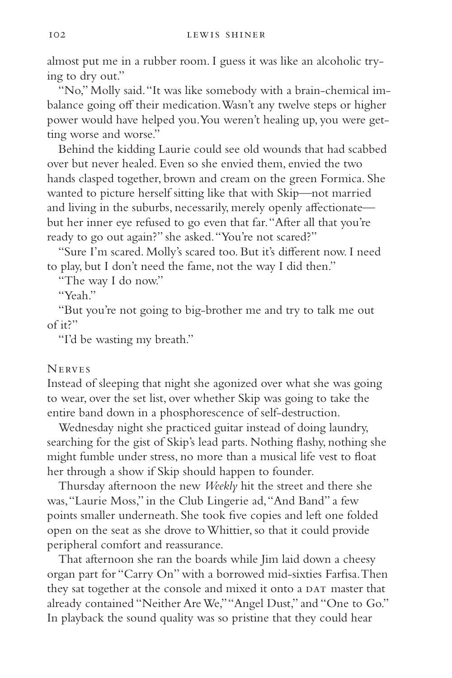almost put me in a rubber room. I guess it was like an alcoholic trying to dry out."

"No," Molly said. "It was like somebody with a brain-chemical imbalance going off their medication. Wasn't any twelve steps or higher power would have helped you. You weren't healing up, you were getting worse and worse."

Behind the kidding Laurie could see old wounds that had scabbed over but never healed. Even so she envied them, envied the two hands clasped together, brown and cream on the green Formica. She wanted to picture herself sitting like that with Skip—not married and living in the suburbs, necessarily, merely openly affectionate but her inner eye refused to go even that far. "After all that you're ready to go out again?" she asked. "You're not scared?"

"Sure I'm scared. Molly's scared too. But it's different now. I need to play, but I don't need the fame, not the way I did then."

"The way I do now."

"Yeah."

"But you're not going to big-brother me and try to talk me out of it?"

"I'd be wasting my breath."

### **NERVES**

Instead of sleeping that night she agonized over what she was going to wear, over the set list, over whether Skip was going to take the entire band down in a phosphorescence of self-destruction.

Wednesday night she practiced guitar instead of doing laundry, searching for the gist of Skip's lead parts. Nothing flashy, nothing she might fumble under stress, no more than a musical life vest to float her through a show if Skip should happen to founder.

Thursday afternoon the new *Weekly* hit the street and there she was, "Laurie Moss," in the Club Lingerie ad, "And Band" a few points smaller underneath. She took five copies and left one folded open on the seat as she drove to Whittier, so that it could provide peripheral comfort and reassurance.

That afternoon she ran the boards while Jim laid down a cheesy organ part for "Carry On" with a borrowed mid-sixties Farfisa. Then they sat together at the console and mixed it onto a DAT master that already contained "Neither Are We," "Angel Dust," and "One to Go." In playback the sound quality was so pristine that they could hear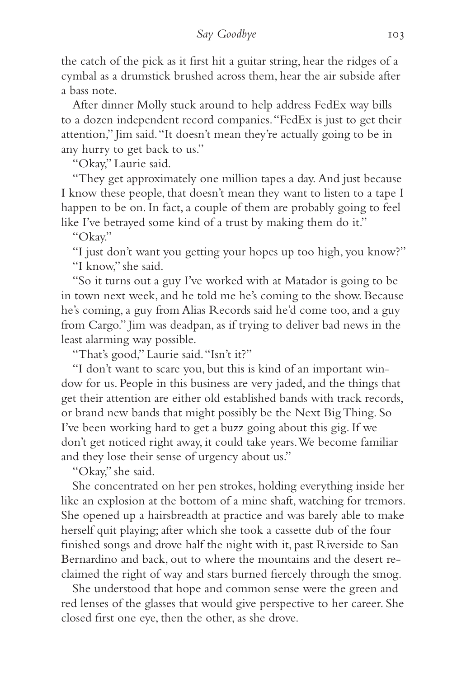the catch of the pick as it first hit a guitar string, hear the ridges of a cymbal as a drumstick brushed across them, hear the air subside after a bass note.

After dinner Molly stuck around to help address FedEx way bills to a dozen independent record companies. "FedEx is just to get their attention," Jim said. "It doesn't mean they're actually going to be in any hurry to get back to us."

"Okay," Laurie said.

"They get approximately one million tapes a day. And just because I know these people, that doesn't mean they want to listen to a tape I happen to be on. In fact, a couple of them are probably going to feel like I've betrayed some kind of a trust by making them do it."

"Okay."

"I just don't want you getting your hopes up too high, you know?" "I know," she said.

"So it turns out a guy I've worked with at Matador is going to be in town next week, and he told me he's coming to the show. Because he's coming, a guy from Alias Records said he'd come too, and a guy from Cargo." Jim was deadpan, as if trying to deliver bad news in the least alarming way possible.

"That's good," Laurie said. "Isn't it?"

"I don't want to scare you, but this is kind of an important window for us. People in this business are very jaded, and the things that get their attention are either old established bands with track records, or brand new bands that might possibly be the Next Big Thing. So I've been working hard to get a buzz going about this gig. If we don't get noticed right away, it could take years. We become familiar and they lose their sense of urgency about us."

"Okay," she said.

She concentrated on her pen strokes, holding everything inside her like an explosion at the bottom of a mine shaft, watching for tremors. She opened up a hairsbreadth at practice and was barely able to make herself quit playing; after which she took a cassette dub of the four finished songs and drove half the night with it, past Riverside to San Bernardino and back, out to where the mountains and the desert reclaimed the right of way and stars burned fiercely through the smog.

She understood that hope and common sense were the green and red lenses of the glasses that would give perspective to her career. She closed first one eye, then the other, as she drove.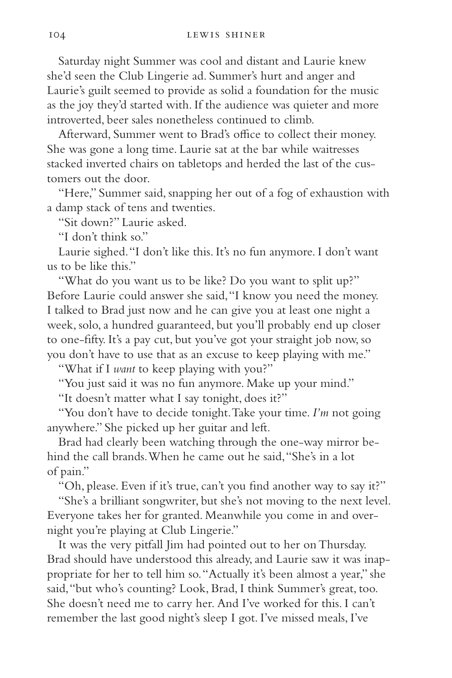Saturday night Summer was cool and distant and Laurie knew she'd seen the Club Lingerie ad. Summer's hurt and anger and Laurie's guilt seemed to provide as solid a foundation for the music as the joy they'd started with. If the audience was quieter and more introverted, beer sales nonetheless continued to climb.

Afterward, Summer went to Brad's office to collect their money. She was gone a long time. Laurie sat at the bar while waitresses stacked inverted chairs on tabletops and herded the last of the customers out the door.

"Here," Summer said, snapping her out of a fog of exhaustion with a damp stack of tens and twenties.

"Sit down?" Laurie asked.

"I don't think so."

Laurie sighed. "I don't like this. It's no fun anymore. I don't want us to be like this."

"What do you want us to be like? Do you want to split up?" Before Laurie could answer she said, "I know you need the money. I talked to Brad just now and he can give you at least one night a week, solo, a hundred guaranteed, but you'll probably end up closer to one-fifty. It's a pay cut, but you've got your straight job now, so you don't have to use that as an excuse to keep playing with me."

"What if I *want* to keep playing with you?"

"You just said it was no fun anymore. Make up your mind."

"It doesn't matter what I say tonight, does it?"

"You don't have to decide tonight. Take your time. *I'm* not going anywhere." She picked up her guitar and left.

Brad had clearly been watching through the one-way mirror behind the call brands. When he came out he said, "She's in a lot of pain."

"Oh, please. Even if it's true, can't you find another way to say it?"

"She's a brilliant songwriter, but she's not moving to the next level. Everyone takes her for granted. Meanwhile you come in and overnight you're playing at Club Lingerie."

It was the very pitfall Jim had pointed out to her on Thursday. Brad should have understood this already, and Laurie saw it was inappropriate for her to tell him so. "Actually it's been almost a year," she said, "but who's counting? Look, Brad, I think Summer's great, too. She doesn't need me to carry her. And I've worked for this. I can't remember the last good night's sleep I got. I've missed meals, I've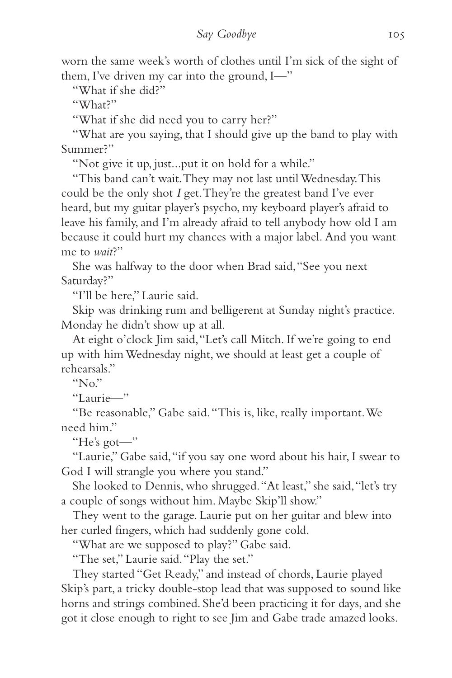worn the same week's worth of clothes until I'm sick of the sight of them, I've driven my car into the ground, I—"

"What if she did?"

"What?"

"What if she did need you to carry her?"

"What are you saying, that I should give up the band to play with Summer?"

"Not give it up, just...put it on hold for a while."

"This band can't wait. They may not last until Wednesday. This could be the only shot *I* get. They're the greatest band I've ever heard, but my guitar player's psycho, my keyboard player's afraid to leave his family, and I'm already afraid to tell anybody how old I am because it could hurt my chances with a major label. And you want me to *wait*?"

She was halfway to the door when Brad said, "See you next Saturday?"

"I'll be here," Laurie said.

Skip was drinking rum and belligerent at Sunday night's practice. Monday he didn't show up at all.

At eight o'clock Jim said, "Let's call Mitch. If we're going to end up with him Wednesday night, we should at least get a couple of rehearsals."

"No."

"Laurie—"

"Be reasonable," Gabe said. "This is, like, really important. We need him."

"He's got—"

"Laurie," Gabe said, "if you say one word about his hair, I swear to God I will strangle you where you stand."

She looked to Dennis, who shrugged. "At least," she said, "let's try a couple of songs without him. Maybe Skip'll show."

They went to the garage. Laurie put on her guitar and blew into her curled fingers, which had suddenly gone cold.

"What are we supposed to play?" Gabe said.

"The set," Laurie said. "Play the set."

They started "Get Ready," and instead of chords, Laurie played Skip's part, a tricky double-stop lead that was supposed to sound like horns and strings combined. She'd been practicing it for days, and she got it close enough to right to see Jim and Gabe trade amazed looks.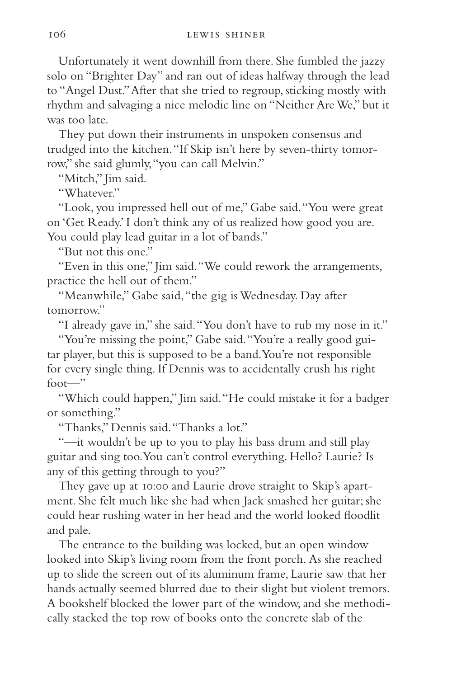Unfortunately it went downhill from there. She fumbled the jazzy solo on "Brighter Day" and ran out of ideas halfway through the lead to "Angel Dust." After that she tried to regroup, sticking mostly with rhythm and salvaging a nice melodic line on "Neither Are We," but it was too late.

They put down their instruments in unspoken consensus and trudged into the kitchen. "If Skip isn't here by seven-thirty tomorrow," she said glumly, "you can call Melvin."

"Mitch," Jim said.

"Whatever."

"Look, you impressed hell out of me," Gabe said. "You were great on 'Get Ready.' I don't think any of us realized how good you are. You could play lead guitar in a lot of bands."

"But not this one"

"Even in this one," Jim said. "We could rework the arrangements, practice the hell out of them."

"Meanwhile," Gabe said, "the gig is Wednesday. Day after tomorrow."

"I already gave in," she said. "You don't have to rub my nose in it."

"You're missing the point," Gabe said. "You're a really good guitar player, but this is supposed to be a band. You're not responsible for every single thing. If Dennis was to accidentally crush his right foot—"

"Which could happen," Jim said. "He could mistake it for a badger or something."

"Thanks," Dennis said. "Thanks a lot."

"—it wouldn't be up to you to play his bass drum and still play guitar and sing too. You can't control everything. Hello? Laurie? Is any of this getting through to you?"

They gave up at 10:00 and Laurie drove straight to Skip's apartment. She felt much like she had when Jack smashed her guitar; she could hear rushing water in her head and the world looked floodlit and pale.

The entrance to the building was locked, but an open window looked into Skip's living room from the front porch. As she reached up to slide the screen out of its aluminum frame, Laurie saw that her hands actually seemed blurred due to their slight but violent tremors. A bookshelf blocked the lower part of the window, and she methodically stacked the top row of books onto the concrete slab of the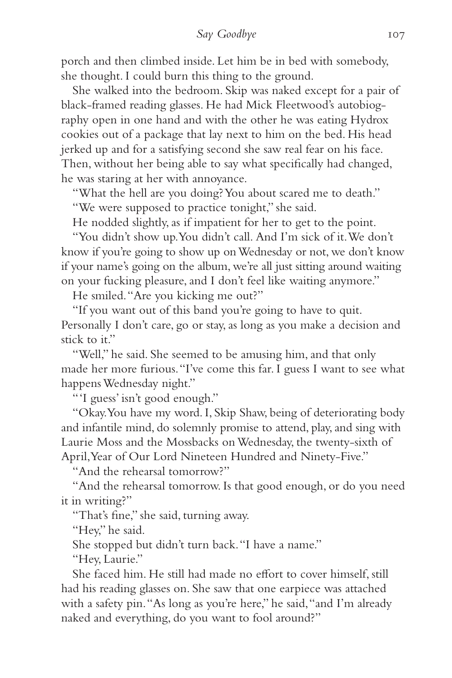porch and then climbed inside. Let him be in bed with somebody, she thought. I could burn this thing to the ground.

She walked into the bedroom. Skip was naked except for a pair of black-framed reading glasses. He had Mick Fleetwood's autobiography open in one hand and with the other he was eating Hydrox cookies out of a package that lay next to him on the bed. His head jerked up and for a satisfying second she saw real fear on his face. Then, without her being able to say what specifically had changed, he was staring at her with annoyance.

"What the hell are you doing? You about scared me to death."

"We were supposed to practice tonight," she said.

He nodded slightly, as if impatient for her to get to the point.

"You didn't show up. You didn't call. And I'm sick of it. We don't know if you're going to show up on Wednesday or not, we don't know if your name's going on the album, we're all just sitting around waiting on your fucking pleasure, and I don't feel like waiting anymore."

He smiled. "Are you kicking me out?"

"If you want out of this band you're going to have to quit. Personally I don't care, go or stay, as long as you make a decision and stick to it."

"Well," he said. She seemed to be amusing him, and that only made her more furious. "I've come this far. I guess I want to see what happens Wednesday night."

"'I guess' isn't good enough."

"Okay. You have my word. I, Skip Shaw, being of deteriorating body and infantile mind, do solemnly promise to attend, play, and sing with Laurie Moss and the Mossbacks on Wednesday, the twenty-sixth of April, Year of Our Lord Nineteen Hundred and Ninety-Five."

"And the rehearsal tomorrow?"

"And the rehearsal tomorrow. Is that good enough, or do you need it in writing?"

"That's fine," she said, turning away.

"Hey," he said.

She stopped but didn't turn back. "I have a name."

"Hey, Laurie."

She faced him. He still had made no effort to cover himself, still had his reading glasses on. She saw that one earpiece was attached with a safety pin. "As long as you're here," he said, "and I'm already naked and everything, do you want to fool around?"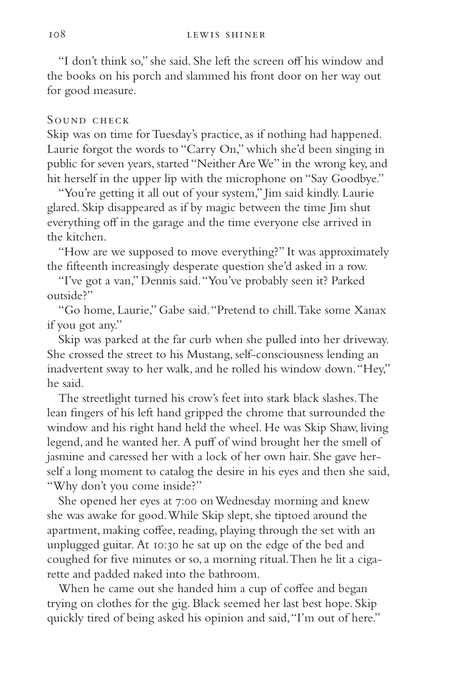"I don't think so," she said. She left the screen off his window and the books on his porch and slammed his front door on her way out for good measure.

## SOUND CHECK

Skip was on time for Tuesday's practice, as if nothing had happened. Laurie forgot the words to "Carry On," which she'd been singing in public for seven years, started "Neither Are We" in the wrong key, and hit herself in the upper lip with the microphone on "Say Goodbye."

"You're getting it all out of your system," Jim said kindly. Laurie glared. Skip disappeared as if by magic between the time Jim shut everything off in the garage and the time everyone else arrived in the kitchen.

"How are we supposed to move everything?" It was approximately the fifteenth increasingly desperate question she'd asked in a row.

"I've got a van," Dennis said. "You've probably seen it? Parked outside?"

"Go home, Laurie," Gabe said. "Pretend to chill. Take some Xanax if you got any."

Skip was parked at the far curb when she pulled into her driveway. She crossed the street to his Mustang, self-consciousness lending an inadvertent sway to her walk, and he rolled his window down. "Hey," he said.

The streetlight turned his crow's feet into stark black slashes. The lean fingers of his left hand gripped the chrome that surrounded the window and his right hand held the wheel. He was Skip Shaw, living legend, and he wanted her. A puff of wind brought her the smell of jasmine and caressed her with a lock of her own hair. She gave herself a long moment to catalog the desire in his eyes and then she said, "Why don't you come inside?"

She opened her eyes at 7:00 on Wednesday morning and knew she was awake for good. While Skip slept, she tiptoed around the apartment, making coffee, reading, playing through the set with an unplugged guitar. At 10:30 he sat up on the edge of the bed and coughed for five minutes or so, a morning ritual. Then he lit a cigarette and padded naked into the bathroom.

When he came out she handed him a cup of coffee and began trying on clothes for the gig. Black seemed her last best hope. Skip quickly tired of being asked his opinion and said, "I'm out of here."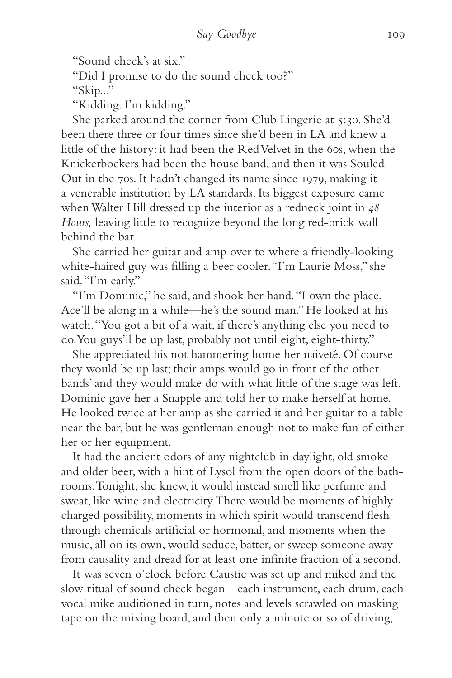"Sound check's at six."

"Did I promise to do the sound check too?"

"Skip..."

"Kidding. I'm kidding."

She parked around the corner from Club Lingerie at 5:30. She'd been there three or four times since she'd been in LA and knew a little of the history: it had been the Red Velvet in the 60s, when the Knickerbockers had been the house band, and then it was Souled Out in the 70s. It hadn't changed its name since 1979, making it a venerable institution by LA standards. Its biggest exposure came when Walter Hill dressed up the interior as a redneck joint in *48 Hours,* leaving little to recognize beyond the long red-brick wall behind the bar.

She carried her guitar and amp over to where a friendly-looking white-haired guy was filling a beer cooler. "I'm Laurie Moss," she said. "I'm early."

"I'm Dominic," he said, and shook her hand. "I own the place. Ace'll be along in a while—he's the sound man." He looked at his watch. "You got a bit of a wait, if there's anything else you need to do. You guys'll be up last, probably not until eight, eight-thirty."

She appreciated his not hammering home her naiveté. Of course they would be up last; their amps would go in front of the other bands' and they would make do with what little of the stage was left. Dominic gave her a Snapple and told her to make herself at home. He looked twice at her amp as she carried it and her guitar to a table near the bar, but he was gentleman enough not to make fun of either her or her equipment.

It had the ancient odors of any nightclub in daylight, old smoke and older beer, with a hint of Lysol from the open doors of the bathrooms. Tonight, she knew, it would instead smell like perfume and sweat, like wine and electricity. There would be moments of highly charged possibility, moments in which spirit would transcend flesh through chemicals artificial or hormonal, and moments when the music, all on its own, would seduce, batter, or sweep someone away from causality and dread for at least one infinite fraction of a second.

It was seven o'clock before Caustic was set up and miked and the slow ritual of sound check began—each instrument, each drum, each vocal mike auditioned in turn, notes and levels scrawled on masking tape on the mixing board, and then only a minute or so of driving,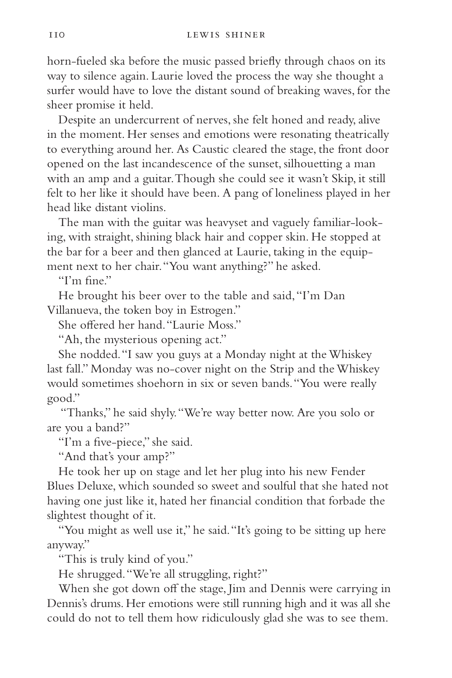horn-fueled ska before the music passed briefly through chaos on its way to silence again. Laurie loved the process the way she thought a surfer would have to love the distant sound of breaking waves, for the sheer promise it held.

Despite an undercurrent of nerves, she felt honed and ready, alive in the moment. Her senses and emotions were resonating theatrically to everything around her. As Caustic cleared the stage, the front door opened on the last incandescence of the sunset, silhouetting a man with an amp and a guitar. Though she could see it wasn't Skip, it still felt to her like it should have been. A pang of loneliness played in her head like distant violins.

The man with the guitar was heavyset and vaguely familiar-looking, with straight, shining black hair and copper skin. He stopped at the bar for a beer and then glanced at Laurie, taking in the equipment next to her chair. "You want anything?" he asked.

"I'm fine."

He brought his beer over to the table and said, "I'm Dan Villanueva, the token boy in Estrogen."

She offered her hand. "Laurie Moss."

"Ah, the mysterious opening act."

She nodded. "I saw you guys at a Monday night at the Whiskey last fall." Monday was no-cover night on the Strip and the Whiskey would sometimes shoehorn in six or seven bands. "You were really good."

 "Thanks," he said shyly. "We're way better now. Are you solo or are you a band?"

"I'm a five-piece," she said.

"And that's your amp?"

He took her up on stage and let her plug into his new Fender Blues Deluxe, which sounded so sweet and soulful that she hated not having one just like it, hated her financial condition that forbade the slightest thought of it.

"You might as well use it," he said. "It's going to be sitting up here anyway."

"This is truly kind of you."

He shrugged. "We're all struggling, right?"

When she got down off the stage, Jim and Dennis were carrying in Dennis's drums. Her emotions were still running high and it was all she could do not to tell them how ridiculously glad she was to see them.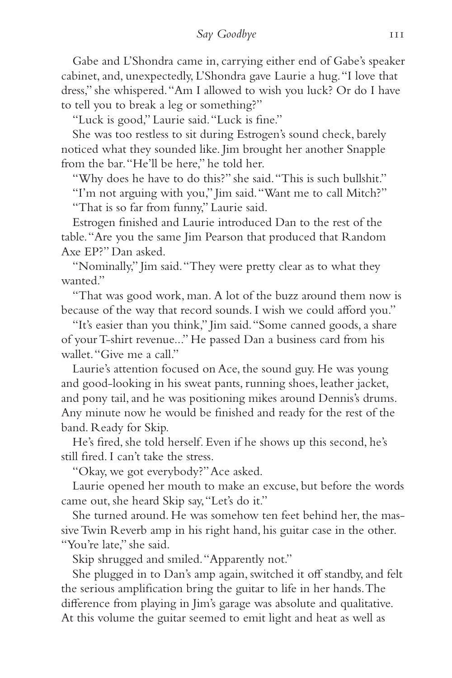Gabe and L'Shondra came in, carrying either end of Gabe's speaker cabinet, and, unexpectedly, L'Shondra gave Laurie a hug. "I love that dress," she whispered. "Am I allowed to wish you luck? Or do I have to tell you to break a leg or something?"

"Luck is good," Laurie said. "Luck is fine."

She was too restless to sit during Estrogen's sound check, barely noticed what they sounded like. Jim brought her another Snapple from the bar. "He'll be here," he told her.

"Why does he have to do this?" she said. "This is such bullshit."

"I'm not arguing with you," Jim said. "Want me to call Mitch?" "That is so far from funny," Laurie said.

Estrogen finished and Laurie introduced Dan to the rest of the table. "Are you the same Jim Pearson that produced that Random Axe EP?" Dan asked.

"Nominally," Jim said. "They were pretty clear as to what they wanted."

"That was good work, man. A lot of the buzz around them now is because of the way that record sounds. I wish we could afford you."

"It's easier than you think," Jim said. "Some canned goods, a share of your T-shirt revenue..." He passed Dan a business card from his wallet. "Give me a call."

Laurie's attention focused on Ace, the sound guy. He was young and good-looking in his sweat pants, running shoes, leather jacket, and pony tail, and he was positioning mikes around Dennis's drums. Any minute now he would be finished and ready for the rest of the band. Ready for Skip.

He's fired, she told herself. Even if he shows up this second, he's still fired. I can't take the stress.

"Okay, we got everybody?" Ace asked.

Laurie opened her mouth to make an excuse, but before the words came out, she heard Skip say, "Let's do it."

She turned around. He was somehow ten feet behind her, the massive Twin Reverb amp in his right hand, his guitar case in the other. "You're late," she said.

Skip shrugged and smiled. "Apparently not."

She plugged in to Dan's amp again, switched it off standby, and felt the serious amplification bring the guitar to life in her hands. The difference from playing in Jim's garage was absolute and qualitative. At this volume the guitar seemed to emit light and heat as well as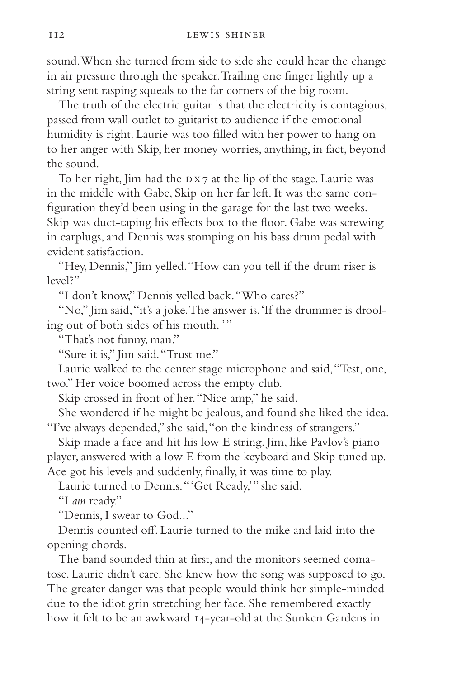sound. When she turned from side to side she could hear the change in air pressure through the speaker. Trailing one finger lightly up a string sent rasping squeals to the far corners of the big room.

The truth of the electric guitar is that the electricity is contagious, passed from wall outlet to guitarist to audience if the emotional humidity is right. Laurie was too filled with her power to hang on to her anger with Skip, her money worries, anything, in fact, beyond the sound.

To her right, Jim had the  $Dx7$  at the lip of the stage. Laurie was in the middle with Gabe, Skip on her far left. It was the same configuration they'd been using in the garage for the last two weeks. Skip was duct-taping his effects box to the floor. Gabe was screwing in earplugs, and Dennis was stomping on his bass drum pedal with evident satisfaction.

"Hey, Dennis," Jim yelled. "How can you tell if the drum riser is level?"

"I don't know," Dennis yelled back. "Who cares?"

"No," Jim said, "it's a joke. The answer is, 'If the drummer is drooling out of both sides of his mouth. '"

"That's not funny, man."

"Sure it is," Jim said. "Trust me."

Laurie walked to the center stage microphone and said, "Test, one, two." Her voice boomed across the empty club.

Skip crossed in front of her. "Nice amp," he said.

She wondered if he might be jealous, and found she liked the idea. "I've always depended," she said, "on the kindness of strangers."

Skip made a face and hit his low E string. Jim, like Pavlov's piano player, answered with a low E from the keyboard and Skip tuned up. Ace got his levels and suddenly, finally, it was time to play.

Laurie turned to Dennis. "'Get Ready,'" she said.

"I *am* ready."

"Dennis, I swear to God..."

Dennis counted off. Laurie turned to the mike and laid into the opening chords.

The band sounded thin at first, and the monitors seemed comatose. Laurie didn't care. She knew how the song was supposed to go. The greater danger was that people would think her simple-minded due to the idiot grin stretching her face. She remembered exactly how it felt to be an awkward 14-year-old at the Sunken Gardens in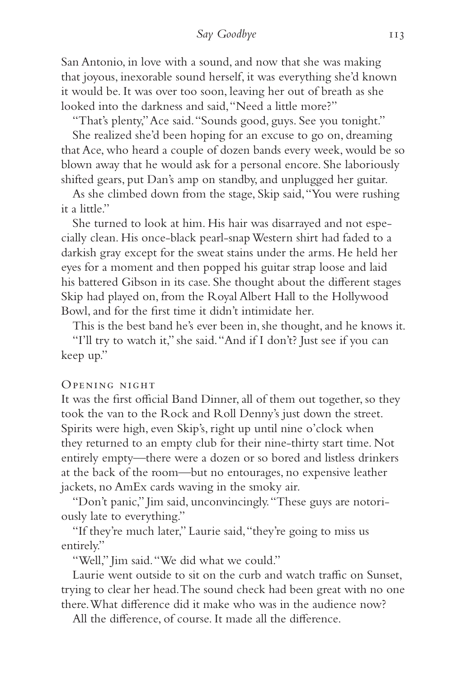San Antonio, in love with a sound, and now that she was making that joyous, inexorable sound herself, it was everything she'd known it would be. It was over too soon, leaving her out of breath as she looked into the darkness and said, "Need a little more?"

"That's plenty," Ace said. "Sounds good, guys. See you tonight."

She realized she'd been hoping for an excuse to go on, dreaming that Ace, who heard a couple of dozen bands every week, would be so blown away that he would ask for a personal encore. She laboriously shifted gears, put Dan's amp on standby, and unplugged her guitar.

As she climbed down from the stage, Skip said, "You were rushing it a little."

She turned to look at him. His hair was disarrayed and not especially clean. His once-black pearl-snap Western shirt had faded to a darkish gray except for the sweat stains under the arms. He held her eyes for a moment and then popped his guitar strap loose and laid his battered Gibson in its case. She thought about the different stages Skip had played on, from the Royal Albert Hall to the Hollywood Bowl, and for the first time it didn't intimidate her.

This is the best band he's ever been in, she thought, and he knows it.

"I'll try to watch it," she said. "And if I don't? Just see if you can keep up."

### Opening night

It was the first official Band Dinner, all of them out together, so they took the van to the Rock and Roll Denny's just down the street. Spirits were high, even Skip's, right up until nine o'clock when they returned to an empty club for their nine-thirty start time. Not entirely empty—there were a dozen or so bored and listless drinkers at the back of the room—but no entourages, no expensive leather jackets, no AmEx cards waving in the smoky air.

"Don't panic," Jim said, unconvincingly. "These guys are notoriously late to everything."

"If they're much later," Laurie said, "they're going to miss us entirely."

"Well," Jim said. "We did what we could."

Laurie went outside to sit on the curb and watch traffic on Sunset, trying to clear her head. The sound check had been great with no one there. What difference did it make who was in the audience now?

All the difference, of course. It made all the difference.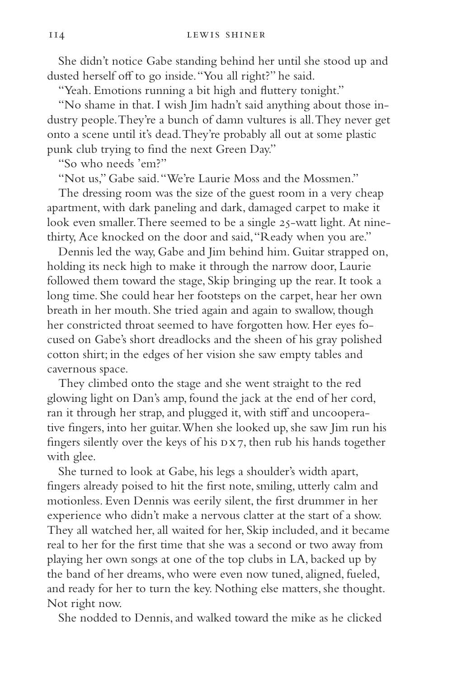She didn't notice Gabe standing behind her until she stood up and dusted herself off to go inside. "You all right?" he said.

"Yeah. Emotions running a bit high and fluttery tonight."

"No shame in that. I wish Jim hadn't said anything about those industry people. They're a bunch of damn vultures is all. They never get onto a scene until it's dead. They're probably all out at some plastic punk club trying to find the next Green Day."

"So who needs 'em?"

"Not us," Gabe said. "We're Laurie Moss and the Mossmen."

The dressing room was the size of the guest room in a very cheap apartment, with dark paneling and dark, damaged carpet to make it look even smaller. There seemed to be a single 25-watt light. At ninethirty, Ace knocked on the door and said, "Ready when you are."

Dennis led the way, Gabe and Jim behind him. Guitar strapped on, holding its neck high to make it through the narrow door, Laurie followed them toward the stage, Skip bringing up the rear. It took a long time. She could hear her footsteps on the carpet, hear her own breath in her mouth. She tried again and again to swallow, though her constricted throat seemed to have forgotten how. Her eyes focused on Gabe's short dreadlocks and the sheen of his gray polished cotton shirt; in the edges of her vision she saw empty tables and cavernous space.

They climbed onto the stage and she went straight to the red glowing light on Dan's amp, found the jack at the end of her cord, ran it through her strap, and plugged it, with stiff and uncooperative fingers, into her guitar. When she looked up, she saw Jim run his fingers silently over the keys of his  $Dx7$ , then rub his hands together with glee.

She turned to look at Gabe, his legs a shoulder's width apart, fingers already poised to hit the first note, smiling, utterly calm and motionless. Even Dennis was eerily silent, the first drummer in her experience who didn't make a nervous clatter at the start of a show. They all watched her, all waited for her, Skip included, and it became real to her for the first time that she was a second or two away from playing her own songs at one of the top clubs in LA, backed up by the band of her dreams, who were even now tuned, aligned, fueled, and ready for her to turn the key. Nothing else matters, she thought. Not right now.

She nodded to Dennis, and walked toward the mike as he clicked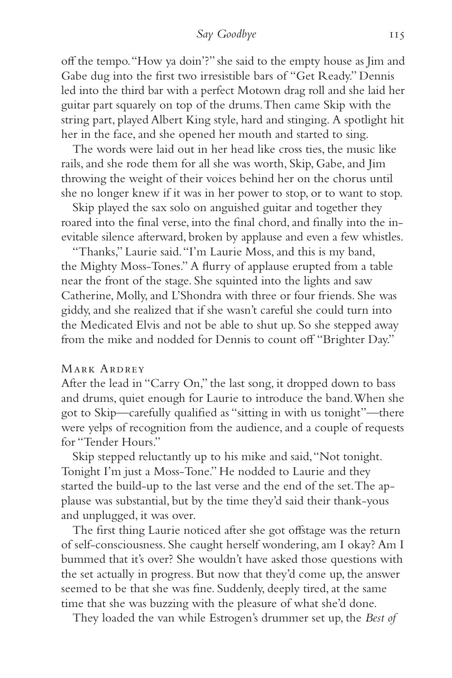#### *Say Goodbye* 115

off the tempo. "How ya doin'?" she said to the empty house as Jim and Gabe dug into the first two irresistible bars of "Get Ready." Dennis led into the third bar with a perfect Motown drag roll and she laid her guitar part squarely on top of the drums. Then came Skip with the string part, played Albert King style, hard and stinging. A spotlight hit her in the face, and she opened her mouth and started to sing.

The words were laid out in her head like cross ties, the music like rails, and she rode them for all she was worth, Skip, Gabe, and Jim throwing the weight of their voices behind her on the chorus until she no longer knew if it was in her power to stop, or to want to stop.

Skip played the sax solo on anguished guitar and together they roared into the final verse, into the final chord, and finally into the inevitable silence afterward, broken by applause and even a few whistles.

"Thanks," Laurie said. "I'm Laurie Moss, and this is my band, the Mighty Moss-Tones." A flurry of applause erupted from a table near the front of the stage. She squinted into the lights and saw Catherine, Molly, and L'Shondra with three or four friends. She was giddy, and she realized that if she wasn't careful she could turn into the Medicated Elvis and not be able to shut up. So she stepped away from the mike and nodded for Dennis to count off "Brighter Day."

#### MARK ARDREY

After the lead in "Carry On," the last song, it dropped down to bass and drums, quiet enough for Laurie to introduce the band. When she got to Skip—carefully qualified as "sitting in with us tonight"—there were yelps of recognition from the audience, and a couple of requests for "Tender Hours."

Skip stepped reluctantly up to his mike and said, "Not tonight. Tonight I'm just a Moss-Tone." He nodded to Laurie and they started the build-up to the last verse and the end of the set. The applause was substantial, but by the time they'd said their thank-yous and unplugged, it was over.

The first thing Laurie noticed after she got offstage was the return of self-consciousness. She caught herself wondering, am I okay? Am I bummed that it's over? She wouldn't have asked those questions with the set actually in progress. But now that they'd come up, the answer seemed to be that she was fine. Suddenly, deeply tired, at the same time that she was buzzing with the pleasure of what she'd done.

They loaded the van while Estrogen's drummer set up, the *Best of*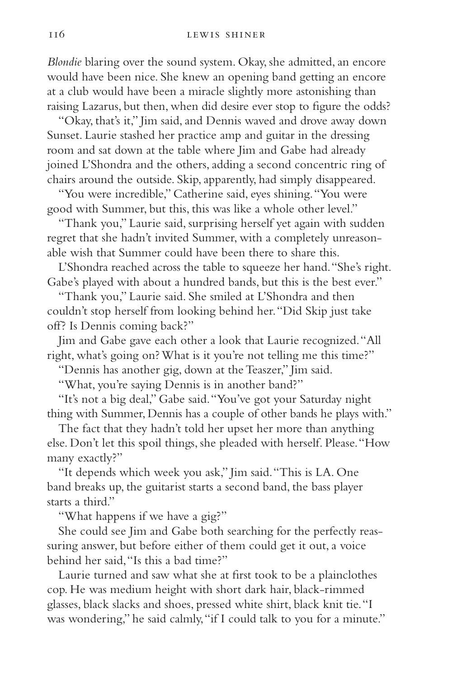*Blondie* blaring over the sound system. Okay, she admitted, an encore would have been nice. She knew an opening band getting an encore at a club would have been a miracle slightly more astonishing than raising Lazarus, but then, when did desire ever stop to figure the odds?

"Okay, that's it," Jim said, and Dennis waved and drove away down Sunset. Laurie stashed her practice amp and guitar in the dressing room and sat down at the table where Jim and Gabe had already joined L'Shondra and the others, adding a second concentric ring of chairs around the outside. Skip, apparently, had simply disappeared.

"You were incredible," Catherine said, eyes shining. "You were good with Summer, but this, this was like a whole other level."

"Thank you," Laurie said, surprising herself yet again with sudden regret that she hadn't invited Summer, with a completely unreasonable wish that Summer could have been there to share this.

L'Shondra reached across the table to squeeze her hand. "She's right. Gabe's played with about a hundred bands, but this is the best ever."

"Thank you," Laurie said. She smiled at L'Shondra and then couldn't stop herself from looking behind her. "Did Skip just take off? Is Dennis coming back?"

Jim and Gabe gave each other a look that Laurie recognized. "All right, what's going on? What is it you're not telling me this time?"

"Dennis has another gig, down at the Teaszer," Jim said.

"What, you're saying Dennis is in another band?"

"It's not a big deal," Gabe said. "You've got your Saturday night thing with Summer, Dennis has a couple of other bands he plays with."

The fact that they hadn't told her upset her more than anything else. Don't let this spoil things, she pleaded with herself. Please. "How many exactly?"

"It depends which week you ask," Jim said. "This is LA. One band breaks up, the guitarist starts a second band, the bass player starts a third."

"What happens if we have a gig?"

She could see Jim and Gabe both searching for the perfectly reassuring answer, but before either of them could get it out, a voice behind her said, "Is this a bad time?"

Laurie turned and saw what she at first took to be a plainclothes cop. He was medium height with short dark hair, black-rimmed glasses, black slacks and shoes, pressed white shirt, black knit tie. "I was wondering," he said calmly, "if I could talk to you for a minute."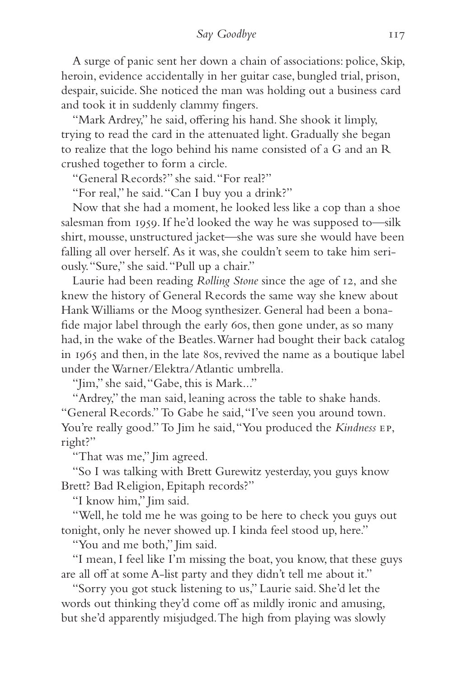A surge of panic sent her down a chain of associations: police, Skip, heroin, evidence accidentally in her guitar case, bungled trial, prison, despair, suicide. She noticed the man was holding out a business card and took it in suddenly clammy fingers.

"Mark Ardrey," he said, offering his hand. She shook it limply, trying to read the card in the attenuated light. Gradually she began to realize that the logo behind his name consisted of a G and an R crushed together to form a circle.

"General Records?" she said. "For real?"

"For real," he said. "Can I buy you a drink?"

Now that she had a moment, he looked less like a cop than a shoe salesman from 1959. If he'd looked the way he was supposed to—silk shirt, mousse, unstructured jacket—she was sure she would have been falling all over herself. As it was, she couldn't seem to take him seriously. "Sure," she said. "Pull up a chair."

Laurie had been reading *Rolling Stone* since the age of 12, and she knew the history of General Records the same way she knew about Hank Williams or the Moog synthesizer. General had been a bonafide major label through the early 60s, then gone under, as so many had, in the wake of the Beatles. Warner had bought their back catalog in 1965 and then, in the late 80s, revived the name as a boutique label under the Warner/Elektra/Atlantic umbrella.

"Jim," she said, "Gabe, this is Mark..."

"Ardrey," the man said, leaning across the table to shake hands. "General Records." To Gabe he said, "I've seen you around town. You're really good." To Jim he said, "You produced the *Kindness* EP, right?"

"That was me," Jim agreed.

"So I was talking with Brett Gurewitz yesterday, you guys know Brett? Bad Religion, Epitaph records?"

"I know him," Jim said.

"Well, he told me he was going to be here to check you guys out tonight, only he never showed up. I kinda feel stood up, here."

"You and me both," Jim said.

"I mean, I feel like I'm missing the boat, you know, that these guys are all off at some A-list party and they didn't tell me about it."

"Sorry you got stuck listening to us," Laurie said. She'd let the words out thinking they'd come off as mildly ironic and amusing, but she'd apparently misjudged. The high from playing was slowly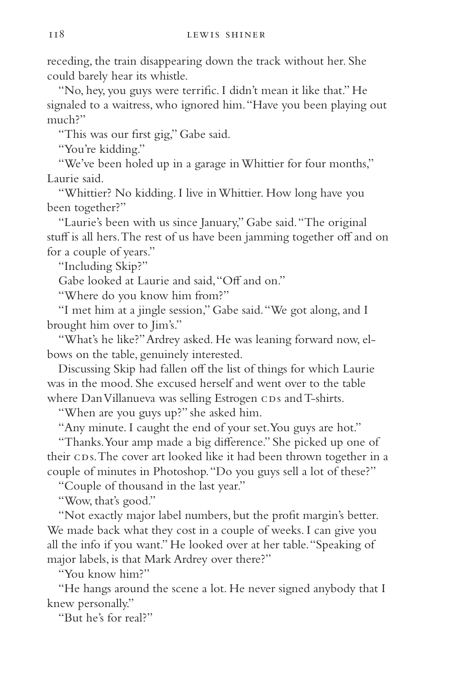receding, the train disappearing down the track without her. She could barely hear its whistle.

"No, hey, you guys were terrific. I didn't mean it like that." He signaled to a waitress, who ignored him. "Have you been playing out much?"

"This was our first gig," Gabe said.

"You're kidding."

"We've been holed up in a garage in Whittier for four months," Laurie said.

"Whittier? No kidding. I live in Whittier. How long have you been together?"

"Laurie's been with us since January," Gabe said. "The original stuff is all hers. The rest of us have been jamming together off and on for a couple of years."

"Including Skip?"

Gabe looked at Laurie and said, "Off and on."

"Where do you know him from?"

"I met him at a jingle session," Gabe said. "We got along, and I brought him over to Jim's."

"What's he like?" Ardrey asked. He was leaning forward now, elbows on the table, genuinely interested.

Discussing Skip had fallen off the list of things for which Laurie was in the mood. She excused herself and went over to the table where Dan Villanueva was selling Estrogen CDs and T-shirts.

"When are you guys up?" she asked him.

"Any minute. I caught the end of your set. You guys are hot."

"Thanks. Your amp made a big difference." She picked up one of their CDs. The cover art looked like it had been thrown together in a couple of minutes in Photoshop. "Do you guys sell a lot of these?"

"Couple of thousand in the last year."

"Wow, that's good."

"Not exactly major label numbers, but the profit margin's better. We made back what they cost in a couple of weeks. I can give you all the info if you want." He looked over at her table. "Speaking of major labels, is that Mark Ardrey over there?"

"You know him?"

"He hangs around the scene a lot. He never signed anybody that I knew personally."

"But he's for real?"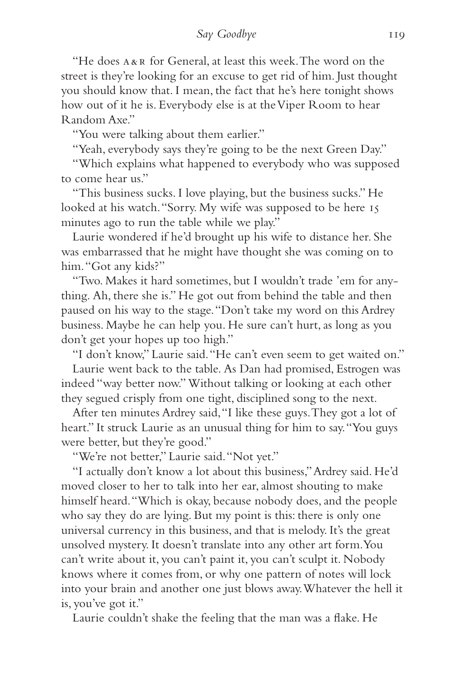"He does a&r for General, at least this week. The word on the street is they're looking for an excuse to get rid of him. Just thought you should know that. I mean, the fact that he's here tonight shows how out of it he is. Everybody else is at the Viper Room to hear Random Axe."

"You were talking about them earlier."

"Yeah, everybody says they're going to be the next Green Day."

"Which explains what happened to everybody who was supposed to come hear us."

"This business sucks. I love playing, but the business sucks." He looked at his watch. "Sorry. My wife was supposed to be here 15 minutes ago to run the table while we play."

Laurie wondered if he'd brought up his wife to distance her. She was embarrassed that he might have thought she was coming on to him. "Got any kids?"

"Two. Makes it hard sometimes, but I wouldn't trade 'em for anything. Ah, there she is." He got out from behind the table and then paused on his way to the stage. "Don't take my word on this Ardrey business. Maybe he can help you. He sure can't hurt, as long as you don't get your hopes up too high."

"I don't know," Laurie said. "He can't even seem to get waited on."

Laurie went back to the table. As Dan had promised, Estrogen was indeed "way better now." Without talking or looking at each other they segued crisply from one tight, disciplined song to the next.

After ten minutes Ardrey said, "I like these guys. They got a lot of heart." It struck Laurie as an unusual thing for him to say. "You guys were better, but they're good."

"We're not better," Laurie said. "Not yet."

"I actually don't know a lot about this business," Ardrey said. He'd moved closer to her to talk into her ear, almost shouting to make himself heard. "Which is okay, because nobody does, and the people who say they do are lying. But my point is this: there is only one universal currency in this business, and that is melody. It's the great unsolved mystery. It doesn't translate into any other art form. You can't write about it, you can't paint it, you can't sculpt it. Nobody knows where it comes from, or why one pattern of notes will lock into your brain and another one just blows away. Whatever the hell it is, you've got it."

Laurie couldn't shake the feeling that the man was a flake. He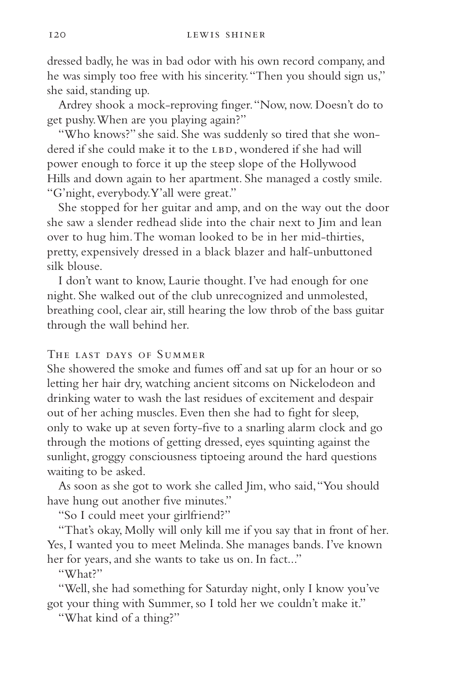dressed badly, he was in bad odor with his own record company, and he was simply too free with his sincerity. "Then you should sign us," she said, standing up.

Ardrey shook a mock-reproving finger. "Now, now. Doesn't do to get pushy. When are you playing again?"

"Who knows?" she said. She was suddenly so tired that she wondered if she could make it to the LBD, wondered if she had will power enough to force it up the steep slope of the Hollywood Hills and down again to her apartment. She managed a costly smile. "G'night, everybody. Y'all were great."

She stopped for her guitar and amp, and on the way out the door she saw a slender redhead slide into the chair next to Jim and lean over to hug him. The woman looked to be in her mid-thirties, pretty, expensively dressed in a black blazer and half-unbuttoned silk blouse.

I don't want to know, Laurie thought. I've had enough for one night. She walked out of the club unrecognized and unmolested, breathing cool, clear air, still hearing the low throb of the bass guitar through the wall behind her.

## The last days of Summer

She showered the smoke and fumes off and sat up for an hour or so letting her hair dry, watching ancient sitcoms on Nickelodeon and drinking water to wash the last residues of excitement and despair out of her aching muscles. Even then she had to fight for sleep, only to wake up at seven forty-five to a snarling alarm clock and go through the motions of getting dressed, eyes squinting against the sunlight, groggy consciousness tiptoeing around the hard questions waiting to be asked.

As soon as she got to work she called Jim, who said, "You should have hung out another five minutes."

"So I could meet your girlfriend?"

"That's okay, Molly will only kill me if you say that in front of her. Yes, I wanted you to meet Melinda. She manages bands. I've known her for years, and she wants to take us on. In fact..."

"What?"

"Well, she had something for Saturday night, only I know you've got your thing with Summer, so I told her we couldn't make it."

"What kind of a thing?"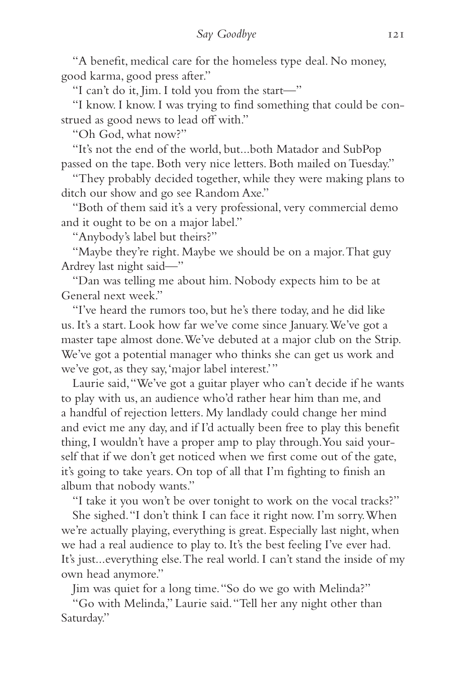"A benefit, medical care for the homeless type deal. No money, good karma, good press after."

"I can't do it, Jim. I told you from the start—"

"I know. I know. I was trying to find something that could be construed as good news to lead off with."

"Oh God, what now?"

"It's not the end of the world, but...both Matador and SubPop passed on the tape. Both very nice letters. Both mailed on Tuesday."

"They probably decided together, while they were making plans to ditch our show and go see Random Axe."

"Both of them said it's a very professional, very commercial demo and it ought to be on a major label."

"Anybody's label but theirs?"

"Maybe they're right. Maybe we should be on a major. That guy Ardrey last night said—"

"Dan was telling me about him. Nobody expects him to be at General next week."

"I've heard the rumors too, but he's there today, and he did like us. It's a start. Look how far we've come since January. We've got a master tape almost done. We've debuted at a major club on the Strip. We've got a potential manager who thinks she can get us work and we've got, as they say, 'major label interest.'"

Laurie said, "We've got a guitar player who can't decide if he wants to play with us, an audience who'd rather hear him than me, and a handful of rejection letters. My landlady could change her mind and evict me any day, and if I'd actually been free to play this benefit thing, I wouldn't have a proper amp to play through. You said yourself that if we don't get noticed when we first come out of the gate, it's going to take years. On top of all that I'm fighting to finish an album that nobody wants."

"I take it you won't be over tonight to work on the vocal tracks?"

She sighed. "I don't think I can face it right now. I'm sorry. When we're actually playing, everything is great. Especially last night, when we had a real audience to play to. It's the best feeling I've ever had. It's just...everything else. The real world. I can't stand the inside of my own head anymore."

Jim was quiet for a long time. "So do we go with Melinda?"

"Go with Melinda," Laurie said. "Tell her any night other than Saturday."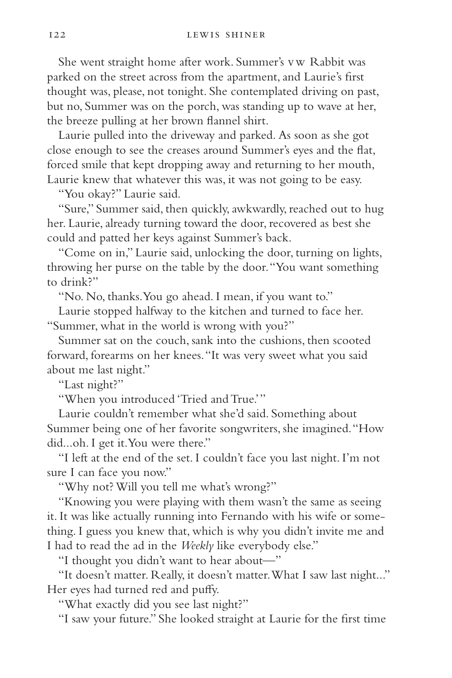She went straight home after work. Summer's vw Rabbit was parked on the street across from the apartment, and Laurie's first thought was, please, not tonight. She contemplated driving on past, but no, Summer was on the porch, was standing up to wave at her, the breeze pulling at her brown flannel shirt.

Laurie pulled into the driveway and parked. As soon as she got close enough to see the creases around Summer's eyes and the flat, forced smile that kept dropping away and returning to her mouth, Laurie knew that whatever this was, it was not going to be easy.

"You okay?" Laurie said.

"Sure," Summer said, then quickly, awkwardly, reached out to hug her. Laurie, already turning toward the door, recovered as best she could and patted her keys against Summer's back.

"Come on in," Laurie said, unlocking the door, turning on lights, throwing her purse on the table by the door. "You want something to drink?"

"No. No, thanks. You go ahead. I mean, if you want to."

Laurie stopped halfway to the kitchen and turned to face her. "Summer, what in the world is wrong with you?"

Summer sat on the couch, sank into the cushions, then scooted forward, forearms on her knees. "It was very sweet what you said about me last night."

"Last night?"

"When you introduced 'Tried and True.'"

Laurie couldn't remember what she'd said. Something about Summer being one of her favorite songwriters, she imagined. "How did...oh. I get it. You were there."

"I left at the end of the set. I couldn't face you last night. I'm not sure I can face you now."

"Why not? Will you tell me what's wrong?"

"Knowing you were playing with them wasn't the same as seeing it. It was like actually running into Fernando with his wife or something. I guess you knew that, which is why you didn't invite me and I had to read the ad in the *Weekly* like everybody else."

"I thought you didn't want to hear about—"

"It doesn't matter. Really, it doesn't matter. What I saw last night..." Her eyes had turned red and puffy.

"What exactly did you see last night?"

"I saw your future." She looked straight at Laurie for the first time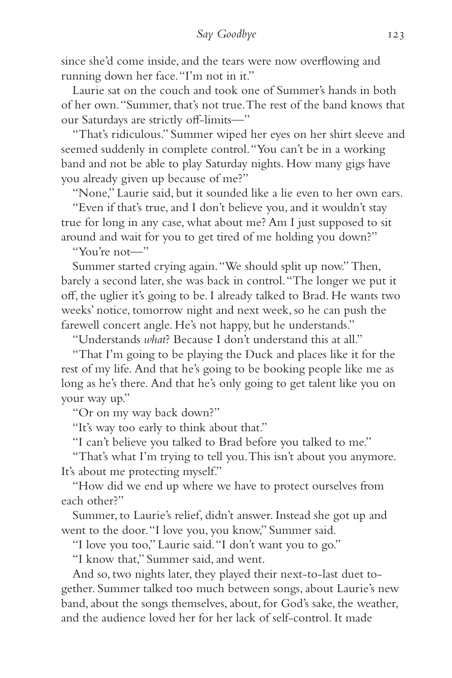since she'd come inside, and the tears were now overflowing and running down her face. "I'm not in it."

Laurie sat on the couch and took one of Summer's hands in both of her own. "Summer, that's not true. The rest of the band knows that our Saturdays are strictly off-limits—"

"That's ridiculous." Summer wiped her eyes on her shirt sleeve and seemed suddenly in complete control. "You can't be in a working band and not be able to play Saturday nights. How many gigs have you already given up because of me?"

"None," Laurie said, but it sounded like a lie even to her own ears.

"Even if that's true, and I don't believe you, and it wouldn't stay true for long in any case, what about me? Am I just supposed to sit around and wait for you to get tired of me holding you down?"

"You're not—"

Summer started crying again. "We should split up now." Then, barely a second later, she was back in control. "The longer we put it off, the uglier it's going to be. I already talked to Brad. He wants two weeks' notice, tomorrow night and next week, so he can push the farewell concert angle. He's not happy, but he understands."

"Understands *what*? Because I don't understand this at all."

"That I'm going to be playing the Duck and places like it for the rest of my life. And that he's going to be booking people like me as long as he's there. And that he's only going to get talent like you on your way up."

"Or on my way back down?"

"It's way too early to think about that."

"I can't believe you talked to Brad before you talked to me."

"That's what I'm trying to tell you. This isn't about you anymore. It's about me protecting myself."

"How did we end up where we have to protect ourselves from each other?"

Summer, to Laurie's relief, didn't answer. Instead she got up and went to the door. "I love you, you know," Summer said.

"I love you too," Laurie said. "I don't want you to go."

"I know that," Summer said, and went.

And so, two nights later, they played their next-to-last duet together. Summer talked too much between songs, about Laurie's new band, about the songs themselves, about, for God's sake, the weather, and the audience loved her for her lack of self-control. It made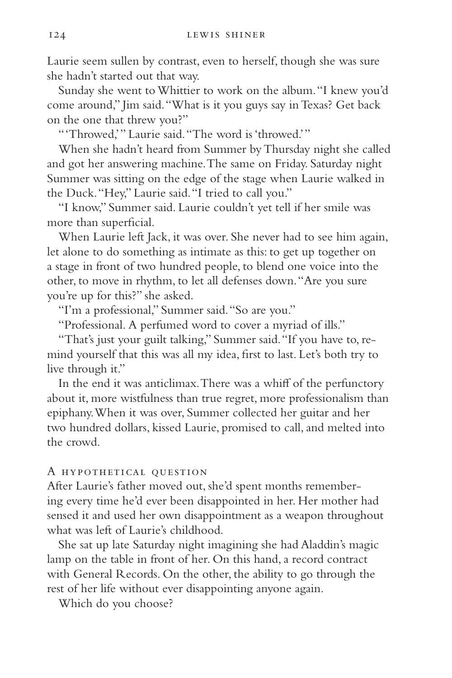Laurie seem sullen by contrast, even to herself, though she was sure she hadn't started out that way.

Sunday she went to Whittier to work on the album. "I knew you'd come around," Jim said. "What is it you guys say in Texas? Get back on the one that threw you?"

"'Throwed,'" Laurie said. "The word is 'throwed.'"

When she hadn't heard from Summer by Thursday night she called and got her answering machine. The same on Friday. Saturday night Summer was sitting on the edge of the stage when Laurie walked in the Duck. "Hey," Laurie said. "I tried to call you."

"I know," Summer said. Laurie couldn't yet tell if her smile was more than superficial.

When Laurie left Jack, it was over. She never had to see him again, let alone to do something as intimate as this: to get up together on a stage in front of two hundred people, to blend one voice into the other, to move in rhythm, to let all defenses down. "Are you sure you're up for this?" she asked.

"I'm a professional," Summer said. "So are you."

"Professional. A perfumed word to cover a myriad of ills."

"That's just your guilt talking," Summer said. "If you have to, remind yourself that this was all my idea, first to last. Let's both try to live through it."

In the end it was anticlimax. There was a whiff of the perfunctory about it, more wistfulness than true regret, more professionalism than epiphany. When it was over, Summer collected her guitar and her two hundred dollars, kissed Laurie, promised to call, and melted into the crowd.

## A hypothetical question

After Laurie's father moved out, she'd spent months remembering every time he'd ever been disappointed in her. Her mother had sensed it and used her own disappointment as a weapon throughout what was left of Laurie's childhood.

She sat up late Saturday night imagining she had Aladdin's magic lamp on the table in front of her. On this hand, a record contract with General Records. On the other, the ability to go through the rest of her life without ever disappointing anyone again.

Which do you choose?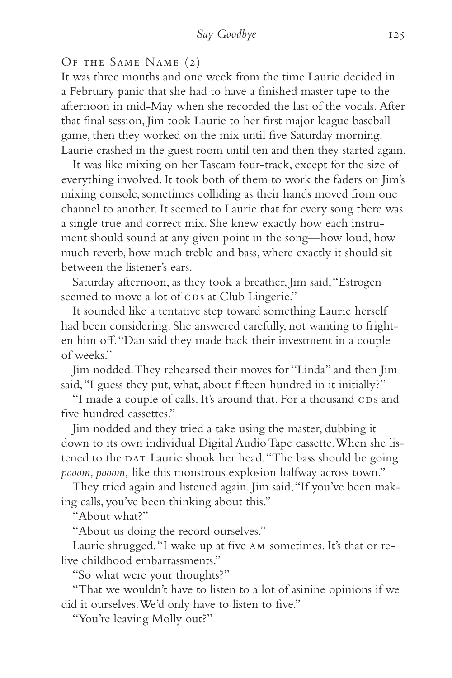# Of the Same Name (2)

It was three months and one week from the time Laurie decided in a February panic that she had to have a finished master tape to the afternoon in mid-May when she recorded the last of the vocals. After that final session, Jim took Laurie to her first major league baseball game, then they worked on the mix until five Saturday morning. Laurie crashed in the guest room until ten and then they started again.

It was like mixing on her Tascam four-track, except for the size of everything involved. It took both of them to work the faders on Jim's mixing console, sometimes colliding as their hands moved from one channel to another. It seemed to Laurie that for every song there was a single true and correct mix. She knew exactly how each instrument should sound at any given point in the song—how loud, how much reverb, how much treble and bass, where exactly it should sit between the listener's ears.

Saturday afternoon, as they took a breather, Jim said, "Estrogen seemed to move a lot of CDs at Club Lingerie."

It sounded like a tentative step toward something Laurie herself had been considering. She answered carefully, not wanting to frighten him off. "Dan said they made back their investment in a couple of weeks."

Jim nodded. They rehearsed their moves for "Linda" and then Jim said, "I guess they put, what, about fifteen hundred in it initially?"

"I made a couple of calls. It's around that. For a thousand CDs and five hundred cassettes."

Jim nodded and they tried a take using the master, dubbing it down to its own individual Digital Audio Tape cassette. When she listened to the DAT Laurie shook her head. "The bass should be going *pooom, pooom,* like this monstrous explosion halfway across town."

They tried again and listened again. Jim said, "If you've been making calls, you've been thinking about this."

"About what?"

"About us doing the record ourselves."

Laurie shrugged. "I wake up at five am sometimes. It's that or relive childhood embarrassments."

"So what were your thoughts?"

"That we wouldn't have to listen to a lot of asinine opinions if we did it ourselves. We'd only have to listen to five."

"You're leaving Molly out?"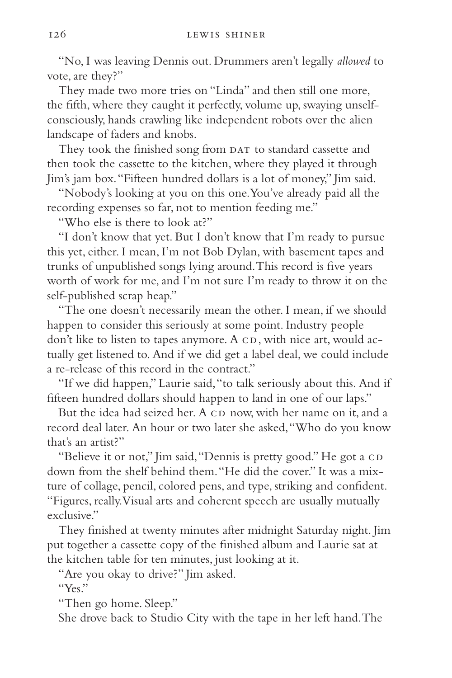"No, I was leaving Dennis out. Drummers aren't legally *allowed* to vote, are they?"

They made two more tries on "Linda" and then still one more, the fifth, where they caught it perfectly, volume up, swaying unselfconsciously, hands crawling like independent robots over the alien landscape of faders and knobs.

They took the finished song from DAT to standard cassette and then took the cassette to the kitchen, where they played it through Jim's jam box. "Fifteen hundred dollars is a lot of money," Jim said.

"Nobody's looking at you on this one. You've already paid all the recording expenses so far, not to mention feeding me."

"Who else is there to look at?"

"I don't know that yet. But I don't know that I'm ready to pursue this yet, either. I mean, I'm not Bob Dylan, with basement tapes and trunks of unpublished songs lying around. This record is five years worth of work for me, and I'm not sure I'm ready to throw it on the self-published scrap heap."

"The one doesn't necessarily mean the other. I mean, if we should happen to consider this seriously at some point. Industry people don't like to listen to tapes anymore. A  $CD$ , with nice art, would actually get listened to. And if we did get a label deal, we could include a re-release of this record in the contract."

"If we did happen," Laurie said, "to talk seriously about this. And if fifteen hundred dollars should happen to land in one of our laps."

But the idea had seized her. A CD now, with her name on it, and a record deal later. An hour or two later she asked, "Who do you know that's an artist?"

"Believe it or not," Jim said, "Dennis is pretty good." He got a CD down from the shelf behind them. "He did the cover." It was a mixture of collage, pencil, colored pens, and type, striking and confident. "Figures, really. Visual arts and coherent speech are usually mutually exclusive."

They finished at twenty minutes after midnight Saturday night. Jim put together a cassette copy of the finished album and Laurie sat at the kitchen table for ten minutes, just looking at it.

"Are you okay to drive?" Jim asked.

"Yes."

"Then go home. Sleep."

She drove back to Studio City with the tape in her left hand. The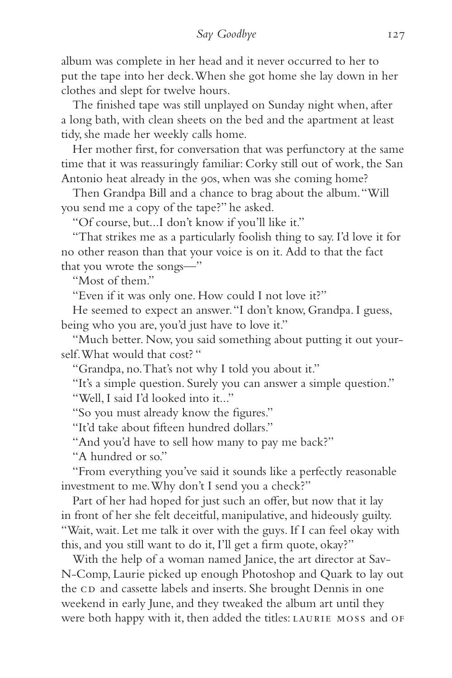album was complete in her head and it never occurred to her to put the tape into her deck. When she got home she lay down in her clothes and slept for twelve hours.

The finished tape was still unplayed on Sunday night when, after a long bath, with clean sheets on the bed and the apartment at least tidy, she made her weekly calls home.

Her mother first, for conversation that was perfunctory at the same time that it was reassuringly familiar: Corky still out of work, the San Antonio heat already in the 90s, when was she coming home?

Then Grandpa Bill and a chance to brag about the album. "Will you send me a copy of the tape?" he asked.

"Of course, but...I don't know if you'll like it."

"That strikes me as a particularly foolish thing to say. I'd love it for no other reason than that your voice is on it. Add to that the fact that you wrote the songs—"

"Most of them."

"Even if it was only one. How could I not love it?"

He seemed to expect an answer. "I don't know, Grandpa. I guess, being who you are, you'd just have to love it."

"Much better. Now, you said something about putting it out yourself. What would that cost? "

"Grandpa, no. That's not why I told you about it."

"It's a simple question. Surely you can answer a simple question."

"Well, I said I'd looked into it..."

"So you must already know the figures."

"It'd take about fifteen hundred dollars."

"And you'd have to sell how many to pay me back?"

"A hundred or so."

"From everything you've said it sounds like a perfectly reasonable investment to me. Why don't I send you a check?"

Part of her had hoped for just such an offer, but now that it lay in front of her she felt deceitful, manipulative, and hideously guilty. "Wait, wait. Let me talk it over with the guys. If I can feel okay with this, and you still want to do it, I'll get a firm quote, okay?"

With the help of a woman named Janice, the art director at Sav-N-Comp, Laurie picked up enough Photoshop and Quark to lay out the CD and cassette labels and inserts. She brought Dennis in one weekend in early June, and they tweaked the album art until they were both happy with it, then added the titles: LAURIE MOSS and OF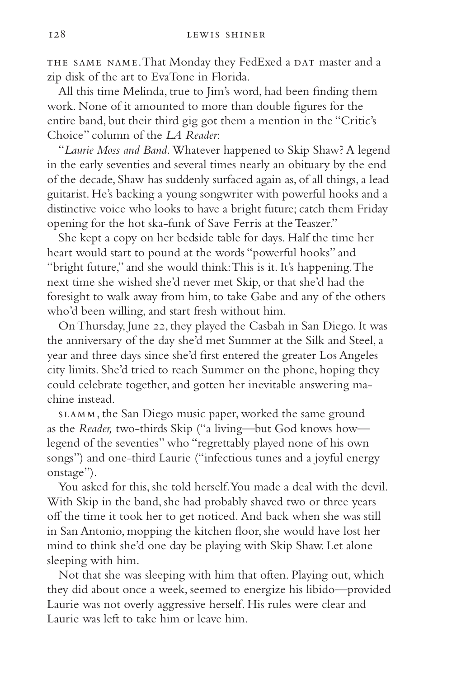THE SAME NAME. That Monday they FedExed a DAT master and a zip disk of the art to EvaTone in Florida.

All this time Melinda, true to Jim's word, had been finding them work. None of it amounted to more than double figures for the entire band, but their third gig got them a mention in the "Critic's Choice" column of the *LA Reader*:

"*Laurie Moss and Band.* Whatever happened to Skip Shaw? A legend in the early seventies and several times nearly an obituary by the end of the decade, Shaw has suddenly surfaced again as, of all things, a lead guitarist. He's backing a young songwriter with powerful hooks and a distinctive voice who looks to have a bright future; catch them Friday opening for the hot ska-funk of Save Ferris at the Teaszer."

She kept a copy on her bedside table for days. Half the time her heart would start to pound at the words "powerful hooks" and "bright future," and she would think: This is it. It's happening. The next time she wished she'd never met Skip, or that she'd had the foresight to walk away from him, to take Gabe and any of the others who'd been willing, and start fresh without him.

On Thursday, June 22, they played the Casbah in San Diego. It was the anniversary of the day she'd met Summer at the Silk and Steel, a year and three days since she'd first entered the greater Los Angeles city limits. She'd tried to reach Summer on the phone, hoping they could celebrate together, and gotten her inevitable answering machine instead.

slamm, the San Diego music paper, worked the same ground as the *Reader,* two-thirds Skip ("a living—but God knows how legend of the seventies" who "regrettably played none of his own songs") and one-third Laurie ("infectious tunes and a joyful energy onstage").

You asked for this, she told herself. You made a deal with the devil. With Skip in the band, she had probably shaved two or three years off the time it took her to get noticed. And back when she was still in San Antonio, mopping the kitchen floor, she would have lost her mind to think she'd one day be playing with Skip Shaw. Let alone sleeping with him.

Not that she was sleeping with him that often. Playing out, which they did about once a week, seemed to energize his libido—provided Laurie was not overly aggressive herself. His rules were clear and Laurie was left to take him or leave him.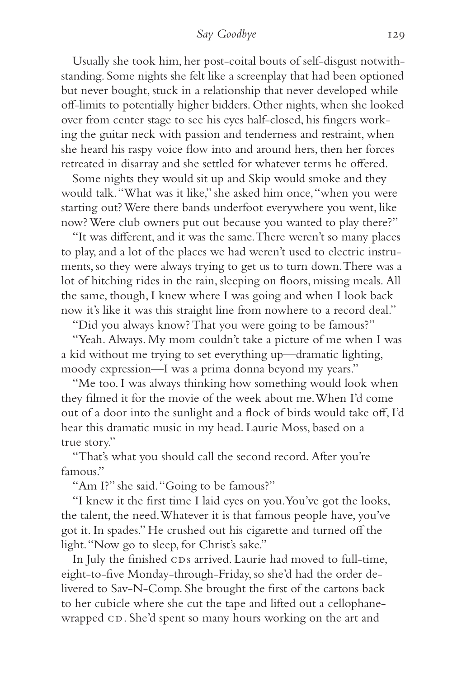*Say Goodbye* 129

Usually she took him, her post-coital bouts of self-disgust notwithstanding. Some nights she felt like a screenplay that had been optioned but never bought, stuck in a relationship that never developed while off-limits to potentially higher bidders. Other nights, when she looked over from center stage to see his eyes half-closed, his fingers working the guitar neck with passion and tenderness and restraint, when she heard his raspy voice flow into and around hers, then her forces retreated in disarray and she settled for whatever terms he offered.

Some nights they would sit up and Skip would smoke and they would talk. "What was it like," she asked him once, "when you were starting out? Were there bands underfoot everywhere you went, like now? Were club owners put out because you wanted to play there?"

"It was different, and it was the same. There weren't so many places to play, and a lot of the places we had weren't used to electric instruments, so they were always trying to get us to turn down. There was a lot of hitching rides in the rain, sleeping on floors, missing meals. All the same, though, I knew where I was going and when I look back now it's like it was this straight line from nowhere to a record deal."

"Did you always know? That you were going to be famous?"

"Yeah. Always. My mom couldn't take a picture of me when I was a kid without me trying to set everything up—dramatic lighting, moody expression—I was a prima donna beyond my years."

"Me too. I was always thinking how something would look when they filmed it for the movie of the week about me. When I'd come out of a door into the sunlight and a flock of birds would take off, I'd hear this dramatic music in my head. Laurie Moss, based on a true story."

"That's what you should call the second record. After you're famous."

"Am I?" she said. "Going to be famous?"

"I knew it the first time I laid eyes on you. You've got the looks, the talent, the need. Whatever it is that famous people have, you've got it. In spades." He crushed out his cigarette and turned off the light. "Now go to sleep, for Christ's sake."

In July the finished CDs arrived. Laurie had moved to full-time, eight-to-five Monday-through-Friday, so she'd had the order delivered to Sav-N-Comp. She brought the first of the cartons back to her cubicle where she cut the tape and lifted out a cellophanewrapped CD. She'd spent so many hours working on the art and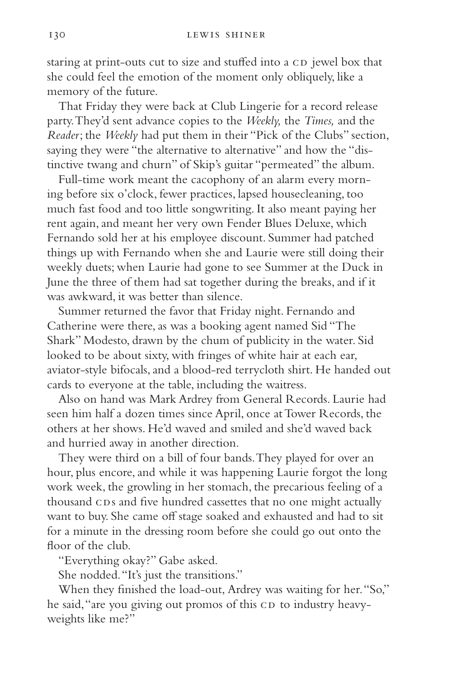staring at print-outs cut to size and stuffed into a CD jewel box that she could feel the emotion of the moment only obliquely, like a memory of the future.

That Friday they were back at Club Lingerie for a record release party. They'd sent advance copies to the *Weekly,* the *Times,* and the *Reader*; the *Weekly* had put them in their "Pick of the Clubs" section, saying they were "the alternative to alternative" and how the "distinctive twang and churn" of Skip's guitar "permeated" the album.

Full-time work meant the cacophony of an alarm every morning before six o'clock, fewer practices, lapsed housecleaning, too much fast food and too little songwriting. It also meant paying her rent again, and meant her very own Fender Blues Deluxe, which Fernando sold her at his employee discount. Summer had patched things up with Fernando when she and Laurie were still doing their weekly duets; when Laurie had gone to see Summer at the Duck in June the three of them had sat together during the breaks, and if it was awkward, it was better than silence.

Summer returned the favor that Friday night. Fernando and Catherine were there, as was a booking agent named Sid "The Shark" Modesto, drawn by the chum of publicity in the water. Sid looked to be about sixty, with fringes of white hair at each ear, aviator-style bifocals, and a blood-red terrycloth shirt. He handed out cards to everyone at the table, including the waitress.

Also on hand was Mark Ardrey from General Records. Laurie had seen him half a dozen times since April, once at Tower Records, the others at her shows. He'd waved and smiled and she'd waved back and hurried away in another direction.

They were third on a bill of four bands. They played for over an hour, plus encore, and while it was happening Laurie forgot the long work week, the growling in her stomach, the precarious feeling of a thousand CDs and five hundred cassettes that no one might actually want to buy. She came off stage soaked and exhausted and had to sit for a minute in the dressing room before she could go out onto the floor of the club.

"Everything okay?" Gabe asked.

She nodded. "It's just the transitions."

When they finished the load-out, Ardrey was waiting for her. "So," he said, "are you giving out promos of this CD to industry heavyweights like me?"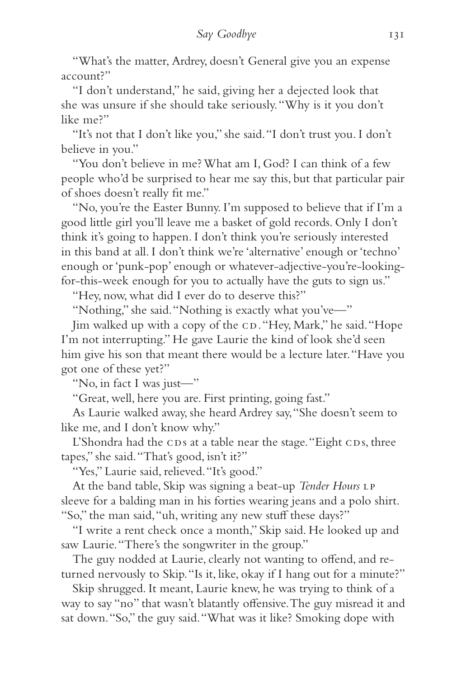"What's the matter, Ardrey, doesn't General give you an expense account?"

"I don't understand," he said, giving her a dejected look that she was unsure if she should take seriously. "Why is it you don't like me?"

"It's not that I don't like you," she said. "I don't trust you. I don't believe in you."

"You don't believe in me? What am I, God? I can think of a few people who'd be surprised to hear me say this, but that particular pair of shoes doesn't really fit me."

"No, you're the Easter Bunny. I'm supposed to believe that if I'm a good little girl you'll leave me a basket of gold records. Only I don't think it's going to happen. I don't think you're seriously interested in this band at all. I don't think we're 'alternative' enough or 'techno' enough or 'punk-pop' enough or whatever-adjective-you're-lookingfor-this-week enough for you to actually have the guts to sign us."

"Hey, now, what did I ever do to deserve this?"

"Nothing," she said. "Nothing is exactly what you've—"

Jim walked up with a copy of the CD. "Hey, Mark," he said. "Hope I'm not interrupting." He gave Laurie the kind of look she'd seen him give his son that meant there would be a lecture later. "Have you got one of these yet?"

"No, in fact I was just—"

"Great, well, here you are. First printing, going fast."

As Laurie walked away, she heard Ardrey say, "She doesn't seem to like me, and I don't know why."

L'Shondra had the  $CDs$  at a table near the stage. "Eight  $CDs$ , three tapes," she said. "That's good, isn't it?"

"Yes," Laurie said, relieved. "It's good."

At the band table, Skip was signing a beat-up *Tender Hours* lp sleeve for a balding man in his forties wearing jeans and a polo shirt. "So," the man said, "uh, writing any new stuff these days?"

"I write a rent check once a month," Skip said. He looked up and saw Laurie. "There's the songwriter in the group."

The guy nodded at Laurie, clearly not wanting to offend, and returned nervously to Skip. "Is it, like, okay if I hang out for a minute?"

Skip shrugged. It meant, Laurie knew, he was trying to think of a way to say "no" that wasn't blatantly offensive. The guy misread it and sat down. "So," the guy said. "What was it like? Smoking dope with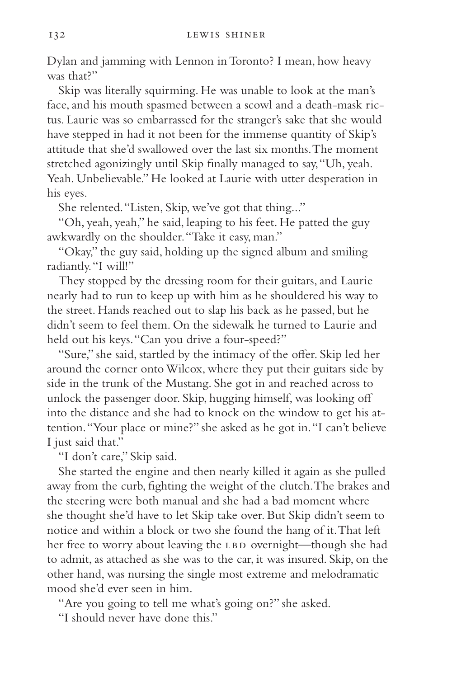Dylan and jamming with Lennon in Toronto? I mean, how heavy was that?"

Skip was literally squirming. He was unable to look at the man's face, and his mouth spasmed between a scowl and a death-mask rictus. Laurie was so embarrassed for the stranger's sake that she would have stepped in had it not been for the immense quantity of Skip's attitude that she'd swallowed over the last six months. The moment stretched agonizingly until Skip finally managed to say, "Uh, yeah. Yeah. Unbelievable." He looked at Laurie with utter desperation in his eyes.

She relented. "Listen, Skip, we've got that thing..."

"Oh, yeah, yeah," he said, leaping to his feet. He patted the guy awkwardly on the shoulder. "Take it easy, man."

"Okay," the guy said, holding up the signed album and smiling radiantly. "I will!"

They stopped by the dressing room for their guitars, and Laurie nearly had to run to keep up with him as he shouldered his way to the street. Hands reached out to slap his back as he passed, but he didn't seem to feel them. On the sidewalk he turned to Laurie and held out his keys. "Can you drive a four-speed?"

"Sure," she said, startled by the intimacy of the offer. Skip led her around the corner onto Wilcox, where they put their guitars side by side in the trunk of the Mustang. She got in and reached across to unlock the passenger door. Skip, hugging himself, was looking off into the distance and she had to knock on the window to get his attention. "Your place or mine?" she asked as he got in. "I can't believe I just said that."

"I don't care," Skip said.

She started the engine and then nearly killed it again as she pulled away from the curb, fighting the weight of the clutch. The brakes and the steering were both manual and she had a bad moment where she thought she'd have to let Skip take over. But Skip didn't seem to notice and within a block or two she found the hang of it. That left her free to worry about leaving the LBD overnight—though she had to admit, as attached as she was to the car, it was insured. Skip, on the other hand, was nursing the single most extreme and melodramatic mood she'd ever seen in him.

"Are you going to tell me what's going on?" she asked.

"I should never have done this."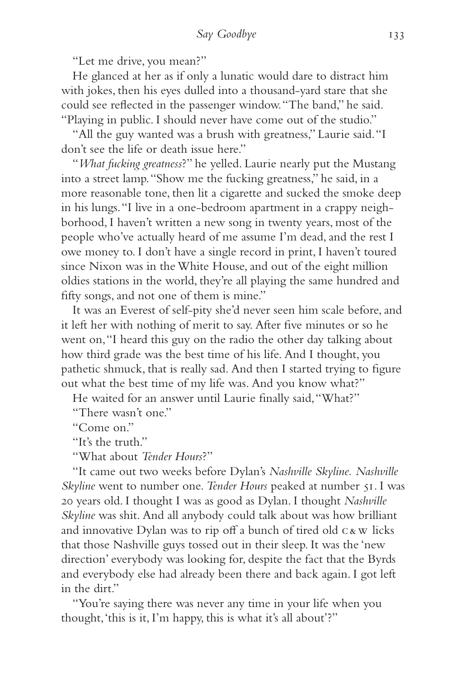"Let me drive, you mean?"

He glanced at her as if only a lunatic would dare to distract him with jokes, then his eyes dulled into a thousand-yard stare that she could see reflected in the passenger window. "The band," he said. "Playing in public. I should never have come out of the studio."

"All the guy wanted was a brush with greatness," Laurie said. "I don't see the life or death issue here."

"*What fucking greatness*?" he yelled. Laurie nearly put the Mustang into a street lamp. "Show me the fucking greatness," he said, in a more reasonable tone, then lit a cigarette and sucked the smoke deep in his lungs. "I live in a one-bedroom apartment in a crappy neighborhood, I haven't written a new song in twenty years, most of the people who've actually heard of me assume I'm dead, and the rest I owe money to. I don't have a single record in print, I haven't toured since Nixon was in the White House, and out of the eight million oldies stations in the world, they're all playing the same hundred and fifty songs, and not one of them is mine."

It was an Everest of self-pity she'd never seen him scale before, and it left her with nothing of merit to say. After five minutes or so he went on, "I heard this guy on the radio the other day talking about how third grade was the best time of his life. And I thought, you pathetic shmuck, that is really sad. And then I started trying to figure out what the best time of my life was. And you know what?"

He waited for an answer until Laurie finally said, "What?"

"There wasn't one."

"Come on."

"It's the truth."

"What about *Tender Hours*?"

"It came out two weeks before Dylan's *Nashville Skyline. Nashville Skyline* went to number one. *Tender Hours* peaked at number 51. I was 20 years old. I thought I was as good as Dylan. I thought *Nashville Skyline* was shit. And all anybody could talk about was how brilliant and innovative Dylan was to rip off a bunch of tired old  $c$  & w licks that those Nashville guys tossed out in their sleep. It was the 'new direction' everybody was looking for, despite the fact that the Byrds and everybody else had already been there and back again. I got left in the dirt."

"You're saying there was never any time in your life when you thought, 'this is it, I'm happy, this is what it's all about'?"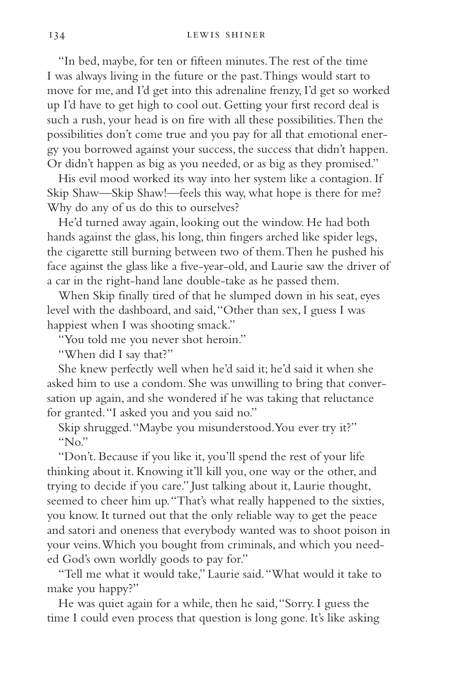"In bed, maybe, for ten or fifteen minutes. The rest of the time I was always living in the future or the past. Things would start to move for me, and I'd get into this adrenaline frenzy, I'd get so worked up I'd have to get high to cool out. Getting your first record deal is such a rush, your head is on fire with all these possibilities. Then the possibilities don't come true and you pay for all that emotional energy you borrowed against your success, the success that didn't happen. Or didn't happen as big as you needed, or as big as they promised."

His evil mood worked its way into her system like a contagion. If Skip Shaw—Skip Shaw!—feels this way, what hope is there for me? Why do any of us do this to ourselves?

He'd turned away again, looking out the window. He had both hands against the glass, his long, thin fingers arched like spider legs, the cigarette still burning between two of them. Then he pushed his face against the glass like a five-year-old, and Laurie saw the driver of a car in the right-hand lane double-take as he passed them.

When Skip finally tired of that he slumped down in his seat, eyes level with the dashboard, and said, "Other than sex, I guess I was happiest when I was shooting smack."

"You told me you never shot heroin."

"When did I say that?"

She knew perfectly well when he'd said it; he'd said it when she asked him to use a condom. She was unwilling to bring that conversation up again, and she wondered if he was taking that reluctance for granted. "I asked you and you said no."

Skip shrugged. "Maybe you misunderstood. You ever try it?" " $No.$ "

"Don't. Because if you like it, you'll spend the rest of your life thinking about it. Knowing it'll kill you, one way or the other, and trying to decide if you care." Just talking about it, Laurie thought, seemed to cheer him up. "That's what really happened to the sixties, you know. It turned out that the only reliable way to get the peace and satori and oneness that everybody wanted was to shoot poison in your veins. Which you bought from criminals, and which you needed God's own worldly goods to pay for."

"Tell me what it would take," Laurie said. "What would it take to make you happy?"

He was quiet again for a while, then he said, "Sorry. I guess the time I could even process that question is long gone. It's like asking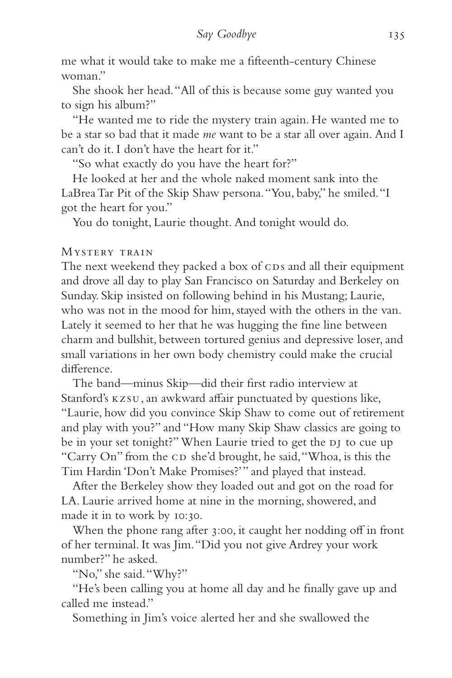me what it would take to make me a fifteenth-century Chinese woman."

She shook her head. "All of this is because some guy wanted you to sign his album?"

"He wanted me to ride the mystery train again. He wanted me to be a star so bad that it made *me* want to be a star all over again. And I can't do it. I don't have the heart for it."

"So what exactly do you have the heart for?"

He looked at her and the whole naked moment sank into the LaBrea Tar Pit of the Skip Shaw persona. "You, baby," he smiled. "I got the heart for you."

You do tonight, Laurie thought. And tonight would do.

Mystery train

The next weekend they packed a box of CDs and all their equipment and drove all day to play San Francisco on Saturday and Berkeley on Sunday. Skip insisted on following behind in his Mustang; Laurie, who was not in the mood for him, stayed with the others in the van. Lately it seemed to her that he was hugging the fine line between charm and bullshit, between tortured genius and depressive loser, and small variations in her own body chemistry could make the crucial difference.

The band—minus Skip—did their first radio interview at Stanford's kzsu, an awkward affair punctuated by questions like, "Laurie, how did you convince Skip Shaw to come out of retirement and play with you?" and "How many Skip Shaw classics are going to be in your set tonight?" When Laurie tried to get the DJ to cue up "Carry On" from the CD she'd brought, he said, "Whoa, is this the Tim Hardin 'Don't Make Promises?'" and played that instead.

After the Berkeley show they loaded out and got on the road for LA. Laurie arrived home at nine in the morning, showered, and made it in to work by 10:30.

When the phone rang after 3:00, it caught her nodding off in front of her terminal. It was Jim. "Did you not give Ardrey your work number?" he asked.

"No," she said. "Why?"

"He's been calling you at home all day and he finally gave up and called me instead."

Something in Jim's voice alerted her and she swallowed the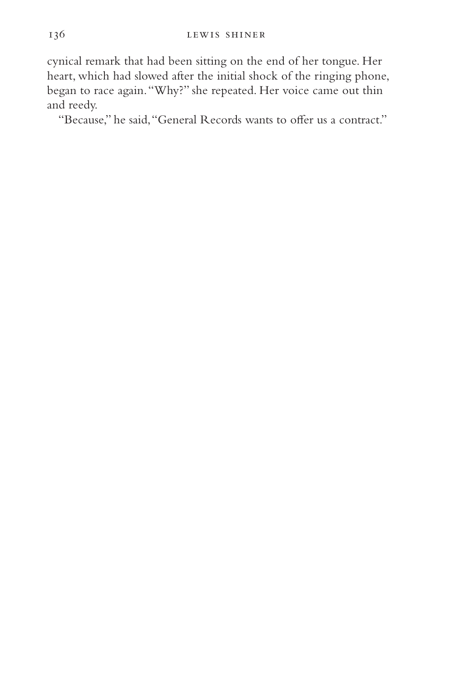cynical remark that had been sitting on the end of her tongue. Her heart, which had slowed after the initial shock of the ringing phone, began to race again. "Why?" she repeated. Her voice came out thin and reedy.

"Because," he said, "General Records wants to offer us a contract."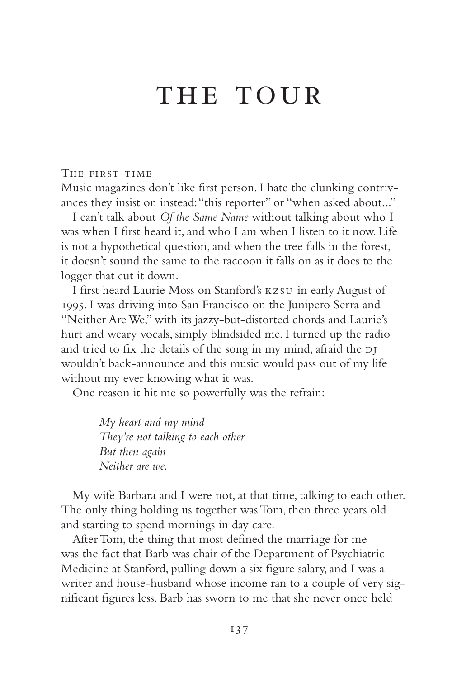# THE TOUR

#### The first time

Music magazines don't like first person. I hate the clunking contrivances they insist on instead: "this reporter" or "when asked about..."

I can't talk about *Of the Same Name* without talking about who I was when I first heard it, and who I am when I listen to it now. Life is not a hypothetical question, and when the tree falls in the forest, it doesn't sound the same to the raccoon it falls on as it does to the logger that cut it down.

I first heard Laurie Moss on Stanford's kzsu in early August of 1995. I was driving into San Francisco on the Junipero Serra and "Neither Are We," with its jazzy-but-distorted chords and Laurie's hurt and weary vocals, simply blindsided me. I turned up the radio and tried to fix the details of the song in my mind, afraid the DJ wouldn't back-announce and this music would pass out of my life without my ever knowing what it was.

One reason it hit me so powerfully was the refrain:

*My heart and my mind They're not talking to each other But then again Neither are we.* 

My wife Barbara and I were not, at that time, talking to each other. The only thing holding us together was Tom, then three years old and starting to spend mornings in day care.

After Tom, the thing that most defined the marriage for me was the fact that Barb was chair of the Department of Psychiatric Medicine at Stanford, pulling down a six figure salary, and I was a writer and house-husband whose income ran to a couple of very significant figures less. Barb has sworn to me that she never once held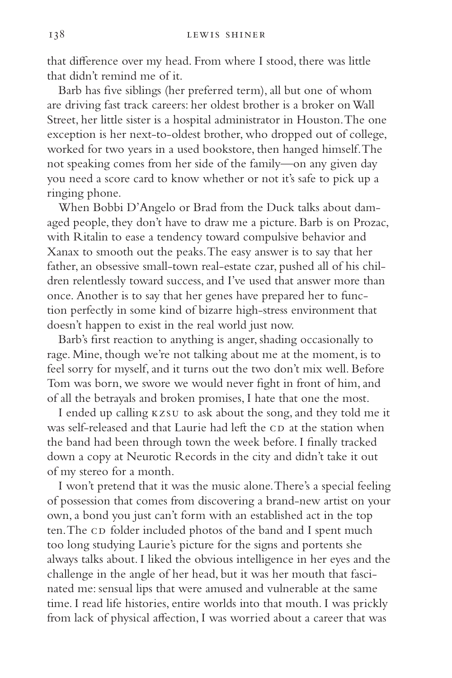that difference over my head. From where I stood, there was little that didn't remind me of it.

Barb has five siblings (her preferred term), all but one of whom are driving fast track careers: her oldest brother is a broker on Wall Street, her little sister is a hospital administrator in Houston. The one exception is her next-to-oldest brother, who dropped out of college, worked for two years in a used bookstore, then hanged himself. The not speaking comes from her side of the family—on any given day you need a score card to know whether or not it's safe to pick up a ringing phone.

When Bobbi D'Angelo or Brad from the Duck talks about damaged people, they don't have to draw me a picture. Barb is on Prozac, with Ritalin to ease a tendency toward compulsive behavior and Xanax to smooth out the peaks. The easy answer is to say that her father, an obsessive small-town real-estate czar, pushed all of his children relentlessly toward success, and I've used that answer more than once. Another is to say that her genes have prepared her to function perfectly in some kind of bizarre high-stress environment that doesn't happen to exist in the real world just now.

Barb's first reaction to anything is anger, shading occasionally to rage. Mine, though we're not talking about me at the moment, is to feel sorry for myself, and it turns out the two don't mix well. Before Tom was born, we swore we would never fight in front of him, and of all the betrayals and broken promises, I hate that one the most.

I ended up calling kzsu to ask about the song, and they told me it was self-released and that Laurie had left the CD at the station when the band had been through town the week before. I finally tracked down a copy at Neurotic Records in the city and didn't take it out of my stereo for a month.

I won't pretend that it was the music alone. There's a special feeling of possession that comes from discovering a brand-new artist on your own, a bond you just can't form with an established act in the top ten. The CD folder included photos of the band and I spent much too long studying Laurie's picture for the signs and portents she always talks about. I liked the obvious intelligence in her eyes and the challenge in the angle of her head, but it was her mouth that fascinated me: sensual lips that were amused and vulnerable at the same time. I read life histories, entire worlds into that mouth. I was prickly from lack of physical affection, I was worried about a career that was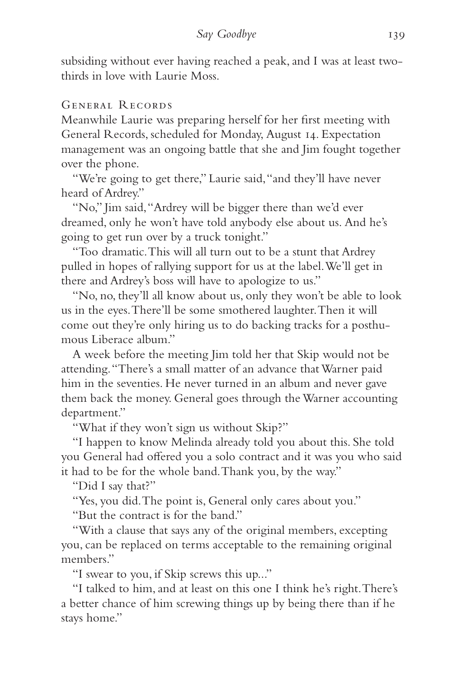subsiding without ever having reached a peak, and I was at least twothirds in love with Laurie Moss.

# General Records

Meanwhile Laurie was preparing herself for her first meeting with General Records, scheduled for Monday, August 14. Expectation management was an ongoing battle that she and Jim fought together over the phone.

"We're going to get there," Laurie said, "and they'll have never heard of Ardrey."

"No," Jim said, "Ardrey will be bigger there than we'd ever dreamed, only he won't have told anybody else about us. And he's going to get run over by a truck tonight."

"Too dramatic. This will all turn out to be a stunt that Ardrey pulled in hopes of rallying support for us at the label. We'll get in there and Ardrey's boss will have to apologize to us."

"No, no, they'll all know about us, only they won't be able to look us in the eyes. There'll be some smothered laughter. Then it will come out they're only hiring us to do backing tracks for a posthumous Liberace album."

A week before the meeting Jim told her that Skip would not be attending. "There's a small matter of an advance that Warner paid him in the seventies. He never turned in an album and never gave them back the money. General goes through the Warner accounting department."

"What if they won't sign us without Skip?"

"I happen to know Melinda already told you about this. She told you General had offered you a solo contract and it was you who said it had to be for the whole band. Thank you, by the way."

"Did I say that?"

"Yes, you did. The point is, General only cares about you."

"But the contract is for the band."

"With a clause that says any of the original members, excepting you, can be replaced on terms acceptable to the remaining original members."

"I swear to you, if Skip screws this up..."

"I talked to him, and at least on this one I think he's right. There's a better chance of him screwing things up by being there than if he stays home."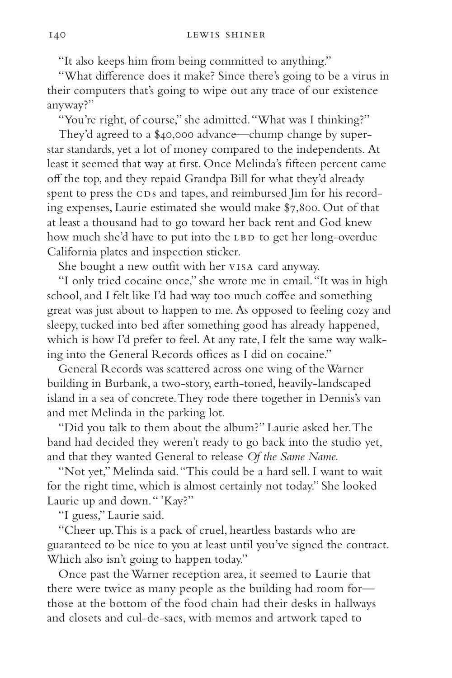"It also keeps him from being committed to anything."

"What difference does it make? Since there's going to be a virus in their computers that's going to wipe out any trace of our existence anyway?"

"You're right, of course," she admitted. "What was I thinking?"

They'd agreed to a \$40,000 advance—chump change by superstar standards, yet a lot of money compared to the independents. At least it seemed that way at first. Once Melinda's fifteen percent came off the top, and they repaid Grandpa Bill for what they'd already spent to press the CDs and tapes, and reimbursed Jim for his recording expenses, Laurie estimated she would make \$7,800. Out of that at least a thousand had to go toward her back rent and God knew how much she'd have to put into the LBD to get her long-overdue California plates and inspection sticker.

She bought a new outfit with her visa card anyway.

"I only tried cocaine once," she wrote me in email. "It was in high school, and I felt like I'd had way too much coffee and something great was just about to happen to me. As opposed to feeling cozy and sleepy, tucked into bed after something good has already happened, which is how I'd prefer to feel. At any rate, I felt the same way walking into the General Records offices as I did on cocaine."

General Records was scattered across one wing of the Warner building in Burbank, a two-story, earth-toned, heavily-landscaped island in a sea of concrete. They rode there together in Dennis's van and met Melinda in the parking lot.

"Did you talk to them about the album?" Laurie asked her. The band had decided they weren't ready to go back into the studio yet, and that they wanted General to release *Of the Same Name.*

"Not yet," Melinda said. "This could be a hard sell. I want to wait for the right time, which is almost certainly not today." She looked Laurie up and down. " 'Kay?"

"I guess," Laurie said.

"Cheer up. This is a pack of cruel, heartless bastards who are guaranteed to be nice to you at least until you've signed the contract. Which also isn't going to happen today."

Once past the Warner reception area, it seemed to Laurie that there were twice as many people as the building had room for those at the bottom of the food chain had their desks in hallways and closets and cul-de-sacs, with memos and artwork taped to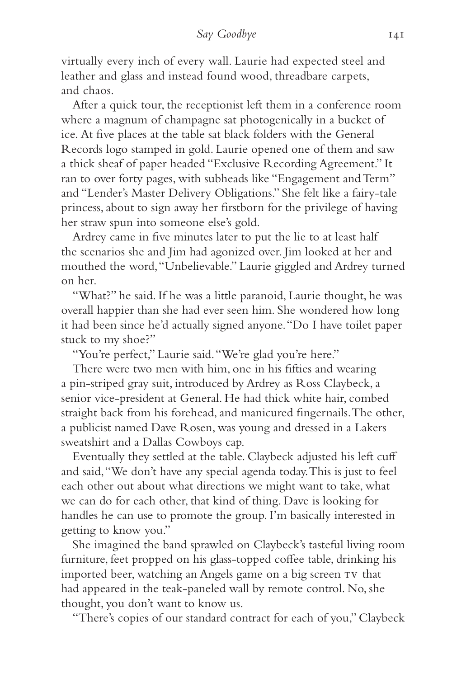virtually every inch of every wall. Laurie had expected steel and leather and glass and instead found wood, threadbare carpets, and chaos.

After a quick tour, the receptionist left them in a conference room where a magnum of champagne sat photogenically in a bucket of ice. At five places at the table sat black folders with the General Records logo stamped in gold. Laurie opened one of them and saw a thick sheaf of paper headed "Exclusive Recording Agreement." It ran to over forty pages, with subheads like "Engagement and Term" and "Lender's Master Delivery Obligations." She felt like a fairy-tale princess, about to sign away her firstborn for the privilege of having her straw spun into someone else's gold.

Ardrey came in five minutes later to put the lie to at least half the scenarios she and Jim had agonized over. Jim looked at her and mouthed the word, "Unbelievable." Laurie giggled and Ardrey turned on her.

"What?" he said. If he was a little paranoid, Laurie thought, he was overall happier than she had ever seen him. She wondered how long it had been since he'd actually signed anyone. "Do I have toilet paper stuck to my shoe?"

"You're perfect," Laurie said. "We're glad you're here."

There were two men with him, one in his fifties and wearing a pin-striped gray suit, introduced by Ardrey as Ross Claybeck, a senior vice-president at General. He had thick white hair, combed straight back from his forehead, and manicured fingernails. The other, a publicist named Dave Rosen, was young and dressed in a Lakers sweatshirt and a Dallas Cowboys cap.

Eventually they settled at the table. Claybeck adjusted his left cuff and said, "We don't have any special agenda today. This is just to feel each other out about what directions we might want to take, what we can do for each other, that kind of thing. Dave is looking for handles he can use to promote the group. I'm basically interested in getting to know you."

She imagined the band sprawled on Claybeck's tasteful living room furniture, feet propped on his glass-topped coffee table, drinking his imported beer, watching an Angels game on a big screen tv that had appeared in the teak-paneled wall by remote control. No, she thought, you don't want to know us.

"There's copies of our standard contract for each of you," Claybeck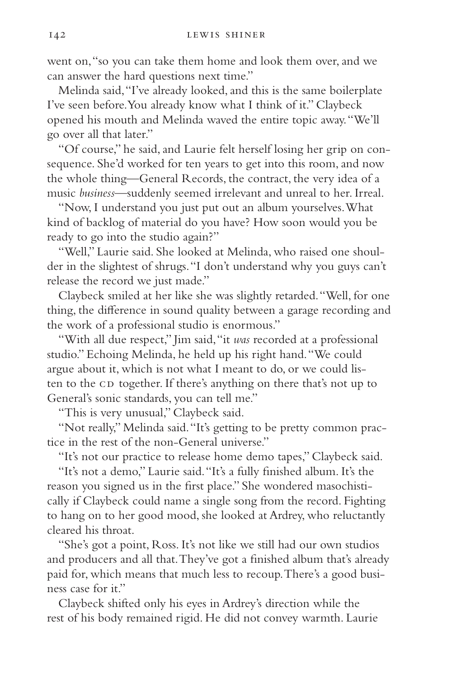went on, "so you can take them home and look them over, and we can answer the hard questions next time."

Melinda said, "I've already looked, and this is the same boilerplate I've seen before. You already know what I think of it." Claybeck opened his mouth and Melinda waved the entire topic away. "We'll go over all that later."

"Of course," he said, and Laurie felt herself losing her grip on consequence. She'd worked for ten years to get into this room, and now the whole thing—General Records, the contract, the very idea of a music *business*—suddenly seemed irrelevant and unreal to her. Irreal.

"Now, I understand you just put out an album yourselves. What kind of backlog of material do you have? How soon would you be ready to go into the studio again?"

"Well," Laurie said. She looked at Melinda, who raised one shoulder in the slightest of shrugs. "I don't understand why you guys can't release the record we just made."

Claybeck smiled at her like she was slightly retarded. "Well, for one thing, the difference in sound quality between a garage recording and the work of a professional studio is enormous."

"With all due respect," Jim said, "it *was* recorded at a professional studio." Echoing Melinda, he held up his right hand. "We could argue about it, which is not what I meant to do, or we could listen to the CD together. If there's anything on there that's not up to General's sonic standards, you can tell me."

"This is very unusual," Claybeck said.

"Not really," Melinda said. "It's getting to be pretty common practice in the rest of the non-General universe."

"It's not our practice to release home demo tapes," Claybeck said.

"It's not a demo," Laurie said. "It's a fully finished album. It's the reason you signed us in the first place." She wondered masochistically if Claybeck could name a single song from the record. Fighting to hang on to her good mood, she looked at Ardrey, who reluctantly cleared his throat.

"She's got a point, Ross. It's not like we still had our own studios and producers and all that. They've got a finished album that's already paid for, which means that much less to recoup. There's a good business case for it."

Claybeck shifted only his eyes in Ardrey's direction while the rest of his body remained rigid. He did not convey warmth. Laurie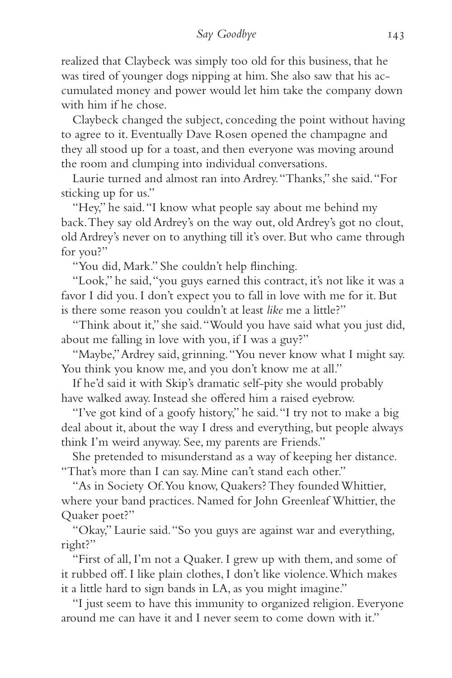realized that Claybeck was simply too old for this business, that he was tired of younger dogs nipping at him. She also saw that his accumulated money and power would let him take the company down with him if he chose.

Claybeck changed the subject, conceding the point without having to agree to it. Eventually Dave Rosen opened the champagne and they all stood up for a toast, and then everyone was moving around the room and clumping into individual conversations.

Laurie turned and almost ran into Ardrey. "Thanks," she said. "For sticking up for us."

"Hey," he said. "I know what people say about me behind my back. They say old Ardrey's on the way out, old Ardrey's got no clout, old Ardrey's never on to anything till it's over. But who came through for you?"

"You did, Mark." She couldn't help flinching.

"Look," he said, "you guys earned this contract, it's not like it was a favor I did you. I don't expect you to fall in love with me for it. But is there some reason you couldn't at least *like* me a little?"

"Think about it," she said. "Would you have said what you just did, about me falling in love with you, if I was a guy?"

"Maybe," Ardrey said, grinning. "You never know what I might say. You think you know me, and you don't know me at all."

If he'd said it with Skip's dramatic self-pity she would probably have walked away. Instead she offered him a raised eyebrow.

"I've got kind of a goofy history," he said. "I try not to make a big deal about it, about the way I dress and everything, but people always think I'm weird anyway. See, my parents are Friends."

She pretended to misunderstand as a way of keeping her distance. "That's more than I can say. Mine can't stand each other."

"As in Society Of. You know, Quakers? They founded Whittier, where your band practices. Named for John Greenleaf Whittier, the Quaker poet?"

"Okay," Laurie said. "So you guys are against war and everything, right?"

"First of all, I'm not a Quaker. I grew up with them, and some of it rubbed off. I like plain clothes, I don't like violence. Which makes it a little hard to sign bands in LA, as you might imagine."

"I just seem to have this immunity to organized religion. Everyone around me can have it and I never seem to come down with it."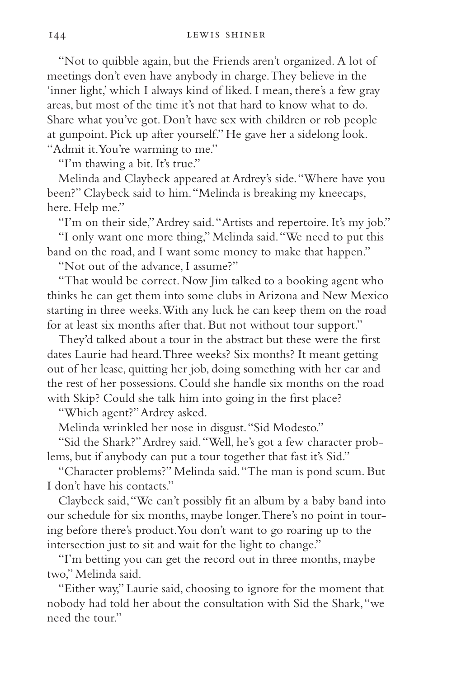"Not to quibble again, but the Friends aren't organized. A lot of meetings don't even have anybody in charge. They believe in the 'inner light,' which I always kind of liked. I mean, there's a few gray areas, but most of the time it's not that hard to know what to do. Share what you've got. Don't have sex with children or rob people at gunpoint. Pick up after yourself." He gave her a sidelong look. "Admit it. You're warming to me."

"I'm thawing a bit. It's true."

Melinda and Claybeck appeared at Ardrey's side. "Where have you been?" Claybeck said to him. "Melinda is breaking my kneecaps, here. Help me."

"I'm on their side," Ardrey said. "Artists and repertoire. It's my job."

"I only want one more thing," Melinda said. "We need to put this band on the road, and I want some money to make that happen."

"Not out of the advance, I assume?"

"That would be correct. Now Jim talked to a booking agent who thinks he can get them into some clubs in Arizona and New Mexico starting in three weeks. With any luck he can keep them on the road for at least six months after that. But not without tour support."

They'd talked about a tour in the abstract but these were the first dates Laurie had heard. Three weeks? Six months? It meant getting out of her lease, quitting her job, doing something with her car and the rest of her possessions. Could she handle six months on the road with Skip? Could she talk him into going in the first place?

"Which agent?" Ardrey asked.

Melinda wrinkled her nose in disgust. "Sid Modesto."

"Sid the Shark?" Ardrey said. "Well, he's got a few character problems, but if anybody can put a tour together that fast it's Sid."

"Character problems?" Melinda said. "The man is pond scum. But I don't have his contacts."

Claybeck said, "We can't possibly fit an album by a baby band into our schedule for six months, maybe longer. There's no point in touring before there's product. You don't want to go roaring up to the intersection just to sit and wait for the light to change."

"I'm betting you can get the record out in three months, maybe two," Melinda said.

"Either way," Laurie said, choosing to ignore for the moment that nobody had told her about the consultation with Sid the Shark, "we need the tour."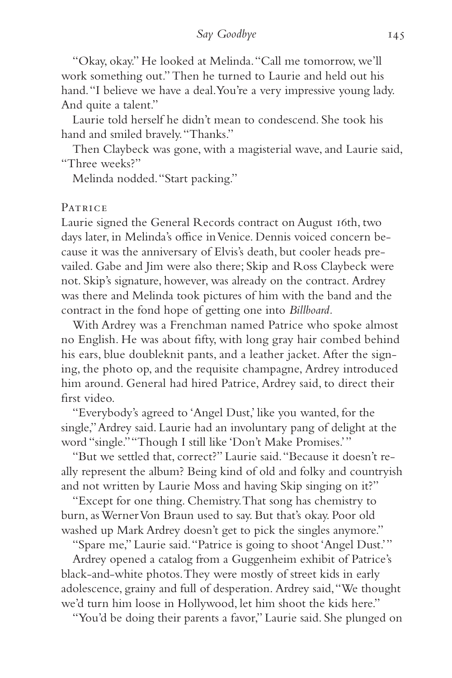"Okay, okay." He looked at Melinda. "Call me tomorrow, we'll work something out." Then he turned to Laurie and held out his hand. "I believe we have a deal. You're a very impressive young lady. And quite a talent."

Laurie told herself he didn't mean to condescend. She took his hand and smiled bravely. "Thanks."

Then Claybeck was gone, with a magisterial wave, and Laurie said, "Three weeks?"

Melinda nodded. "Start packing."

# PATRICE

Laurie signed the General Records contract on August 16th, two days later, in Melinda's office in Venice. Dennis voiced concern because it was the anniversary of Elvis's death, but cooler heads prevailed. Gabe and Jim were also there; Skip and Ross Claybeck were not. Skip's signature, however, was already on the contract. Ardrey was there and Melinda took pictures of him with the band and the contract in the fond hope of getting one into *Billboard.*

With Ardrey was a Frenchman named Patrice who spoke almost no English. He was about fifty, with long gray hair combed behind his ears, blue doubleknit pants, and a leather jacket. After the signing, the photo op, and the requisite champagne, Ardrey introduced him around. General had hired Patrice, Ardrey said, to direct their first video.

"Everybody's agreed to 'Angel Dust,' like you wanted, for the single," Ardrey said. Laurie had an involuntary pang of delight at the word "single." "Though I still like 'Don't Make Promises.'"

"But we settled that, correct?" Laurie said. "Because it doesn't really represent the album? Being kind of old and folky and countryish and not written by Laurie Moss and having Skip singing on it?"

"Except for one thing. Chemistry. That song has chemistry to burn, as Werner Von Braun used to say. But that's okay. Poor old washed up Mark Ardrey doesn't get to pick the singles anymore."

"Spare me," Laurie said. "Patrice is going to shoot 'Angel Dust.'"

Ardrey opened a catalog from a Guggenheim exhibit of Patrice's black-and-white photos. They were mostly of street kids in early adolescence, grainy and full of desperation. Ardrey said, "We thought we'd turn him loose in Hollywood, let him shoot the kids here."

"You'd be doing their parents a favor," Laurie said. She plunged on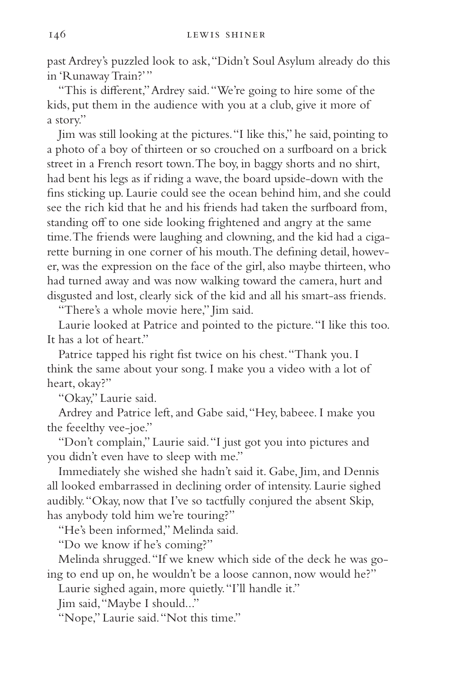past Ardrey's puzzled look to ask, "Didn't Soul Asylum already do this in 'Runaway Train?'"

"This is different," Ardrey said. "We're going to hire some of the kids, put them in the audience with you at a club, give it more of a story."

Jim was still looking at the pictures. "I like this," he said, pointing to a photo of a boy of thirteen or so crouched on a surfboard on a brick street in a French resort town. The boy, in baggy shorts and no shirt, had bent his legs as if riding a wave, the board upside-down with the fins sticking up. Laurie could see the ocean behind him, and she could see the rich kid that he and his friends had taken the surfboard from, standing off to one side looking frightened and angry at the same time. The friends were laughing and clowning, and the kid had a cigarette burning in one corner of his mouth. The defining detail, however, was the expression on the face of the girl, also maybe thirteen, who had turned away and was now walking toward the camera, hurt and disgusted and lost, clearly sick of the kid and all his smart-ass friends.

"There's a whole movie here," Jim said.

Laurie looked at Patrice and pointed to the picture. "I like this too. It has a lot of heart."

Patrice tapped his right fist twice on his chest. "Thank you. I think the same about your song. I make you a video with a lot of heart, okay?"

"Okay," Laurie said.

Ardrey and Patrice left, and Gabe said, "Hey, babeee. I make you the feeelthy vee-joe."

"Don't complain," Laurie said. "I just got you into pictures and you didn't even have to sleep with me."

Immediately she wished she hadn't said it. Gabe, Jim, and Dennis all looked embarrassed in declining order of intensity. Laurie sighed audibly. "Okay, now that I've so tactfully conjured the absent Skip, has anybody told him we're touring?"

"He's been informed," Melinda said.

"Do we know if he's coming?"

Melinda shrugged. "If we knew which side of the deck he was going to end up on, he wouldn't be a loose cannon, now would he?"

Laurie sighed again, more quietly. "I'll handle it."

Jim said, "Maybe I should..."

"Nope," Laurie said. "Not this time."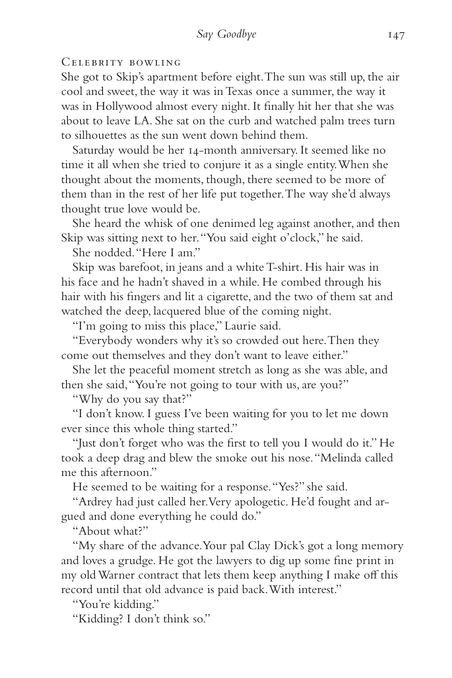# Celebrity bowling

She got to Skip's apartment before eight. The sun was still up, the air cool and sweet, the way it was in Texas once a summer, the way it was in Hollywood almost every night. It finally hit her that she was about to leave LA. She sat on the curb and watched palm trees turn to silhouettes as the sun went down behind them.

Saturday would be her 14-month anniversary. It seemed like no time it all when she tried to conjure it as a single entity. When she thought about the moments, though, there seemed to be more of them than in the rest of her life put together. The way she'd always thought true love would be.

She heard the whisk of one denimed leg against another, and then Skip was sitting next to her. "You said eight o'clock," he said.

She nodded. "Here I am."

Skip was barefoot, in jeans and a white T-shirt. His hair was in his face and he hadn't shaved in a while. He combed through his hair with his fingers and lit a cigarette, and the two of them sat and watched the deep, lacquered blue of the coming night.

"I'm going to miss this place," Laurie said.

"Everybody wonders why it's so crowded out here. Then they come out themselves and they don't want to leave either."

She let the peaceful moment stretch as long as she was able, and then she said, "You're not going to tour with us, are you?"

"Why do you say that?"

"I don't know. I guess I've been waiting for you to let me down ever since this whole thing started."

"Just don't forget who was the first to tell you I would do it." He took a deep drag and blew the smoke out his nose. "Melinda called me this afternoon."

He seemed to be waiting for a response. "Yes?" she said.

"Ardrey had just called her. Very apologetic. He'd fought and argued and done everything he could do."

"About what?"

"My share of the advance. Your pal Clay Dick's got a long memory and loves a grudge. He got the lawyers to dig up some fine print in my old Warner contract that lets them keep anything I make off this record until that old advance is paid back. With interest."

"You're kidding."

"Kidding? I don't think so."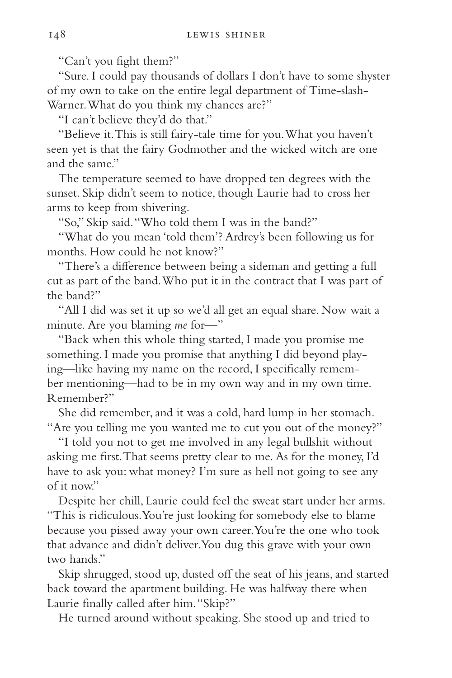"Can't you fight them?"

"Sure. I could pay thousands of dollars I don't have to some shyster of my own to take on the entire legal department of Time-slash-Warner. What do you think my chances are?"

"I can't believe they'd do that."

"Believe it. This is still fairy-tale time for you. What you haven't seen yet is that the fairy Godmother and the wicked witch are one and the same."

The temperature seemed to have dropped ten degrees with the sunset. Skip didn't seem to notice, though Laurie had to cross her arms to keep from shivering.

"So," Skip said. "Who told them I was in the band?"

"What do you mean 'told them'? Ardrey's been following us for months. How could he not know?"

"There's a difference between being a sideman and getting a full cut as part of the band. Who put it in the contract that I was part of the band?"

"All I did was set it up so we'd all get an equal share. Now wait a minute. Are you blaming *me* for—"

"Back when this whole thing started, I made you promise me something. I made you promise that anything I did beyond playing—like having my name on the record, I specifically remember mentioning—had to be in my own way and in my own time. Remember?"

She did remember, and it was a cold, hard lump in her stomach. "Are you telling me you wanted me to cut you out of the money?"

"I told you not to get me involved in any legal bullshit without asking me first. That seems pretty clear to me. As for the money, I'd have to ask you: what money? I'm sure as hell not going to see any of it now."

Despite her chill, Laurie could feel the sweat start under her arms. "This is ridiculous. You're just looking for somebody else to blame because you pissed away your own career. You're the one who took that advance and didn't deliver. You dug this grave with your own two hands."

Skip shrugged, stood up, dusted off the seat of his jeans, and started back toward the apartment building. He was halfway there when Laurie finally called after him. "Skip?"

He turned around without speaking. She stood up and tried to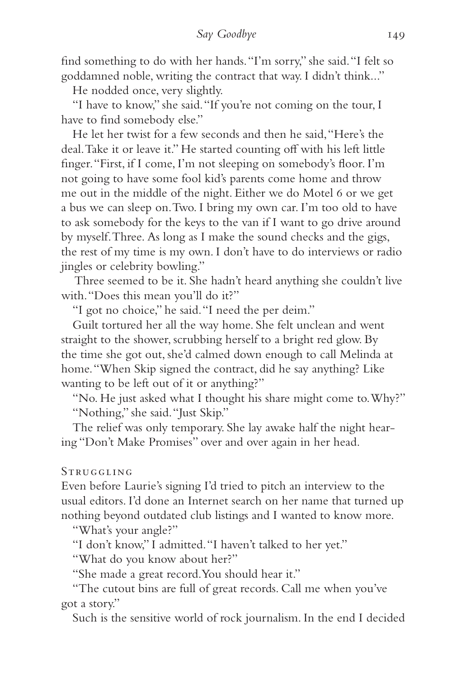find something to do with her hands. "I'm sorry," she said. "I felt so goddamned noble, writing the contract that way. I didn't think..."

He nodded once, very slightly.

"I have to know," she said. "If you're not coming on the tour, I have to find somebody else."

He let her twist for a few seconds and then he said, "Here's the deal. Take it or leave it." He started counting off with his left little finger. "First, if I come, I'm not sleeping on somebody's floor. I'm not going to have some fool kid's parents come home and throw me out in the middle of the night. Either we do Motel 6 or we get a bus we can sleep on. Two. I bring my own car. I'm too old to have to ask somebody for the keys to the van if I want to go drive around by myself. Three. As long as I make the sound checks and the gigs, the rest of my time is my own. I don't have to do interviews or radio jingles or celebrity bowling."

 Three seemed to be it. She hadn't heard anything she couldn't live with. "Does this mean you'll do it?"

"I got no choice," he said. "I need the per deim."

Guilt tortured her all the way home. She felt unclean and went straight to the shower, scrubbing herself to a bright red glow. By the time she got out, she'd calmed down enough to call Melinda at home. "When Skip signed the contract, did he say anything? Like wanting to be left out of it or anything?"

"No. He just asked what I thought his share might come to. Why?" "Nothing," she said. "Just Skip."

The relief was only temporary. She lay awake half the night hearing "Don't Make Promises" over and over again in her head.

## Struggling

Even before Laurie's signing I'd tried to pitch an interview to the usual editors. I'd done an Internet search on her name that turned up nothing beyond outdated club listings and I wanted to know more.

"What's your angle?"

"I don't know," I admitted. "I haven't talked to her yet."

"What do you know about her?"

"She made a great record. You should hear it."

"The cutout bins are full of great records. Call me when you've got a story."

Such is the sensitive world of rock journalism. In the end I decided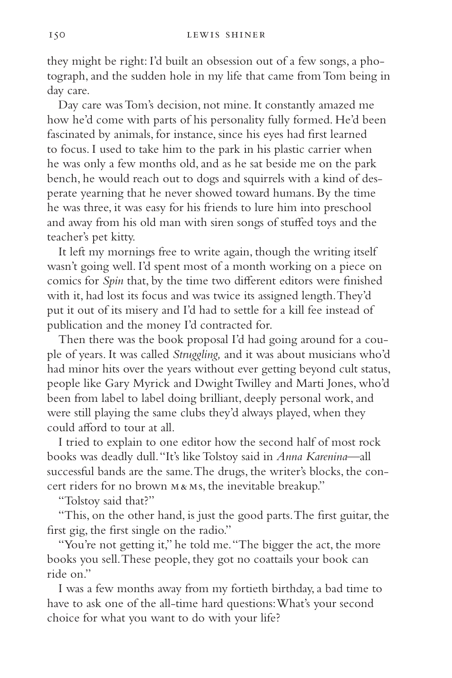they might be right: I'd built an obsession out of a few songs, a photograph, and the sudden hole in my life that came from Tom being in day care.

Day care was Tom's decision, not mine. It constantly amazed me how he'd come with parts of his personality fully formed. He'd been fascinated by animals, for instance, since his eyes had first learned to focus. I used to take him to the park in his plastic carrier when he was only a few months old, and as he sat beside me on the park bench, he would reach out to dogs and squirrels with a kind of desperate yearning that he never showed toward humans. By the time he was three, it was easy for his friends to lure him into preschool and away from his old man with siren songs of stuffed toys and the teacher's pet kitty.

It left my mornings free to write again, though the writing itself wasn't going well. I'd spent most of a month working on a piece on comics for *Spin* that, by the time two different editors were finished with it, had lost its focus and was twice its assigned length. They'd put it out of its misery and I'd had to settle for a kill fee instead of publication and the money I'd contracted for.

Then there was the book proposal I'd had going around for a couple of years. It was called *Struggling,* and it was about musicians who'd had minor hits over the years without ever getting beyond cult status, people like Gary Myrick and Dwight Twilley and Marti Jones, who'd been from label to label doing brilliant, deeply personal work, and were still playing the same clubs they'd always played, when they could afford to tour at all.

I tried to explain to one editor how the second half of most rock books was deadly dull. "It's like Tolstoy said in *Anna Karenina*—all successful bands are the same. The drugs, the writer's blocks, the concert riders for no brown  $M$ & Ms, the inevitable breakup."

"Tolstoy said that?"

"This, on the other hand, is just the good parts. The first guitar, the first gig, the first single on the radio."

"You're not getting it," he told me. "The bigger the act, the more books you sell. These people, they got no coattails your book can ride on"

I was a few months away from my fortieth birthday, a bad time to have to ask one of the all-time hard questions: What's your second choice for what you want to do with your life?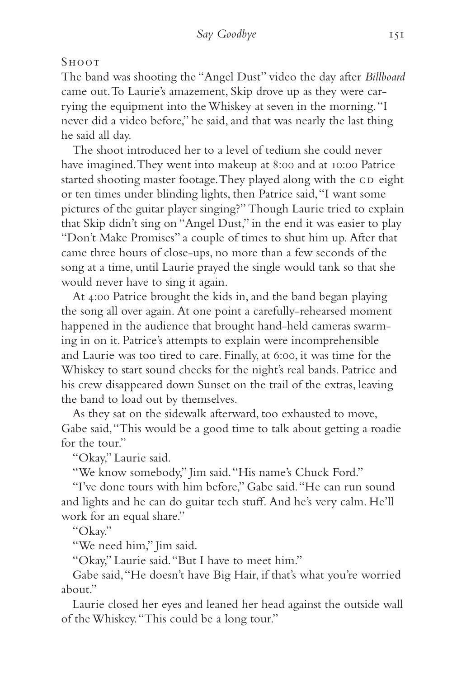# Shoot

The band was shooting the "Angel Dust" video the day after *Billboard* came out. To Laurie's amazement, Skip drove up as they were carrying the equipment into the Whiskey at seven in the morning. "I never did a video before," he said, and that was nearly the last thing he said all day.

The shoot introduced her to a level of tedium she could never have imagined. They went into makeup at 8:00 and at 10:00 Patrice started shooting master footage. They played along with the CD eight or ten times under blinding lights, then Patrice said, "I want some pictures of the guitar player singing?" Though Laurie tried to explain that Skip didn't sing on "Angel Dust," in the end it was easier to play "Don't Make Promises" a couple of times to shut him up. After that came three hours of close-ups, no more than a few seconds of the song at a time, until Laurie prayed the single would tank so that she would never have to sing it again.

At 4:00 Patrice brought the kids in, and the band began playing the song all over again. At one point a carefully-rehearsed moment happened in the audience that brought hand-held cameras swarming in on it. Patrice's attempts to explain were incomprehensible and Laurie was too tired to care. Finally, at 6:00, it was time for the Whiskey to start sound checks for the night's real bands. Patrice and his crew disappeared down Sunset on the trail of the extras, leaving the band to load out by themselves.

As they sat on the sidewalk afterward, too exhausted to move, Gabe said, "This would be a good time to talk about getting a roadie for the tour."

"Okay," Laurie said.

"We know somebody," Jim said. "His name's Chuck Ford."

"I've done tours with him before," Gabe said. "He can run sound and lights and he can do guitar tech stuff. And he's very calm. He'll work for an equal share."

"Okay."

"We need him," Jim said.

"Okay," Laurie said. "But I have to meet him."

Gabe said, "He doesn't have Big Hair, if that's what you're worried about."

Laurie closed her eyes and leaned her head against the outside wall of the Whiskey. "This could be a long tour."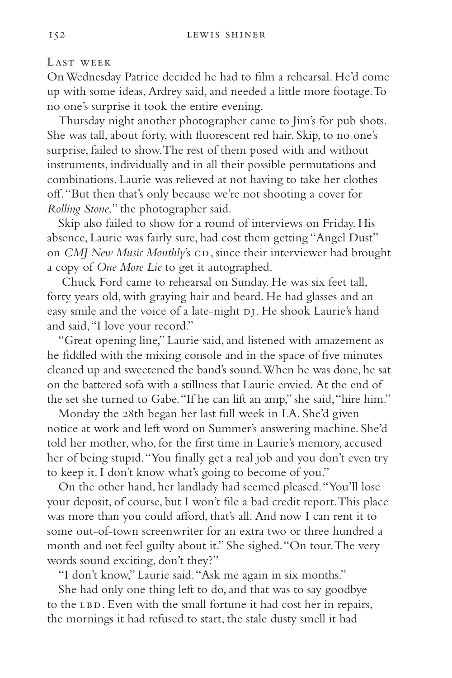#### Last week

On Wednesday Patrice decided he had to film a rehearsal. He'd come up with some ideas, Ardrey said, and needed a little more footage. To no one's surprise it took the entire evening.

Thursday night another photographer came to Jim's for pub shots. She was tall, about forty, with fluorescent red hair. Skip, to no one's surprise, failed to show. The rest of them posed with and without instruments, individually and in all their possible permutations and combinations. Laurie was relieved at not having to take her clothes off. "But then that's only because we're not shooting a cover for *Rolling Stone,*" the photographer said.

Skip also failed to show for a round of interviews on Friday. His absence, Laurie was fairly sure, had cost them getting "Angel Dust" on *CMJ New Music Monthly's* CD, since their interviewer had brought a copy of *One More Lie* to get it autographed.

 Chuck Ford came to rehearsal on Sunday. He was six feet tall, forty years old, with graying hair and beard. He had glasses and an easy smile and the voice of a late-night  $D$ . He shook Laurie's hand and said, "I love your record."

"Great opening line," Laurie said, and listened with amazement as he fiddled with the mixing console and in the space of five minutes cleaned up and sweetened the band's sound. When he was done, he sat on the battered sofa with a stillness that Laurie envied. At the end of the set she turned to Gabe. "If he can lift an amp," she said, "hire him."

Monday the 28th began her last full week in LA. She'd given notice at work and left word on Summer's answering machine. She'd told her mother, who, for the first time in Laurie's memory, accused her of being stupid. "You finally get a real job and you don't even try to keep it. I don't know what's going to become of you."

On the other hand, her landlady had seemed pleased. "You'll lose your deposit, of course, but I won't file a bad credit report. This place was more than you could afford, that's all. And now I can rent it to some out-of-town screenwriter for an extra two or three hundred a month and not feel guilty about it." She sighed. "On tour. The very words sound exciting, don't they?"

"I don't know," Laurie said. "Ask me again in six months."

She had only one thing left to do, and that was to say goodbye to the LBD. Even with the small fortune it had cost her in repairs, the mornings it had refused to start, the stale dusty smell it had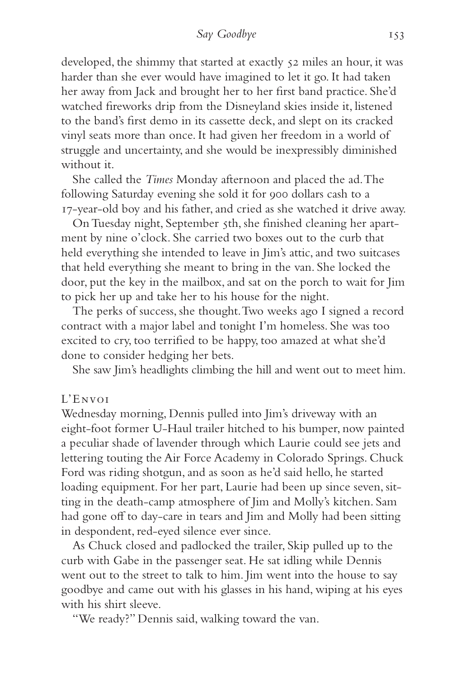developed, the shimmy that started at exactly 52 miles an hour, it was harder than she ever would have imagined to let it go. It had taken her away from Jack and brought her to her first band practice. She'd watched fireworks drip from the Disneyland skies inside it, listened to the band's first demo in its cassette deck, and slept on its cracked vinyl seats more than once. It had given her freedom in a world of struggle and uncertainty, and she would be inexpressibly diminished without it.

She called the *Times* Monday afternoon and placed the ad. The following Saturday evening she sold it for 900 dollars cash to a 17-year-old boy and his father, and cried as she watched it drive away.

On Tuesday night, September 5th, she finished cleaning her apartment by nine o'clock. She carried two boxes out to the curb that held everything she intended to leave in Jim's attic, and two suitcases that held everything she meant to bring in the van. She locked the door, put the key in the mailbox, and sat on the porch to wait for Jim to pick her up and take her to his house for the night.

The perks of success, she thought. Two weeks ago I signed a record contract with a major label and tonight I'm homeless. She was too excited to cry, too terrified to be happy, too amazed at what she'd done to consider hedging her bets.

She saw Jim's headlights climbing the hill and went out to meet him.

# L'Envoi

Wednesday morning, Dennis pulled into Jim's driveway with an eight-foot former U-Haul trailer hitched to his bumper, now painted a peculiar shade of lavender through which Laurie could see jets and lettering touting the Air Force Academy in Colorado Springs. Chuck Ford was riding shotgun, and as soon as he'd said hello, he started loading equipment. For her part, Laurie had been up since seven, sitting in the death-camp atmosphere of Jim and Molly's kitchen. Sam had gone off to day-care in tears and Jim and Molly had been sitting in despondent, red-eyed silence ever since.

As Chuck closed and padlocked the trailer, Skip pulled up to the curb with Gabe in the passenger seat. He sat idling while Dennis went out to the street to talk to him. Jim went into the house to say goodbye and came out with his glasses in his hand, wiping at his eyes with his shirt sleeve.

"We ready?" Dennis said, walking toward the van.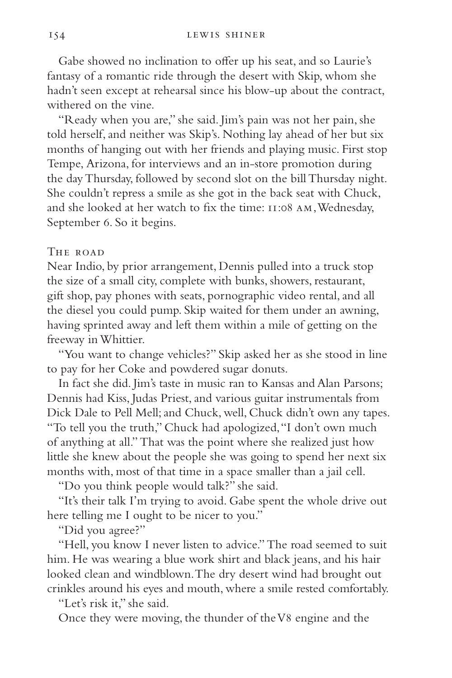Gabe showed no inclination to offer up his seat, and so Laurie's fantasy of a romantic ride through the desert with Skip, whom she hadn't seen except at rehearsal since his blow-up about the contract, withered on the vine.

"Ready when you are," she said. Jim's pain was not her pain, she told herself, and neither was Skip's. Nothing lay ahead of her but six months of hanging out with her friends and playing music. First stop Tempe, Arizona, for interviews and an in-store promotion during the day Thursday, followed by second slot on the bill Thursday night. She couldn't repress a smile as she got in the back seat with Chuck, and she looked at her watch to fix the time: 11:08 am, Wednesday, September 6. So it begins.

#### THE ROAD

Near Indio, by prior arrangement, Dennis pulled into a truck stop the size of a small city, complete with bunks, showers, restaurant, gift shop, pay phones with seats, pornographic video rental, and all the diesel you could pump. Skip waited for them under an awning, having sprinted away and left them within a mile of getting on the freeway in Whittier.

"You want to change vehicles?" Skip asked her as she stood in line to pay for her Coke and powdered sugar donuts.

In fact she did. Jim's taste in music ran to Kansas and Alan Parsons; Dennis had Kiss, Judas Priest, and various guitar instrumentals from Dick Dale to Pell Mell; and Chuck, well, Chuck didn't own any tapes. "To tell you the truth," Chuck had apologized, "I don't own much of anything at all." That was the point where she realized just how little she knew about the people she was going to spend her next six months with, most of that time in a space smaller than a jail cell.

"Do you think people would talk?" she said.

"It's their talk I'm trying to avoid. Gabe spent the whole drive out here telling me I ought to be nicer to you."

"Did you agree?"

"Hell, you know I never listen to advice." The road seemed to suit him. He was wearing a blue work shirt and black jeans, and his hair looked clean and windblown. The dry desert wind had brought out crinkles around his eyes and mouth, where a smile rested comfortably.

"Let's risk it," she said.

Once they were moving, the thunder of the V8 engine and the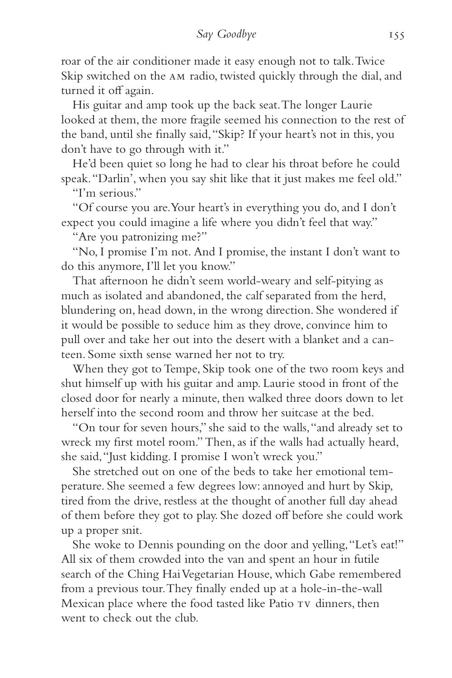roar of the air conditioner made it easy enough not to talk. Twice Skip switched on the am radio, twisted quickly through the dial, and turned it off again.

His guitar and amp took up the back seat. The longer Laurie looked at them, the more fragile seemed his connection to the rest of the band, until she finally said, "Skip? If your heart's not in this, you don't have to go through with it."

He'd been quiet so long he had to clear his throat before he could speak. "Darlin', when you say shit like that it just makes me feel old."

"I'm serious."

"Of course you are. Your heart's in everything you do, and I don't expect you could imagine a life where you didn't feel that way."

"Are you patronizing me?"

"No, I promise I'm not. And I promise, the instant I don't want to do this anymore, I'll let you know."

That afternoon he didn't seem world-weary and self-pitying as much as isolated and abandoned, the calf separated from the herd, blundering on, head down, in the wrong direction. She wondered if it would be possible to seduce him as they drove, convince him to pull over and take her out into the desert with a blanket and a canteen. Some sixth sense warned her not to try.

When they got to Tempe, Skip took one of the two room keys and shut himself up with his guitar and amp. Laurie stood in front of the closed door for nearly a minute, then walked three doors down to let herself into the second room and throw her suitcase at the bed.

"On tour for seven hours," she said to the walls, "and already set to wreck my first motel room." Then, as if the walls had actually heard, she said, "Just kidding. I promise I won't wreck you."

She stretched out on one of the beds to take her emotional temperature. She seemed a few degrees low: annoyed and hurt by Skip, tired from the drive, restless at the thought of another full day ahead of them before they got to play. She dozed off before she could work up a proper snit.

She woke to Dennis pounding on the door and yelling, "Let's eat!" All six of them crowded into the van and spent an hour in futile search of the Ching Hai Vegetarian House, which Gabe remembered from a previous tour. They finally ended up at a hole-in-the-wall Mexican place where the food tasted like Patio TV dinners, then went to check out the club.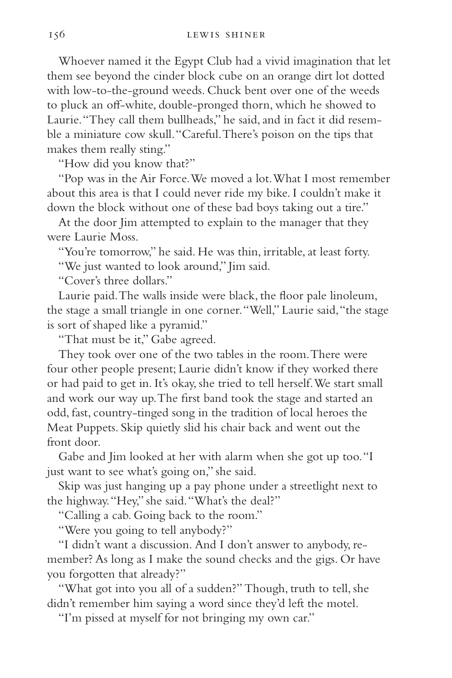Whoever named it the Egypt Club had a vivid imagination that let them see beyond the cinder block cube on an orange dirt lot dotted with low-to-the-ground weeds. Chuck bent over one of the weeds to pluck an off-white, double-pronged thorn, which he showed to Laurie. "They call them bullheads," he said, and in fact it did resemble a miniature cow skull. "Careful. There's poison on the tips that makes them really sting."

"How did you know that?"

"Pop was in the Air Force. We moved a lot. What I most remember about this area is that I could never ride my bike. I couldn't make it down the block without one of these bad boys taking out a tire."

At the door Jim attempted to explain to the manager that they were Laurie Moss.

"You're tomorrow," he said. He was thin, irritable, at least forty. "We just wanted to look around," Jim said.

"Cover's three dollars."

Laurie paid. The walls inside were black, the floor pale linoleum, the stage a small triangle in one corner. "Well," Laurie said, "the stage is sort of shaped like a pyramid."

"That must be it," Gabe agreed.

They took over one of the two tables in the room. There were four other people present; Laurie didn't know if they worked there or had paid to get in. It's okay, she tried to tell herself. We start small and work our way up. The first band took the stage and started an odd, fast, country-tinged song in the tradition of local heroes the Meat Puppets. Skip quietly slid his chair back and went out the front door.

Gabe and Jim looked at her with alarm when she got up too. "I just want to see what's going on," she said.

Skip was just hanging up a pay phone under a streetlight next to the highway. "Hey," she said. "What's the deal?"

"Calling a cab. Going back to the room."

"Were you going to tell anybody?"

"I didn't want a discussion. And I don't answer to anybody, remember? As long as I make the sound checks and the gigs. Or have you forgotten that already?"

"What got into you all of a sudden?" Though, truth to tell, she didn't remember him saying a word since they'd left the motel.

"I'm pissed at myself for not bringing my own car."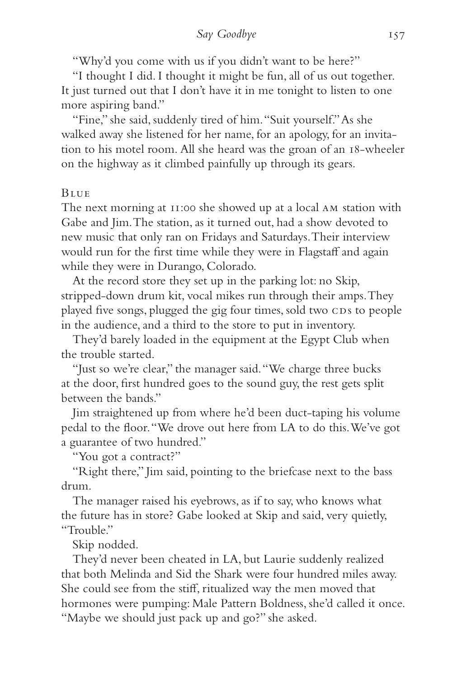## *Say Goodbye* 157

"Why'd you come with us if you didn't want to be here?"

"I thought I did. I thought it might be fun, all of us out together. It just turned out that I don't have it in me tonight to listen to one more aspiring band."

"Fine," she said, suddenly tired of him. "Suit yourself." As she walked away she listened for her name, for an apology, for an invitation to his motel room. All she heard was the groan of an 18-wheeler on the highway as it climbed painfully up through its gears.

**BLUE** 

The next morning at 11:00 she showed up at a local am station with Gabe and Jim. The station, as it turned out, had a show devoted to new music that only ran on Fridays and Saturdays. Their interview would run for the first time while they were in Flagstaff and again while they were in Durango, Colorado.

At the record store they set up in the parking lot: no Skip, stripped-down drum kit, vocal mikes run through their amps. They played five songs, plugged the gig four times, sold two CDs to people in the audience, and a third to the store to put in inventory.

They'd barely loaded in the equipment at the Egypt Club when the trouble started.

"Just so we're clear," the manager said. "We charge three bucks at the door, first hundred goes to the sound guy, the rest gets split between the bands."

Jim straightened up from where he'd been duct-taping his volume pedal to the floor. "We drove out here from LA to do this. We've got a guarantee of two hundred."

"You got a contract?"

"Right there," Jim said, pointing to the briefcase next to the bass drum.

The manager raised his eyebrows, as if to say, who knows what the future has in store? Gabe looked at Skip and said, very quietly, "Trouble."

Skip nodded.

They'd never been cheated in LA, but Laurie suddenly realized that both Melinda and Sid the Shark were four hundred miles away. She could see from the stiff, ritualized way the men moved that hormones were pumping: Male Pattern Boldness, she'd called it once. "Maybe we should just pack up and go?" she asked.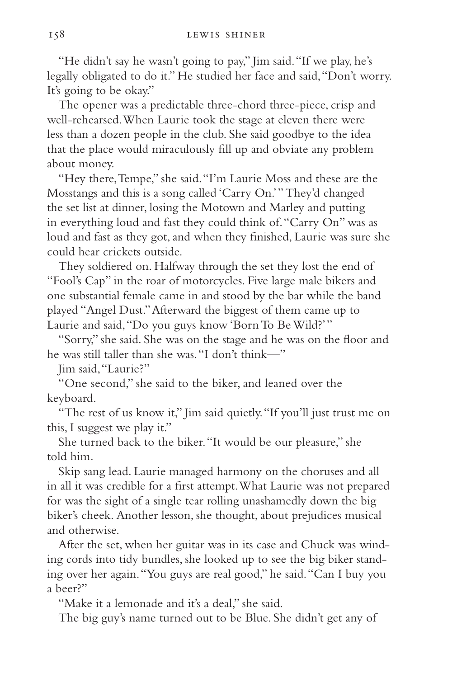"He didn't say he wasn't going to pay," Jim said. "If we play, he's legally obligated to do it." He studied her face and said, "Don't worry. It's going to be okay."

The opener was a predictable three-chord three-piece, crisp and well-rehearsed. When Laurie took the stage at eleven there were less than a dozen people in the club. She said goodbye to the idea that the place would miraculously fill up and obviate any problem about money.

"Hey there, Tempe," she said. "I'm Laurie Moss and these are the Mosstangs and this is a song called 'Carry On.'" They'd changed the set list at dinner, losing the Motown and Marley and putting in everything loud and fast they could think of. "Carry On" was as loud and fast as they got, and when they finished, Laurie was sure she could hear crickets outside.

They soldiered on. Halfway through the set they lost the end of "Fool's Cap" in the roar of motorcycles. Five large male bikers and one substantial female came in and stood by the bar while the band played "Angel Dust." Afterward the biggest of them came up to Laurie and said, "Do you guys know 'Born To Be Wild?'"

"Sorry," she said. She was on the stage and he was on the floor and he was still taller than she was. "I don't think—"

Jim said, "Laurie?"

"One second," she said to the biker, and leaned over the keyboard.

"The rest of us know it," Jim said quietly. "If you'll just trust me on this, I suggest we play it."

She turned back to the biker. "It would be our pleasure," she told him.

Skip sang lead. Laurie managed harmony on the choruses and all in all it was credible for a first attempt. What Laurie was not prepared for was the sight of a single tear rolling unashamedly down the big biker's cheek. Another lesson, she thought, about prejudices musical and otherwise.

After the set, when her guitar was in its case and Chuck was winding cords into tidy bundles, she looked up to see the big biker standing over her again. "You guys are real good," he said. "Can I buy you a beer?"

"Make it a lemonade and it's a deal," she said.

The big guy's name turned out to be Blue. She didn't get any of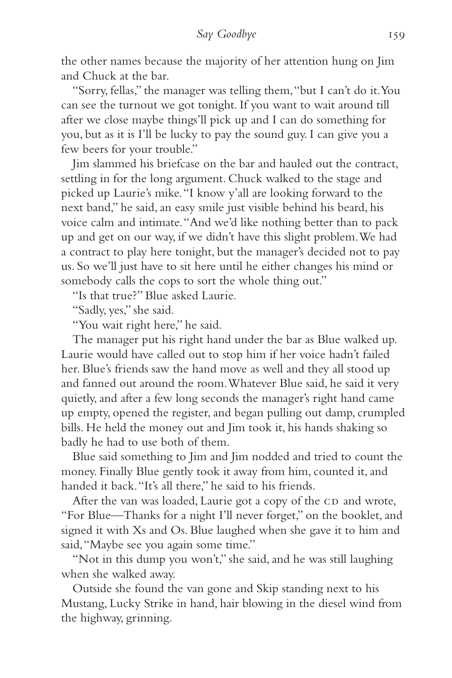the other names because the majority of her attention hung on Jim and Chuck at the bar.

"Sorry, fellas," the manager was telling them, "but I can't do it. You can see the turnout we got tonight. If you want to wait around till after we close maybe things'll pick up and I can do something for you, but as it is I'll be lucky to pay the sound guy. I can give you a few beers for your trouble."

Jim slammed his briefcase on the bar and hauled out the contract, settling in for the long argument. Chuck walked to the stage and picked up Laurie's mike. "I know y'all are looking forward to the next band," he said, an easy smile just visible behind his beard, his voice calm and intimate. "And we'd like nothing better than to pack up and get on our way, if we didn't have this slight problem. We had a contract to play here tonight, but the manager's decided not to pay us. So we'll just have to sit here until he either changes his mind or somebody calls the cops to sort the whole thing out."

"Is that true?" Blue asked Laurie.

"Sadly, yes," she said.

"You wait right here," he said.

The manager put his right hand under the bar as Blue walked up. Laurie would have called out to stop him if her voice hadn't failed her. Blue's friends saw the hand move as well and they all stood up and fanned out around the room. Whatever Blue said, he said it very quietly, and after a few long seconds the manager's right hand came up empty, opened the register, and began pulling out damp, crumpled bills. He held the money out and Jim took it, his hands shaking so badly he had to use both of them.

Blue said something to Jim and Jim nodded and tried to count the money. Finally Blue gently took it away from him, counted it, and handed it back. "It's all there," he said to his friends.

After the van was loaded, Laurie got a copy of the CD and wrote, "For Blue—Thanks for a night I'll never forget," on the booklet, and signed it with Xs and Os. Blue laughed when she gave it to him and said, "Maybe see you again some time."

"Not in this dump you won't," she said, and he was still laughing when she walked away.

Outside she found the van gone and Skip standing next to his Mustang, Lucky Strike in hand, hair blowing in the diesel wind from the highway, grinning.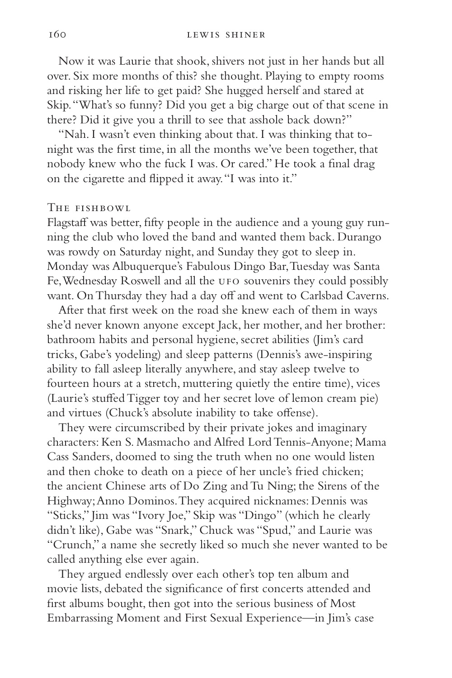Now it was Laurie that shook, shivers not just in her hands but all over. Six more months of this? she thought. Playing to empty rooms and risking her life to get paid? She hugged herself and stared at Skip. "What's so funny? Did you get a big charge out of that scene in there? Did it give you a thrill to see that asshole back down?"

"Nah. I wasn't even thinking about that. I was thinking that tonight was the first time, in all the months we've been together, that nobody knew who the fuck I was. Or cared." He took a final drag on the cigarette and flipped it away. "I was into it."

#### THE FISHBOWL

Flagstaff was better, fifty people in the audience and a young guy running the club who loved the band and wanted them back. Durango was rowdy on Saturday night, and Sunday they got to sleep in. Monday was Albuquerque's Fabulous Dingo Bar, Tuesday was Santa Fe, Wednesday Roswell and all the UFO souvenirs they could possibly want. On Thursday they had a day off and went to Carlsbad Caverns.

After that first week on the road she knew each of them in ways she'd never known anyone except Jack, her mother, and her brother: bathroom habits and personal hygiene, secret abilities (Jim's card tricks, Gabe's yodeling) and sleep patterns (Dennis's awe-inspiring ability to fall asleep literally anywhere, and stay asleep twelve to fourteen hours at a stretch, muttering quietly the entire time), vices (Laurie's stuffed Tigger toy and her secret love of lemon cream pie) and virtues (Chuck's absolute inability to take offense).

They were circumscribed by their private jokes and imaginary characters: Ken S. Masmacho and Alfred Lord Tennis-Anyone; Mama Cass Sanders, doomed to sing the truth when no one would listen and then choke to death on a piece of her uncle's fried chicken; the ancient Chinese arts of Do Zing and Tu Ning; the Sirens of the Highway; Anno Dominos. They acquired nicknames: Dennis was "Sticks," Jim was "Ivory Joe," Skip was "Dingo" (which he clearly didn't like), Gabe was "Snark," Chuck was "Spud," and Laurie was "Crunch," a name she secretly liked so much she never wanted to be called anything else ever again.

They argued endlessly over each other's top ten album and movie lists, debated the significance of first concerts attended and first albums bought, then got into the serious business of Most Embarrassing Moment and First Sexual Experience—in Jim's case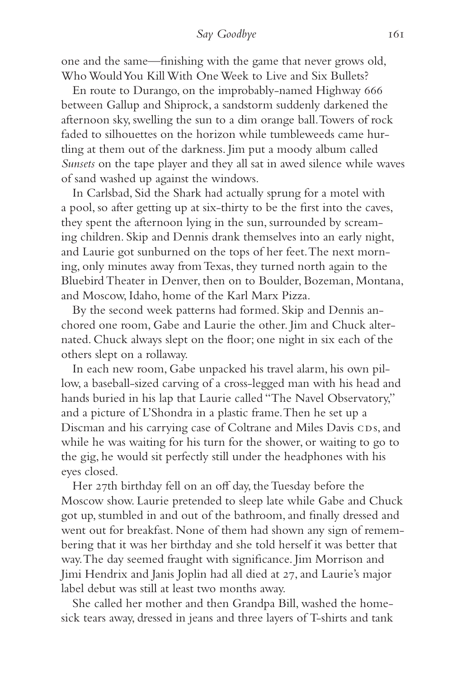one and the same—finishing with the game that never grows old, Who Would You Kill With One Week to Live and Six Bullets?

En route to Durango, on the improbably-named Highway 666 between Gallup and Shiprock, a sandstorm suddenly darkened the afternoon sky, swelling the sun to a dim orange ball. Towers of rock faded to silhouettes on the horizon while tumbleweeds came hurtling at them out of the darkness. Jim put a moody album called *Sunsets* on the tape player and they all sat in awed silence while waves of sand washed up against the windows.

In Carlsbad, Sid the Shark had actually sprung for a motel with a pool, so after getting up at six-thirty to be the first into the caves, they spent the afternoon lying in the sun, surrounded by screaming children. Skip and Dennis drank themselves into an early night, and Laurie got sunburned on the tops of her feet. The next morning, only minutes away from Texas, they turned north again to the Bluebird Theater in Denver, then on to Boulder, Bozeman, Montana, and Moscow, Idaho, home of the Karl Marx Pizza.

By the second week patterns had formed. Skip and Dennis anchored one room, Gabe and Laurie the other. Jim and Chuck alternated. Chuck always slept on the floor; one night in six each of the others slept on a rollaway.

In each new room, Gabe unpacked his travel alarm, his own pillow, a baseball-sized carving of a cross-legged man with his head and hands buried in his lap that Laurie called "The Navel Observatory," and a picture of L'Shondra in a plastic frame. Then he set up a Discman and his carrying case of Coltrane and Miles Davis CDs, and while he was waiting for his turn for the shower, or waiting to go to the gig, he would sit perfectly still under the headphones with his eyes closed.

Her 27th birthday fell on an off day, the Tuesday before the Moscow show. Laurie pretended to sleep late while Gabe and Chuck got up, stumbled in and out of the bathroom, and finally dressed and went out for breakfast. None of them had shown any sign of remembering that it was her birthday and she told herself it was better that way. The day seemed fraught with significance. Jim Morrison and Jimi Hendrix and Janis Joplin had all died at 27, and Laurie's major label debut was still at least two months away.

She called her mother and then Grandpa Bill, washed the homesick tears away, dressed in jeans and three layers of T-shirts and tank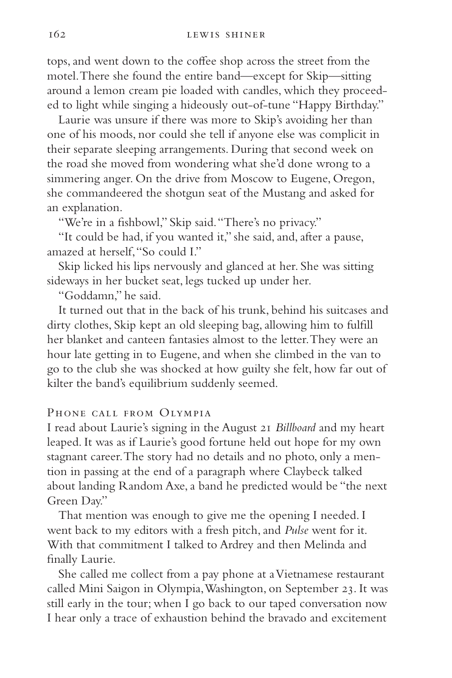tops, and went down to the coffee shop across the street from the motel. There she found the entire band—except for Skip—sitting around a lemon cream pie loaded with candles, which they proceeded to light while singing a hideously out-of-tune "Happy Birthday."

Laurie was unsure if there was more to Skip's avoiding her than one of his moods, nor could she tell if anyone else was complicit in their separate sleeping arrangements. During that second week on the road she moved from wondering what she'd done wrong to a simmering anger. On the drive from Moscow to Eugene, Oregon, she commandeered the shotgun seat of the Mustang and asked for an explanation.

"We're in a fishbowl," Skip said. "There's no privacy."

"It could be had, if you wanted it," she said, and, after a pause, amazed at herself, "So could I."

Skip licked his lips nervously and glanced at her. She was sitting sideways in her bucket seat, legs tucked up under her.

"Goddamn," he said.

It turned out that in the back of his trunk, behind his suitcases and dirty clothes, Skip kept an old sleeping bag, allowing him to fulfill her blanket and canteen fantasies almost to the letter. They were an hour late getting in to Eugene, and when she climbed in the van to go to the club she was shocked at how guilty she felt, how far out of kilter the band's equilibrium suddenly seemed.

## PHONE CALL FROM OLYMPIA

I read about Laurie's signing in the August 21 *Billboard* and my heart leaped. It was as if Laurie's good fortune held out hope for my own stagnant career. The story had no details and no photo, only a mention in passing at the end of a paragraph where Claybeck talked about landing Random Axe, a band he predicted would be "the next Green Day."

That mention was enough to give me the opening I needed. I went back to my editors with a fresh pitch, and *Pulse* went for it. With that commitment I talked to Ardrey and then Melinda and finally Laurie.

She called me collect from a pay phone at a Vietnamese restaurant called Mini Saigon in Olympia, Washington, on September 23. It was still early in the tour; when I go back to our taped conversation now I hear only a trace of exhaustion behind the bravado and excitement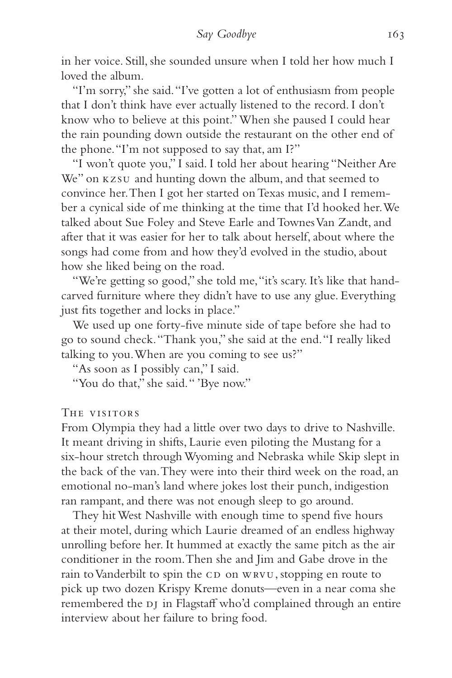in her voice. Still, she sounded unsure when I told her how much I loved the album.

"I'm sorry," she said. "I've gotten a lot of enthusiasm from people that I don't think have ever actually listened to the record. I don't know who to believe at this point." When she paused I could hear the rain pounding down outside the restaurant on the other end of the phone. "I'm not supposed to say that, am I?"

"I won't quote you," I said. I told her about hearing "Neither Are We" on KZSU and hunting down the album, and that seemed to convince her. Then I got her started on Texas music, and I remember a cynical side of me thinking at the time that I'd hooked her. We talked about Sue Foley and Steve Earle and Townes Van Zandt, and after that it was easier for her to talk about herself, about where the songs had come from and how they'd evolved in the studio, about how she liked being on the road.

"We're getting so good," she told me, "it's scary. It's like that handcarved furniture where they didn't have to use any glue. Everything just fits together and locks in place."

We used up one forty-five minute side of tape before she had to go to sound check. "Thank you," she said at the end. "I really liked talking to you. When are you coming to see us?"

"As soon as I possibly can," I said.

"You do that," she said. " 'Bye now."

## The visitors

From Olympia they had a little over two days to drive to Nashville. It meant driving in shifts, Laurie even piloting the Mustang for a six-hour stretch through Wyoming and Nebraska while Skip slept in the back of the van. They were into their third week on the road, an emotional no-man's land where jokes lost their punch, indigestion ran rampant, and there was not enough sleep to go around.

They hit West Nashville with enough time to spend five hours at their motel, during which Laurie dreamed of an endless highway unrolling before her. It hummed at exactly the same pitch as the air conditioner in the room. Then she and Jim and Gabe drove in the rain to Vanderbilt to spin the CD on WRVU, stopping en route to pick up two dozen Krispy Kreme donuts—even in a near coma she remembered the DJ in Flagstaff who'd complained through an entire interview about her failure to bring food.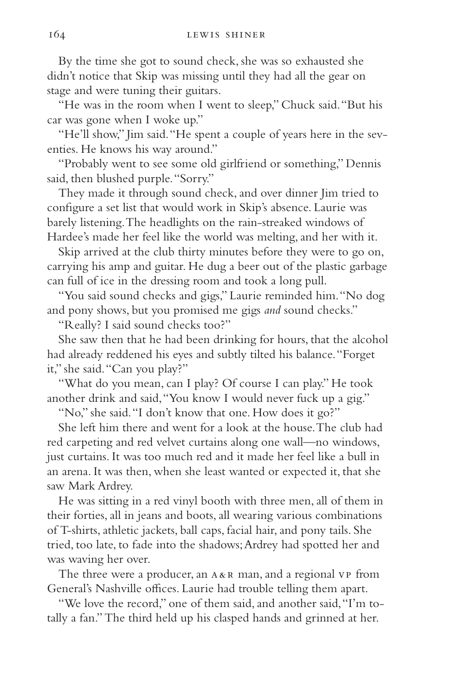By the time she got to sound check, she was so exhausted she didn't notice that Skip was missing until they had all the gear on stage and were tuning their guitars.

"He was in the room when I went to sleep," Chuck said. "But his car was gone when I woke up."

"He'll show," Jim said. "He spent a couple of years here in the seventies. He knows his way around."

"Probably went to see some old girlfriend or something," Dennis said, then blushed purple. "Sorry."

They made it through sound check, and over dinner Jim tried to configure a set list that would work in Skip's absence. Laurie was barely listening. The headlights on the rain-streaked windows of Hardee's made her feel like the world was melting, and her with it.

Skip arrived at the club thirty minutes before they were to go on, carrying his amp and guitar. He dug a beer out of the plastic garbage can full of ice in the dressing room and took a long pull.

"You said sound checks and gigs," Laurie reminded him. "No dog and pony shows, but you promised me gigs *and* sound checks."

"Really? I said sound checks too?"

She saw then that he had been drinking for hours, that the alcohol had already reddened his eyes and subtly tilted his balance. "Forget it," she said. "Can you play?"

"What do you mean, can I play? Of course I can play." He took another drink and said, "You know I would never fuck up a gig."

"No," she said. "I don't know that one. How does it go?"

She left him there and went for a look at the house. The club had red carpeting and red velvet curtains along one wall—no windows, just curtains. It was too much red and it made her feel like a bull in an arena. It was then, when she least wanted or expected it, that she saw Mark Ardrey.

He was sitting in a red vinyl booth with three men, all of them in their forties, all in jeans and boots, all wearing various combinations of T-shirts, athletic jackets, ball caps, facial hair, and pony tails. She tried, too late, to fade into the shadows; Ardrey had spotted her and was waving her over.

The three were a producer, an A&R man, and a regional VP from General's Nashville offices. Laurie had trouble telling them apart.

"We love the record," one of them said, and another said, "I'm totally a fan." The third held up his clasped hands and grinned at her.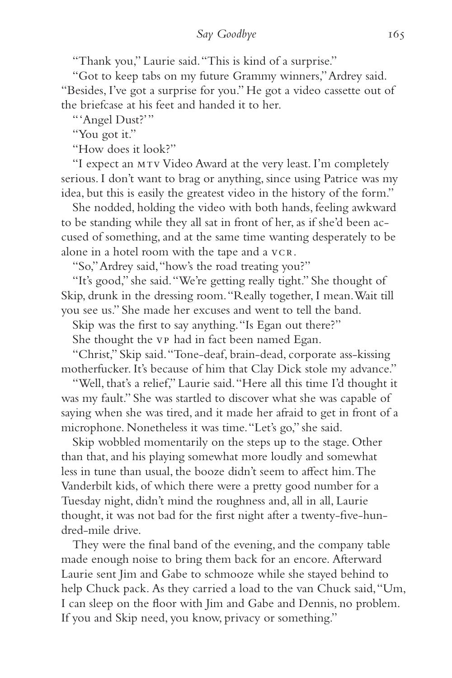#### *Say Goodbye* 165

"Thank you," Laurie said. "This is kind of a surprise."

"Got to keep tabs on my future Grammy winners," Ardrey said. "Besides, I've got a surprise for you." He got a video cassette out of the briefcase at his feet and handed it to her.

"'Angel Dust?'"

"You got it."

"How does it look?"

"I expect an MTV Video Award at the very least. I'm completely serious. I don't want to brag or anything, since using Patrice was my idea, but this is easily the greatest video in the history of the form."

She nodded, holding the video with both hands, feeling awkward to be standing while they all sat in front of her, as if she'd been accused of something, and at the same time wanting desperately to be alone in a hotel room with the tape and a vcr.

"So," Ardrey said, "how's the road treating you?"

"It's good," she said. "We're getting really tight." She thought of Skip, drunk in the dressing room. "Really together, I mean. Wait till you see us." She made her excuses and went to tell the band.

Skip was the first to say anything. "Is Egan out there?"

She thought the vp had in fact been named Egan.

"Christ," Skip said. "Tone-deaf, brain-dead, corporate ass-kissing motherfucker. It's because of him that Clay Dick stole my advance."

"Well, that's a relief," Laurie said. "Here all this time I'd thought it was my fault." She was startled to discover what she was capable of saying when she was tired, and it made her afraid to get in front of a microphone. Nonetheless it was time. "Let's go," she said.

Skip wobbled momentarily on the steps up to the stage. Other than that, and his playing somewhat more loudly and somewhat less in tune than usual, the booze didn't seem to affect him. The Vanderbilt kids, of which there were a pretty good number for a Tuesday night, didn't mind the roughness and, all in all, Laurie thought, it was not bad for the first night after a twenty-five-hundred-mile drive.

They were the final band of the evening, and the company table made enough noise to bring them back for an encore. Afterward Laurie sent Jim and Gabe to schmooze while she stayed behind to help Chuck pack. As they carried a load to the van Chuck said, "Um, I can sleep on the floor with Jim and Gabe and Dennis, no problem. If you and Skip need, you know, privacy or something."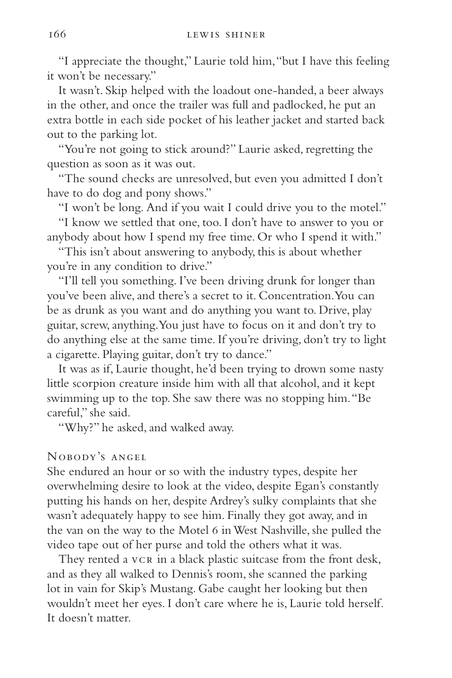"I appreciate the thought," Laurie told him, "but I have this feeling it won't be necessary."

It wasn't. Skip helped with the loadout one-handed, a beer always in the other, and once the trailer was full and padlocked, he put an extra bottle in each side pocket of his leather jacket and started back out to the parking lot.

"You're not going to stick around?" Laurie asked, regretting the question as soon as it was out.

"The sound checks are unresolved, but even you admitted I don't have to do dog and pony shows."

"I won't be long. And if you wait I could drive you to the motel."

"I know we settled that one, too. I don't have to answer to you or anybody about how I spend my free time. Or who I spend it with."

"This isn't about answering to anybody, this is about whether you're in any condition to drive."

"I'll tell you something. I've been driving drunk for longer than you've been alive, and there's a secret to it. Concentration. You can be as drunk as you want and do anything you want to. Drive, play guitar, screw, anything. You just have to focus on it and don't try to do anything else at the same time. If you're driving, don't try to light a cigarette. Playing guitar, don't try to dance."

It was as if, Laurie thought, he'd been trying to drown some nasty little scorpion creature inside him with all that alcohol, and it kept swimming up to the top. She saw there was no stopping him. "Be careful," she said.

"Why?" he asked, and walked away.

# Nobody's angel

She endured an hour or so with the industry types, despite her overwhelming desire to look at the video, despite Egan's constantly putting his hands on her, despite Ardrey's sulky complaints that she wasn't adequately happy to see him. Finally they got away, and in the van on the way to the Motel 6 in West Nashville, she pulled the video tape out of her purse and told the others what it was.

They rented a  $v$ CR in a black plastic suitcase from the front desk, and as they all walked to Dennis's room, she scanned the parking lot in vain for Skip's Mustang. Gabe caught her looking but then wouldn't meet her eyes. I don't care where he is, Laurie told herself. It doesn't matter.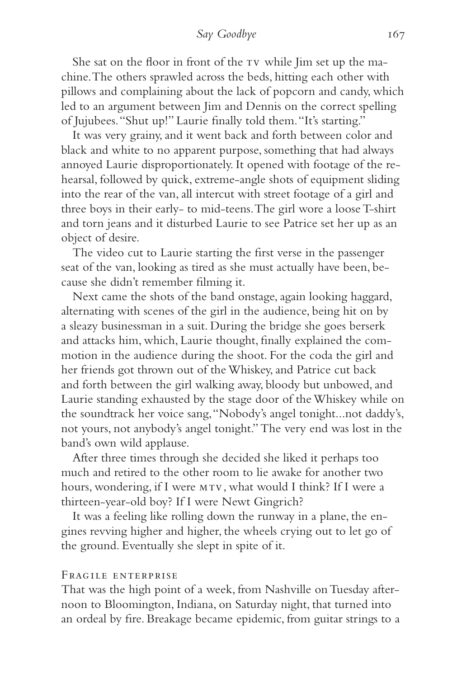#### *Say Goodbye* 167

She sat on the floor in front of the TV while Jim set up the machine. The others sprawled across the beds, hitting each other with pillows and complaining about the lack of popcorn and candy, which led to an argument between Jim and Dennis on the correct spelling of Jujubees. "Shut up!" Laurie finally told them. "It's starting."

It was very grainy, and it went back and forth between color and black and white to no apparent purpose, something that had always annoyed Laurie disproportionately. It opened with footage of the rehearsal, followed by quick, extreme-angle shots of equipment sliding into the rear of the van, all intercut with street footage of a girl and three boys in their early- to mid-teens. The girl wore a loose T-shirt and torn jeans and it disturbed Laurie to see Patrice set her up as an object of desire.

The video cut to Laurie starting the first verse in the passenger seat of the van, looking as tired as she must actually have been, because she didn't remember filming it.

Next came the shots of the band onstage, again looking haggard, alternating with scenes of the girl in the audience, being hit on by a sleazy businessman in a suit. During the bridge she goes berserk and attacks him, which, Laurie thought, finally explained the commotion in the audience during the shoot. For the coda the girl and her friends got thrown out of the Whiskey, and Patrice cut back and forth between the girl walking away, bloody but unbowed, and Laurie standing exhausted by the stage door of the Whiskey while on the soundtrack her voice sang, "Nobody's angel tonight...not daddy's, not yours, not anybody's angel tonight." The very end was lost in the band's own wild applause.

After three times through she decided she liked it perhaps too much and retired to the other room to lie awake for another two hours, wondering, if I were MTV, what would I think? If I were a thirteen-year-old boy? If I were Newt Gingrich?

It was a feeling like rolling down the runway in a plane, the engines revving higher and higher, the wheels crying out to let go of the ground. Eventually she slept in spite of it.

## Fragile enterprise

That was the high point of a week, from Nashville on Tuesday afternoon to Bloomington, Indiana, on Saturday night, that turned into an ordeal by fire. Breakage became epidemic, from guitar strings to a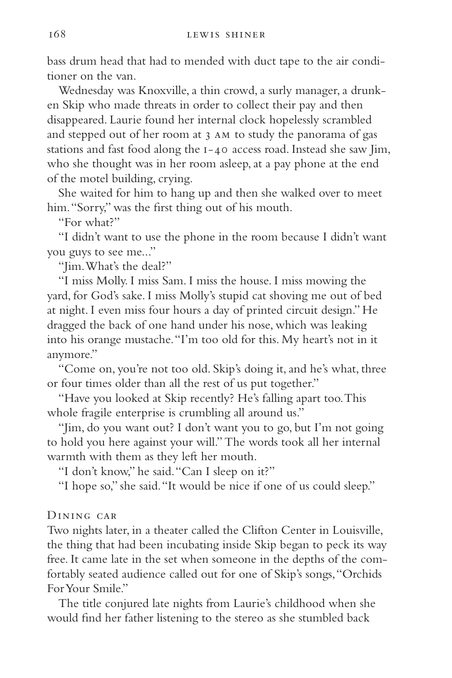bass drum head that had to mended with duct tape to the air conditioner on the van.

Wednesday was Knoxville, a thin crowd, a surly manager, a drunken Skip who made threats in order to collect their pay and then disappeared. Laurie found her internal clock hopelessly scrambled and stepped out of her room at 3 am to study the panorama of gas stations and fast food along the i-40 access road. Instead she saw Jim, who she thought was in her room asleep, at a pay phone at the end of the motel building, crying.

She waited for him to hang up and then she walked over to meet him. "Sorry," was the first thing out of his mouth.

"For what?"

"I didn't want to use the phone in the room because I didn't want you guys to see me..."

"Jim. What's the deal?"

"I miss Molly. I miss Sam. I miss the house. I miss mowing the yard, for God's sake. I miss Molly's stupid cat shoving me out of bed at night. I even miss four hours a day of printed circuit design." He dragged the back of one hand under his nose, which was leaking into his orange mustache. "I'm too old for this. My heart's not in it anymore."

"Come on, you're not too old. Skip's doing it, and he's what, three or four times older than all the rest of us put together."

"Have you looked at Skip recently? He's falling apart too. This whole fragile enterprise is crumbling all around us."

"Jim, do you want out? I don't want you to go, but I'm not going to hold you here against your will." The words took all her internal warmth with them as they left her mouth.

"I don't know," he said. "Can I sleep on it?"

"I hope so," she said. "It would be nice if one of us could sleep."

# Dining car

Two nights later, in a theater called the Clifton Center in Louisville, the thing that had been incubating inside Skip began to peck its way free. It came late in the set when someone in the depths of the comfortably seated audience called out for one of Skip's songs, "Orchids For Your Smile."

The title conjured late nights from Laurie's childhood when she would find her father listening to the stereo as she stumbled back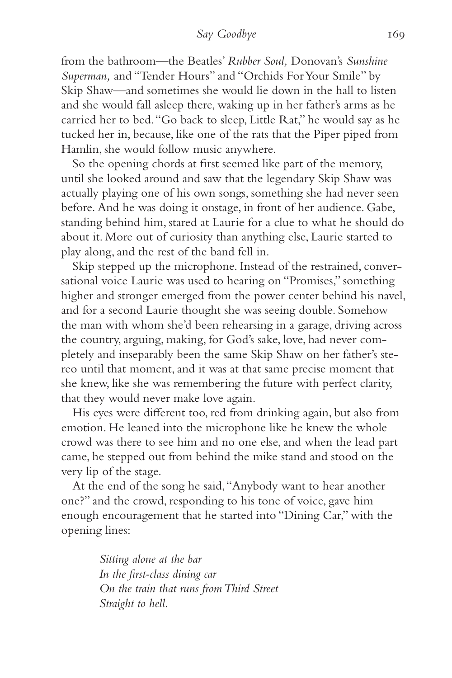from the bathroom—the Beatles' *Rubber Soul,* Donovan's *Sunshine Superman,* and "Tender Hours" and "Orchids For Your Smile" by Skip Shaw—and sometimes she would lie down in the hall to listen and she would fall asleep there, waking up in her father's arms as he carried her to bed. "Go back to sleep, Little Rat," he would say as he tucked her in, because, like one of the rats that the Piper piped from Hamlin, she would follow music anywhere.

So the opening chords at first seemed like part of the memory, until she looked around and saw that the legendary Skip Shaw was actually playing one of his own songs, something she had never seen before. And he was doing it onstage, in front of her audience. Gabe, standing behind him, stared at Laurie for a clue to what he should do about it. More out of curiosity than anything else, Laurie started to play along, and the rest of the band fell in.

Skip stepped up the microphone. Instead of the restrained, conversational voice Laurie was used to hearing on "Promises," something higher and stronger emerged from the power center behind his navel, and for a second Laurie thought she was seeing double. Somehow the man with whom she'd been rehearsing in a garage, driving across the country, arguing, making, for God's sake, love, had never completely and inseparably been the same Skip Shaw on her father's stereo until that moment, and it was at that same precise moment that she knew, like she was remembering the future with perfect clarity, that they would never make love again.

His eyes were different too, red from drinking again, but also from emotion. He leaned into the microphone like he knew the whole crowd was there to see him and no one else, and when the lead part came, he stepped out from behind the mike stand and stood on the very lip of the stage.

At the end of the song he said, "Anybody want to hear another one?" and the crowd, responding to his tone of voice, gave him enough encouragement that he started into "Dining Car," with the opening lines:

> *Sitting alone at the bar In the first-class dining car On the train that runs from Third Street Straight to hell.*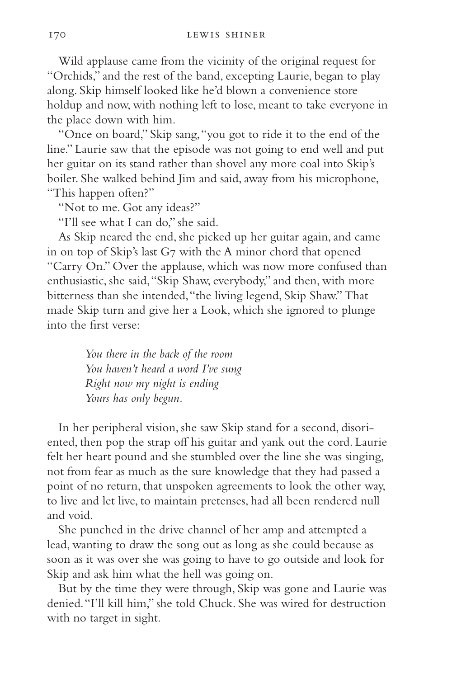Wild applause came from the vicinity of the original request for "Orchids," and the rest of the band, excepting Laurie, began to play along. Skip himself looked like he'd blown a convenience store holdup and now, with nothing left to lose, meant to take everyone in the place down with him.

"Once on board," Skip sang, "you got to ride it to the end of the line." Laurie saw that the episode was not going to end well and put her guitar on its stand rather than shovel any more coal into Skip's boiler. She walked behind Jim and said, away from his microphone, "This happen often?"

"Not to me. Got any ideas?"

"I'll see what I can do," she said.

As Skip neared the end, she picked up her guitar again, and came in on top of Skip's last G7 with the A minor chord that opened "Carry On." Over the applause, which was now more confused than enthusiastic, she said, "Skip Shaw, everybody," and then, with more bitterness than she intended, "the living legend, Skip Shaw." That made Skip turn and give her a Look, which she ignored to plunge into the first verse:

> *You there in the back of the room You haven't heard a word I've sung Right now my night is ending Yours has only begun.*

In her peripheral vision, she saw Skip stand for a second, disoriented, then pop the strap off his guitar and yank out the cord. Laurie felt her heart pound and she stumbled over the line she was singing, not from fear as much as the sure knowledge that they had passed a point of no return, that unspoken agreements to look the other way, to live and let live, to maintain pretenses, had all been rendered null and void.

She punched in the drive channel of her amp and attempted a lead, wanting to draw the song out as long as she could because as soon as it was over she was going to have to go outside and look for Skip and ask him what the hell was going on.

But by the time they were through, Skip was gone and Laurie was denied. "I'll kill him," she told Chuck. She was wired for destruction with no target in sight.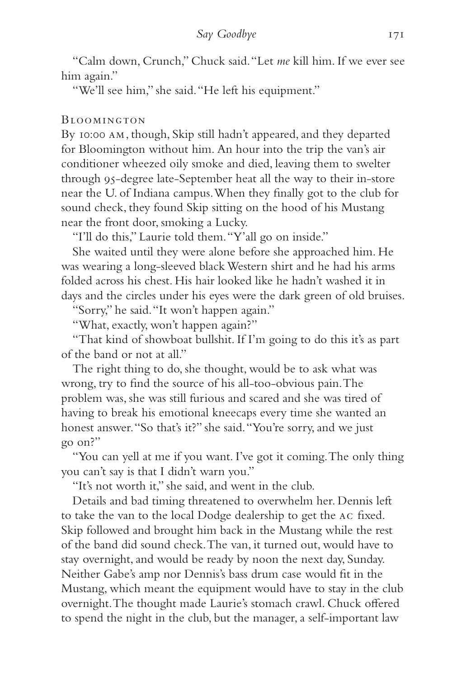"Calm down, Crunch," Chuck said. "Let *me* kill him. If we ever see him again."

"We'll see him," she said. "He left his equipment."

# **BLOOMINGTON**

By 10:00 am, though, Skip still hadn't appeared, and they departed for Bloomington without him. An hour into the trip the van's air conditioner wheezed oily smoke and died, leaving them to swelter through 95-degree late-September heat all the way to their in-store near the U. of Indiana campus. When they finally got to the club for sound check, they found Skip sitting on the hood of his Mustang near the front door, smoking a Lucky.

"I'll do this," Laurie told them. "Y'all go on inside."

She waited until they were alone before she approached him. He was wearing a long-sleeved black Western shirt and he had his arms folded across his chest. His hair looked like he hadn't washed it in days and the circles under his eyes were the dark green of old bruises.

"Sorry," he said. "It won't happen again."

"What, exactly, won't happen again?"

"That kind of showboat bullshit. If I'm going to do this it's as part of the band or not at all."

The right thing to do, she thought, would be to ask what was wrong, try to find the source of his all-too-obvious pain. The problem was, she was still furious and scared and she was tired of having to break his emotional kneecaps every time she wanted an honest answer. "So that's it?" she said. "You're sorry, and we just go on?"

"You can yell at me if you want. I've got it coming. The only thing you can't say is that I didn't warn you."

"It's not worth it," she said, and went in the club.

Details and bad timing threatened to overwhelm her. Dennis left to take the van to the local Dodge dealership to get the ac fixed. Skip followed and brought him back in the Mustang while the rest of the band did sound check. The van, it turned out, would have to stay overnight, and would be ready by noon the next day, Sunday. Neither Gabe's amp nor Dennis's bass drum case would fit in the Mustang, which meant the equipment would have to stay in the club overnight. The thought made Laurie's stomach crawl. Chuck offered to spend the night in the club, but the manager, a self-important law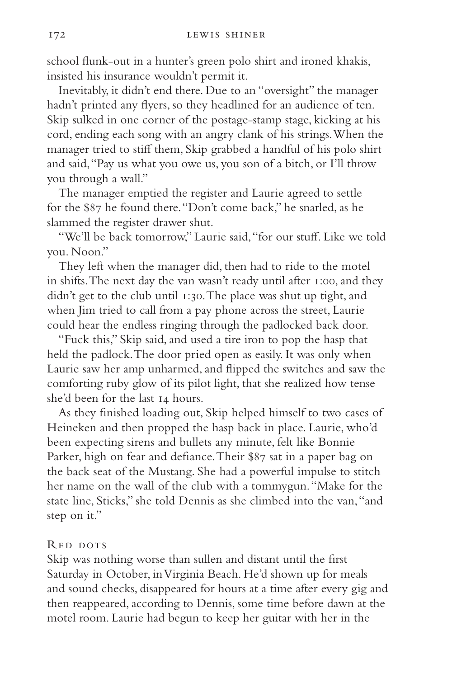school flunk-out in a hunter's green polo shirt and ironed khakis, insisted his insurance wouldn't permit it.

Inevitably, it didn't end there. Due to an "oversight" the manager hadn't printed any flyers, so they headlined for an audience of ten. Skip sulked in one corner of the postage-stamp stage, kicking at his cord, ending each song with an angry clank of his strings. When the manager tried to stiff them, Skip grabbed a handful of his polo shirt and said, "Pay us what you owe us, you son of a bitch, or I'll throw you through a wall."

The manager emptied the register and Laurie agreed to settle for the \$87 he found there. "Don't come back," he snarled, as he slammed the register drawer shut.

"We'll be back tomorrow," Laurie said, "for our stuff. Like we told you. Noon."

They left when the manager did, then had to ride to the motel in shifts. The next day the van wasn't ready until after 1:00, and they didn't get to the club until 1:30. The place was shut up tight, and when Jim tried to call from a pay phone across the street, Laurie could hear the endless ringing through the padlocked back door.

"Fuck this," Skip said, and used a tire iron to pop the hasp that held the padlock. The door pried open as easily. It was only when Laurie saw her amp unharmed, and flipped the switches and saw the comforting ruby glow of its pilot light, that she realized how tense she'd been for the last 14 hours.

As they finished loading out, Skip helped himself to two cases of Heineken and then propped the hasp back in place. Laurie, who'd been expecting sirens and bullets any minute, felt like Bonnie Parker, high on fear and defiance. Their \$87 sat in a paper bag on the back seat of the Mustang. She had a powerful impulse to stitch her name on the wall of the club with a tommygun. "Make for the state line, Sticks," she told Dennis as she climbed into the van, "and step on it."

## RED DOTS

Skip was nothing worse than sullen and distant until the first Saturday in October, in Virginia Beach. He'd shown up for meals and sound checks, disappeared for hours at a time after every gig and then reappeared, according to Dennis, some time before dawn at the motel room. Laurie had begun to keep her guitar with her in the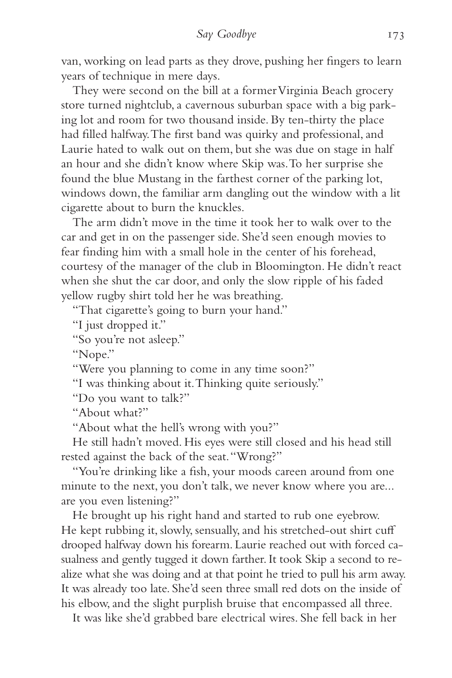van, working on lead parts as they drove, pushing her fingers to learn years of technique in mere days.

They were second on the bill at a former Virginia Beach grocery store turned nightclub, a cavernous suburban space with a big parking lot and room for two thousand inside. By ten-thirty the place had filled halfway. The first band was quirky and professional, and Laurie hated to walk out on them, but she was due on stage in half an hour and she didn't know where Skip was. To her surprise she found the blue Mustang in the farthest corner of the parking lot, windows down, the familiar arm dangling out the window with a lit cigarette about to burn the knuckles.

The arm didn't move in the time it took her to walk over to the car and get in on the passenger side. She'd seen enough movies to fear finding him with a small hole in the center of his forehead, courtesy of the manager of the club in Bloomington. He didn't react when she shut the car door, and only the slow ripple of his faded yellow rugby shirt told her he was breathing.

"That cigarette's going to burn your hand."

"I just dropped it."

"So you're not asleep."

"Nope."

"Were you planning to come in any time soon?"

"I was thinking about it. Thinking quite seriously."

"Do you want to talk?"

"About what?"

"About what the hell's wrong with you?"

He still hadn't moved. His eyes were still closed and his head still rested against the back of the seat. "Wrong?"

"You're drinking like a fish, your moods careen around from one minute to the next, you don't talk, we never know where you are... are you even listening?"

He brought up his right hand and started to rub one eyebrow. He kept rubbing it, slowly, sensually, and his stretched-out shirt cuff drooped halfway down his forearm. Laurie reached out with forced casualness and gently tugged it down farther. It took Skip a second to realize what she was doing and at that point he tried to pull his arm away. It was already too late. She'd seen three small red dots on the inside of his elbow, and the slight purplish bruise that encompassed all three.

It was like she'd grabbed bare electrical wires. She fell back in her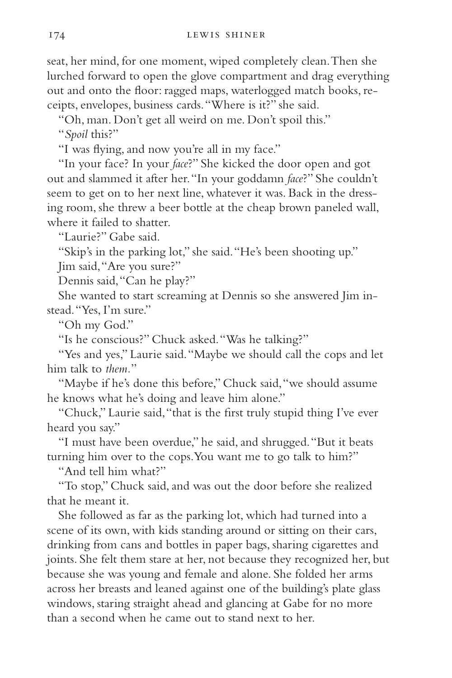seat, her mind, for one moment, wiped completely clean. Then she lurched forward to open the glove compartment and drag everything out and onto the floor: ragged maps, waterlogged match books, receipts, envelopes, business cards. "Where is it?" she said.

"Oh, man. Don't get all weird on me. Don't spoil this."

"*Spoil* this?"

"I was flying, and now you're all in my face."

"In your face? In your *face*?" She kicked the door open and got out and slammed it after her. "In your goddamn *face*?" She couldn't seem to get on to her next line, whatever it was. Back in the dressing room, she threw a beer bottle at the cheap brown paneled wall, where it failed to shatter.

"Laurie?" Gabe said.

"Skip's in the parking lot," she said. "He's been shooting up."

Jim said, "Are you sure?"

Dennis said, "Can he play?"

She wanted to start screaming at Dennis so she answered Jim instead. "Yes, I'm sure."

"Oh my God."

"Is he conscious?" Chuck asked. "Was he talking?"

"Yes and yes," Laurie said. "Maybe we should call the cops and let him talk to *them.*"

"Maybe if he's done this before," Chuck said, "we should assume he knows what he's doing and leave him alone."

"Chuck," Laurie said, "that is the first truly stupid thing I've ever heard you say."

"I must have been overdue," he said, and shrugged. "But it beats turning him over to the cops. You want me to go talk to him?"

"And tell him what?"

"To stop," Chuck said, and was out the door before she realized that he meant it.

She followed as far as the parking lot, which had turned into a scene of its own, with kids standing around or sitting on their cars, drinking from cans and bottles in paper bags, sharing cigarettes and joints. She felt them stare at her, not because they recognized her, but because she was young and female and alone. She folded her arms across her breasts and leaned against one of the building's plate glass windows, staring straight ahead and glancing at Gabe for no more than a second when he came out to stand next to her.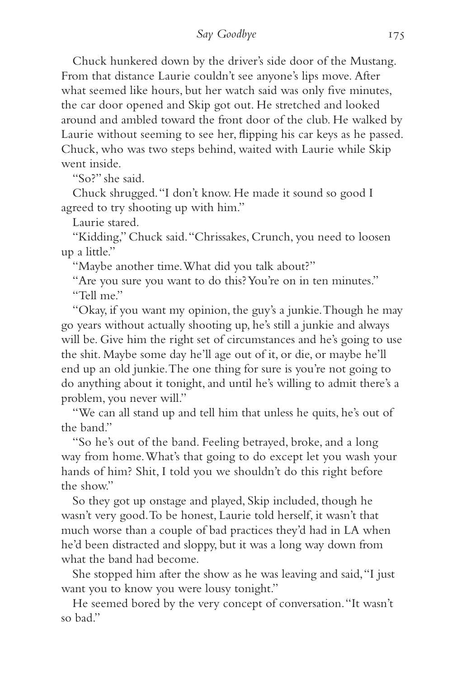*Say Goodbye* 175

Chuck hunkered down by the driver's side door of the Mustang. From that distance Laurie couldn't see anyone's lips move. After what seemed like hours, but her watch said was only five minutes, the car door opened and Skip got out. He stretched and looked around and ambled toward the front door of the club. He walked by Laurie without seeming to see her, flipping his car keys as he passed. Chuck, who was two steps behind, waited with Laurie while Skip went inside.

"So?" she said.

Chuck shrugged. "I don't know. He made it sound so good I agreed to try shooting up with him."

Laurie stared.

"Kidding," Chuck said. "Chrissakes, Crunch, you need to loosen up a little."

"Maybe another time. What did you talk about?"

"Are you sure you want to do this? You're on in ten minutes." "Tell me."

"Okay, if you want my opinion, the guy's a junkie. Though he may go years without actually shooting up, he's still a junkie and always will be. Give him the right set of circumstances and he's going to use the shit. Maybe some day he'll age out of it, or die, or maybe he'll end up an old junkie. The one thing for sure is you're not going to do anything about it tonight, and until he's willing to admit there's a problem, you never will."

"We can all stand up and tell him that unless he quits, he's out of the band."

"So he's out of the band. Feeling betrayed, broke, and a long way from home. What's that going to do except let you wash your hands of him? Shit, I told you we shouldn't do this right before the show."

So they got up onstage and played, Skip included, though he wasn't very good. To be honest, Laurie told herself, it wasn't that much worse than a couple of bad practices they'd had in LA when he'd been distracted and sloppy, but it was a long way down from what the band had become.

She stopped him after the show as he was leaving and said, "I just want you to know you were lousy tonight."

He seemed bored by the very concept of conversation. "It wasn't so bad."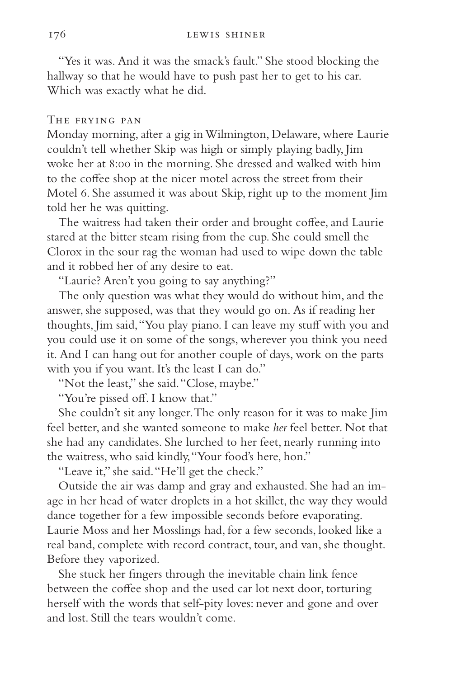"Yes it was. And it was the smack's fault." She stood blocking the hallway so that he would have to push past her to get to his car. Which was exactly what he did.

#### The frying pan

Monday morning, after a gig in Wilmington, Delaware, where Laurie couldn't tell whether Skip was high or simply playing badly, Jim woke her at 8:00 in the morning. She dressed and walked with him to the coffee shop at the nicer motel across the street from their Motel 6. She assumed it was about Skip, right up to the moment Jim told her he was quitting.

The waitress had taken their order and brought coffee, and Laurie stared at the bitter steam rising from the cup. She could smell the Clorox in the sour rag the woman had used to wipe down the table and it robbed her of any desire to eat.

"Laurie? Aren't you going to say anything?"

The only question was what they would do without him, and the answer, she supposed, was that they would go on. As if reading her thoughts, Jim said, "You play piano. I can leave my stuff with you and you could use it on some of the songs, wherever you think you need it. And I can hang out for another couple of days, work on the parts with you if you want. It's the least I can do."

"Not the least," she said. "Close, maybe."

"You're pissed off. I know that."

She couldn't sit any longer. The only reason for it was to make Jim feel better, and she wanted someone to make *her* feel better. Not that she had any candidates. She lurched to her feet, nearly running into the waitress, who said kindly, "Your food's here, hon."

"Leave it," she said. "He'll get the check."

Outside the air was damp and gray and exhausted. She had an image in her head of water droplets in a hot skillet, the way they would dance together for a few impossible seconds before evaporating. Laurie Moss and her Mosslings had, for a few seconds, looked like a real band, complete with record contract, tour, and van, she thought. Before they vaporized.

She stuck her fingers through the inevitable chain link fence between the coffee shop and the used car lot next door, torturing herself with the words that self-pity loves: never and gone and over and lost. Still the tears wouldn't come.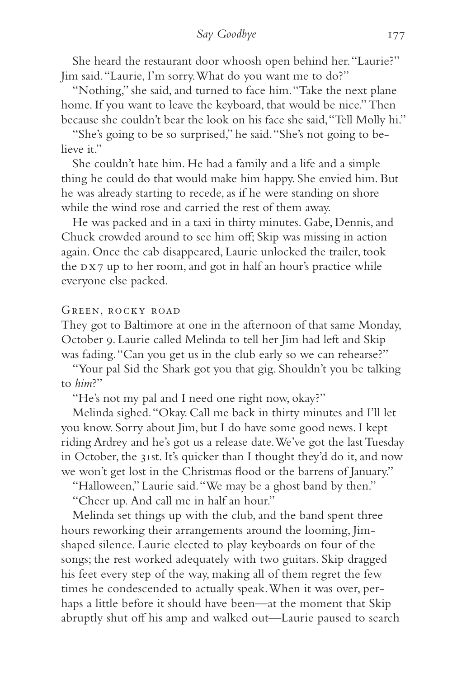She heard the restaurant door whoosh open behind her. "Laurie?" Jim said. "Laurie, I'm sorry. What do you want me to do?"

"Nothing," she said, and turned to face him. "Take the next plane home. If you want to leave the keyboard, that would be nice." Then because she couldn't bear the look on his face she said, "Tell Molly hi."

"She's going to be so surprised," he said. "She's not going to believe it."

She couldn't hate him. He had a family and a life and a simple thing he could do that would make him happy. She envied him. But he was already starting to recede, as if he were standing on shore while the wind rose and carried the rest of them away.

He was packed and in a taxi in thirty minutes. Gabe, Dennis, and Chuck crowded around to see him off; Skip was missing in action again. Once the cab disappeared, Laurie unlocked the trailer, took the  $\Delta x$ 7 up to her room, and got in half an hour's practice while everyone else packed.

## GREEN, ROCKY ROAD

They got to Baltimore at one in the afternoon of that same Monday, October 9. Laurie called Melinda to tell her Jim had left and Skip was fading. "Can you get us in the club early so we can rehearse?"

"Your pal Sid the Shark got you that gig. Shouldn't you be talking to *him*?"

"He's not my pal and I need one right now, okay?"

Melinda sighed. "Okay. Call me back in thirty minutes and I'll let you know. Sorry about Jim, but I do have some good news. I kept riding Ardrey and he's got us a release date. We've got the last Tuesday in October, the 31st. It's quicker than I thought they'd do it, and now we won't get lost in the Christmas flood or the barrens of January."

"Halloween," Laurie said. "We may be a ghost band by then."

"Cheer up. And call me in half an hour."

Melinda set things up with the club, and the band spent three hours reworking their arrangements around the looming, Jimshaped silence. Laurie elected to play keyboards on four of the songs; the rest worked adequately with two guitars. Skip dragged his feet every step of the way, making all of them regret the few times he condescended to actually speak. When it was over, perhaps a little before it should have been—at the moment that Skip abruptly shut off his amp and walked out—Laurie paused to search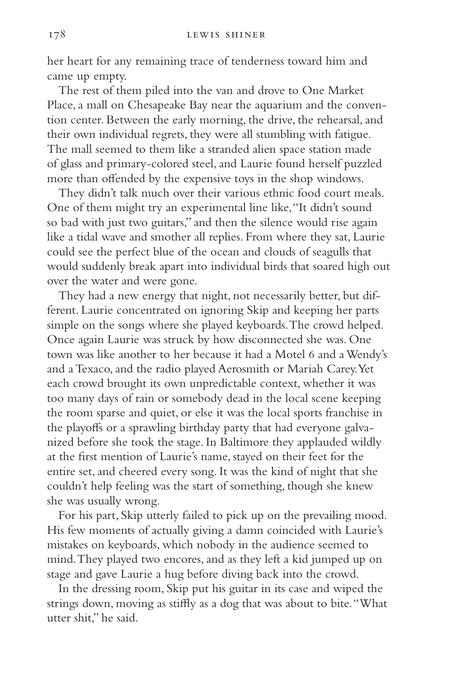her heart for any remaining trace of tenderness toward him and came up empty.

The rest of them piled into the van and drove to One Market Place, a mall on Chesapeake Bay near the aquarium and the convention center. Between the early morning, the drive, the rehearsal, and their own individual regrets, they were all stumbling with fatigue. The mall seemed to them like a stranded alien space station made of glass and primary-colored steel, and Laurie found herself puzzled more than offended by the expensive toys in the shop windows.

They didn't talk much over their various ethnic food court meals. One of them might try an experimental line like, "It didn't sound so bad with just two guitars," and then the silence would rise again like a tidal wave and smother all replies. From where they sat, Laurie could see the perfect blue of the ocean and clouds of seagulls that would suddenly break apart into individual birds that soared high out over the water and were gone.

They had a new energy that night, not necessarily better, but different. Laurie concentrated on ignoring Skip and keeping her parts simple on the songs where she played keyboards. The crowd helped. Once again Laurie was struck by how disconnected she was. One town was like another to her because it had a Motel 6 and a Wendy's and a Texaco, and the radio played Aerosmith or Mariah Carey. Yet each crowd brought its own unpredictable context, whether it was too many days of rain or somebody dead in the local scene keeping the room sparse and quiet, or else it was the local sports franchise in the playoffs or a sprawling birthday party that had everyone galvanized before she took the stage. In Baltimore they applauded wildly at the first mention of Laurie's name, stayed on their feet for the entire set, and cheered every song. It was the kind of night that she couldn't help feeling was the start of something, though she knew she was usually wrong.

For his part, Skip utterly failed to pick up on the prevailing mood. His few moments of actually giving a damn coincided with Laurie's mistakes on keyboards, which nobody in the audience seemed to mind. They played two encores, and as they left a kid jumped up on stage and gave Laurie a hug before diving back into the crowd.

In the dressing room, Skip put his guitar in its case and wiped the strings down, moving as stiffly as a dog that was about to bite. "What utter shit," he said.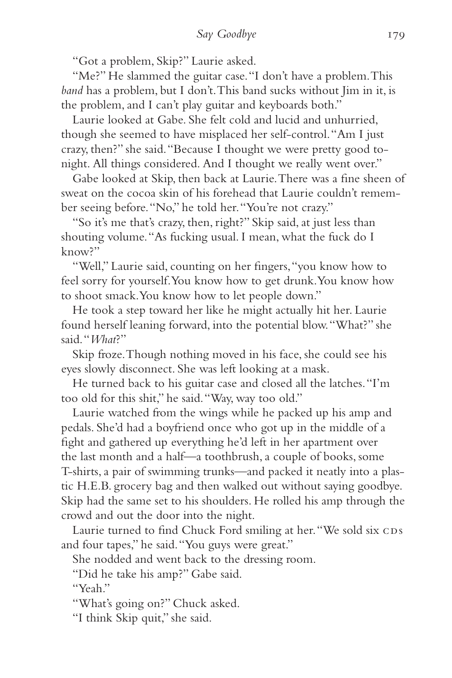"Got a problem, Skip?" Laurie asked.

"Me?" He slammed the guitar case. "I don't have a problem. This *band* has a problem, but I don't. This band sucks without Jim in it, is the problem, and I can't play guitar and keyboards both."

Laurie looked at Gabe. She felt cold and lucid and unhurried, though she seemed to have misplaced her self-control. "Am I just crazy, then?" she said. "Because I thought we were pretty good tonight. All things considered. And I thought we really went over."

Gabe looked at Skip, then back at Laurie. There was a fine sheen of sweat on the cocoa skin of his forehead that Laurie couldn't remember seeing before. "No," he told her. "You're not crazy."

"So it's me that's crazy, then, right?" Skip said, at just less than shouting volume. "As fucking usual. I mean, what the fuck do I know?"

"Well," Laurie said, counting on her fingers, "you know how to feel sorry for yourself. You know how to get drunk. You know how to shoot smack. You know how to let people down."

He took a step toward her like he might actually hit her. Laurie found herself leaning forward, into the potential blow. "What?" she said. "*What*?"

Skip froze. Though nothing moved in his face, she could see his eyes slowly disconnect. She was left looking at a mask.

He turned back to his guitar case and closed all the latches. "I'm too old for this shit," he said. "Way, way too old."

Laurie watched from the wings while he packed up his amp and pedals. She'd had a boyfriend once who got up in the middle of a fight and gathered up everything he'd left in her apartment over the last month and a half—a toothbrush, a couple of books, some T-shirts, a pair of swimming trunks—and packed it neatly into a plastic H.E.B. grocery bag and then walked out without saying goodbye. Skip had the same set to his shoulders. He rolled his amp through the crowd and out the door into the night.

Laurie turned to find Chuck Ford smiling at her. "We sold six CDs and four tapes," he said. "You guys were great."

She nodded and went back to the dressing room.

"Did he take his amp?" Gabe said.

"Yeah."

"What's going on?" Chuck asked.

"I think Skip quit," she said.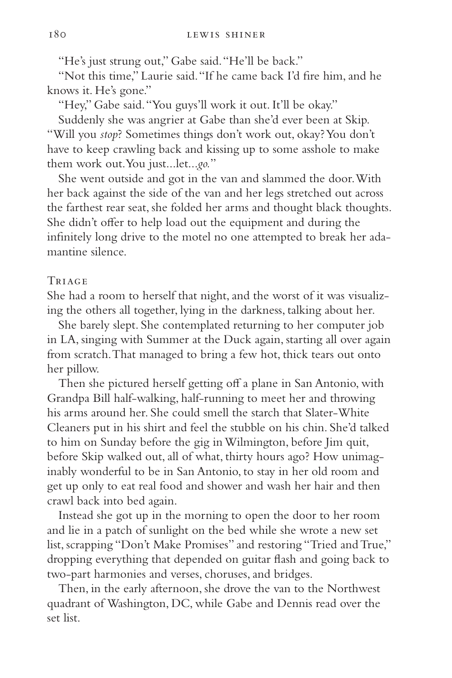"He's just strung out," Gabe said. "He'll be back."

"Not this time," Laurie said. "If he came back I'd fire him, and he knows it. He's gone."

"Hey," Gabe said. "You guys'll work it out. It'll be okay."

Suddenly she was angrier at Gabe than she'd ever been at Skip. "Will you *stop*? Sometimes things don't work out, okay? You don't have to keep crawling back and kissing up to some asshole to make them work out. You just...let...*go.*"

She went outside and got in the van and slammed the door. With her back against the side of the van and her legs stretched out across the farthest rear seat, she folded her arms and thought black thoughts. She didn't offer to help load out the equipment and during the infinitely long drive to the motel no one attempted to break her adamantine silence.

### **TRIAGE**

She had a room to herself that night, and the worst of it was visualizing the others all together, lying in the darkness, talking about her.

She barely slept. She contemplated returning to her computer job in LA, singing with Summer at the Duck again, starting all over again from scratch. That managed to bring a few hot, thick tears out onto her pillow.

Then she pictured herself getting off a plane in San Antonio, with Grandpa Bill half-walking, half-running to meet her and throwing his arms around her. She could smell the starch that Slater-White Cleaners put in his shirt and feel the stubble on his chin. She'd talked to him on Sunday before the gig in Wilmington, before Jim quit, before Skip walked out, all of what, thirty hours ago? How unimaginably wonderful to be in San Antonio, to stay in her old room and get up only to eat real food and shower and wash her hair and then crawl back into bed again.

Instead she got up in the morning to open the door to her room and lie in a patch of sunlight on the bed while she wrote a new set list, scrapping "Don't Make Promises" and restoring "Tried and True," dropping everything that depended on guitar flash and going back to two-part harmonies and verses, choruses, and bridges.

Then, in the early afternoon, she drove the van to the Northwest quadrant of Washington, DC, while Gabe and Dennis read over the set list.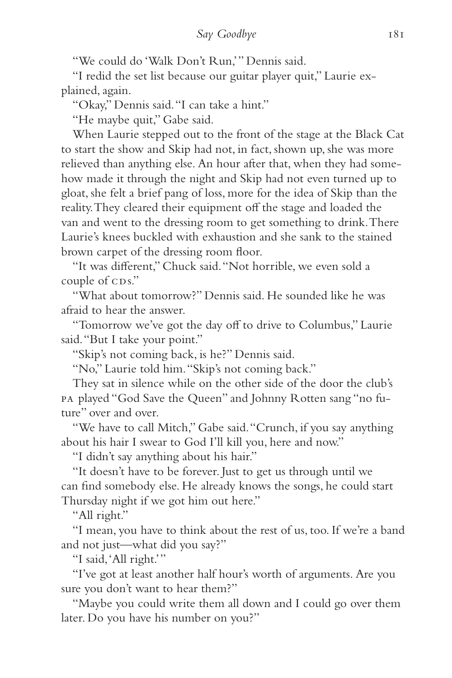"We could do 'Walk Don't Run,'" Dennis said.

"I redid the set list because our guitar player quit," Laurie explained, again.

"Okay," Dennis said. "I can take a hint."

"He maybe quit," Gabe said.

When Laurie stepped out to the front of the stage at the Black Cat to start the show and Skip had not, in fact, shown up, she was more relieved than anything else. An hour after that, when they had somehow made it through the night and Skip had not even turned up to gloat, she felt a brief pang of loss, more for the idea of Skip than the reality. They cleared their equipment off the stage and loaded the van and went to the dressing room to get something to drink. There Laurie's knees buckled with exhaustion and she sank to the stained brown carpet of the dressing room floor.

"It was different," Chuck said. "Not horrible, we even sold a couple of CDs."

"What about tomorrow?" Dennis said. He sounded like he was afraid to hear the answer.

"Tomorrow we've got the day off to drive to Columbus," Laurie said. "But I take your point."

"Skip's not coming back, is he?" Dennis said.

"No," Laurie told him. "Skip's not coming back."

They sat in silence while on the other side of the door the club's pa played "God Save the Queen" and Johnny Rotten sang "no future" over and over.

"We have to call Mitch," Gabe said. "Crunch, if you say anything about his hair I swear to God I'll kill you, here and now."

"I didn't say anything about his hair."

"It doesn't have to be forever. Just to get us through until we can find somebody else. He already knows the songs, he could start Thursday night if we got him out here."

"All right."

"I mean, you have to think about the rest of us, too. If we're a band and not just—what did you say?"

"I said, 'All right.'"

"I've got at least another half hour's worth of arguments. Are you sure you don't want to hear them?"

"Maybe you could write them all down and I could go over them later. Do you have his number on you?"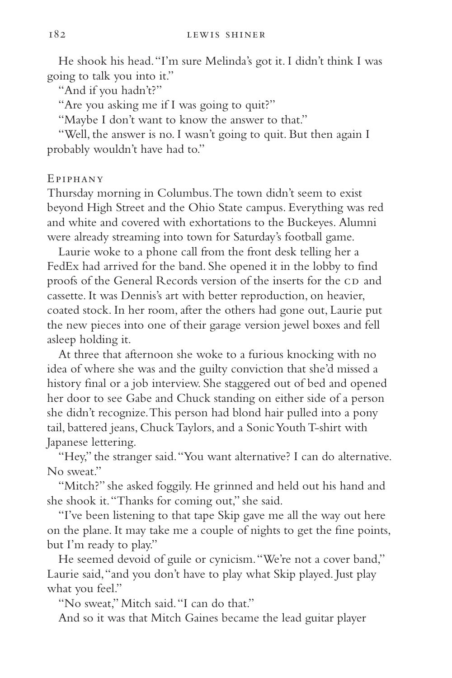He shook his head. "I'm sure Melinda's got it. I didn't think I was going to talk you into it."

"And if you hadn't?"

"Are you asking me if I was going to quit?"

"Maybe I don't want to know the answer to that."

"Well, the answer is no. I wasn't going to quit. But then again I probably wouldn't have had to."

## Epiphany

Thursday morning in Columbus. The town didn't seem to exist beyond High Street and the Ohio State campus. Everything was red and white and covered with exhortations to the Buckeyes. Alumni were already streaming into town for Saturday's football game.

Laurie woke to a phone call from the front desk telling her a FedEx had arrived for the band. She opened it in the lobby to find proofs of the General Records version of the inserts for the CD and cassette. It was Dennis's art with better reproduction, on heavier, coated stock. In her room, after the others had gone out, Laurie put the new pieces into one of their garage version jewel boxes and fell asleep holding it.

At three that afternoon she woke to a furious knocking with no idea of where she was and the guilty conviction that she'd missed a history final or a job interview. She staggered out of bed and opened her door to see Gabe and Chuck standing on either side of a person she didn't recognize. This person had blond hair pulled into a pony tail, battered jeans, Chuck Taylors, and a Sonic Youth T-shirt with Japanese lettering.

"Hey," the stranger said. "You want alternative? I can do alternative. No sweat."

"Mitch?" she asked foggily. He grinned and held out his hand and she shook it. "Thanks for coming out," she said.

"I've been listening to that tape Skip gave me all the way out here on the plane. It may take me a couple of nights to get the fine points, but I'm ready to play."

He seemed devoid of guile or cynicism. "We're not a cover band," Laurie said, "and you don't have to play what Skip played. Just play what you feel."

"No sweat," Mitch said. "I can do that."

And so it was that Mitch Gaines became the lead guitar player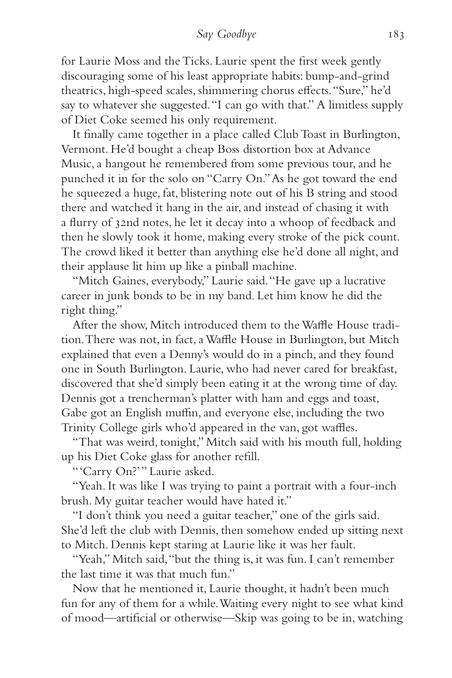for Laurie Moss and the Ticks. Laurie spent the first week gently discouraging some of his least appropriate habits: bump-and-grind theatrics, high-speed scales, shimmering chorus effects. "Sure," he'd say to whatever she suggested. "I can go with that." A limitless supply of Diet Coke seemed his only requirement.

It finally came together in a place called Club Toast in Burlington, Vermont. He'd bought a cheap Boss distortion box at Advance Music, a hangout he remembered from some previous tour, and he punched it in for the solo on "Carry On." As he got toward the end he squeezed a huge, fat, blistering note out of his B string and stood there and watched it hang in the air, and instead of chasing it with a flurry of 32nd notes, he let it decay into a whoop of feedback and then he slowly took it home, making every stroke of the pick count. The crowd liked it better than anything else he'd done all night, and their applause lit him up like a pinball machine.

"Mitch Gaines, everybody," Laurie said. "He gave up a lucrative career in junk bonds to be in my band. Let him know he did the right thing."

After the show, Mitch introduced them to the Waffle House tradition. There was not, in fact, a Waffle House in Burlington, but Mitch explained that even a Denny's would do in a pinch, and they found one in South Burlington. Laurie, who had never cared for breakfast, discovered that she'd simply been eating it at the wrong time of day. Dennis got a trencherman's platter with ham and eggs and toast, Gabe got an English muffin, and everyone else, including the two Trinity College girls who'd appeared in the van, got waffles.

"That was weird, tonight," Mitch said with his mouth full, holding up his Diet Coke glass for another refill.

"'Carry On?'" Laurie asked.

"Yeah. It was like I was trying to paint a portrait with a four-inch brush. My guitar teacher would have hated it."

"I don't think you need a guitar teacher," one of the girls said. She'd left the club with Dennis, then somehow ended up sitting next to Mitch. Dennis kept staring at Laurie like it was her fault.

"Yeah," Mitch said, "but the thing is, it was fun. I can't remember the last time it was that much fun."

Now that he mentioned it, Laurie thought, it hadn't been much fun for any of them for a while. Waiting every night to see what kind of mood—artificial or otherwise—Skip was going to be in, watching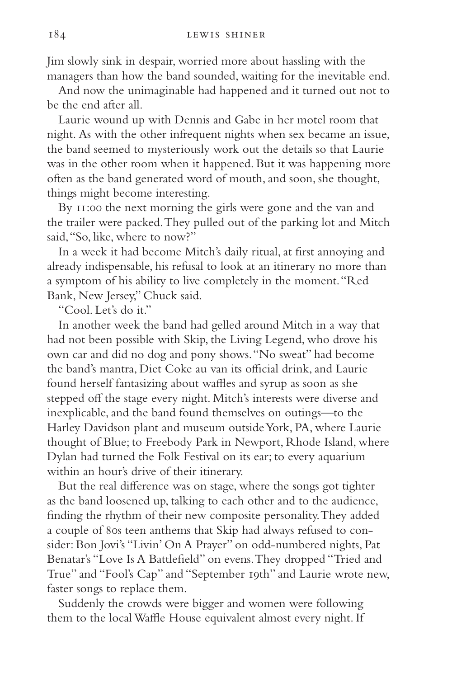Jim slowly sink in despair, worried more about hassling with the managers than how the band sounded, waiting for the inevitable end.

And now the unimaginable had happened and it turned out not to be the end after all.

Laurie wound up with Dennis and Gabe in her motel room that night. As with the other infrequent nights when sex became an issue, the band seemed to mysteriously work out the details so that Laurie was in the other room when it happened. But it was happening more often as the band generated word of mouth, and soon, she thought, things might become interesting.

By 11:00 the next morning the girls were gone and the van and the trailer were packed. They pulled out of the parking lot and Mitch said, "So, like, where to now?"

In a week it had become Mitch's daily ritual, at first annoying and already indispensable, his refusal to look at an itinerary no more than a symptom of his ability to live completely in the moment. "Red Bank, New Jersey," Chuck said.

"Cool. Let's do it."

In another week the band had gelled around Mitch in a way that had not been possible with Skip, the Living Legend, who drove his own car and did no dog and pony shows. "No sweat" had become the band's mantra, Diet Coke au van its official drink, and Laurie found herself fantasizing about waffles and syrup as soon as she stepped off the stage every night. Mitch's interests were diverse and inexplicable, and the band found themselves on outings—to the Harley Davidson plant and museum outside York, PA, where Laurie thought of Blue; to Freebody Park in Newport, Rhode Island, where Dylan had turned the Folk Festival on its ear; to every aquarium within an hour's drive of their itinerary.

But the real difference was on stage, where the songs got tighter as the band loosened up, talking to each other and to the audience, finding the rhythm of their new composite personality. They added a couple of 80s teen anthems that Skip had always refused to consider: Bon Jovi's "Livin' On A Prayer" on odd-numbered nights, Pat Benatar's "Love Is A Battlefield" on evens. They dropped "Tried and True" and "Fool's Cap" and "September 19th" and Laurie wrote new, faster songs to replace them.

Suddenly the crowds were bigger and women were following them to the local Waffle House equivalent almost every night. If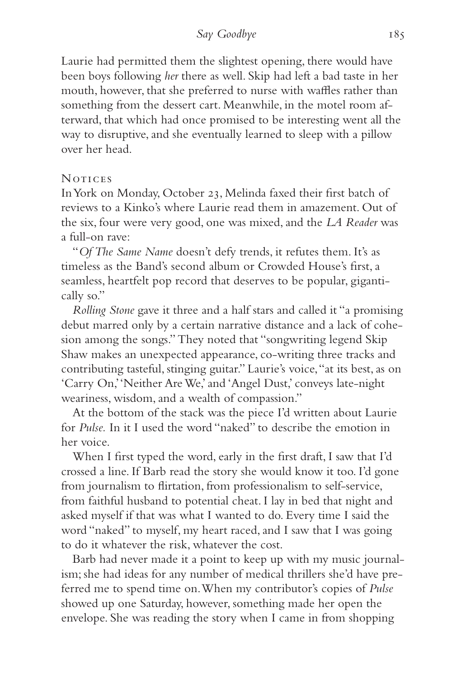Laurie had permitted them the slightest opening, there would have been boys following *her* there as well. Skip had left a bad taste in her mouth, however, that she preferred to nurse with waffles rather than something from the dessert cart. Meanwhile, in the motel room afterward, that which had once promised to be interesting went all the way to disruptive, and she eventually learned to sleep with a pillow over her head.

# **NOTICES**

In York on Monday, October 23, Melinda faxed their first batch of reviews to a Kinko's where Laurie read them in amazement. Out of the six, four were very good, one was mixed, and the *LA Reader* was a full-on rave:

"*Of The Same Name* doesn't defy trends, it refutes them. It's as timeless as the Band's second album or Crowded House's first, a seamless, heartfelt pop record that deserves to be popular, gigantically so."

*Rolling Stone* gave it three and a half stars and called it "a promising debut marred only by a certain narrative distance and a lack of cohesion among the songs." They noted that "songwriting legend Skip Shaw makes an unexpected appearance, co-writing three tracks and contributing tasteful, stinging guitar." Laurie's voice, "at its best, as on 'Carry On,' 'Neither Are We,' and 'Angel Dust,' conveys late-night weariness, wisdom, and a wealth of compassion."

At the bottom of the stack was the piece I'd written about Laurie for *Pulse.* In it I used the word "naked" to describe the emotion in her voice.

When I first typed the word, early in the first draft, I saw that I'd crossed a line. If Barb read the story she would know it too. I'd gone from journalism to flirtation, from professionalism to self-service, from faithful husband to potential cheat. I lay in bed that night and asked myself if that was what I wanted to do. Every time I said the word "naked" to myself, my heart raced, and I saw that I was going to do it whatever the risk, whatever the cost.

Barb had never made it a point to keep up with my music journalism; she had ideas for any number of medical thrillers she'd have preferred me to spend time on. When my contributor's copies of *Pulse* showed up one Saturday, however, something made her open the envelope. She was reading the story when I came in from shopping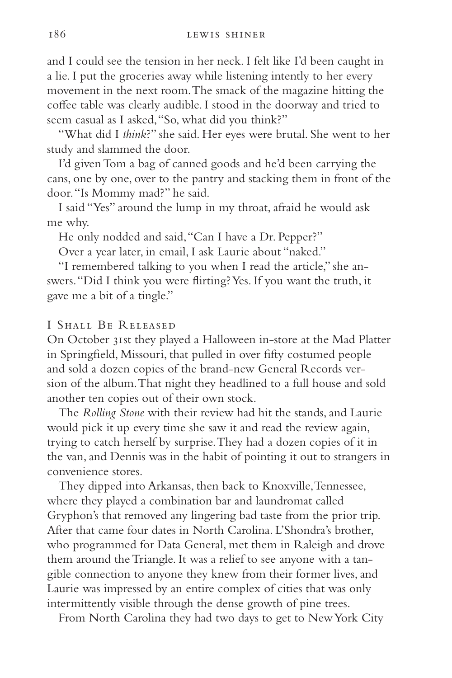and I could see the tension in her neck. I felt like I'd been caught in a lie. I put the groceries away while listening intently to her every movement in the next room. The smack of the magazine hitting the coffee table was clearly audible. I stood in the doorway and tried to seem casual as I asked, "So, what did you think?"

"What did I *think*?" she said. Her eyes were brutal. She went to her study and slammed the door.

I'd given Tom a bag of canned goods and he'd been carrying the cans, one by one, over to the pantry and stacking them in front of the door. "Is Mommy mad?" he said.

I said "Yes" around the lump in my throat, afraid he would ask me why.

He only nodded and said, "Can I have a Dr. Pepper?"

Over a year later, in email, I ask Laurie about "naked."

"I remembered talking to you when I read the article," she answers. "Did I think you were flirting? Yes. If you want the truth, it gave me a bit of a tingle."

## I Shall Be Released

On October 31st they played a Halloween in-store at the Mad Platter in Springfield, Missouri, that pulled in over fifty costumed people and sold a dozen copies of the brand-new General Records version of the album. That night they headlined to a full house and sold another ten copies out of their own stock.

The *Rolling Stone* with their review had hit the stands, and Laurie would pick it up every time she saw it and read the review again, trying to catch herself by surprise. They had a dozen copies of it in the van, and Dennis was in the habit of pointing it out to strangers in convenience stores.

They dipped into Arkansas, then back to Knoxville, Tennessee, where they played a combination bar and laundromat called Gryphon's that removed any lingering bad taste from the prior trip. After that came four dates in North Carolina. L'Shondra's brother, who programmed for Data General, met them in Raleigh and drove them around the Triangle. It was a relief to see anyone with a tangible connection to anyone they knew from their former lives, and Laurie was impressed by an entire complex of cities that was only intermittently visible through the dense growth of pine trees.

From North Carolina they had two days to get to New York City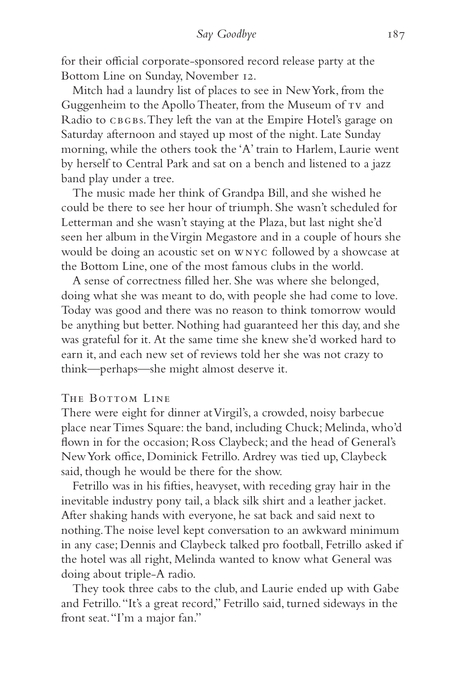for their official corporate-sponsored record release party at the Bottom Line on Sunday, November 12.

Mitch had a laundry list of places to see in New York, from the Guggenheim to the Apollo Theater, from the Museum of tv and Radio to CBGBs. They left the van at the Empire Hotel's garage on Saturday afternoon and stayed up most of the night. Late Sunday morning, while the others took the 'A' train to Harlem, Laurie went by herself to Central Park and sat on a bench and listened to a jazz band play under a tree.

The music made her think of Grandpa Bill, and she wished he could be there to see her hour of triumph. She wasn't scheduled for Letterman and she wasn't staying at the Plaza, but last night she'd seen her album in the Virgin Megastore and in a couple of hours she would be doing an acoustic set on wnyc followed by a showcase at the Bottom Line, one of the most famous clubs in the world.

A sense of correctness filled her. She was where she belonged, doing what she was meant to do, with people she had come to love. Today was good and there was no reason to think tomorrow would be anything but better. Nothing had guaranteed her this day, and she was grateful for it. At the same time she knew she'd worked hard to earn it, and each new set of reviews told her she was not crazy to think—perhaps—she might almost deserve it.

# The Bottom Line

There were eight for dinner at Virgil's, a crowded, noisy barbecue place near Times Square: the band, including Chuck; Melinda, who'd flown in for the occasion; Ross Claybeck; and the head of General's New York office, Dominick Fetrillo. Ardrey was tied up, Claybeck said, though he would be there for the show.

Fetrillo was in his fifties, heavyset, with receding gray hair in the inevitable industry pony tail, a black silk shirt and a leather jacket. After shaking hands with everyone, he sat back and said next to nothing. The noise level kept conversation to an awkward minimum in any case; Dennis and Claybeck talked pro football, Fetrillo asked if the hotel was all right, Melinda wanted to know what General was doing about triple-A radio.

They took three cabs to the club, and Laurie ended up with Gabe and Fetrillo. "It's a great record," Fetrillo said, turned sideways in the front seat. "I'm a major fan."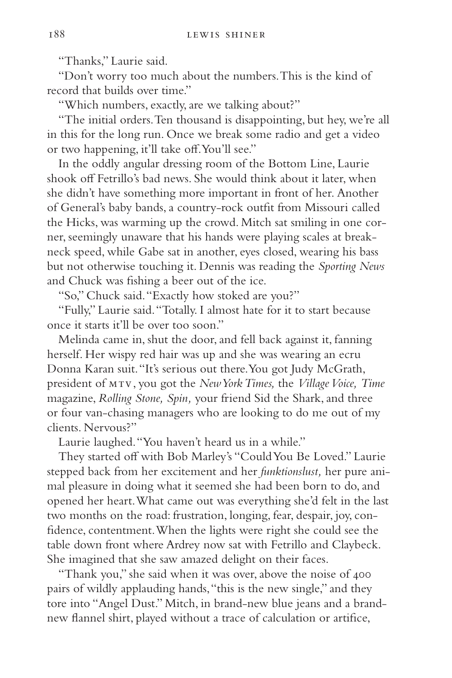"Thanks," Laurie said.

"Don't worry too much about the numbers. This is the kind of record that builds over time."

"Which numbers, exactly, are we talking about?"

"The initial orders. Ten thousand is disappointing, but hey, we're all in this for the long run. Once we break some radio and get a video or two happening, it'll take off. You'll see."

In the oddly angular dressing room of the Bottom Line, Laurie shook off Fetrillo's bad news. She would think about it later, when she didn't have something more important in front of her. Another of General's baby bands, a country-rock outfit from Missouri called the Hicks, was warming up the crowd. Mitch sat smiling in one corner, seemingly unaware that his hands were playing scales at breakneck speed, while Gabe sat in another, eyes closed, wearing his bass but not otherwise touching it. Dennis was reading the *Sporting News* and Chuck was fishing a beer out of the ice.

"So," Chuck said. "Exactly how stoked are you?"

"Fully," Laurie said. "Totally. I almost hate for it to start because once it starts it'll be over too soon."

Melinda came in, shut the door, and fell back against it, fanning herself. Her wispy red hair was up and she was wearing an ecru Donna Karan suit. "It's serious out there. You got Judy McGrath, president of mtv, you got the *New York Times,* the *Village Voice, Time* magazine, *Rolling Stone, Spin,* your friend Sid the Shark, and three or four van-chasing managers who are looking to do me out of my clients. Nervous?"

Laurie laughed. "You haven't heard us in a while."

They started off with Bob Marley's "Could You Be Loved." Laurie stepped back from her excitement and her *funktionslust,* her pure animal pleasure in doing what it seemed she had been born to do, and opened her heart. What came out was everything she'd felt in the last two months on the road: frustration, longing, fear, despair, joy, confidence, contentment. When the lights were right she could see the table down front where Ardrey now sat with Fetrillo and Claybeck. She imagined that she saw amazed delight on their faces.

"Thank you," she said when it was over, above the noise of 400 pairs of wildly applauding hands, "this is the new single," and they tore into "Angel Dust." Mitch, in brand-new blue jeans and a brandnew flannel shirt, played without a trace of calculation or artifice,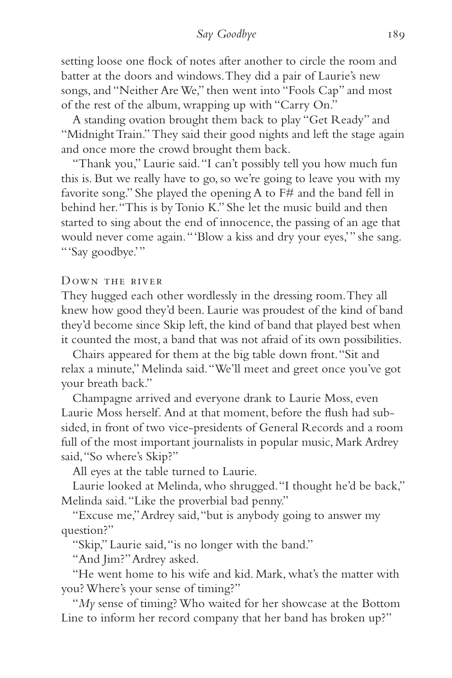setting loose one flock of notes after another to circle the room and batter at the doors and windows. They did a pair of Laurie's new songs, and "Neither Are We," then went into "Fools Cap" and most of the rest of the album, wrapping up with "Carry On."

A standing ovation brought them back to play "Get Ready" and "Midnight Train." They said their good nights and left the stage again and once more the crowd brought them back.

"Thank you," Laurie said. "I can't possibly tell you how much fun this is. But we really have to go, so we're going to leave you with my favorite song." She played the opening A to F# and the band fell in behind her. "This is by Tonio K." She let the music build and then started to sing about the end of innocence, the passing of an age that would never come again. "'Blow a kiss and dry your eyes,'" she sang. "'Say goodbye.'"

Down the river

They hugged each other wordlessly in the dressing room. They all knew how good they'd been. Laurie was proudest of the kind of band they'd become since Skip left, the kind of band that played best when it counted the most, a band that was not afraid of its own possibilities.

Chairs appeared for them at the big table down front. "Sit and relax a minute," Melinda said. "We'll meet and greet once you've got your breath back."

Champagne arrived and everyone drank to Laurie Moss, even Laurie Moss herself. And at that moment, before the flush had subsided, in front of two vice-presidents of General Records and a room full of the most important journalists in popular music, Mark Ardrey said, "So where's Skip?"

All eyes at the table turned to Laurie.

Laurie looked at Melinda, who shrugged. "I thought he'd be back," Melinda said. "Like the proverbial bad penny."

"Excuse me," Ardrey said, "but is anybody going to answer my question?"

"Skip," Laurie said, "is no longer with the band."

"And Jim?" Ardrey asked.

"He went home to his wife and kid. Mark, what's the matter with you? Where's your sense of timing?"

"*My* sense of timing? Who waited for her showcase at the Bottom Line to inform her record company that her band has broken up?"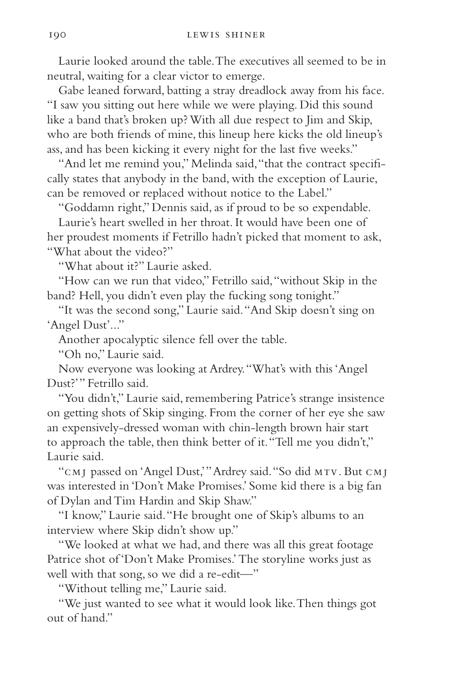Laurie looked around the table. The executives all seemed to be in neutral, waiting for a clear victor to emerge.

Gabe leaned forward, batting a stray dreadlock away from his face. "I saw you sitting out here while we were playing. Did this sound like a band that's broken up? With all due respect to Jim and Skip, who are both friends of mine, this lineup here kicks the old lineup's ass, and has been kicking it every night for the last five weeks."

"And let me remind you," Melinda said, "that the contract specifically states that anybody in the band, with the exception of Laurie, can be removed or replaced without notice to the Label."

"Goddamn right," Dennis said, as if proud to be so expendable.

Laurie's heart swelled in her throat. It would have been one of her proudest moments if Fetrillo hadn't picked that moment to ask, "What about the video?"

"What about it?" Laurie asked.

"How can we run that video," Fetrillo said, "without Skip in the band? Hell, you didn't even play the fucking song tonight."

"It was the second song," Laurie said. "And Skip doesn't sing on 'Angel Dust'..."

Another apocalyptic silence fell over the table.

"Oh no," Laurie said.

Now everyone was looking at Ardrey. "What's with this 'Angel Dust?'" Fetrillo said.

"You didn't," Laurie said, remembering Patrice's strange insistence on getting shots of Skip singing. From the corner of her eye she saw an expensively-dressed woman with chin-length brown hair start to approach the table, then think better of it. "Tell me you didn't," Laurie said.

"CMJ passed on 'Angel Dust," Ardrey said. "So did мтv. But CMJ was interested in 'Don't Make Promises.' Some kid there is a big fan of Dylan and Tim Hardin and Skip Shaw."

"I know," Laurie said. "He brought one of Skip's albums to an interview where Skip didn't show up."

"We looked at what we had, and there was all this great footage Patrice shot of 'Don't Make Promises.' The storyline works just as well with that song, so we did a re-edit—"

"Without telling me," Laurie said.

"We just wanted to see what it would look like. Then things got out of hand"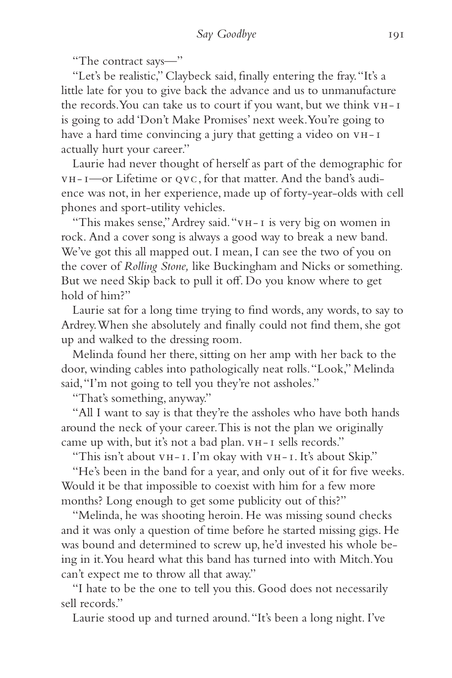"The contract says—"

"Let's be realistic," Claybeck said, finally entering the fray. "It's a little late for you to give back the advance and us to unmanufacture the records. You can take us to court if you want, but we think VH-I is going to add 'Don't Make Promises' next week. You're going to have a hard time convincing a jury that getting a video on  $v_{H-I}$ actually hurt your career."

Laurie had never thought of herself as part of the demographic for vh-1—or Lifetime or qvc, for that matter. And the band's audience was not, in her experience, made up of forty-year-olds with cell phones and sport-utility vehicles.

"This makes sense," Ardrey said. "vh-1 is very big on women in rock. And a cover song is always a good way to break a new band. We've got this all mapped out. I mean, I can see the two of you on the cover of *Rolling Stone,* like Buckingham and Nicks or something. But we need Skip back to pull it off. Do you know where to get hold of him?"

Laurie sat for a long time trying to find words, any words, to say to Ardrey. When she absolutely and finally could not find them, she got up and walked to the dressing room.

Melinda found her there, sitting on her amp with her back to the door, winding cables into pathologically neat rolls. "Look," Melinda said, "I'm not going to tell you they're not assholes."

"That's something, anyway."

"All I want to say is that they're the assholes who have both hands around the neck of your career. This is not the plan we originally came up with, but it's not a bad plan. vh-1 sells records."

"This isn't about vh-1. I'm okay with vh-1. It's about Skip."

"He's been in the band for a year, and only out of it for five weeks. Would it be that impossible to coexist with him for a few more months? Long enough to get some publicity out of this?"

"Melinda, he was shooting heroin. He was missing sound checks and it was only a question of time before he started missing gigs. He was bound and determined to screw up, he'd invested his whole being in it. You heard what this band has turned into with Mitch. You can't expect me to throw all that away."

"I hate to be the one to tell you this. Good does not necessarily sell records."

Laurie stood up and turned around. "It's been a long night. I've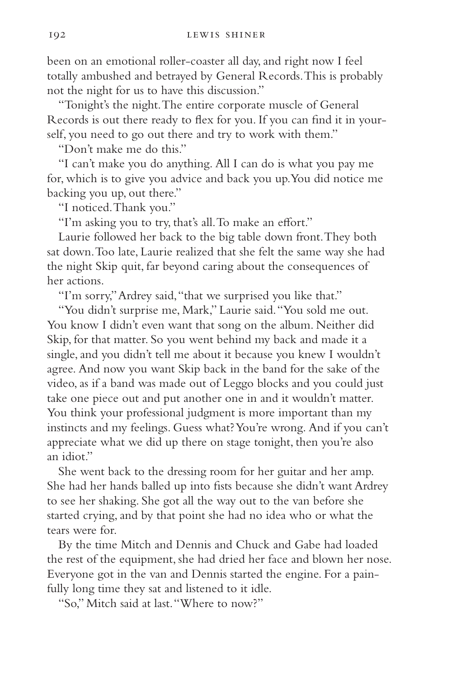been on an emotional roller-coaster all day, and right now I feel totally ambushed and betrayed by General Records. This is probably not the night for us to have this discussion."

"Tonight's the night. The entire corporate muscle of General Records is out there ready to flex for you. If you can find it in yourself, you need to go out there and try to work with them."

"Don't make me do this."

"I can't make you do anything. All I can do is what you pay me for, which is to give you advice and back you up. You did notice me backing you up, out there."

"I noticed. Thank you."

"I'm asking you to try, that's all. To make an effort."

Laurie followed her back to the big table down front. They both sat down. Too late, Laurie realized that she felt the same way she had the night Skip quit, far beyond caring about the consequences of her actions.

"I'm sorry," Ardrey said, "that we surprised you like that."

"You didn't surprise me, Mark," Laurie said. "You sold me out. You know I didn't even want that song on the album. Neither did Skip, for that matter. So you went behind my back and made it a single, and you didn't tell me about it because you knew I wouldn't agree. And now you want Skip back in the band for the sake of the video, as if a band was made out of Leggo blocks and you could just take one piece out and put another one in and it wouldn't matter. You think your professional judgment is more important than my instincts and my feelings. Guess what? You're wrong. And if you can't appreciate what we did up there on stage tonight, then you're also an idiot."

She went back to the dressing room for her guitar and her amp. She had her hands balled up into fists because she didn't want Ardrey to see her shaking. She got all the way out to the van before she started crying, and by that point she had no idea who or what the tears were for.

By the time Mitch and Dennis and Chuck and Gabe had loaded the rest of the equipment, she had dried her face and blown her nose. Everyone got in the van and Dennis started the engine. For a painfully long time they sat and listened to it idle.

"So," Mitch said at last. "Where to now?"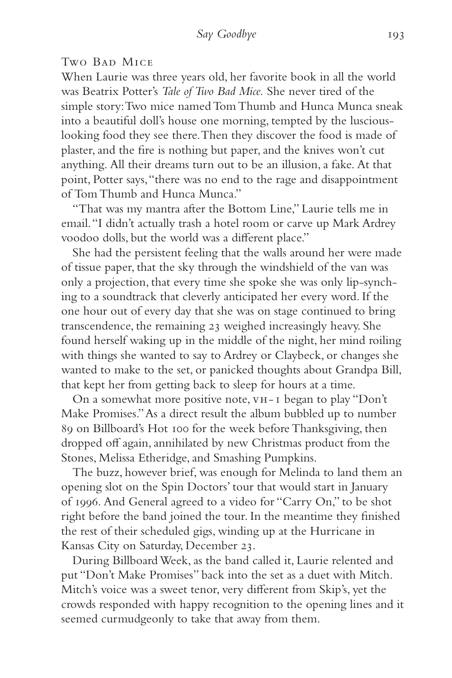# TWO BAD MICE

When Laurie was three years old, her favorite book in all the world was Beatrix Potter's *Tale of Two Bad Mice.* She never tired of the simple story: Two mice named Tom Thumb and Hunca Munca sneak into a beautiful doll's house one morning, tempted by the lusciouslooking food they see there. Then they discover the food is made of plaster, and the fire is nothing but paper, and the knives won't cut anything. All their dreams turn out to be an illusion, a fake. At that point, Potter says, "there was no end to the rage and disappointment of Tom Thumb and Hunca Munca."

"That was my mantra after the Bottom Line," Laurie tells me in email. "I didn't actually trash a hotel room or carve up Mark Ardrey voodoo dolls, but the world was a different place."

She had the persistent feeling that the walls around her were made of tissue paper, that the sky through the windshield of the van was only a projection, that every time she spoke she was only lip-synching to a soundtrack that cleverly anticipated her every word. If the one hour out of every day that she was on stage continued to bring transcendence, the remaining 23 weighed increasingly heavy. She found herself waking up in the middle of the night, her mind roiling with things she wanted to say to Ardrey or Claybeck, or changes she wanted to make to the set, or panicked thoughts about Grandpa Bill, that kept her from getting back to sleep for hours at a time.

On a somewhat more positive note, vh-1 began to play "Don't Make Promises." As a direct result the album bubbled up to number 89 on Billboard's Hot 100 for the week before Thanksgiving, then dropped off again, annihilated by new Christmas product from the Stones, Melissa Etheridge, and Smashing Pumpkins.

The buzz, however brief, was enough for Melinda to land them an opening slot on the Spin Doctors' tour that would start in January of 1996. And General agreed to a video for "Carry On," to be shot right before the band joined the tour. In the meantime they finished the rest of their scheduled gigs, winding up at the Hurricane in Kansas City on Saturday, December 23.

During Billboard Week, as the band called it, Laurie relented and put "Don't Make Promises" back into the set as a duet with Mitch. Mitch's voice was a sweet tenor, very different from Skip's, yet the crowds responded with happy recognition to the opening lines and it seemed curmudgeonly to take that away from them.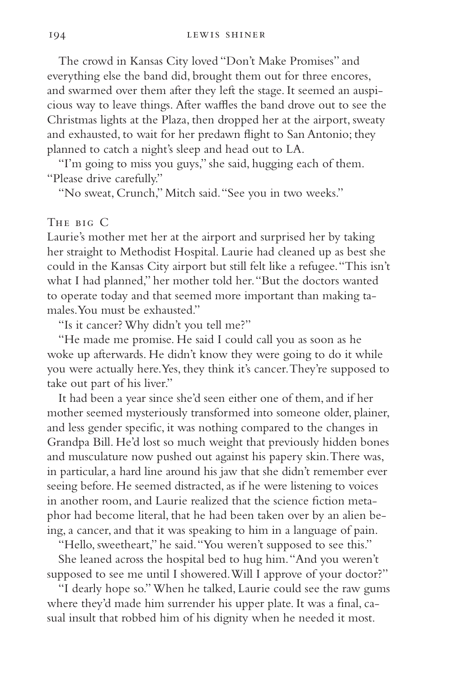The crowd in Kansas City loved "Don't Make Promises" and everything else the band did, brought them out for three encores, and swarmed over them after they left the stage. It seemed an auspicious way to leave things. After waffles the band drove out to see the Christmas lights at the Plaza, then dropped her at the airport, sweaty and exhausted, to wait for her predawn flight to San Antonio; they planned to catch a night's sleep and head out to LA.

"I'm going to miss you guys," she said, hugging each of them. "Please drive carefully."

"No sweat, Crunch," Mitch said. "See you in two weeks."

## The big C

Laurie's mother met her at the airport and surprised her by taking her straight to Methodist Hospital. Laurie had cleaned up as best she could in the Kansas City airport but still felt like a refugee. "This isn't what I had planned," her mother told her. "But the doctors wanted to operate today and that seemed more important than making tamales. You must be exhausted."

"Is it cancer? Why didn't you tell me?"

"He made me promise. He said I could call you as soon as he woke up afterwards. He didn't know they were going to do it while you were actually here. Yes, they think it's cancer. They're supposed to take out part of his liver."

It had been a year since she'd seen either one of them, and if her mother seemed mysteriously transformed into someone older, plainer, and less gender specific, it was nothing compared to the changes in Grandpa Bill. He'd lost so much weight that previously hidden bones and musculature now pushed out against his papery skin. There was, in particular, a hard line around his jaw that she didn't remember ever seeing before. He seemed distracted, as if he were listening to voices in another room, and Laurie realized that the science fiction metaphor had become literal, that he had been taken over by an alien being, a cancer, and that it was speaking to him in a language of pain.

"Hello, sweetheart," he said. "You weren't supposed to see this."

She leaned across the hospital bed to hug him. "And you weren't supposed to see me until I showered. Will I approve of your doctor?"

"I dearly hope so." When he talked, Laurie could see the raw gums where they'd made him surrender his upper plate. It was a final, casual insult that robbed him of his dignity when he needed it most.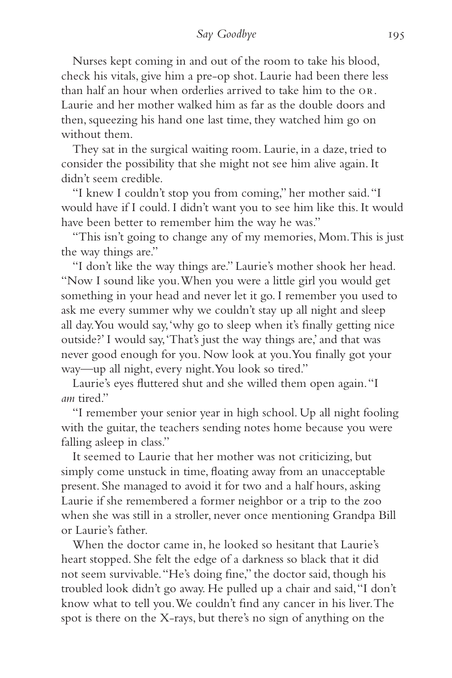## *Say Goodbye* 195

Nurses kept coming in and out of the room to take his blood, check his vitals, give him a pre-op shot. Laurie had been there less than half an hour when orderlies arrived to take him to the or. Laurie and her mother walked him as far as the double doors and then, squeezing his hand one last time, they watched him go on without them.

They sat in the surgical waiting room. Laurie, in a daze, tried to consider the possibility that she might not see him alive again. It didn't seem credible.

"I knew I couldn't stop you from coming," her mother said. "I would have if I could. I didn't want you to see him like this. It would have been better to remember him the way he was."

"This isn't going to change any of my memories, Mom. This is just the way things are."

"I don't like the way things are." Laurie's mother shook her head. "Now I sound like you. When you were a little girl you would get something in your head and never let it go. I remember you used to ask me every summer why we couldn't stay up all night and sleep all day. You would say, 'why go to sleep when it's finally getting nice outside?' I would say, 'That's just the way things are,' and that was never good enough for you. Now look at you. You finally got your way—up all night, every night. You look so tired."

Laurie's eyes fluttered shut and she willed them open again. "I *am* tired."

"I remember your senior year in high school. Up all night fooling with the guitar, the teachers sending notes home because you were falling asleep in class."

It seemed to Laurie that her mother was not criticizing, but simply come unstuck in time, floating away from an unacceptable present. She managed to avoid it for two and a half hours, asking Laurie if she remembered a former neighbor or a trip to the zoo when she was still in a stroller, never once mentioning Grandpa Bill or Laurie's father.

When the doctor came in, he looked so hesitant that Laurie's heart stopped. She felt the edge of a darkness so black that it did not seem survivable. "He's doing fine," the doctor said, though his troubled look didn't go away. He pulled up a chair and said, "I don't know what to tell you. We couldn't find any cancer in his liver. The spot is there on the X-rays, but there's no sign of anything on the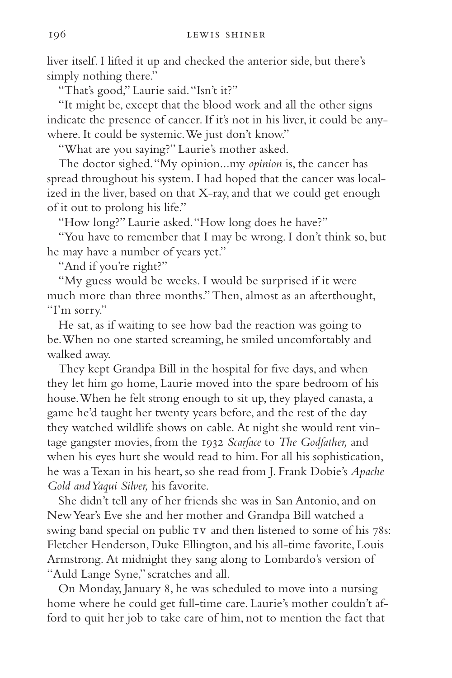liver itself. I lifted it up and checked the anterior side, but there's simply nothing there."

"That's good," Laurie said. "Isn't it?"

"It might be, except that the blood work and all the other signs indicate the presence of cancer. If it's not in his liver, it could be anywhere. It could be systemic. We just don't know."

"What are you saying?" Laurie's mother asked.

The doctor sighed. "My opinion...my *opinion* is, the cancer has spread throughout his system. I had hoped that the cancer was localized in the liver, based on that X-ray, and that we could get enough of it out to prolong his life."

"How long?" Laurie asked. "How long does he have?"

"You have to remember that I may be wrong. I don't think so, but he may have a number of years yet."

"And if you're right?"

"My guess would be weeks. I would be surprised if it were much more than three months." Then, almost as an afterthought, "I'm sorry."

He sat, as if waiting to see how bad the reaction was going to be. When no one started screaming, he smiled uncomfortably and walked away.

They kept Grandpa Bill in the hospital for five days, and when they let him go home, Laurie moved into the spare bedroom of his house. When he felt strong enough to sit up, they played canasta, a game he'd taught her twenty years before, and the rest of the day they watched wildlife shows on cable. At night she would rent vintage gangster movies, from the 1932 *Scarface* to *The Godfather,* and when his eyes hurt she would read to him. For all his sophistication, he was a Texan in his heart, so she read from J. Frank Dobie's *Apache Gold and Yaqui Silver,* his favorite.

She didn't tell any of her friends she was in San Antonio, and on New Year's Eve she and her mother and Grandpa Bill watched a swing band special on public TV and then listened to some of his 78s: Fletcher Henderson, Duke Ellington, and his all-time favorite, Louis Armstrong. At midnight they sang along to Lombardo's version of "Auld Lange Syne," scratches and all.

On Monday, January 8, he was scheduled to move into a nursing home where he could get full-time care. Laurie's mother couldn't afford to quit her job to take care of him, not to mention the fact that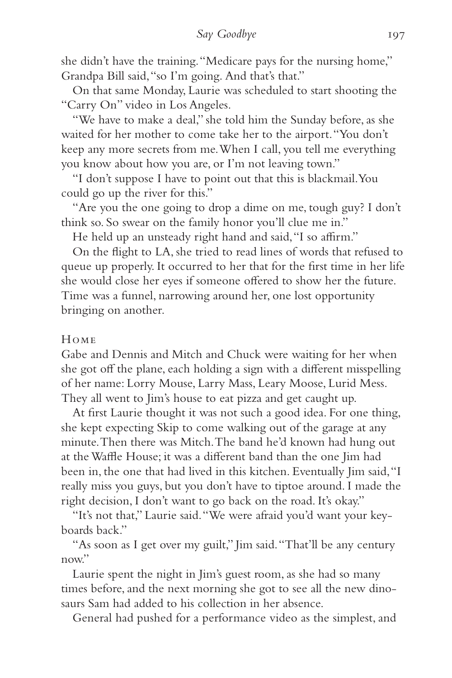she didn't have the training. "Medicare pays for the nursing home," Grandpa Bill said, "so I'm going. And that's that."

On that same Monday, Laurie was scheduled to start shooting the "Carry On" video in Los Angeles.

"We have to make a deal," she told him the Sunday before, as she waited for her mother to come take her to the airport. "You don't keep any more secrets from me. When I call, you tell me everything you know about how you are, or I'm not leaving town."

"I don't suppose I have to point out that this is blackmail. You could go up the river for this."

"Are you the one going to drop a dime on me, tough guy? I don't think so. So swear on the family honor you'll clue me in."

He held up an unsteady right hand and said, "I so affirm."

On the flight to LA, she tried to read lines of words that refused to queue up properly. It occurred to her that for the first time in her life she would close her eyes if someone offered to show her the future. Time was a funnel, narrowing around her, one lost opportunity bringing on another.

## Home

Gabe and Dennis and Mitch and Chuck were waiting for her when she got off the plane, each holding a sign with a different misspelling of her name: Lorry Mouse, Larry Mass, Leary Moose, Lurid Mess. They all went to Jim's house to eat pizza and get caught up.

At first Laurie thought it was not such a good idea. For one thing, she kept expecting Skip to come walking out of the garage at any minute. Then there was Mitch. The band he'd known had hung out at the Waffle House; it was a different band than the one Jim had been in, the one that had lived in this kitchen. Eventually Jim said, "I really miss you guys, but you don't have to tiptoe around. I made the right decision, I don't want to go back on the road. It's okay."

"It's not that," Laurie said. "We were afraid you'd want your keyboards back."

"As soon as I get over my guilt," Jim said. "That'll be any century now."

Laurie spent the night in Jim's guest room, as she had so many times before, and the next morning she got to see all the new dinosaurs Sam had added to his collection in her absence.

General had pushed for a performance video as the simplest, and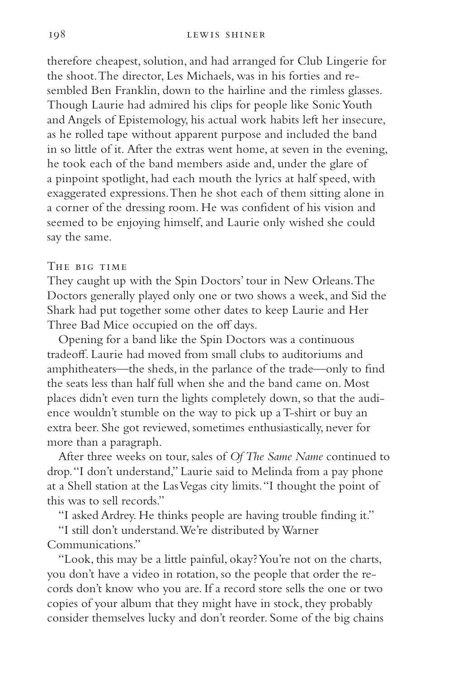therefore cheapest, solution, and had arranged for Club Lingerie for the shoot. The director, Les Michaels, was in his forties and resembled Ben Franklin, down to the hairline and the rimless glasses. Though Laurie had admired his clips for people like Sonic Youth and Angels of Epistemology, his actual work habits left her insecure, as he rolled tape without apparent purpose and included the band in so little of it. After the extras went home, at seven in the evening, he took each of the band members aside and, under the glare of a pinpoint spotlight, had each mouth the lyrics at half speed, with exaggerated expressions. Then he shot each of them sitting alone in a corner of the dressing room. He was confident of his vision and seemed to be enjoying himself, and Laurie only wished she could say the same.

### The big time

They caught up with the Spin Doctors' tour in New Orleans. The Doctors generally played only one or two shows a week, and Sid the Shark had put together some other dates to keep Laurie and Her Three Bad Mice occupied on the off days.

Opening for a band like the Spin Doctors was a continuous tradeoff. Laurie had moved from small clubs to auditoriums and amphitheaters—the sheds, in the parlance of the trade—only to find the seats less than half full when she and the band came on. Most places didn't even turn the lights completely down, so that the audience wouldn't stumble on the way to pick up a T-shirt or buy an extra beer. She got reviewed, sometimes enthusiastically, never for more than a paragraph.

After three weeks on tour, sales of *Of The Same Name* continued to drop. "I don't understand," Laurie said to Melinda from a pay phone at a Shell station at the Las Vegas city limits. "I thought the point of this was to sell records."

"I asked Ardrey. He thinks people are having trouble finding it."

"I still don't understand. We're distributed by Warner Communications."

"Look, this may be a little painful, okay? You're not on the charts, you don't have a video in rotation, so the people that order the records don't know who you are. If a record store sells the one or two copies of your album that they might have in stock, they probably consider themselves lucky and don't reorder. Some of the big chains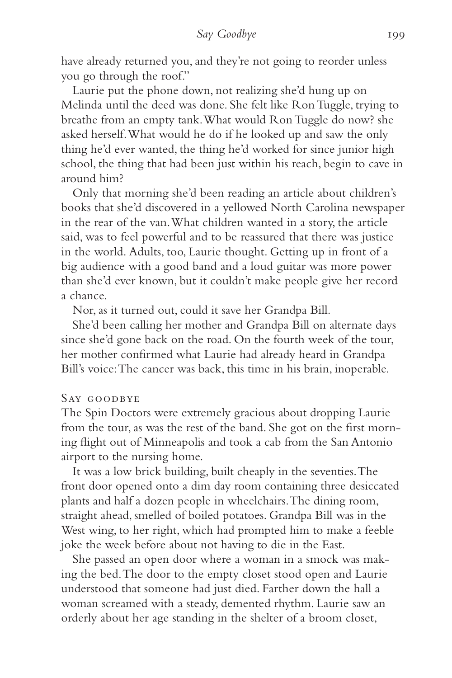have already returned you, and they're not going to reorder unless you go through the roof."

Laurie put the phone down, not realizing she'd hung up on Melinda until the deed was done. She felt like Ron Tuggle, trying to breathe from an empty tank. What would Ron Tuggle do now? she asked herself. What would he do if he looked up and saw the only thing he'd ever wanted, the thing he'd worked for since junior high school, the thing that had been just within his reach, begin to cave in around him?

Only that morning she'd been reading an article about children's books that she'd discovered in a yellowed North Carolina newspaper in the rear of the van. What children wanted in a story, the article said, was to feel powerful and to be reassured that there was justice in the world. Adults, too, Laurie thought. Getting up in front of a big audience with a good band and a loud guitar was more power than she'd ever known, but it couldn't make people give her record a chance.

Nor, as it turned out, could it save her Grandpa Bill.

She'd been calling her mother and Grandpa Bill on alternate days since she'd gone back on the road. On the fourth week of the tour, her mother confirmed what Laurie had already heard in Grandpa Bill's voice: The cancer was back, this time in his brain, inoperable.

# Say goodbye

The Spin Doctors were extremely gracious about dropping Laurie from the tour, as was the rest of the band. She got on the first morning flight out of Minneapolis and took a cab from the San Antonio airport to the nursing home.

It was a low brick building, built cheaply in the seventies. The front door opened onto a dim day room containing three desiccated plants and half a dozen people in wheelchairs. The dining room, straight ahead, smelled of boiled potatoes. Grandpa Bill was in the West wing, to her right, which had prompted him to make a feeble joke the week before about not having to die in the East.

She passed an open door where a woman in a smock was making the bed. The door to the empty closet stood open and Laurie understood that someone had just died. Farther down the hall a woman screamed with a steady, demented rhythm. Laurie saw an orderly about her age standing in the shelter of a broom closet,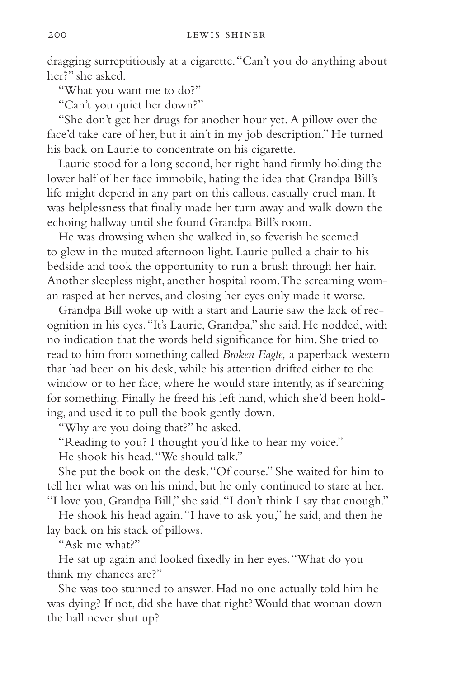dragging surreptitiously at a cigarette. "Can't you do anything about her?" she asked.

"What you want me to do?"

"Can't you quiet her down?"

"She don't get her drugs for another hour yet. A pillow over the face'd take care of her, but it ain't in my job description." He turned his back on Laurie to concentrate on his cigarette.

Laurie stood for a long second, her right hand firmly holding the lower half of her face immobile, hating the idea that Grandpa Bill's life might depend in any part on this callous, casually cruel man. It was helplessness that finally made her turn away and walk down the echoing hallway until she found Grandpa Bill's room.

He was drowsing when she walked in, so feverish he seemed to glow in the muted afternoon light. Laurie pulled a chair to his bedside and took the opportunity to run a brush through her hair. Another sleepless night, another hospital room. The screaming woman rasped at her nerves, and closing her eyes only made it worse.

Grandpa Bill woke up with a start and Laurie saw the lack of recognition in his eyes. "It's Laurie, Grandpa," she said. He nodded, with no indication that the words held significance for him. She tried to read to him from something called *Broken Eagle,* a paperback western that had been on his desk, while his attention drifted either to the window or to her face, where he would stare intently, as if searching for something. Finally he freed his left hand, which she'd been holding, and used it to pull the book gently down.

"Why are you doing that?" he asked.

"Reading to you? I thought you'd like to hear my voice."

He shook his head. "We should talk."

She put the book on the desk. "Of course." She waited for him to tell her what was on his mind, but he only continued to stare at her. "I love you, Grandpa Bill," she said. "I don't think I say that enough."

He shook his head again. "I have to ask you," he said, and then he lay back on his stack of pillows.

"Ask me what?"

He sat up again and looked fixedly in her eyes. "What do you think my chances are?"

She was too stunned to answer. Had no one actually told him he was dying? If not, did she have that right? Would that woman down the hall never shut up?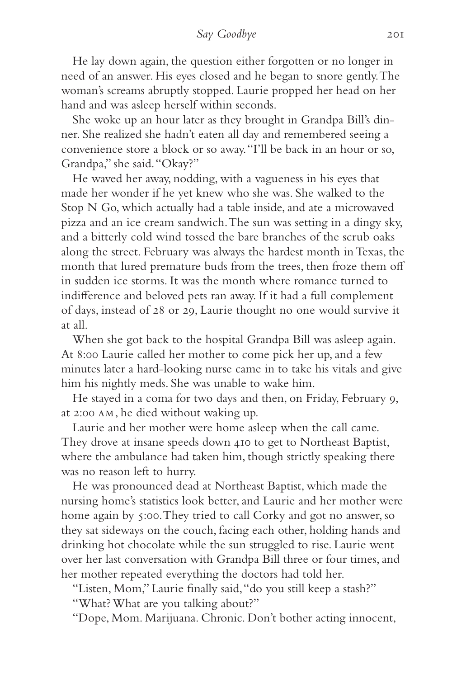### *Say Goodbye* 201

He lay down again, the question either forgotten or no longer in need of an answer. His eyes closed and he began to snore gently. The woman's screams abruptly stopped. Laurie propped her head on her hand and was asleep herself within seconds.

She woke up an hour later as they brought in Grandpa Bill's dinner. She realized she hadn't eaten all day and remembered seeing a convenience store a block or so away. "I'll be back in an hour or so, Grandpa," she said. "Okay?"

He waved her away, nodding, with a vagueness in his eyes that made her wonder if he yet knew who she was. She walked to the Stop N Go, which actually had a table inside, and ate a microwaved pizza and an ice cream sandwich. The sun was setting in a dingy sky, and a bitterly cold wind tossed the bare branches of the scrub oaks along the street. February was always the hardest month in Texas, the month that lured premature buds from the trees, then froze them off in sudden ice storms. It was the month where romance turned to indifference and beloved pets ran away. If it had a full complement of days, instead of 28 or 29, Laurie thought no one would survive it at all.

When she got back to the hospital Grandpa Bill was asleep again. At 8:00 Laurie called her mother to come pick her up, and a few minutes later a hard-looking nurse came in to take his vitals and give him his nightly meds. She was unable to wake him.

He stayed in a coma for two days and then, on Friday, February 9, at 2:00 am, he died without waking up.

Laurie and her mother were home asleep when the call came. They drove at insane speeds down 410 to get to Northeast Baptist, where the ambulance had taken him, though strictly speaking there was no reason left to hurry.

He was pronounced dead at Northeast Baptist, which made the nursing home's statistics look better, and Laurie and her mother were home again by 5:00. They tried to call Corky and got no answer, so they sat sideways on the couch, facing each other, holding hands and drinking hot chocolate while the sun struggled to rise. Laurie went over her last conversation with Grandpa Bill three or four times, and her mother repeated everything the doctors had told her.

"Listen, Mom," Laurie finally said, "do you still keep a stash?" "What? What are you talking about?"

"Dope, Mom. Marijuana. Chronic. Don't bother acting innocent,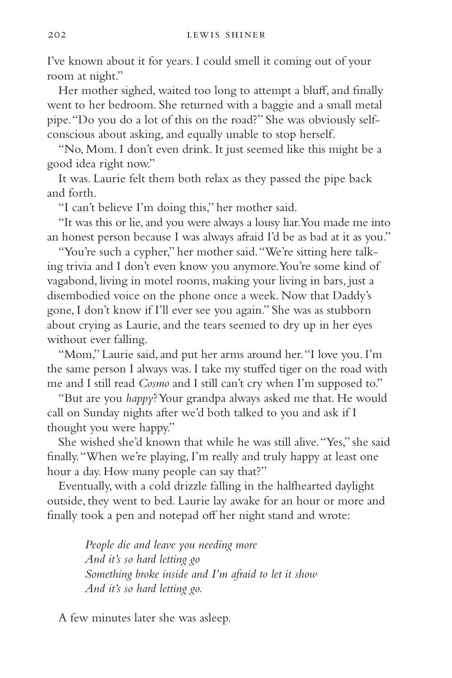I've known about it for years. I could smell it coming out of your room at night."

Her mother sighed, waited too long to attempt a bluff, and finally went to her bedroom. She returned with a baggie and a small metal pipe. "Do you do a lot of this on the road?" She was obviously selfconscious about asking, and equally unable to stop herself.

"No, Mom. I don't even drink. It just seemed like this might be a good idea right now."

It was. Laurie felt them both relax as they passed the pipe back and forth.

"I can't believe I'm doing this," her mother said.

"It was this or lie, and you were always a lousy liar. You made me into an honest person because I was always afraid I'd be as bad at it as you."

"You're such a cypher," her mother said. "We're sitting here talking trivia and I don't even know you anymore. You're some kind of vagabond, living in motel rooms, making your living in bars, just a disembodied voice on the phone once a week. Now that Daddy's gone, I don't know if I'll ever see you again." She was as stubborn about crying as Laurie, and the tears seemed to dry up in her eyes without ever falling.

"Mom," Laurie said, and put her arms around her. "I love you. I'm the same person I always was. I take my stuffed tiger on the road with me and I still read *Cosmo* and I still can't cry when I'm supposed to."

"But are you *happy*? Your grandpa always asked me that. He would call on Sunday nights after we'd both talked to you and ask if I thought you were happy."

She wished she'd known that while he was still alive. "Yes," she said finally. "When we're playing, I'm really and truly happy at least one hour a day. How many people can say that?"

Eventually, with a cold drizzle falling in the halfhearted daylight outside, they went to bed. Laurie lay awake for an hour or more and finally took a pen and notepad off her night stand and wrote:

> *People die and leave you needing more And it's so hard letting go Something broke inside and I'm afraid to let it show And it's so hard letting go.*

A few minutes later she was asleep.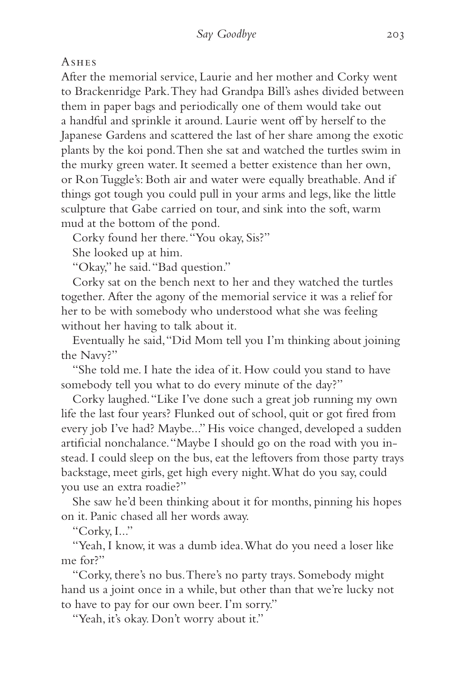**A**shes

After the memorial service, Laurie and her mother and Corky went to Brackenridge Park. They had Grandpa Bill's ashes divided between them in paper bags and periodically one of them would take out a handful and sprinkle it around. Laurie went off by herself to the Japanese Gardens and scattered the last of her share among the exotic plants by the koi pond. Then she sat and watched the turtles swim in the murky green water. It seemed a better existence than her own, or Ron Tuggle's: Both air and water were equally breathable. And if things got tough you could pull in your arms and legs, like the little sculpture that Gabe carried on tour, and sink into the soft, warm mud at the bottom of the pond.

Corky found her there. "You okay, Sis?"

She looked up at him.

"Okay," he said. "Bad question."

Corky sat on the bench next to her and they watched the turtles together. After the agony of the memorial service it was a relief for her to be with somebody who understood what she was feeling without her having to talk about it.

Eventually he said, "Did Mom tell you I'm thinking about joining the Navy?"

"She told me. I hate the idea of it. How could you stand to have somebody tell you what to do every minute of the day?"

Corky laughed. "Like I've done such a great job running my own life the last four years? Flunked out of school, quit or got fired from every job I've had? Maybe..." His voice changed, developed a sudden artificial nonchalance. "Maybe I should go on the road with you instead. I could sleep on the bus, eat the leftovers from those party trays backstage, meet girls, get high every night. What do you say, could you use an extra roadie?"

She saw he'd been thinking about it for months, pinning his hopes on it. Panic chased all her words away.

"Corky, I..."

"Yeah, I know, it was a dumb idea. What do you need a loser like me for?"

"Corky, there's no bus. There's no party trays. Somebody might hand us a joint once in a while, but other than that we're lucky not to have to pay for our own beer. I'm sorry."

"Yeah, it's okay. Don't worry about it."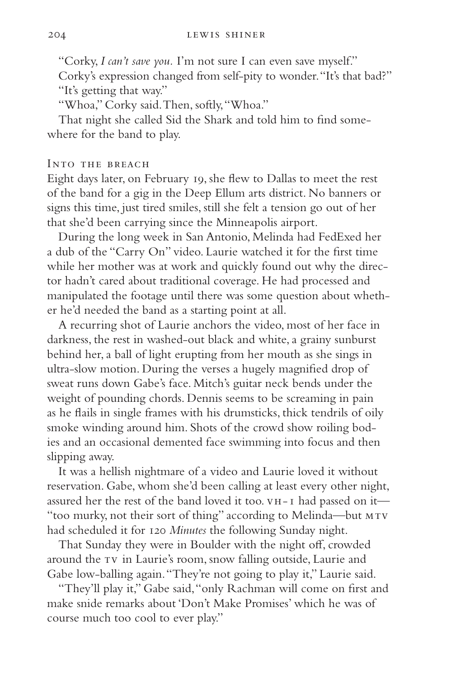"Corky, *I can't save you.* I'm not sure I can even save myself." Corky's expression changed from self-pity to wonder. "It's that bad?" "It's getting that way."

"Whoa," Corky said. Then, softly, "Whoa."

That night she called Sid the Shark and told him to find somewhere for the band to play.

### Into the breach

Eight days later, on February 19, she flew to Dallas to meet the rest of the band for a gig in the Deep Ellum arts district. No banners or signs this time, just tired smiles, still she felt a tension go out of her that she'd been carrying since the Minneapolis airport.

During the long week in San Antonio, Melinda had FedExed her a dub of the "Carry On" video. Laurie watched it for the first time while her mother was at work and quickly found out why the director hadn't cared about traditional coverage. He had processed and manipulated the footage until there was some question about whether he'd needed the band as a starting point at all.

A recurring shot of Laurie anchors the video, most of her face in darkness, the rest in washed-out black and white, a grainy sunburst behind her, a ball of light erupting from her mouth as she sings in ultra-slow motion. During the verses a hugely magnified drop of sweat runs down Gabe's face. Mitch's guitar neck bends under the weight of pounding chords. Dennis seems to be screaming in pain as he flails in single frames with his drumsticks, thick tendrils of oily smoke winding around him. Shots of the crowd show roiling bodies and an occasional demented face swimming into focus and then slipping away.

It was a hellish nightmare of a video and Laurie loved it without reservation. Gabe, whom she'd been calling at least every other night, assured her the rest of the band loved it too. vh-1 had passed on it— "too murky, not their sort of thing" according to Melinda—but MTV had scheduled it for 120 *Minutes* the following Sunday night.

That Sunday they were in Boulder with the night off, crowded around the tv in Laurie's room, snow falling outside, Laurie and Gabe low-balling again. "They're not going to play it," Laurie said.

"They'll play it," Gabe said, "only Rachman will come on first and make snide remarks about 'Don't Make Promises' which he was of course much too cool to ever play."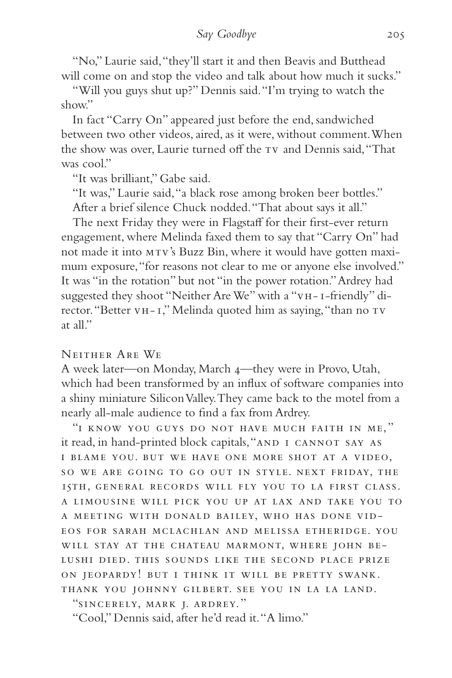"No," Laurie said, "they'll start it and then Beavis and Butthead will come on and stop the video and talk about how much it sucks."

"Will you guys shut up?" Dennis said. "I'm trying to watch the show."

In fact "Carry On" appeared just before the end, sandwiched between two other videos, aired, as it were, without comment. When the show was over, Laurie turned off the TV and Dennis said, "That was cool."

"It was brilliant," Gabe said.

"It was," Laurie said, "a black rose among broken beer bottles." After a brief silence Chuck nodded. "That about says it all."

The next Friday they were in Flagstaff for their first-ever return engagement, where Melinda faxed them to say that "Carry On" had not made it into MTV's Buzz Bin, where it would have gotten maximum exposure, "for reasons not clear to me or anyone else involved." It was "in the rotation" but not "in the power rotation." Ardrey had suggested they shoot "Neither Are We" with a "vH-I-friendly" director. "Better vh-1," Melinda quoted him as saying, "than no tv at all."

# Neither Are We

A week later—on Monday, March 4—they were in Provo, Utah, which had been transformed by an influx of software companies into a shiny miniature Silicon Valley. They came back to the motel from a nearly all-male audience to find a fax from Ardrey.

"i know you guys do not have much faith in me," it read, in hand-printed block capitals, "AND I CANNOT SAY AS i blame you. but we have one more shot at a video, so we are going to go out in style. next friday, the 15th, general records will fly you to la first class. a limousine will pick you up at lax and take you to a meeting with donald bailey, who has done videos for sarah mclachlan and melissa etheridge. you will stay at the chateau marmont, where john belushi died. this sounds like the second place prize on jeopardy! but i think it will be pretty swank. thank you johnny gilbert. see you in la la land.

"sincerely, mark j. ardrey."

"Cool," Dennis said, after he'd read it. "A limo."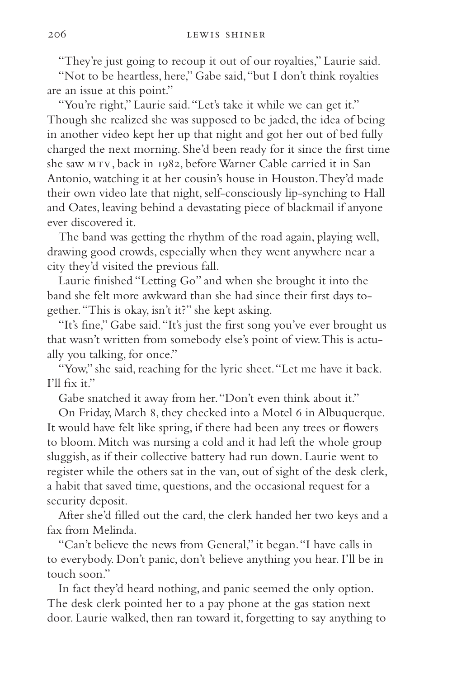"They're just going to recoup it out of our royalties," Laurie said.

"Not to be heartless, here," Gabe said, "but I don't think royalties are an issue at this point."

"You're right," Laurie said. "Let's take it while we can get it." Though she realized she was supposed to be jaded, the idea of being in another video kept her up that night and got her out of bed fully charged the next morning. She'd been ready for it since the first time she saw mtv, back in 1982, before Warner Cable carried it in San Antonio, watching it at her cousin's house in Houston. They'd made their own video late that night, self-consciously lip-synching to Hall and Oates, leaving behind a devastating piece of blackmail if anyone ever discovered it.

The band was getting the rhythm of the road again, playing well, drawing good crowds, especially when they went anywhere near a city they'd visited the previous fall.

Laurie finished "Letting Go" and when she brought it into the band she felt more awkward than she had since their first days together. "This is okay, isn't it?" she kept asking.

"It's fine," Gabe said. "It's just the first song you've ever brought us that wasn't written from somebody else's point of view. This is actually you talking, for once."

"Yow," she said, reaching for the lyric sheet. "Let me have it back. I'll fix it."

Gabe snatched it away from her. "Don't even think about it."

On Friday, March 8, they checked into a Motel 6 in Albuquerque. It would have felt like spring, if there had been any trees or flowers to bloom. Mitch was nursing a cold and it had left the whole group sluggish, as if their collective battery had run down. Laurie went to register while the others sat in the van, out of sight of the desk clerk, a habit that saved time, questions, and the occasional request for a security deposit.

After she'd filled out the card, the clerk handed her two keys and a fax from Melinda.

"Can't believe the news from General," it began. "I have calls in to everybody. Don't panic, don't believe anything you hear. I'll be in touch soon"

In fact they'd heard nothing, and panic seemed the only option. The desk clerk pointed her to a pay phone at the gas station next door. Laurie walked, then ran toward it, forgetting to say anything to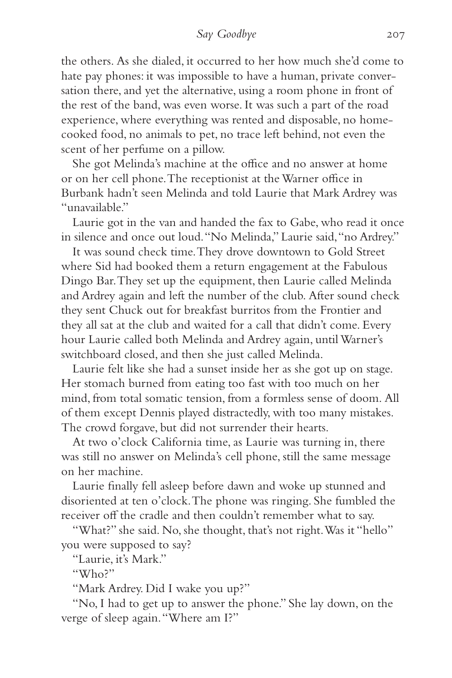the others. As she dialed, it occurred to her how much she'd come to hate pay phones: it was impossible to have a human, private conversation there, and yet the alternative, using a room phone in front of the rest of the band, was even worse. It was such a part of the road experience, where everything was rented and disposable, no homecooked food, no animals to pet, no trace left behind, not even the scent of her perfume on a pillow.

She got Melinda's machine at the office and no answer at home or on her cell phone. The receptionist at the Warner office in Burbank hadn't seen Melinda and told Laurie that Mark Ardrey was "unavailable."

Laurie got in the van and handed the fax to Gabe, who read it once in silence and once out loud. "No Melinda," Laurie said, "no Ardrey."

It was sound check time. They drove downtown to Gold Street where Sid had booked them a return engagement at the Fabulous Dingo Bar. They set up the equipment, then Laurie called Melinda and Ardrey again and left the number of the club. After sound check they sent Chuck out for breakfast burritos from the Frontier and they all sat at the club and waited for a call that didn't come. Every hour Laurie called both Melinda and Ardrey again, until Warner's switchboard closed, and then she just called Melinda.

Laurie felt like she had a sunset inside her as she got up on stage. Her stomach burned from eating too fast with too much on her mind, from total somatic tension, from a formless sense of doom. All of them except Dennis played distractedly, with too many mistakes. The crowd forgave, but did not surrender their hearts.

At two o'clock California time, as Laurie was turning in, there was still no answer on Melinda's cell phone, still the same message on her machine.

Laurie finally fell asleep before dawn and woke up stunned and disoriented at ten o'clock. The phone was ringing. She fumbled the receiver off the cradle and then couldn't remember what to say.

"What?" she said. No, she thought, that's not right. Was it "hello" you were supposed to say?

"Laurie, it's Mark."

"Who?"

"Mark Ardrey. Did I wake you up?"

"No, I had to get up to answer the phone." She lay down, on the verge of sleep again. "Where am I?"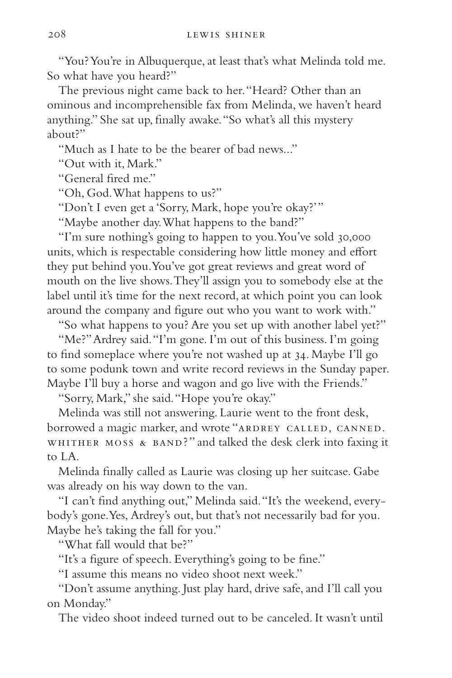"You? You're in Albuquerque, at least that's what Melinda told me. So what have you heard?"

The previous night came back to her. "Heard? Other than an ominous and incomprehensible fax from Melinda, we haven't heard anything." She sat up, finally awake. "So what's all this mystery about?"

"Much as I hate to be the bearer of bad news..."

"Out with it, Mark."

"General fired me."

"Oh, God. What happens to us?"

"Don't I even get a 'Sorry, Mark, hope you're okay?'"

"Maybe another day. What happens to the band?"

"I'm sure nothing's going to happen to you. You've sold 30,000 units, which is respectable considering how little money and effort they put behind you. You've got great reviews and great word of mouth on the live shows. They'll assign you to somebody else at the label until it's time for the next record, at which point you can look around the company and figure out who you want to work with."

"So what happens to you? Are you set up with another label yet?"

"Me?" Ardrey said. "I'm gone. I'm out of this business. I'm going to find someplace where you're not washed up at 34. Maybe I'll go to some podunk town and write record reviews in the Sunday paper. Maybe I'll buy a horse and wagon and go live with the Friends."

"Sorry, Mark," she said. "Hope you're okay."

Melinda was still not answering. Laurie went to the front desk, borrowed a magic marker, and wrote "ARDREY CALLED, CANNED. WHITHER MOSS & BAND?" and talked the desk clerk into faxing it to LA.

Melinda finally called as Laurie was closing up her suitcase. Gabe was already on his way down to the van.

"I can't find anything out," Melinda said. "It's the weekend, everybody's gone. Yes, Ardrey's out, but that's not necessarily bad for you. Maybe he's taking the fall for you."

"What fall would that be?"

"It's a figure of speech. Everything's going to be fine."

"I assume this means no video shoot next week."

"Don't assume anything. Just play hard, drive safe, and I'll call you on Monday."

The video shoot indeed turned out to be canceled. It wasn't until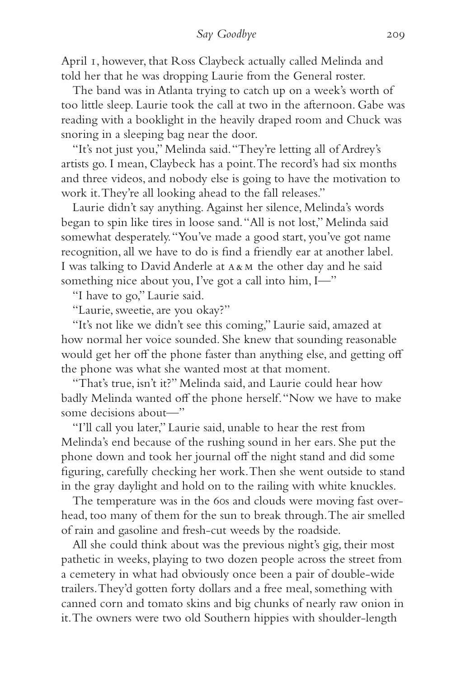April 1, however, that Ross Claybeck actually called Melinda and told her that he was dropping Laurie from the General roster.

The band was in Atlanta trying to catch up on a week's worth of too little sleep. Laurie took the call at two in the afternoon. Gabe was reading with a booklight in the heavily draped room and Chuck was snoring in a sleeping bag near the door.

"It's not just you," Melinda said. "They're letting all of Ardrey's artists go. I mean, Claybeck has a point. The record's had six months and three videos, and nobody else is going to have the motivation to work it. They're all looking ahead to the fall releases."

Laurie didn't say anything. Against her silence, Melinda's words began to spin like tires in loose sand. "All is not lost," Melinda said somewhat desperately. "You've made a good start, you've got name recognition, all we have to do is find a friendly ear at another label. I was talking to David Anderle at a&m the other day and he said something nice about you, I've got a call into him, I—"

"I have to go," Laurie said.

"Laurie, sweetie, are you okay?"

"It's not like we didn't see this coming," Laurie said, amazed at how normal her voice sounded. She knew that sounding reasonable would get her off the phone faster than anything else, and getting off the phone was what she wanted most at that moment.

"That's true, isn't it?" Melinda said, and Laurie could hear how badly Melinda wanted off the phone herself. "Now we have to make some decisions about—"

"I'll call you later," Laurie said, unable to hear the rest from Melinda's end because of the rushing sound in her ears. She put the phone down and took her journal off the night stand and did some figuring, carefully checking her work. Then she went outside to stand in the gray daylight and hold on to the railing with white knuckles.

The temperature was in the 60s and clouds were moving fast overhead, too many of them for the sun to break through. The air smelled of rain and gasoline and fresh-cut weeds by the roadside.

All she could think about was the previous night's gig, their most pathetic in weeks, playing to two dozen people across the street from a cemetery in what had obviously once been a pair of double-wide trailers. They'd gotten forty dollars and a free meal, something with canned corn and tomato skins and big chunks of nearly raw onion in it. The owners were two old Southern hippies with shoulder-length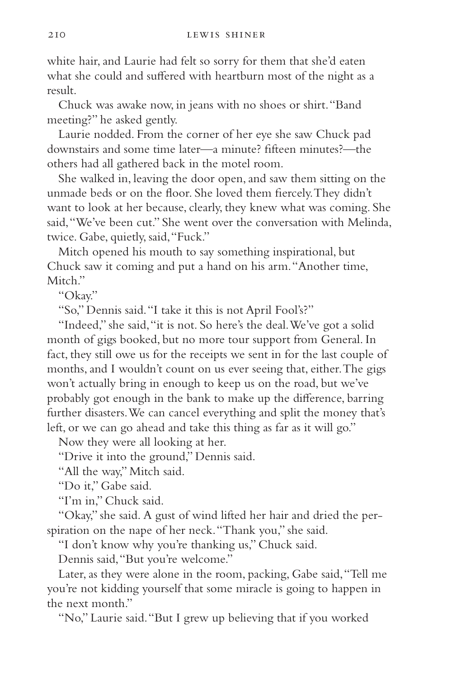white hair, and Laurie had felt so sorry for them that she'd eaten what she could and suffered with heartburn most of the night as a result.

Chuck was awake now, in jeans with no shoes or shirt. "Band meeting?" he asked gently.

Laurie nodded. From the corner of her eye she saw Chuck pad downstairs and some time later—a minute? fifteen minutes?—the others had all gathered back in the motel room.

She walked in, leaving the door open, and saw them sitting on the unmade beds or on the floor. She loved them fiercely. They didn't want to look at her because, clearly, they knew what was coming. She said, "We've been cut." She went over the conversation with Melinda, twice. Gabe, quietly, said, "Fuck."

Mitch opened his mouth to say something inspirational, but Chuck saw it coming and put a hand on his arm. "Another time, Mitch."

"Okay."

"So," Dennis said. "I take it this is not April Fool's?"

"Indeed," she said, "it is not. So here's the deal. We've got a solid month of gigs booked, but no more tour support from General. In fact, they still owe us for the receipts we sent in for the last couple of months, and I wouldn't count on us ever seeing that, either. The gigs won't actually bring in enough to keep us on the road, but we've probably got enough in the bank to make up the difference, barring further disasters. We can cancel everything and split the money that's left, or we can go ahead and take this thing as far as it will go."

Now they were all looking at her.

"Drive it into the ground," Dennis said.

"All the way," Mitch said.

"Do it," Gabe said.

"I'm in," Chuck said.

"Okay," she said. A gust of wind lifted her hair and dried the perspiration on the nape of her neck. "Thank you," she said.

"I don't know why you're thanking us," Chuck said.

Dennis said, "But you're welcome."

Later, as they were alone in the room, packing, Gabe said, "Tell me you're not kidding yourself that some miracle is going to happen in the next month."

"No," Laurie said. "But I grew up believing that if you worked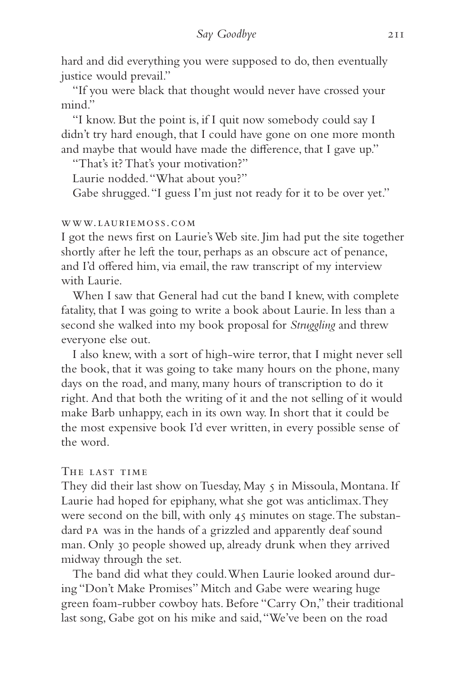hard and did everything you were supposed to do, then eventually justice would prevail."

"If you were black that thought would never have crossed your mind."

"I know. But the point is, if I quit now somebody could say I didn't try hard enough, that I could have gone on one more month and maybe that would have made the difference, that I gave up."

"That's it? That's your motivation?"

Laurie nodded. "What about you?"

Gabe shrugged. "I guess I'm just not ready for it to be over yet."

#### www.lauriemoss.com

I got the news first on Laurie's Web site. Jim had put the site together shortly after he left the tour, perhaps as an obscure act of penance, and I'd offered him, via email, the raw transcript of my interview with Laurie.

When I saw that General had cut the band I knew, with complete fatality, that I was going to write a book about Laurie. In less than a second she walked into my book proposal for *Struggling* and threw everyone else out.

I also knew, with a sort of high-wire terror, that I might never sell the book, that it was going to take many hours on the phone, many days on the road, and many, many hours of transcription to do it right. And that both the writing of it and the not selling of it would make Barb unhappy, each in its own way. In short that it could be the most expensive book I'd ever written, in every possible sense of the word.

## The last time

They did their last show on Tuesday, May 5 in Missoula, Montana. If Laurie had hoped for epiphany, what she got was anticlimax. They were second on the bill, with only 45 minutes on stage. The substandard pa was in the hands of a grizzled and apparently deaf sound man. Only 30 people showed up, already drunk when they arrived midway through the set.

The band did what they could. When Laurie looked around during "Don't Make Promises" Mitch and Gabe were wearing huge green foam-rubber cowboy hats. Before "Carry On," their traditional last song, Gabe got on his mike and said, "We've been on the road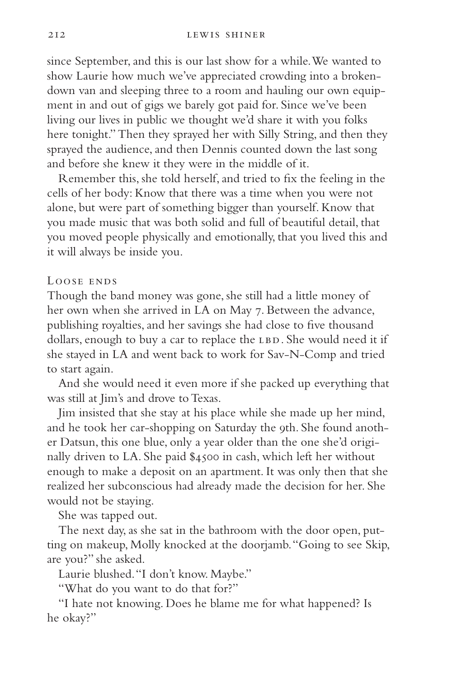since September, and this is our last show for a while. We wanted to show Laurie how much we've appreciated crowding into a brokendown van and sleeping three to a room and hauling our own equipment in and out of gigs we barely got paid for. Since we've been living our lives in public we thought we'd share it with you folks here tonight." Then they sprayed her with Silly String, and then they sprayed the audience, and then Dennis counted down the last song and before she knew it they were in the middle of it.

Remember this, she told herself, and tried to fix the feeling in the cells of her body: Know that there was a time when you were not alone, but were part of something bigger than yourself. Know that you made music that was both solid and full of beautiful detail, that you moved people physically and emotionally, that you lived this and it will always be inside you.

#### LOOSE ENDS

Though the band money was gone, she still had a little money of her own when she arrived in LA on May 7. Between the advance, publishing royalties, and her savings she had close to five thousand dollars, enough to buy a car to replace the LBD. She would need it if she stayed in LA and went back to work for Sav-N-Comp and tried to start again.

And she would need it even more if she packed up everything that was still at Jim's and drove to Texas.

Jim insisted that she stay at his place while she made up her mind, and he took her car-shopping on Saturday the 9th. She found another Datsun, this one blue, only a year older than the one she'd originally driven to LA. She paid \$4500 in cash, which left her without enough to make a deposit on an apartment. It was only then that she realized her subconscious had already made the decision for her. She would not be staying.

She was tapped out.

The next day, as she sat in the bathroom with the door open, putting on makeup, Molly knocked at the doorjamb. "Going to see Skip, are you?" she asked.

Laurie blushed. "I don't know. Maybe."

"What do you want to do that for?"

"I hate not knowing. Does he blame me for what happened? Is he okay?"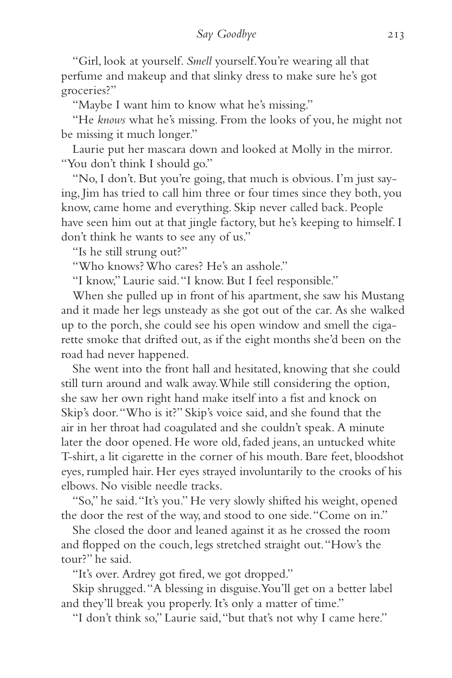"Girl, look at yourself. *Smell* yourself. You're wearing all that perfume and makeup and that slinky dress to make sure he's got groceries?"

"Maybe I want him to know what he's missing."

"He *knows* what he's missing. From the looks of you, he might not be missing it much longer."

Laurie put her mascara down and looked at Molly in the mirror. "You don't think I should go."

"No, I don't. But you're going, that much is obvious. I'm just saying, Jim has tried to call him three or four times since they both, you know, came home and everything. Skip never called back. People have seen him out at that jingle factory, but he's keeping to himself. I don't think he wants to see any of us."

"Is he still strung out?"

"Who knows? Who cares? He's an asshole."

"I know," Laurie said. "I know. But I feel responsible."

When she pulled up in front of his apartment, she saw his Mustang and it made her legs unsteady as she got out of the car. As she walked up to the porch, she could see his open window and smell the cigarette smoke that drifted out, as if the eight months she'd been on the road had never happened.

She went into the front hall and hesitated, knowing that she could still turn around and walk away. While still considering the option, she saw her own right hand make itself into a fist and knock on Skip's door. "Who is it?" Skip's voice said, and she found that the air in her throat had coagulated and she couldn't speak. A minute later the door opened. He wore old, faded jeans, an untucked white T-shirt, a lit cigarette in the corner of his mouth. Bare feet, bloodshot eyes, rumpled hair. Her eyes strayed involuntarily to the crooks of his elbows. No visible needle tracks.

"So," he said. "It's you." He very slowly shifted his weight, opened the door the rest of the way, and stood to one side. "Come on in."

She closed the door and leaned against it as he crossed the room and flopped on the couch, legs stretched straight out. "How's the tour?" he said.

"It's over. Ardrey got fired, we got dropped."

Skip shrugged. "A blessing in disguise. You'll get on a better label and they'll break you properly. It's only a matter of time."

"I don't think so," Laurie said, "but that's not why I came here."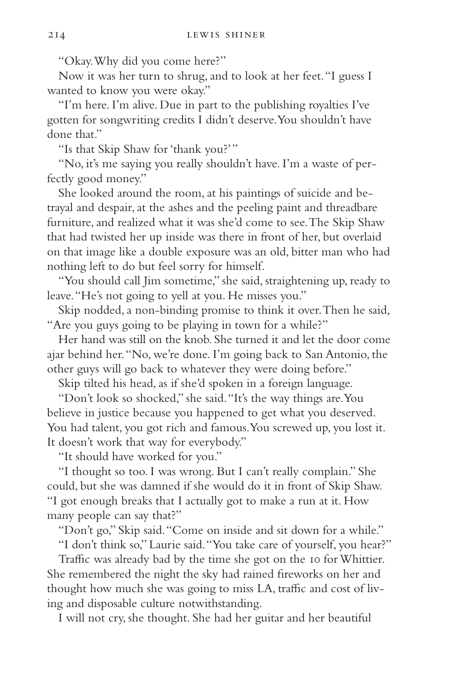"Okay. Why did you come here?"

Now it was her turn to shrug, and to look at her feet. "I guess I wanted to know you were okay."

"I'm here. I'm alive. Due in part to the publishing royalties I've gotten for songwriting credits I didn't deserve. You shouldn't have done that."

"Is that Skip Shaw for 'thank you?'"

"No, it's me saying you really shouldn't have. I'm a waste of perfectly good money."

She looked around the room, at his paintings of suicide and betrayal and despair, at the ashes and the peeling paint and threadbare furniture, and realized what it was she'd come to see. The Skip Shaw that had twisted her up inside was there in front of her, but overlaid on that image like a double exposure was an old, bitter man who had nothing left to do but feel sorry for himself.

"You should call Jim sometime," she said, straightening up, ready to leave. "He's not going to yell at you. He misses you."

Skip nodded, a non-binding promise to think it over. Then he said, "Are you guys going to be playing in town for a while?"

Her hand was still on the knob. She turned it and let the door come ajar behind her. "No, we're done. I'm going back to San Antonio, the other guys will go back to whatever they were doing before."

Skip tilted his head, as if she'd spoken in a foreign language.

"Don't look so shocked," she said. "It's the way things are. You believe in justice because you happened to get what you deserved. You had talent, you got rich and famous. You screwed up, you lost it. It doesn't work that way for everybody."

"It should have worked for you."

"I thought so too. I was wrong. But I can't really complain." She could, but she was damned if she would do it in front of Skip Shaw. "I got enough breaks that I actually got to make a run at it. How many people can say that?"

"Don't go," Skip said. "Come on inside and sit down for a while."

"I don't think so," Laurie said. "You take care of yourself, you hear?"

Traffic was already bad by the time she got on the 10 for Whittier. She remembered the night the sky had rained fireworks on her and thought how much she was going to miss LA, traffic and cost of living and disposable culture notwithstanding.

I will not cry, she thought. She had her guitar and her beautiful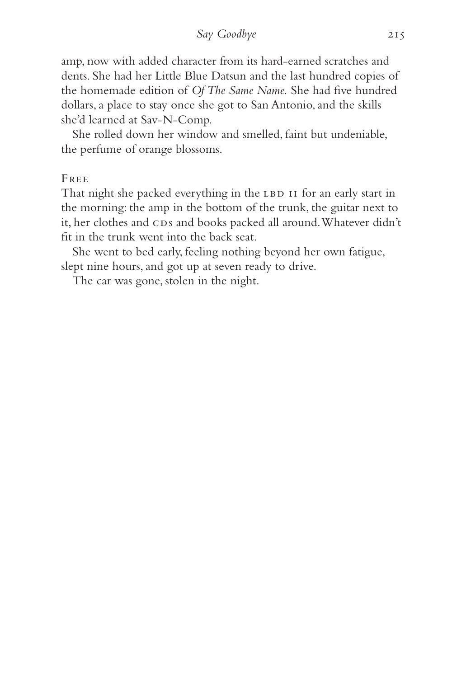amp, now with added character from its hard-earned scratches and dents. She had her Little Blue Datsun and the last hundred copies of the homemade edition of *Of The Same Name.* She had five hundred dollars, a place to stay once she got to San Antonio, and the skills she'd learned at Sav-N-Comp.

She rolled down her window and smelled, faint but undeniable, the perfume of orange blossoms.

Free

That night she packed everything in the LBD II for an early start in the morning: the amp in the bottom of the trunk, the guitar next to it, her clothes and CDs and books packed all around. Whatever didn't fit in the trunk went into the back seat.

She went to bed early, feeling nothing beyond her own fatigue, slept nine hours, and got up at seven ready to drive.

The car was gone, stolen in the night.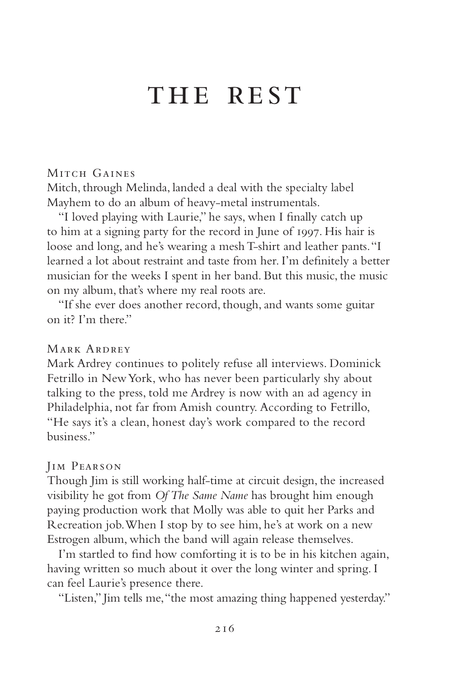# THE REST

#### MITCH GAINES

Mitch, through Melinda, landed a deal with the specialty label Mayhem to do an album of heavy-metal instrumentals.

"I loved playing with Laurie," he says, when I finally catch up to him at a signing party for the record in June of 1997. His hair is loose and long, and he's wearing a mesh T-shirt and leather pants. "I learned a lot about restraint and taste from her. I'm definitely a better musician for the weeks I spent in her band. But this music, the music on my album, that's where my real roots are.

"If she ever does another record, though, and wants some guitar on it? I'm there."

#### MARK ARDREY

Mark Ardrey continues to politely refuse all interviews. Dominick Fetrillo in New York, who has never been particularly shy about talking to the press, told me Ardrey is now with an ad agency in Philadelphia, not far from Amish country. According to Fetrillo, "He says it's a clean, honest day's work compared to the record business."

#### Jim Pearson

Though Jim is still working half-time at circuit design, the increased visibility he got from *Of The Same Name* has brought him enough paying production work that Molly was able to quit her Parks and Recreation job. When I stop by to see him, he's at work on a new Estrogen album, which the band will again release themselves.

I'm startled to find how comforting it is to be in his kitchen again, having written so much about it over the long winter and spring. I can feel Laurie's presence there.

"Listen," Jim tells me, "the most amazing thing happened yesterday."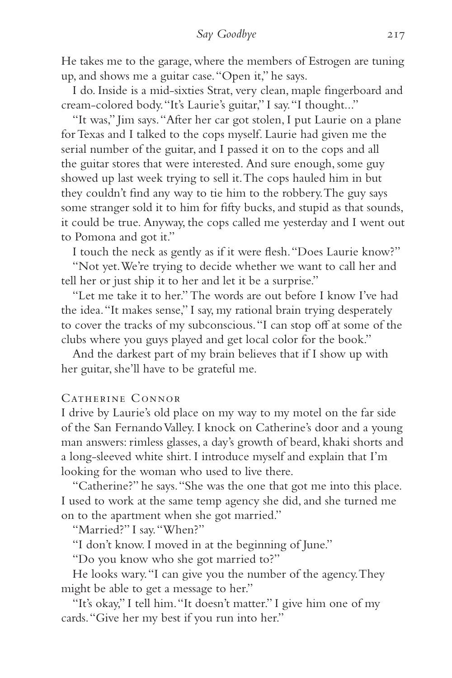He takes me to the garage, where the members of Estrogen are tuning up, and shows me a guitar case. "Open it," he says.

I do. Inside is a mid-sixties Strat, very clean, maple fingerboard and cream-colored body. "It's Laurie's guitar," I say. "I thought..."

"It was," Jim says. "After her car got stolen, I put Laurie on a plane for Texas and I talked to the cops myself. Laurie had given me the serial number of the guitar, and I passed it on to the cops and all the guitar stores that were interested. And sure enough, some guy showed up last week trying to sell it. The cops hauled him in but they couldn't find any way to tie him to the robbery. The guy says some stranger sold it to him for fifty bucks, and stupid as that sounds, it could be true. Anyway, the cops called me yesterday and I went out to Pomona and got it."

I touch the neck as gently as if it were flesh. "Does Laurie know?"

"Not yet. We're trying to decide whether we want to call her and tell her or just ship it to her and let it be a surprise."

"Let me take it to her." The words are out before I know I've had the idea. "It makes sense," I say, my rational brain trying desperately to cover the tracks of my subconscious. "I can stop off at some of the clubs where you guys played and get local color for the book."

And the darkest part of my brain believes that if I show up with her guitar, she'll have to be grateful me.

#### Catherine Connor

I drive by Laurie's old place on my way to my motel on the far side of the San Fernando Valley. I knock on Catherine's door and a young man answers: rimless glasses, a day's growth of beard, khaki shorts and a long-sleeved white shirt. I introduce myself and explain that I'm looking for the woman who used to live there.

"Catherine?" he says. "She was the one that got me into this place. I used to work at the same temp agency she did, and she turned me on to the apartment when she got married."

"Married?" I say. "When?"

"I don't know. I moved in at the beginning of June."

"Do you know who she got married to?"

He looks wary. "I can give you the number of the agency. They might be able to get a message to her."

"It's okay," I tell him. "It doesn't matter." I give him one of my cards. "Give her my best if you run into her."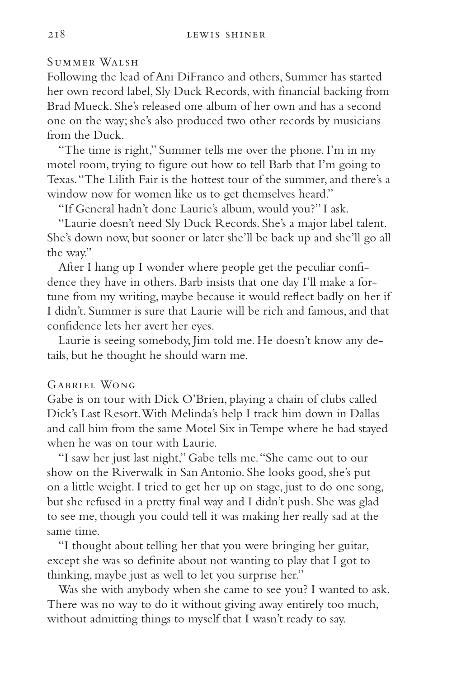#### Summer Walsh

Following the lead of Ani DiFranco and others, Summer has started her own record label, Sly Duck Records, with financial backing from Brad Mueck. She's released one album of her own and has a second one on the way; she's also produced two other records by musicians from the Duck.

"The time is right," Summer tells me over the phone. I'm in my motel room, trying to figure out how to tell Barb that I'm going to Texas. "The Lilith Fair is the hottest tour of the summer, and there's a window now for women like us to get themselves heard."

"If General hadn't done Laurie's album, would you?" I ask.

"Laurie doesn't need Sly Duck Records. She's a major label talent. She's down now, but sooner or later she'll be back up and she'll go all the way."

After I hang up I wonder where people get the peculiar confidence they have in others. Barb insists that one day I'll make a fortune from my writing, maybe because it would reflect badly on her if I didn't. Summer is sure that Laurie will be rich and famous, and that confidence lets her avert her eyes.

Laurie is seeing somebody, Jim told me. He doesn't know any details, but he thought he should warn me.

#### Gabriel Wong

Gabe is on tour with Dick O'Brien, playing a chain of clubs called Dick's Last Resort. With Melinda's help I track him down in Dallas and call him from the same Motel Six in Tempe where he had stayed when he was on tour with Laurie.

"I saw her just last night," Gabe tells me. "She came out to our show on the Riverwalk in San Antonio. She looks good, she's put on a little weight. I tried to get her up on stage, just to do one song, but she refused in a pretty final way and I didn't push. She was glad to see me, though you could tell it was making her really sad at the same time.

"I thought about telling her that you were bringing her guitar, except she was so definite about not wanting to play that I got to thinking, maybe just as well to let you surprise her."

Was she with anybody when she came to see you? I wanted to ask. There was no way to do it without giving away entirely too much, without admitting things to myself that I wasn't ready to say.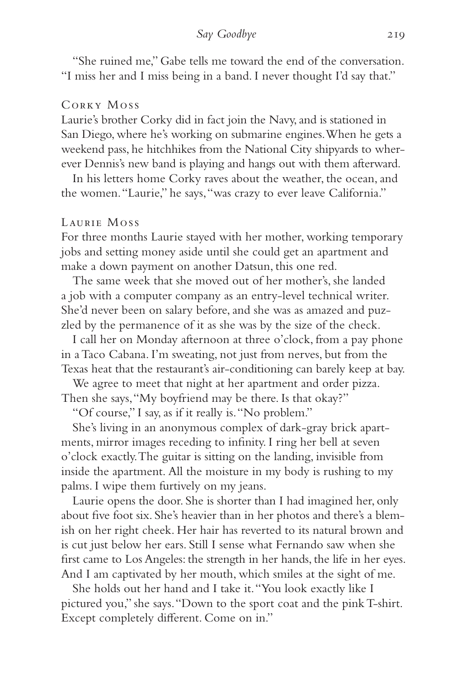"She ruined me," Gabe tells me toward the end of the conversation. "I miss her and I miss being in a band. I never thought I'd say that."

#### Corky Moss

Laurie's brother Corky did in fact join the Navy, and is stationed in San Diego, where he's working on submarine engines. When he gets a weekend pass, he hitchhikes from the National City shipyards to wherever Dennis's new band is playing and hangs out with them afterward.

In his letters home Corky raves about the weather, the ocean, and the women. "Laurie," he says, "was crazy to ever leave California."

#### Laurie Moss

For three months Laurie stayed with her mother, working temporary jobs and setting money aside until she could get an apartment and make a down payment on another Datsun, this one red.

The same week that she moved out of her mother's, she landed a job with a computer company as an entry-level technical writer. She'd never been on salary before, and she was as amazed and puzzled by the permanence of it as she was by the size of the check.

I call her on Monday afternoon at three o'clock, from a pay phone in a Taco Cabana. I'm sweating, not just from nerves, but from the Texas heat that the restaurant's air-conditioning can barely keep at bay.

We agree to meet that night at her apartment and order pizza. Then she says, "My boyfriend may be there. Is that okay?"

"Of course," I say, as if it really is. "No problem."

She's living in an anonymous complex of dark-gray brick apartments, mirror images receding to infinity. I ring her bell at seven o'clock exactly. The guitar is sitting on the landing, invisible from inside the apartment. All the moisture in my body is rushing to my palms. I wipe them furtively on my jeans.

Laurie opens the door. She is shorter than I had imagined her, only about five foot six. She's heavier than in her photos and there's a blemish on her right cheek. Her hair has reverted to its natural brown and is cut just below her ears. Still I sense what Fernando saw when she first came to Los Angeles: the strength in her hands, the life in her eyes. And I am captivated by her mouth, which smiles at the sight of me.

She holds out her hand and I take it. "You look exactly like I pictured you," she says. "Down to the sport coat and the pink T-shirt. Except completely different. Come on in."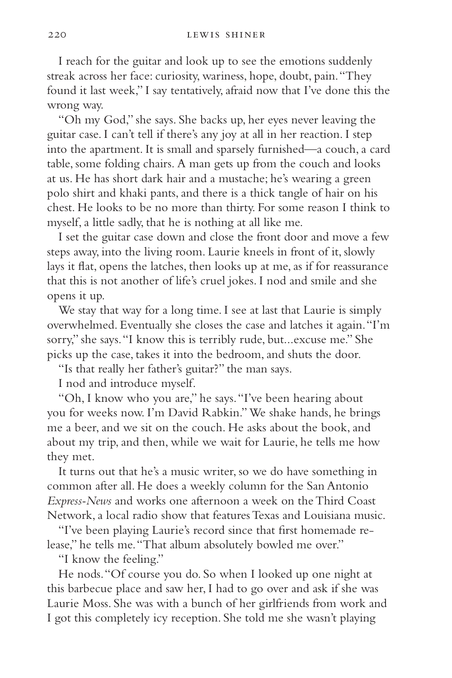I reach for the guitar and look up to see the emotions suddenly streak across her face: curiosity, wariness, hope, doubt, pain. "They found it last week," I say tentatively, afraid now that I've done this the wrong way.

"Oh my God," she says. She backs up, her eyes never leaving the guitar case. I can't tell if there's any joy at all in her reaction. I step into the apartment. It is small and sparsely furnished—a couch, a card table, some folding chairs. A man gets up from the couch and looks at us. He has short dark hair and a mustache; he's wearing a green polo shirt and khaki pants, and there is a thick tangle of hair on his chest. He looks to be no more than thirty. For some reason I think to myself, a little sadly, that he is nothing at all like me.

I set the guitar case down and close the front door and move a few steps away, into the living room. Laurie kneels in front of it, slowly lays it flat, opens the latches, then looks up at me, as if for reassurance that this is not another of life's cruel jokes. I nod and smile and she opens it up.

We stay that way for a long time. I see at last that Laurie is simply overwhelmed. Eventually she closes the case and latches it again. "I'm sorry," she says. "I know this is terribly rude, but...excuse me." She picks up the case, takes it into the bedroom, and shuts the door.

"Is that really her father's guitar?" the man says.

I nod and introduce myself.

"Oh, I know who you are," he says. "I've been hearing about you for weeks now. I'm David Rabkin." We shake hands, he brings me a beer, and we sit on the couch. He asks about the book, and about my trip, and then, while we wait for Laurie, he tells me how they met.

It turns out that he's a music writer, so we do have something in common after all. He does a weekly column for the San Antonio *Express-News* and works one afternoon a week on the Third Coast Network, a local radio show that features Texas and Louisiana music.

"I've been playing Laurie's record since that first homemade release," he tells me. "That album absolutely bowled me over."

"I know the feeling."

He nods. "Of course you do. So when I looked up one night at this barbecue place and saw her, I had to go over and ask if she was Laurie Moss. She was with a bunch of her girlfriends from work and I got this completely icy reception. She told me she wasn't playing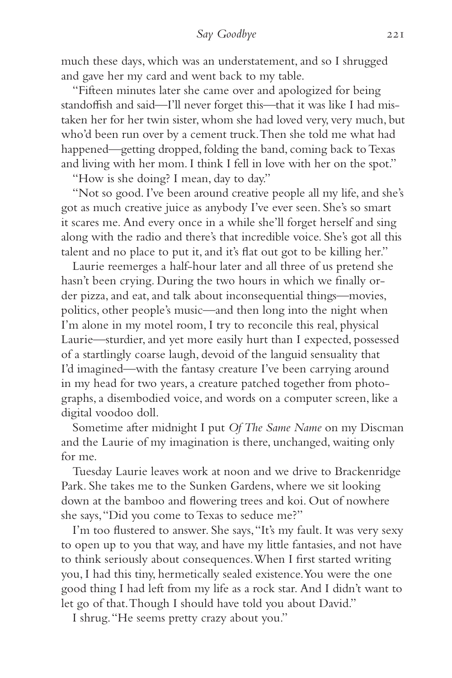much these days, which was an understatement, and so I shrugged and gave her my card and went back to my table.

"Fifteen minutes later she came over and apologized for being standoffish and said—I'll never forget this—that it was like I had mistaken her for her twin sister, whom she had loved very, very much, but who'd been run over by a cement truck. Then she told me what had happened—getting dropped, folding the band, coming back to Texas and living with her mom. I think I fell in love with her on the spot."

"How is she doing? I mean, day to day."

"Not so good. I've been around creative people all my life, and she's got as much creative juice as anybody I've ever seen. She's so smart it scares me. And every once in a while she'll forget herself and sing along with the radio and there's that incredible voice. She's got all this talent and no place to put it, and it's flat out got to be killing her."

Laurie reemerges a half-hour later and all three of us pretend she hasn't been crying. During the two hours in which we finally order pizza, and eat, and talk about inconsequential things—movies, politics, other people's music—and then long into the night when I'm alone in my motel room, I try to reconcile this real, physical Laurie—sturdier, and yet more easily hurt than I expected, possessed of a startlingly coarse laugh, devoid of the languid sensuality that I'd imagined—with the fantasy creature I've been carrying around in my head for two years, a creature patched together from photographs, a disembodied voice, and words on a computer screen, like a digital voodoo doll.

Sometime after midnight I put *Of The Same Name* on my Discman and the Laurie of my imagination is there, unchanged, waiting only for me.

Tuesday Laurie leaves work at noon and we drive to Brackenridge Park. She takes me to the Sunken Gardens, where we sit looking down at the bamboo and flowering trees and koi. Out of nowhere she says, "Did you come to Texas to seduce me?"

I'm too flustered to answer. She says, "It's my fault. It was very sexy to open up to you that way, and have my little fantasies, and not have to think seriously about consequences. When I first started writing you, I had this tiny, hermetically sealed existence. You were the one good thing I had left from my life as a rock star. And I didn't want to let go of that. Though I should have told you about David."

I shrug. "He seems pretty crazy about you."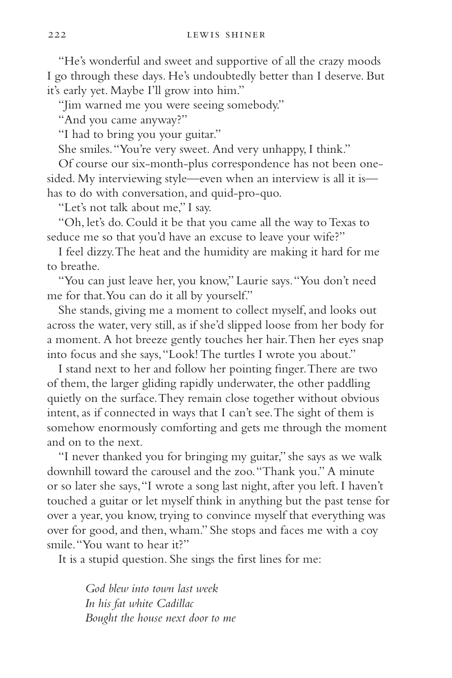"He's wonderful and sweet and supportive of all the crazy moods I go through these days. He's undoubtedly better than I deserve. But it's early yet. Maybe I'll grow into him."

"Jim warned me you were seeing somebody."

"And you came anyway?"

"I had to bring you your guitar."

She smiles. "You're very sweet. And very unhappy, I think."

Of course our six-month-plus correspondence has not been onesided. My interviewing style—even when an interview is all it is has to do with conversation, and quid-pro-quo.

"Let's not talk about me," I say.

"Oh, let's do. Could it be that you came all the way to Texas to seduce me so that you'd have an excuse to leave your wife?"

I feel dizzy. The heat and the humidity are making it hard for me to breathe.

"You can just leave her, you know," Laurie says. "You don't need me for that. You can do it all by yourself."

She stands, giving me a moment to collect myself, and looks out across the water, very still, as if she'd slipped loose from her body for a moment. A hot breeze gently touches her hair. Then her eyes snap into focus and she says, "Look! The turtles I wrote you about."

I stand next to her and follow her pointing finger. There are two of them, the larger gliding rapidly underwater, the other paddling quietly on the surface. They remain close together without obvious intent, as if connected in ways that I can't see. The sight of them is somehow enormously comforting and gets me through the moment and on to the next.

"I never thanked you for bringing my guitar," she says as we walk downhill toward the carousel and the zoo. "Thank you." A minute or so later she says, "I wrote a song last night, after you left. I haven't touched a guitar or let myself think in anything but the past tense for over a year, you know, trying to convince myself that everything was over for good, and then, wham." She stops and faces me with a coy smile. "You want to hear it?"

It is a stupid question. She sings the first lines for me:

*God blew into town last week In his fat white Cadillac Bought the house next door to me*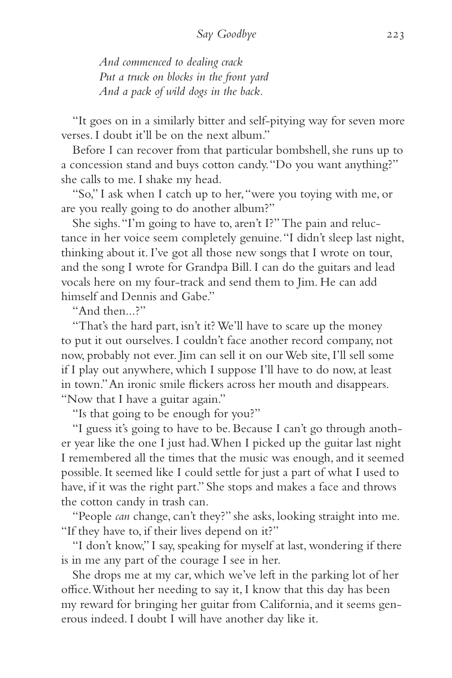*And commenced to dealing crack Put a truck on blocks in the front yard And a pack of wild dogs in the back.*

"It goes on in a similarly bitter and self-pitying way for seven more verses. I doubt it'll be on the next album."

Before I can recover from that particular bombshell, she runs up to a concession stand and buys cotton candy. "Do you want anything?" she calls to me. I shake my head.

"So," I ask when I catch up to her, "were you toying with me, or are you really going to do another album?"

She sighs. "I'm going to have to, aren't I?" The pain and reluctance in her voice seem completely genuine. "I didn't sleep last night, thinking about it. I've got all those new songs that I wrote on tour, and the song I wrote for Grandpa Bill. I can do the guitars and lead vocals here on my four-track and send them to Jim. He can add himself and Dennis and Gabe."

"And then $\cdot$ ?"

"That's the hard part, isn't it? We'll have to scare up the money to put it out ourselves. I couldn't face another record company, not now, probably not ever. Jim can sell it on our Web site, I'll sell some if I play out anywhere, which I suppose I'll have to do now, at least in town." An ironic smile flickers across her mouth and disappears. "Now that I have a guitar again."

"Is that going to be enough for you?"

"I guess it's going to have to be. Because I can't go through another year like the one I just had. When I picked up the guitar last night I remembered all the times that the music was enough, and it seemed possible. It seemed like I could settle for just a part of what I used to have, if it was the right part." She stops and makes a face and throws the cotton candy in trash can.

"People *can* change, can't they?" she asks, looking straight into me. "If they have to, if their lives depend on it?"

"I don't know," I say, speaking for myself at last, wondering if there is in me any part of the courage I see in her.

She drops me at my car, which we've left in the parking lot of her office. Without her needing to say it, I know that this day has been my reward for bringing her guitar from California, and it seems generous indeed. I doubt I will have another day like it.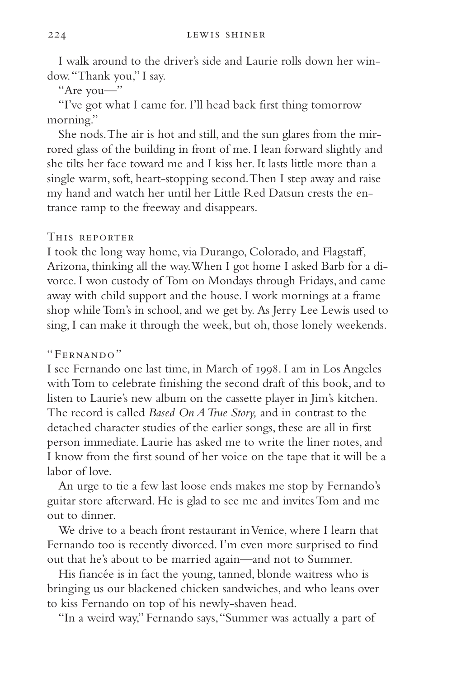I walk around to the driver's side and Laurie rolls down her window. "Thank you," I say.

"Are you—"

"I've got what I came for. I'll head back first thing tomorrow morning."

She nods. The air is hot and still, and the sun glares from the mirrored glass of the building in front of me. I lean forward slightly and she tilts her face toward me and I kiss her. It lasts little more than a single warm, soft, heart-stopping second. Then I step away and raise my hand and watch her until her Little Red Datsun crests the entrance ramp to the freeway and disappears.

## This reporter

I took the long way home, via Durango, Colorado, and Flagstaff, Arizona, thinking all the way. When I got home I asked Barb for a divorce. I won custody of Tom on Mondays through Fridays, and came away with child support and the house. I work mornings at a frame shop while Tom's in school, and we get by. As Jerry Lee Lewis used to sing, I can make it through the week, but oh, those lonely weekends.

# "Fernando"

I see Fernando one last time, in March of 1998. I am in Los Angeles with Tom to celebrate finishing the second draft of this book, and to listen to Laurie's new album on the cassette player in Jim's kitchen. The record is called *Based On A True Story,* and in contrast to the detached character studies of the earlier songs, these are all in first person immediate. Laurie has asked me to write the liner notes, and I know from the first sound of her voice on the tape that it will be a labor of love.

An urge to tie a few last loose ends makes me stop by Fernando's guitar store afterward. He is glad to see me and invites Tom and me out to dinner.

We drive to a beach front restaurant in Venice, where I learn that Fernando too is recently divorced. I'm even more surprised to find out that he's about to be married again—and not to Summer.

His fiancée is in fact the young, tanned, blonde waitress who is bringing us our blackened chicken sandwiches, and who leans over to kiss Fernando on top of his newly-shaven head.

"In a weird way," Fernando says, "Summer was actually a part of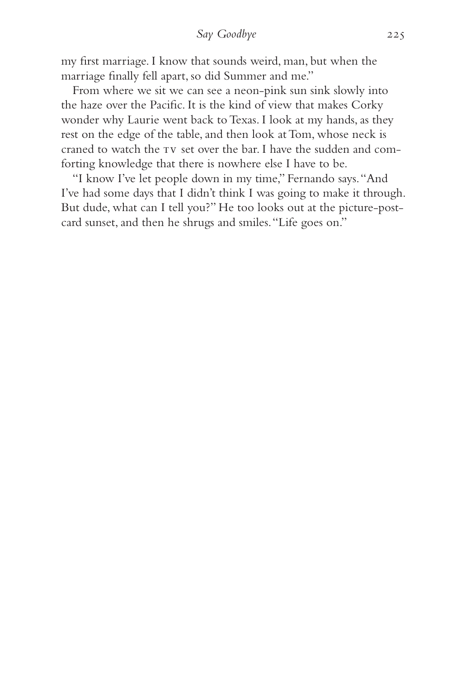my first marriage. I know that sounds weird, man, but when the marriage finally fell apart, so did Summer and me."

From where we sit we can see a neon-pink sun sink slowly into the haze over the Pacific. It is the kind of view that makes Corky wonder why Laurie went back to Texas. I look at my hands, as they rest on the edge of the table, and then look at Tom, whose neck is craned to watch the TV set over the bar. I have the sudden and comforting knowledge that there is nowhere else I have to be.

"I know I've let people down in my time," Fernando says. "And I've had some days that I didn't think I was going to make it through. But dude, what can I tell you?" He too looks out at the picture-postcard sunset, and then he shrugs and smiles. "Life goes on."